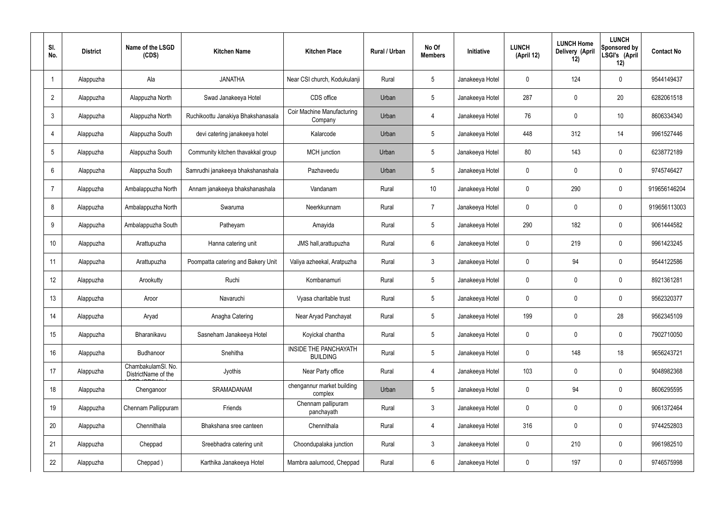| SI.<br>No.      | <b>District</b> | Name of the LSGD<br>(CDS)                 | <b>Kitchen Name</b>                | <b>Kitchen Place</b>                            | Rural / Urban | No Of<br><b>Members</b> | <b>Initiative</b> | <b>LUNCH</b><br>(April 12) | <b>LUNCH Home</b><br>Delivery (April<br>12) | <b>LUNCH</b><br>Sponsored by<br>LSGI's (April<br>12) | <b>Contact No</b> |
|-----------------|-----------------|-------------------------------------------|------------------------------------|-------------------------------------------------|---------------|-------------------------|-------------------|----------------------------|---------------------------------------------|------------------------------------------------------|-------------------|
|                 | Alappuzha       | Ala                                       | <b>JANATHA</b>                     | Near CSI church, Kodukulanji                    | Rural         | $5\phantom{.0}$         | Janakeeya Hotel   | $\mathbf 0$                | 124                                         | $\mathbf 0$                                          | 9544149437        |
| $\overline{2}$  | Alappuzha       | Alappuzha North                           | Swad Janakeeya Hotel               | CDS office                                      | Urban         | $5\phantom{.0}$         | Janakeeya Hotel   | 287                        | $\mathbf 0$                                 | 20                                                   | 6282061518        |
| $\mathbf{3}$    | Alappuzha       | Alappuzha North                           | Ruchikoottu Janakiya Bhakshanasala | Coir Machine Manufacturing<br>Company           | Urban         | $\overline{4}$          | Janakeeya Hotel   | 76                         | 0                                           | 10                                                   | 8606334340        |
| $\overline{4}$  | Alappuzha       | Alappuzha South                           | devi catering janakeeya hotel      | Kalarcode                                       | Urban         | $5\phantom{.0}$         | Janakeeya Hotel   | 448                        | 312                                         | 14                                                   | 9961527446        |
| $5\overline{)}$ | Alappuzha       | Alappuzha South                           | Community kitchen thavakkal group  | MCH junction                                    | Urban         | $5\phantom{.0}$         | Janakeeya Hotel   | 80                         | 143                                         | $\mathbf 0$                                          | 6238772189        |
| 6               | Alappuzha       | Alappuzha South                           | Samrudhi janakeeya bhakshanashala  | Pazhaveedu                                      | Urban         | $5\phantom{.0}$         | Janakeeya Hotel   | $\mathbf 0$                | $\mathbf 0$                                 | $\mathbf 0$                                          | 9745746427        |
| $\overline{7}$  | Alappuzha       | Ambalappuzha North                        | Annam janakeeya bhakshanashala     | Vandanam                                        | Rural         | 10 <sup>°</sup>         | Janakeeya Hotel   | $\mathbf 0$                | 290                                         | $\mathbf 0$                                          | 919656146204      |
| 8               | Alappuzha       | Ambalappuzha North                        | Swaruma                            | Neerkkunnam                                     | Rural         | $\overline{7}$          | Janakeeya Hotel   | $\mathbf 0$                | $\mathbf 0$                                 | $\mathbf 0$                                          | 919656113003      |
| 9               | Alappuzha       | Ambalappuzha South                        | Patheyam                           | Amayida                                         | Rural         | $5\phantom{.0}$         | Janakeeya Hotel   | 290                        | 182                                         | $\mathbf 0$                                          | 9061444582        |
| 10              | Alappuzha       | Arattupuzha                               | Hanna catering unit                | JMS hall, arattupuzha                           | Rural         | $6\phantom{.}6$         | Janakeeya Hotel   | $\mathbf 0$                | 219                                         | $\mathbf 0$                                          | 9961423245        |
| 11              | Alappuzha       | Arattupuzha                               | Poompatta catering and Bakery Unit | Valiya azheekal, Aratpuzha                      | Rural         | $\mathbf{3}$            | Janakeeya Hotel   | $\mathbf 0$                | 94                                          | $\mathbf 0$                                          | 9544122586        |
| 12              | Alappuzha       | Arookutty                                 | Ruchi                              | Kombanamuri                                     | Rural         | $5\phantom{.0}$         | Janakeeya Hotel   | $\mathbf 0$                | $\mathbf 0$                                 | $\mathbf 0$                                          | 8921361281        |
| 13              | Alappuzha       | Aroor                                     | Navaruchi                          | Vyasa charitable trust                          | Rural         | $5\phantom{.0}$         | Janakeeya Hotel   | $\mathbf 0$                | 0                                           | 0                                                    | 9562320377        |
| 14              | Alappuzha       | Aryad                                     | Anagha Catering                    | Near Aryad Panchayat                            | Rural         | $5\phantom{.0}$         | Janakeeya Hotel   | 199                        | $\mathbf 0$                                 | 28                                                   | 9562345109        |
| 15              | Alappuzha       | Bharanikavu                               | Sasneham Janakeeya Hotel           | Koyickal chantha                                | Rural         | $5\phantom{.0}$         | Janakeeya Hotel   | $\mathbf 0$                | $\mathbf 0$                                 | $\mathbf 0$                                          | 7902710050        |
| 16              | Alappuzha       | Budhanoor                                 | Snehitha                           | <b>INSIDE THE PANCHAYATH</b><br><b>BUILDING</b> | Rural         | $5\phantom{.0}$         | Janakeeya Hotel   | $\mathbf 0$                | 148                                         | 18                                                   | 9656243721        |
| 17              | Alappuzha       | ChambakulamSl. No.<br>DistrictName of the | Jyothis                            | Near Party office                               | Rural         | 4                       | Janakeeya Hotel   | 103                        | $\mathbf 0$                                 | $\mathbf 0$                                          | 9048982368        |
| 18              | Alappuzha       | Chenganoor                                | SRAMADANAM                         | chengannur market building<br>complex           | Urban         | $5\phantom{.0}$         | Janakeeya Hotel   | $\mathbf 0$                | 94                                          | $\mathbf 0$                                          | 8606295595        |
| 19              | Alappuzha       | Chennam Pallippuram                       | Friends                            | Chennam pallipuram<br>panchayath                | Rural         | $\mathbf{3}$            | Janakeeya Hotel   | $\mathbf 0$                | 0                                           | $\mathbf 0$                                          | 9061372464        |
| 20              | Alappuzha       | Chennithala                               | Bhakshana sree canteen             | Chennithala                                     | Rural         | $\overline{4}$          | Janakeeya Hotel   | 316                        | 0                                           | $\mathbf 0$                                          | 9744252803        |
| 21              | Alappuzha       | Cheppad                                   | Sreebhadra catering unit           | Choondupalaka junction                          | Rural         | $\mathbf{3}$            | Janakeeya Hotel   | $\mathbf 0$                | 210                                         | $\mathbf 0$                                          | 9961982510        |
| 22              | Alappuzha       | Cheppad)                                  | Karthika Janakeeya Hotel           | Mambra aalumood, Cheppad                        | Rural         | $6\overline{6}$         | Janakeeya Hotel   | 0                          | 197                                         | $\mathbf 0$                                          | 9746575998        |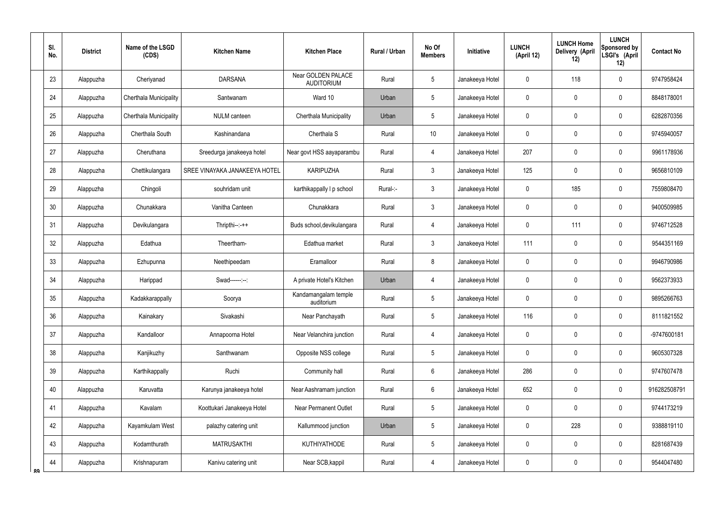|    | SI.<br>No. | <b>District</b> | Name of the LSGD<br>(CDS)     | <b>Kitchen Name</b>           | <b>Kitchen Place</b>                    | <b>Rural / Urban</b> | No Of<br><b>Members</b> | Initiative      | <b>LUNCH</b><br>(April 12) | <b>LUNCH Home</b><br>Delivery (April<br>12) | <b>LUNCH</b><br>Sponsored by<br>LSGI's (April<br>12) | <b>Contact No</b> |
|----|------------|-----------------|-------------------------------|-------------------------------|-----------------------------------------|----------------------|-------------------------|-----------------|----------------------------|---------------------------------------------|------------------------------------------------------|-------------------|
|    | 23         | Alappuzha       | Cheriyanad                    | <b>DARSANA</b>                | Near GOLDEN PALACE<br><b>AUDITORIUM</b> | Rural                | 5                       | Janakeeya Hotel | 0                          | 118                                         | $\mathbf 0$                                          | 9747958424        |
|    | 24         | Alappuzha       | <b>Cherthala Municipality</b> | Santwanam                     | Ward 10                                 | Urban                | 5                       | Janakeeya Hotel | 0                          | $\mathbf 0$                                 | $\mathbf 0$                                          | 8848178001        |
|    | 25         | Alappuzha       | Cherthala Municipality        | NULM canteen                  | Cherthala Municipality                  | Urban                | 5                       | Janakeeya Hotel | 0                          | 0                                           | $\mathbf 0$                                          | 6282870356        |
|    | 26         | Alappuzha       | Cherthala South               | Kashinandana                  | Cherthala S                             | Rural                | 10                      | Janakeeya Hotel | 0                          | $\mathbf 0$                                 | $\boldsymbol{0}$                                     | 9745940057        |
|    | 27         | Alappuzha       | Cheruthana                    | Sreedurga janakeeya hotel     | Near govt HSS aayaparambu               | Rural                | 4                       | Janakeeya Hotel | 207                        | 0                                           | $\mathbf 0$                                          | 9961178936        |
|    | 28         | Alappuzha       | Chettikulangara               | SREE VINAYAKA JANAKEEYA HOTEL | <b>KARIPUZHA</b>                        | Rural                | $\mathbf{3}$            | Janakeeya Hotel | 125                        | 0                                           | $\mathbf 0$                                          | 9656810109        |
|    | 29         | Alappuzha       | Chingoli                      | souhridam unit                | karthikappally I p school               | Rural-:-             | $\mathbf{3}$            | Janakeeya Hotel | 0                          | 185                                         | $\mathbf 0$                                          | 7559808470        |
|    | 30         | Alappuzha       | Chunakkara                    | Vanitha Canteen               | Chunakkara                              | Rural                | $\mathfrak{Z}$          | Janakeeya Hotel | 0                          | $\mathbf 0$                                 | $\boldsymbol{0}$                                     | 9400509985        |
|    | 31         | Alappuzha       | Devikulangara                 | $Thripthi--++$                | Buds school, devikulangara              | Rural                | $\overline{4}$          | Janakeeya Hotel | 0                          | 111                                         | $\boldsymbol{0}$                                     | 9746712528        |
|    | 32         | Alappuzha       | Edathua                       | Theertham-                    | Edathua market                          | Rural                | 3                       | Janakeeya Hotel | 111                        | $\mathbf 0$                                 | $\mathbf 0$                                          | 9544351169        |
|    | 33         | Alappuzha       | Ezhupunna                     | Neethipeedam                  | Eramalloor                              | Rural                | 8                       | Janakeeya Hotel | 0                          | 0                                           | $\mathbf 0$                                          | 9946790986        |
|    | 34         | Alappuzha       | Harippad                      | Swad------:--:                | A private Hotel's Kitchen               | Urban                | $\overline{4}$          | Janakeeya Hotel | 0                          | $\mathbf 0$                                 | $\boldsymbol{0}$                                     | 9562373933        |
|    | 35         | Alappuzha       | Kadakkarappally               | Soorya                        | Kandamangalam temple<br>auditorium      | Rural                | 5                       | Janakeeya Hotel | 0                          | $\mathbf 0$                                 | $\mathbf 0$                                          | 9895266763        |
|    | 36         | Alappuzha       | Kainakary                     | Sivakashi                     | Near Panchayath                         | Rural                | 5                       | Janakeeya Hotel | 116                        | $\mathbf 0$                                 | $\boldsymbol{0}$                                     | 8111821552        |
|    | 37         | Alappuzha       | Kandalloor                    | Annapoorna Hotel              | Near Velanchira junction                | Rural                | $\overline{4}$          | Janakeeya Hotel | 0                          | $\pmb{0}$                                   | $\pmb{0}$                                            | -9747600181       |
|    | 38         | Alappuzha       | Kanjikuzhy                    | Santhwanam                    | Opposite NSS college                    | Rural                | 5                       | Janakeeya Hotel | 0                          | $\pmb{0}$                                   | $\pmb{0}$                                            | 9605307328        |
|    | 39         | Alappuzha       | Karthikappally                | Ruchi                         | Community hall                          | Rural                | $6\overline{6}$         | Janakeeya Hotel | 286                        | $\mathbf 0$                                 | $\boldsymbol{0}$                                     | 9747607478        |
|    | 40         | Alappuzha       | Karuvatta                     | Karunya janakeeya hotel       | Near Aashramam junction                 | Rural                | $6\overline{6}$         | Janakeeya Hotel | 652                        | $\pmb{0}$                                   | $\pmb{0}$                                            | 916282508791      |
|    | 41         | Alappuzha       | Kavalam                       | Koottukari Janakeeya Hotel    | <b>Near Permanent Outlet</b>            | Rural                | 5                       | Janakeeya Hotel | 0                          | $\pmb{0}$                                   | $\pmb{0}$                                            | 9744173219        |
|    | 42         | Alappuzha       | Kayamkulam West               | palazhy catering unit         | Kallummood junction                     | Urban                | $5\phantom{.0}$         | Janakeeya Hotel | 0                          | 228                                         | $\pmb{0}$                                            | 9388819110        |
|    | 43         | Alappuzha       | Kodamthurath                  | <b>MATRUSAKTHI</b>            | <b>KUTHIYATHODE</b>                     | Rural                | 5                       | Janakeeya Hotel | 0                          | $\overline{0}$                              | $\pmb{0}$                                            | 8281687439        |
| ՋQ | 44         | Alappuzha       | Krishnapuram                  | Kanivu catering unit          | Near SCB, kappil                        | Rural                | $\overline{4}$          | Janakeeya Hotel | 0                          | $\overline{0}$                              | $\pmb{0}$                                            | 9544047480        |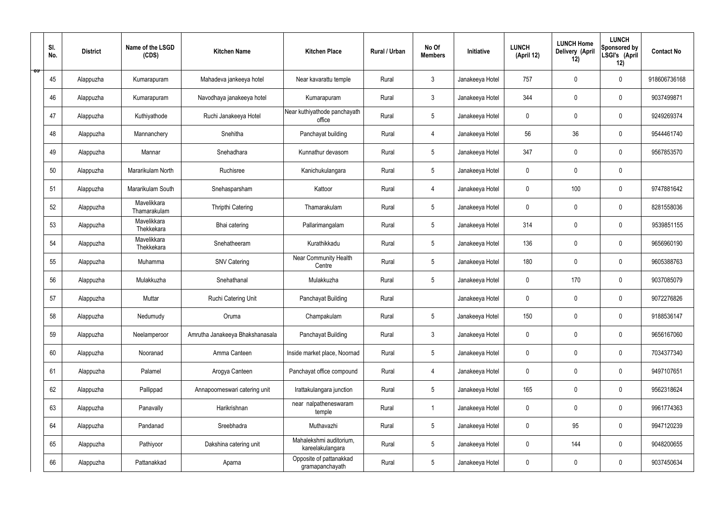|   | SI.<br>No. | <b>District</b> | Name of the LSGD<br>(CDS)   | <b>Kitchen Name</b>             | <b>Kitchen Place</b>                        | Rural / Urban | No Of<br><b>Members</b> | Initiative      | <b>LUNCH</b><br>(April 12) | <b>LUNCH Home</b><br>Delivery (April<br>12) | <b>LUNCH</b><br>Sponsored by<br>LSGI's (April<br>12) | <b>Contact No</b> |
|---|------------|-----------------|-----------------------------|---------------------------------|---------------------------------------------|---------------|-------------------------|-----------------|----------------------------|---------------------------------------------|------------------------------------------------------|-------------------|
| ಾ | 45         | Alappuzha       | Kumarapuram                 | Mahadeva jankeeya hotel         | Near kavarattu temple                       | Rural         | $\mathfrak{Z}$          | Janakeeya Hotel | 757                        | $\mathbf 0$                                 | $\mathbf 0$                                          | 918606736168      |
|   | 46         | Alappuzha       | Kumarapuram                 | Navodhaya janakeeya hotel       | Kumarapuram                                 | Rural         | $\mathbf{3}$            | Janakeeya Hotel | 344                        | $\mathbf 0$                                 | $\mathbf 0$                                          | 9037499871        |
|   | 47         | Alappuzha       | Kuthiyathode                | Ruchi Janakeeya Hotel           | Near kuthiyathode panchayath<br>office      | Rural         | $5\phantom{.0}$         | Janakeeya Hotel | $\mathbf 0$                | 0                                           | $\mathbf 0$                                          | 9249269374        |
|   | 48         | Alappuzha       | Mannanchery                 | Snehitha                        | Panchayat building                          | Rural         | 4                       | Janakeeya Hotel | 56                         | 36                                          | $\mathbf 0$                                          | 9544461740        |
|   | 49         | Alappuzha       | Mannar                      | Snehadhara                      | Kunnathur devasom                           | Rural         | $5\phantom{.0}$         | Janakeeya Hotel | 347                        | $\mathbf 0$                                 | $\mathbf 0$                                          | 9567853570        |
|   | 50         | Alappuzha       | Mararikulam North           | Ruchisree                       | Kanichukulangara                            | Rural         | $5\phantom{.0}$         | Janakeeya Hotel | $\mathbf 0$                | $\mathbf 0$                                 | $\mathbf 0$                                          |                   |
|   | 51         | Alappuzha       | Mararikulam South           | Snehasparsham                   | Kattoor                                     | Rural         | 4                       | Janakeeya Hotel | $\mathbf 0$                | 100                                         | $\mathbf 0$                                          | 9747881642        |
|   | 52         | Alappuzha       | Mavelikkara<br>Thamarakulam | Thripthi Catering               | Thamarakulam                                | Rural         | $5\overline{)}$         | Janakeeya Hotel | $\mathbf 0$                | $\mathbf 0$                                 | $\mathbf 0$                                          | 8281558036        |
|   | 53         | Alappuzha       | Mavelikkara<br>Thekkekara   | Bhai catering                   | Pallarimangalam                             | Rural         | $5\phantom{.0}$         | Janakeeya Hotel | 314                        | $\mathbf 0$                                 | $\mathbf 0$                                          | 9539851155        |
|   | 54         | Alappuzha       | Mavelikkara<br>Thekkekara   | Snehatheeram                    | Kurathikkadu                                | Rural         | $5\overline{)}$         | Janakeeya Hotel | 136                        | $\mathbf 0$                                 | $\mathbf 0$                                          | 9656960190        |
|   | 55         | Alappuzha       | Muhamma                     | <b>SNV Catering</b>             | Near Community Health<br>Centre             | Rural         | $5\phantom{.0}$         | Janakeeya Hotel | 180                        | $\mathbf 0$                                 | $\mathbf 0$                                          | 9605388763        |
|   | 56         | Alappuzha       | Mulakkuzha                  | Snehathanal                     | Mulakkuzha                                  | Rural         | $5\phantom{.0}$         | Janakeeya Hotel | $\mathbf 0$                | 170                                         | $\mathbf 0$                                          | 9037085079        |
|   | 57         | Alappuzha       | Muttar                      | Ruchi Catering Unit             | Panchayat Building                          | Rural         |                         | Janakeeya Hotel | $\pmb{0}$                  | 0                                           | $\mathbf 0$                                          | 9072276826        |
|   | 58         | Alappuzha       | Nedumudy                    | Oruma                           | Champakulam                                 | Rural         | $5\phantom{.0}$         | Janakeeya Hotel | 150                        | $\pmb{0}$                                   | $\mathbf 0$                                          | 9188536147        |
|   | 59         | Alappuzha       | Neelamperoor                | Amrutha Janakeeya Bhakshanasala | Panchayat Building                          | Rural         | $\mathbf{3}$            | Janakeeya Hotel | $\mathbf 0$                | $\pmb{0}$                                   | $\mathbf 0$                                          | 9656167060        |
|   | 60         | Alappuzha       | Nooranad                    | Amma Canteen                    | Inside market place, Noornad                | Rural         | $5\phantom{.0}$         | Janakeeya Hotel | $\pmb{0}$                  | $\mathbf 0$                                 | $\mathbf 0$                                          | 7034377340        |
|   | 61         | Alappuzha       | Palamel                     | Arogya Canteen                  | Panchayat office compound                   | Rural         | $\overline{4}$          | Janakeeya Hotel | $\mathbf 0$                | $\mathbf 0$                                 | $\mathbf 0$                                          | 9497107651        |
|   | 62         | Alappuzha       | Pallippad                   | Annapoorneswari catering unit   | Irattakulangara junction                    | Rural         | $5\phantom{.0}$         | Janakeeya Hotel | 165                        | $\mathbf 0$                                 | $\mathbf 0$                                          | 9562318624        |
|   | 63         | Alappuzha       | Panavally                   | Harikrishnan                    | near nalpatheneswaram<br>temple             | Rural         | $\mathbf{1}$            | Janakeeya Hotel | $\mathbf 0$                | $\pmb{0}$                                   | $\mathbf 0$                                          | 9961774363        |
|   | 64         | Alappuzha       | Pandanad                    | Sreebhadra                      | Muthavazhi                                  | Rural         | $5\phantom{.0}$         | Janakeeya Hotel | $\pmb{0}$                  | 95                                          | $\mathbf 0$                                          | 9947120239        |
|   | 65         | Alappuzha       | Pathiyoor                   | Dakshina catering unit          | Mahalekshmi auditorium,<br>kareelakulangara | Rural         | $5\phantom{.0}$         | Janakeeya Hotel | $\mathbf 0$                | 144                                         | $\mathbf 0$                                          | 9048200655        |
|   | 66         | Alappuzha       | Pattanakkad                 | Aparna                          | Opposite of pattanakkad<br>gramapanchayath  | Rural         | $5\phantom{.0}$         | Janakeeya Hotel | 0                          | $\pmb{0}$                                   | $\mathbf 0$                                          | 9037450634        |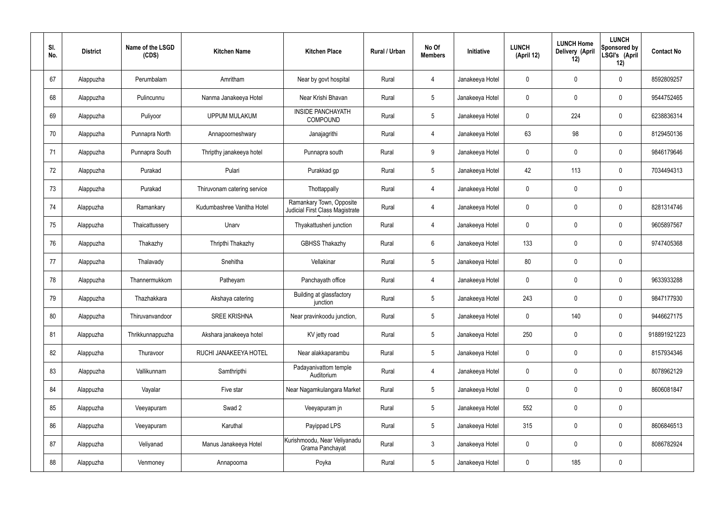| SI.<br>No. | <b>District</b> | Name of the LSGD<br>(CDS) | <b>Kitchen Name</b>         | <b>Kitchen Place</b>                                        | Rural / Urban | No Of<br><b>Members</b> | Initiative      | <b>LUNCH</b><br>(April 12) | <b>LUNCH Home</b><br>Delivery (April<br>12) | <b>LUNCH</b><br>Sponsored by<br>LSGI's (April<br>12) | <b>Contact No</b> |
|------------|-----------------|---------------------------|-----------------------------|-------------------------------------------------------------|---------------|-------------------------|-----------------|----------------------------|---------------------------------------------|------------------------------------------------------|-------------------|
| 67         | Alappuzha       | Perumbalam                | Amritham                    | Near by govt hospital                                       | Rural         | $\overline{4}$          | Janakeeya Hotel | $\mathbf 0$                | $\mathbf 0$                                 | $\pmb{0}$                                            | 8592809257        |
| 68         | Alappuzha       | Pulincunnu                | Nanma Janakeeya Hotel       | Near Krishi Bhavan                                          | Rural         | $5\phantom{.0}$         | Janakeeya Hotel | $\mathbf 0$                | $\mathbf 0$                                 | $\pmb{0}$                                            | 9544752465        |
| 69         | Alappuzha       | Puliyoor                  | <b>UPPUM MULAKUM</b>        | <b>INSIDE PANCHAYATH</b><br>COMPOUND                        | Rural         | $5\phantom{.0}$         | Janakeeya Hotel | $\mathbf 0$                | 224                                         | $\pmb{0}$                                            | 6238836314        |
| 70         | Alappuzha       | Punnapra North            | Annapoorneshwary            | Janajagrithi                                                | Rural         | $\overline{4}$          | Janakeeya Hotel | 63                         | 98                                          | $\pmb{0}$                                            | 8129450136        |
| 71         | Alappuzha       | Punnapra South            | Thripthy janakeeya hotel    | Punnapra south                                              | Rural         | 9                       | Janakeeya Hotel | $\mathbf 0$                | $\mathbf 0$                                 | $\pmb{0}$                                            | 9846179646        |
| 72         | Alappuzha       | Purakad                   | Pulari                      | Purakkad gp                                                 | Rural         | $5\phantom{.0}$         | Janakeeya Hotel | 42                         | 113                                         | $\pmb{0}$                                            | 7034494313        |
| 73         | Alappuzha       | Purakad                   | Thiruvonam catering service | Thottappally                                                | Rural         | $\overline{4}$          | Janakeeya Hotel | $\mathbf 0$                | $\mathbf 0$                                 | $\pmb{0}$                                            |                   |
| 74         | Alappuzha       | Ramankary                 | Kudumbashree Vanitha Hotel  | Ramankary Town, Opposite<br>Judicial First Class Magistrate | Rural         | 4                       | Janakeeya Hotel | $\mathbf 0$                | $\mathbf 0$                                 | $\pmb{0}$                                            | 8281314746        |
| 75         | Alappuzha       | Thaicattussery            | Unarv                       | Thyakattusheri junction                                     | Rural         | 4                       | Janakeeya Hotel | $\mathbf 0$                | $\mathbf 0$                                 | $\pmb{0}$                                            | 9605897567        |
| 76         | Alappuzha       | Thakazhy                  | Thripthi Thakazhy           | <b>GBHSS Thakazhy</b>                                       | Rural         | $6\phantom{.}6$         | Janakeeya Hotel | 133                        | $\mathbf 0$                                 | $\pmb{0}$                                            | 9747405368        |
| 77         | Alappuzha       | Thalavady                 | Snehitha                    | Vellakinar                                                  | Rural         | $5\phantom{.0}$         | Janakeeya Hotel | 80                         | $\pmb{0}$                                   | $\pmb{0}$                                            |                   |
| 78         | Alappuzha       | Thannermukkom             | Patheyam                    | Panchayath office                                           | Rural         | 4                       | Janakeeya Hotel | $\mathbf 0$                | $\mathbf 0$                                 | $\pmb{0}$                                            | 9633933288        |
| 79         | Alappuzha       | Thazhakkara               | Akshaya catering            | Building at glassfactory<br>junction                        | Rural         | 5                       | Janakeeya Hotel | 243                        | $\mathbf 0$                                 | $\mathbf 0$                                          | 9847177930        |
| 80         | Alappuzha       | Thiruvanvandoor           | <b>SREE KRISHNA</b>         | Near pravinkoodu junction,                                  | Rural         | 5 <sub>5</sub>          | Janakeeya Hotel | $\pmb{0}$                  | 140                                         | $\pmb{0}$                                            | 9446627175        |
| 81         | Alappuzha       | Thrikkunnappuzha          | Akshara janakeeya hotel     | KV jetty road                                               | Rural         | 5 <sup>5</sup>          | Janakeeya Hotel | 250                        | $\pmb{0}$                                   | $\mathbf 0$                                          | 918891921223      |
| 82         | Alappuzha       | Thuravoor                 | RUCHI JANAKEEYA HOTEL       | Near alakkaparambu                                          | Rural         | 5 <sup>5</sup>          | Janakeeya Hotel | $\pmb{0}$                  | $\pmb{0}$                                   | $\mathbf 0$                                          | 8157934346        |
| 83         | Alappuzha       | Vallikunnam               | Samthripthi                 | Padayanivattom temple<br>Auditorium                         | Rural         | $\overline{4}$          | Janakeeya Hotel | $\mathbf 0$                | $\pmb{0}$                                   | $\mathbf 0$                                          | 8078962129        |
| 84         | Alappuzha       | Vayalar                   | Five star                   | Near Nagamkulangara Market                                  | Rural         | 5 <sup>5</sup>          | Janakeeya Hotel | $\pmb{0}$                  | $\pmb{0}$                                   | $\mathbf 0$                                          | 8606081847        |
| 85         | Alappuzha       | Veeyapuram                | Swad 2                      | Veeyapuram jn                                               | Rural         | 5 <sup>5</sup>          | Janakeeya Hotel | 552                        | $\pmb{0}$                                   | $\mathbf 0$                                          |                   |
| 86         | Alappuzha       | Veeyapuram                | Karuthal                    | Payippad LPS                                                | Rural         | 5 <sub>5</sub>          | Janakeeya Hotel | 315                        | $\pmb{0}$                                   | $\mathbf 0$                                          | 8606846513        |
| 87         | Alappuzha       | Veliyanad                 | Manus Janakeeya Hotel       | Kurishmoodu, Near Veliyanadu<br>Grama Panchayat             | Rural         | $\mathbf{3}$            | Janakeeya Hotel | $\mathbf 0$                | $\pmb{0}$                                   | $\mathbf 0$                                          | 8086782924        |
| 88         | Alappuzha       | Venmoney                  | Annapoorna                  | Poyka                                                       | Rural         | 5 <sub>5</sub>          | Janakeeya Hotel | 0                          | 185                                         | $\pmb{0}$                                            |                   |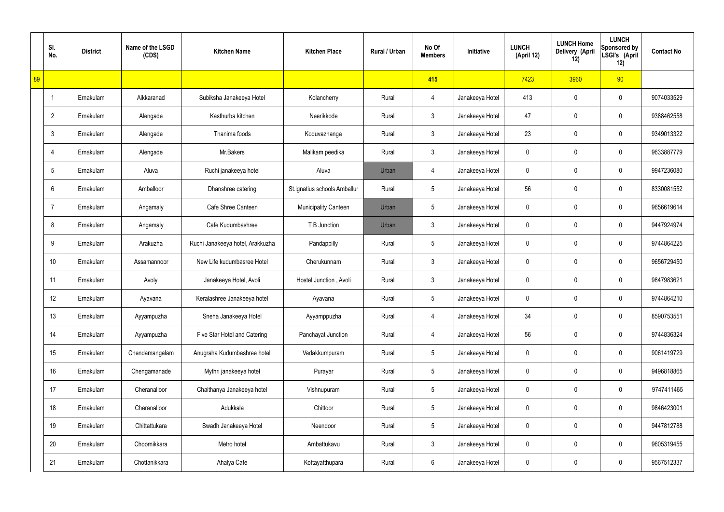|    | SI.<br>No.      | <b>District</b> | Name of the LSGD<br>(CDS) | <b>Kitchen Name</b>              | <b>Kitchen Place</b>         | Rural / Urban | No Of<br><b>Members</b> | Initiative      | <b>LUNCH</b><br>(April 12) | <b>LUNCH Home</b><br>Delivery (April<br>12) | <b>LUNCH</b><br>Sponsored by<br>LSGI's (April<br>12) | <b>Contact No</b> |
|----|-----------------|-----------------|---------------------------|----------------------------------|------------------------------|---------------|-------------------------|-----------------|----------------------------|---------------------------------------------|------------------------------------------------------|-------------------|
| 89 |                 |                 |                           |                                  |                              |               | 415                     |                 | 7423                       | 3960                                        | 90                                                   |                   |
|    | $\overline{1}$  | Ernakulam       | Aikkaranad                | Subiksha Janakeeya Hotel         | Kolancherry                  | Rural         | 4                       | Janakeeya Hotel | 413                        | 0                                           | $\boldsymbol{0}$                                     | 9074033529        |
|    | $\overline{2}$  | Ernakulam       | Alengade                  | Kasthurba kitchen                | Neerikkode                   | Rural         | $\mathbf{3}$            | Janakeeya Hotel | 47                         | 0                                           | $\boldsymbol{0}$                                     | 9388462558        |
|    | $\mathbf{3}$    | Ernakulam       | Alengade                  | Thanima foods                    | Koduvazhanga                 | Rural         | $\mathfrak{Z}$          | Janakeeya Hotel | 23                         | 0                                           | $\boldsymbol{0}$                                     | 9349013322        |
|    | 4               | Ernakulam       | Alengade                  | Mr.Bakers                        | Malikam peedika              | Rural         | $\mathfrak{Z}$          | Janakeeya Hotel | 0                          | 0                                           | $\boldsymbol{0}$                                     | 9633887779        |
|    | $5\phantom{.0}$ | Ernakulam       | Aluva                     | Ruchi janakeeya hotel            | Aluva                        | Urban         | $\overline{4}$          | Janakeeya Hotel | 0                          | 0                                           | $\boldsymbol{0}$                                     | 9947236080        |
|    | 6               | Ernakulam       | Amballoor                 | Dhanshree catering               | St.ignatius schools Amballur | Rural         | $5\phantom{.0}$         | Janakeeya Hotel | 56                         | 0                                           | $\boldsymbol{0}$                                     | 8330081552        |
|    | $\overline{7}$  | Ernakulam       | Angamaly                  | Cafe Shree Canteen               | <b>Municipality Canteen</b>  | Urban         | $5\phantom{.0}$         | Janakeeya Hotel | 0                          | 0                                           | $\boldsymbol{0}$                                     | 9656619614        |
|    | 8               | Ernakulam       | Angamaly                  | Cafe Kudumbashree                | T B Junction                 | Urban         | $\mathfrak{Z}$          | Janakeeya Hotel | 0                          | 0                                           | $\boldsymbol{0}$                                     | 9447924974        |
|    | 9               | Ernakulam       | Arakuzha                  | Ruchi Janakeeya hotel, Arakkuzha | Pandappilly                  | Rural         | $5\phantom{.0}$         | Janakeeya Hotel | 0                          | 0                                           | $\mathbf 0$                                          | 9744864225        |
|    | 10              | Ernakulam       | Assamannoor               | New Life kudumbasree Hotel       | Cherukunnam                  | Rural         | $\mathfrak{Z}$          | Janakeeya Hotel | 0                          | 0                                           | $\boldsymbol{0}$                                     | 9656729450        |
|    | 11              | Ernakulam       | Avoly                     | Janakeeya Hotel, Avoli           | Hostel Junction, Avoli       | Rural         | $\mathfrak{Z}$          | Janakeeya Hotel | 0                          | 0                                           | $\mathbf 0$                                          | 9847983621        |
|    | 12              | Ernakulam       | Ayavana                   | Keralashree Janakeeya hotel      | Ayavana                      | Rural         | $5\phantom{.0}$         | Janakeeya Hotel | 0                          | 0                                           | $\mathbf 0$                                          | 9744864210        |
|    | 13              | Ernakulam       | Ayyampuzha                | Sneha Janakeeya Hotel            | Ayyamppuzha                  | Rural         | $\overline{4}$          | Janakeeya Hotel | 34                         | 0                                           | $\mathbf 0$                                          | 8590753551        |
|    | 14              | Ernakulam       | Ayyampuzha                | Five Star Hotel and Catering     | Panchayat Junction           | Rural         | 4                       | Janakeeya Hotel | 56                         | 0                                           | $\mathbf 0$                                          | 9744836324        |
|    | 15              | Ernakulam       | Chendamangalam            | Anugraha Kudumbashree hotel      | Vadakkumpuram                | Rural         | $5\,$                   | Janakeeya Hotel | 0                          | 0                                           | $\mathbf 0$                                          | 9061419729        |
|    | 16              | Ernakulam       | Chengamanade              | Mythri janakeeya hotel           | Purayar                      | Rural         | $5\,$                   | Janakeeya Hotel | 0                          | 0                                           | $\mathbf 0$                                          | 9496818865        |
|    | 17              | Ernakulam       | Cheranalloor              | Chaithanya Janakeeya hotel       | Vishnupuram                  | Rural         | $5\,$                   | Janakeeya Hotel | 0                          | 0                                           | $\mathbf 0$                                          | 9747411465        |
|    | 18              | Ernakulam       | Cheranalloor              | Adukkala                         | Chittoor                     | Rural         | $5\,$                   | Janakeeya Hotel | 0                          | 0                                           | $\mathbf 0$                                          | 9846423001        |
|    | 19              | Ernakulam       | Chittattukara             | Swadh Janakeeya Hotel            | Neendoor                     | Rural         | $5\,$                   | Janakeeya Hotel | 0                          | 0                                           | $\mathbf 0$                                          | 9447812788        |
|    | 20              | Ernakulam       | Choornikkara              | Metro hotel                      | Ambattukavu                  | Rural         | $\mathfrak{Z}$          | Janakeeya Hotel | 0                          | 0                                           | $\mathbf 0$                                          | 9605319455        |
|    | 21              | Ernakulam       | Chottanikkara             | Ahalya Cafe                      | Kottayatthupara              | Rural         | $6\phantom{.}6$         | Janakeeya Hotel | 0                          | 0                                           | $\boldsymbol{0}$                                     | 9567512337        |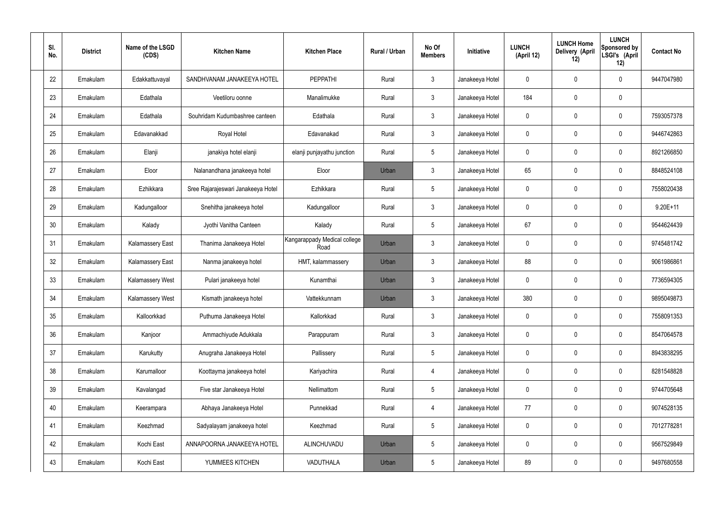| SI.<br>No. | <b>District</b> | Name of the LSGD<br>(CDS) | <b>Kitchen Name</b>                | <b>Kitchen Place</b>                 | Rural / Urban | No Of<br><b>Members</b> | Initiative      | <b>LUNCH</b><br>(April 12) | <b>LUNCH Home</b><br>Delivery (April<br>12) | <b>LUNCH</b><br>Sponsored by<br>LSGI's (April<br>12) | <b>Contact No</b> |
|------------|-----------------|---------------------------|------------------------------------|--------------------------------------|---------------|-------------------------|-----------------|----------------------------|---------------------------------------------|------------------------------------------------------|-------------------|
| 22         | Ernakulam       | Edakkattuvayal            | SANDHVANAM JANAKEEYA HOTEL         | <b>PEPPATHI</b>                      | Rural         | $\mathbf{3}$            | Janakeeya Hotel | 0                          | 0                                           | 0                                                    | 9447047980        |
| 23         | Ernakulam       | Edathala                  | Veetiloru oonne                    | Manalimukke                          | Rural         | $\mathbf{3}$            | Janakeeya Hotel | 184                        | 0                                           | $\mathbf 0$                                          |                   |
| 24         | Ernakulam       | Edathala                  | Souhridam Kudumbashree canteen     | Edathala                             | Rural         | $\mathbf{3}$            | Janakeeya Hotel | 0                          | 0                                           | $\mathbf 0$                                          | 7593057378        |
| 25         | Ernakulam       | Edavanakkad               | Royal Hotel                        | Edavanakad                           | Rural         | $\mathbf{3}$            | Janakeeya Hotel | $\mathbf 0$                | 0                                           | $\boldsymbol{0}$                                     | 9446742863        |
| 26         | Ernakulam       | Elanji                    | janakiya hotel elanji              | elanji punjayathu junction           | Rural         | $5\phantom{.0}$         | Janakeeya Hotel | 0                          | 0                                           | 0                                                    | 8921266850        |
| 27         | Ernakulam       | Eloor                     | Nalanandhana janakeeya hotel       | Eloor                                | Urban         | $\mathbf{3}$            | Janakeeya Hotel | 65                         | 0                                           | $\mathbf 0$                                          | 8848524108        |
| 28         | Ernakulam       | Ezhikkara                 | Sree Rajarajeswari Janakeeya Hotel | Ezhikkara                            | Rural         | $5\phantom{.0}$         | Janakeeya Hotel | 0                          | 0                                           | $\mathbf 0$                                          | 7558020438        |
| 29         | Ernakulam       | Kadungalloor              | Snehitha janakeeya hotel           | Kadungalloor                         | Rural         | $\mathbf{3}$            | Janakeeya Hotel | $\mathbf 0$                | 0                                           | $\boldsymbol{0}$                                     | $9.20E+11$        |
| 30         | Ernakulam       | Kalady                    | Jyothi Vanitha Canteen             | Kalady                               | Rural         | $5\phantom{.0}$         | Janakeeya Hotel | 67                         | 0                                           | $\mathbf 0$                                          | 9544624439        |
| 31         | Ernakulam       | <b>Kalamassery East</b>   | Thanima Janakeeya Hotel            | Kangarappady Medical college<br>Road | Urban         | $\mathbf{3}$            | Janakeeya Hotel | $\mathbf 0$                | 0                                           | $\mathbf 0$                                          | 9745481742        |
| 32         | Ernakulam       | <b>Kalamassery East</b>   | Nanma janakeeya hotel              | HMT, kalammassery                    | Urban         | $\mathbf{3}$            | Janakeeya Hotel | 88                         | 0                                           | $\mathbf 0$                                          | 9061986861        |
| 33         | Ernakulam       | <b>Kalamassery West</b>   | Pulari janakeeya hotel             | Kunamthai                            | Urban         | $\mathbf{3}$            | Janakeeya Hotel | $\mathbf 0$                | 0                                           | $\mathbf 0$                                          | 7736594305        |
| 34         | Ernakulam       | <b>Kalamassery West</b>   | Kismath janakeeya hotel            | Vattekkunnam                         | Urban         | $\mathbf{3}$            | Janakeeya Hotel | 380                        | 0                                           | 0                                                    | 9895049873        |
| 35         | Ernakulam       | Kalloorkkad               | Puthuma Janakeeya Hotel            | Kallorkkad                           | Rural         | $\mathbf{3}$            | Janakeeya Hotel | $\mathbf 0$                | $\mathbf 0$                                 | $\pmb{0}$                                            | 7558091353        |
| 36         | Ernakulam       | Kanjoor                   | Ammachiyude Adukkala               | Parappuram                           | Rural         | 3 <sup>1</sup>          | Janakeeya Hotel | $\pmb{0}$                  | 0                                           | $\mathbf 0$                                          | 8547064578        |
| 37         | Ernakulam       | Karukutty                 | Anugraha Janakeeya Hotel           | Pallissery                           | Rural         | $5\phantom{.0}$         | Janakeeya Hotel | 0                          | 0                                           | $\mathbf 0$                                          | 8943838295        |
| 38         | Ernakulam       | Karumalloor               | Koottayma janakeeya hotel          | Kariyachira                          | Rural         | $\overline{4}$          | Janakeeya Hotel | $\pmb{0}$                  | 0                                           | $\mathbf 0$                                          | 8281548828        |
| 39         | Ernakulam       | Kavalangad                | Five star Janakeeya Hotel          | Nellimattom                          | Rural         | $5\phantom{.0}$         | Janakeeya Hotel | 0                          | 0                                           | $\mathbf 0$                                          | 9744705648        |
| 40         | Ernakulam       | Keerampara                | Abhaya Janakeeya Hotel             | Punnekkad                            | Rural         | $\overline{4}$          | Janakeeya Hotel | 77                         | 0                                           | $\mathbf 0$                                          | 9074528135        |
| 41         | Ernakulam       | Keezhmad                  | Sadyalayam janakeeya hotel         | Keezhmad                             | Rural         | $5\phantom{.0}$         | Janakeeya Hotel | 0                          | 0                                           | $\mathbf 0$                                          | 7012778281        |
| 42         | Ernakulam       | Kochi East                | ANNAPOORNA JANAKEEYA HOTEL         | ALINCHUVADU                          | Urban         | $5\phantom{.0}$         | Janakeeya Hotel | $\mathbf 0$                | $\mathbf 0$                                 | $\mathbf 0$                                          | 9567529849        |
| 43         | Ernakulam       | Kochi East                | YUMMEES KITCHEN                    | VADUTHALA                            | Urban         | $5\phantom{.0}$         | Janakeeya Hotel | 89                         | 0                                           | $\boldsymbol{0}$                                     | 9497680558        |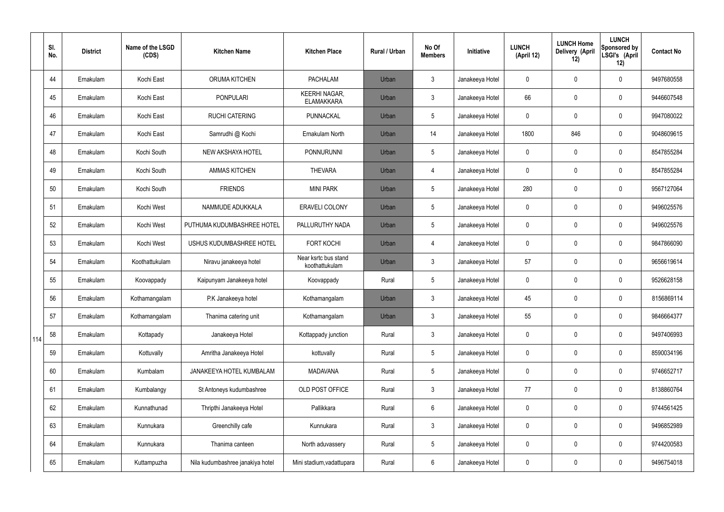|     | SI.<br>No. | <b>District</b> | Name of the LSGD<br>(CDS) | <b>Kitchen Name</b>              | <b>Kitchen Place</b>                      | <b>Rural / Urban</b> | No Of<br><b>Members</b> | Initiative      | <b>LUNCH</b><br>(April 12) | <b>LUNCH Home</b><br>Delivery (April<br>12) | <b>LUNCH</b><br><b>Sponsored by</b><br>LSGI's (April<br>12) | <b>Contact No</b> |
|-----|------------|-----------------|---------------------------|----------------------------------|-------------------------------------------|----------------------|-------------------------|-----------------|----------------------------|---------------------------------------------|-------------------------------------------------------------|-------------------|
|     | 44         | Ernakulam       | Kochi East                | ORUMA KITCHEN                    | <b>PACHALAM</b>                           | Urban                | $\mathbf{3}$            | Janakeeya Hotel | 0                          | 0                                           | $\mathbf 0$                                                 | 9497680558        |
|     | 45         | Ernakulam       | Kochi East                | <b>PONPULARI</b>                 | <b>KEERHI NAGAR,</b><br><b>ELAMAKKARA</b> | Urban                | $\mathfrak{Z}$          | Janakeeya Hotel | 66                         | 0                                           | $\boldsymbol{0}$                                            | 9446607548        |
|     | 46         | Ernakulam       | Kochi East                | <b>RUCHI CATERING</b>            | PUNNACKAL                                 | Urban                | 5                       | Janakeeya Hotel | 0                          | 0                                           | $\mathbf 0$                                                 | 9947080022        |
|     | 47         | Ernakulam       | Kochi East                | Samrudhi @ Kochi                 | Ernakulam North                           | Urban                | 14                      | Janakeeya Hotel | 1800                       | 846                                         | $\mathbf 0$                                                 | 9048609615        |
|     | 48         | Ernakulam       | Kochi South               | NEW AKSHAYA HOTEL                | <b>PONNURUNNI</b>                         | Urban                | 5                       | Janakeeya Hotel | 0                          | 0                                           | $\mathbf 0$                                                 | 8547855284        |
|     | 49         | Ernakulam       | Kochi South               | <b>AMMAS KITCHEN</b>             | <b>THEVARA</b>                            | Urban                | $\overline{4}$          | Janakeeya Hotel | 0                          | 0                                           | $\mathbf 0$                                                 | 8547855284        |
|     | 50         | Ernakulam       | Kochi South               | <b>FRIENDS</b>                   | <b>MINI PARK</b>                          | Urban                | 5                       | Janakeeya Hotel | 280                        | 0                                           | $\mathbf 0$                                                 | 9567127064        |
|     | 51         | Ernakulam       | Kochi West                | NAMMUDE ADUKKALA                 | <b>ERAVELI COLONY</b>                     | Urban                | 5                       | Janakeeya Hotel | 0                          | 0                                           | $\mathbf 0$                                                 | 9496025576        |
|     | 52         | Ernakulam       | Kochi West                | PUTHUMA KUDUMBASHREE HOTEL       | PALLURUTHY NADA                           | Urban                | 5                       | Janakeeya Hotel | 0                          | 0                                           | $\mathbf 0$                                                 | 9496025576        |
|     | 53         | Ernakulam       | Kochi West                | USHUS KUDUMBASHREE HOTEL         | <b>FORT KOCHI</b>                         | Urban                | $\overline{4}$          | Janakeeya Hotel | 0                          | 0                                           | $\pmb{0}$                                                   | 9847866090        |
|     | 54         | Ernakulam       | Koothattukulam            | Niravu janakeeya hotel           | Near ksrtc bus stand<br>koothattukulam    | Urban                | $\mathfrak{Z}$          | Janakeeya Hotel | 57                         | 0                                           | $\pmb{0}$                                                   | 9656619614        |
|     | 55         | Ernakulam       | Koovappady                | Kaipunyam Janakeeya hotel        | Koovappady                                | Rural                | 5                       | Janakeeya Hotel | 0                          | $\mathbf 0$                                 | $\boldsymbol{0}$                                            | 9526628158        |
|     | 56         | Ernakulam       | Kothamangalam             | P.K Janakeeya hotel              | Kothamangalam                             | Urban                | 3                       | Janakeeya Hotel | 45                         | 0                                           | $\mathbf 0$                                                 | 8156869114        |
|     | 57         | Ernakulam       | Kothamangalam             | Thanima catering unit            | Kothamangalam                             | Urban                | $\mathbf{3}$            | Janakeeya Hotel | 55                         | 0                                           | $\mathbf 0$                                                 | 9846664377        |
| 114 | 58         | Ernakulam       | Kottapady                 | Janakeeya Hotel                  | Kottappady junction                       | Rural                | $\mathbf{3}$            | Janakeeya Hotel | 0                          | 0                                           | $\mathbf 0$                                                 | 9497406993        |
|     | 59         | Ernakulam       | Kottuvally                | Amritha Janakeeya Hotel          | kottuvally                                | Rural                | 5                       | Janakeeya Hotel | 0                          | 0                                           | $\mathbf 0$                                                 | 8590034196        |
|     | 60         | Ernakulam       | Kumbalam                  | JANAKEEYA HOTEL KUMBALAM         | <b>MADAVANA</b>                           | Rural                | 5                       | Janakeeya Hotel | 0                          | 0                                           | $\pmb{0}$                                                   | 9746652717        |
|     | 61         | Ernakulam       | Kumbalangy                | St Antoneys kudumbashree         | OLD POST OFFICE                           | Rural                | $\mathbf{3}$            | Janakeeya Hotel | 77                         | 0                                           | $\pmb{0}$                                                   | 8138860764        |
|     | 62         | Ernakulam       | Kunnathunad               | Thripthi Janakeeya Hotel         | Pallikkara                                | Rural                | 6                       | Janakeeya Hotel | 0                          | 0                                           | $\pmb{0}$                                                   | 9744561425        |
|     | 63         | Ernakulam       | Kunnukara                 | Greenchilly cafe                 | Kunnukara                                 | Rural                | $\mathfrak{Z}$          | Janakeeya Hotel | 0                          | 0                                           | $\pmb{0}$                                                   | 9496852989        |
|     | 64         | Ernakulam       | Kunnukara                 | Thanima canteen                  | North aduvassery                          | Rural                | $5\phantom{.0}$         | Janakeeya Hotel | 0                          | 0                                           | $\pmb{0}$                                                   | 9744200583        |
|     | 65         | Ernakulam       | Kuttampuzha               | Nila kudumbashree janakiya hotel | Mini stadium, vadattupara                 | Rural                | $6\phantom{.}$          | Janakeeya Hotel | 0                          | 0                                           | $\pmb{0}$                                                   | 9496754018        |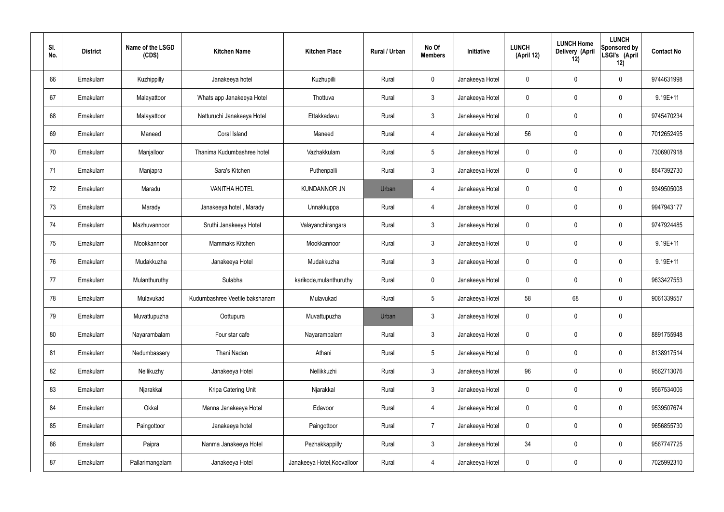| SI.<br>No. | <b>District</b> | Name of the LSGD<br>(CDS) | <b>Kitchen Name</b>            | <b>Kitchen Place</b>        | Rural / Urban | No Of<br><b>Members</b> | <b>Initiative</b> | <b>LUNCH</b><br>(April 12) | <b>LUNCH Home</b><br>Delivery (April<br>12) | <b>LUNCH</b><br>Sponsored by<br>LSGI's (April<br>12) | <b>Contact No</b> |
|------------|-----------------|---------------------------|--------------------------------|-----------------------------|---------------|-------------------------|-------------------|----------------------------|---------------------------------------------|------------------------------------------------------|-------------------|
| 66         | Ernakulam       | Kuzhippilly               | Janakeeya hotel                | Kuzhupilli                  | Rural         | $\mathbf 0$             | Janakeeya Hotel   | $\mathbf 0$                | 0                                           | $\mathbf 0$                                          | 9744631998        |
| 67         | Ernakulam       | Malayattoor               | Whats app Janakeeya Hotel      | Thottuva                    | Rural         | $\mathbf{3}$            | Janakeeya Hotel   | $\mathbf 0$                | 0                                           | $\mathbf 0$                                          | 9.19E+11          |
| 68         | Ernakulam       | Malayattoor               | Natturuchi Janakeeya Hotel     | Ettakkadavu                 | Rural         | $\mathbf{3}$            | Janakeeya Hotel   | $\mathbf 0$                | 0                                           | $\mathbf 0$                                          | 9745470234        |
| 69         | Ernakulam       | Maneed                    | Coral Island                   | Maneed                      | Rural         | $\overline{4}$          | Janakeeya Hotel   | 56                         | 0                                           | $\mathbf 0$                                          | 7012652495        |
| 70         | Ernakulam       | Manjalloor                | Thanima Kudumbashree hotel     | Vazhakkulam                 | Rural         | $5\phantom{.0}$         | Janakeeya Hotel   | $\mathbf 0$                | 0                                           | $\mathbf 0$                                          | 7306907918        |
| 71         | Ernakulam       | Manjapra                  | Sara's Kitchen                 | Puthenpalli                 | Rural         | $\mathbf{3}$            | Janakeeya Hotel   | $\mathbf 0$                | 0                                           | $\mathbf 0$                                          | 8547392730        |
| 72         | Ernakulam       | Maradu                    | <b>VANITHA HOTEL</b>           | <b>KUNDANNOR JN</b>         | Urban         | $\overline{4}$          | Janakeeya Hotel   | $\mathbf 0$                | 0                                           | $\mathbf 0$                                          | 9349505008        |
| 73         | Ernakulam       | Marady                    | Janakeeya hotel, Marady        | Unnakkuppa                  | Rural         | $\overline{4}$          | Janakeeya Hotel   | $\mathbf 0$                | 0                                           | $\mathbf 0$                                          | 9947943177        |
| 74         | Ernakulam       | Mazhuvannoor              | Sruthi Janakeeya Hotel         | Valayanchirangara           | Rural         | $\mathbf{3}$            | Janakeeya Hotel   | $\mathbf 0$                | 0                                           | $\mathbf 0$                                          | 9747924485        |
| 75         | Ernakulam       | Mookkannoor               | Mammaks Kitchen                | Mookkannoor                 | Rural         | $\mathbf{3}$            | Janakeeya Hotel   | $\mathbf 0$                | 0                                           | $\mathbf 0$                                          | $9.19E + 11$      |
| 76         | Ernakulam       | Mudakkuzha                | Janakeeya Hotel                | Mudakkuzha                  | Rural         | $\mathbf{3}$            | Janakeeya Hotel   | $\mathbf 0$                | 0                                           | $\mathbf 0$                                          | $9.19E + 11$      |
| 77         | Ernakulam       | Mulanthuruthy             | Sulabha                        | karikode, mulanthuruthy     | Rural         | $\mathbf 0$             | Janakeeya Hotel   | $\mathbf 0$                | 0                                           | $\mathbf 0$                                          | 9633427553        |
| 78         | Ernakulam       | Mulavukad                 | Kudumbashree Veetile bakshanam | Mulavukad                   | Rural         | $5\phantom{.0}$         | Janakeeya Hotel   | 58                         | 68                                          | $\mathbf 0$                                          | 9061339557        |
| 79         | Ernakulam       | Muvattupuzha              | Oottupura                      | Muvattupuzha                | Urban         | $\mathbf{3}$            | Janakeeya Hotel   | $\mathbf 0$                | $\mathbf 0$                                 | $\mathbf 0$                                          |                   |
| 80         | Ernakulam       | Nayarambalam              | Four star cafe                 | Nayarambalam                | Rural         | $\mathbf{3}$            | Janakeeya Hotel   | $\mathbf 0$                | $\mathbf 0$                                 | $\mathbf 0$                                          | 8891755948        |
| 81         | Ernakulam       | Nedumbassery              | Thani Nadan                    | Athani                      | Rural         | $5\overline{)}$         | Janakeeya Hotel   | $\mathbf 0$                | 0                                           | $\mathbf 0$                                          | 8138917514        |
| 82         | Ernakulam       | Nellikuzhy                | Janakeeya Hotel                | Nellikkuzhi                 | Rural         | $\mathbf{3}$            | Janakeeya Hotel   | 96                         | 0                                           | $\mathbf 0$                                          | 9562713076        |
| 83         | Ernakulam       | Njarakkal                 | Kripa Catering Unit            | Njarakkal                   | Rural         | $\mathbf{3}$            | Janakeeya Hotel   | $\mathbf 0$                | 0                                           | $\mathbf 0$                                          | 9567534006        |
| 84         | Ernakulam       | Okkal                     | Manna Janakeeya Hotel          | Edavoor                     | Rural         | $\overline{4}$          | Janakeeya Hotel   | $\mathbf 0$                | 0                                           | $\mathbf 0$                                          | 9539507674        |
| 85         | Ernakulam       | Paingottoor               | Janakeeya hotel                | Paingottoor                 | Rural         | $\overline{7}$          | Janakeeya Hotel   | $\pmb{0}$                  | 0                                           | $\mathbf 0$                                          | 9656855730        |
| 86         | Ernakulam       | Paipra                    | Nanma Janakeeya Hotel          | Pezhakkappilly              | Rural         | $\mathfrak{Z}$          | Janakeeya Hotel   | 34                         | 0                                           | $\mathbf 0$                                          | 9567747725        |
| 87         | Ernakulam       | Pallarimangalam           | Janakeeya Hotel                | Janakeeya Hotel, Koovalloor | Rural         | 4                       | Janakeeya Hotel   | 0                          | 0                                           | $\mathbf 0$                                          | 7025992310        |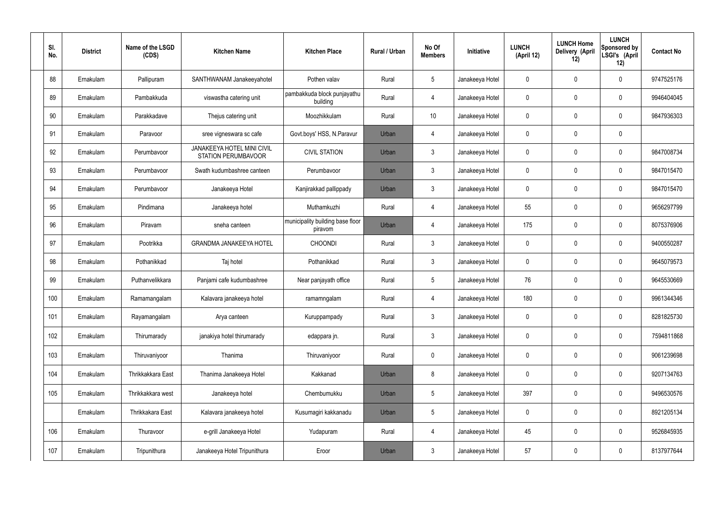| SI.<br>No. | <b>District</b> | Name of the LSGD<br>(CDS) | <b>Kitchen Name</b>                                             | <b>Kitchen Place</b>                        | Rural / Urban | No Of<br><b>Members</b> | <b>Initiative</b> | <b>LUNCH</b><br>(April 12) | <b>LUNCH Home</b><br>Delivery (April<br>12) | <b>LUNCH</b><br>Sponsored by<br>LSGI's (April<br>12) | <b>Contact No</b> |
|------------|-----------------|---------------------------|-----------------------------------------------------------------|---------------------------------------------|---------------|-------------------------|-------------------|----------------------------|---------------------------------------------|------------------------------------------------------|-------------------|
| 88         | Ernakulam       | Pallipuram                | SANTHWANAM Janakeeyahotel                                       | Pothen valav                                | Rural         | $5\phantom{.0}$         | Janakeeya Hotel   | $\mathbf 0$                | 0                                           | $\mathbf 0$                                          | 9747525176        |
| 89         | Ernakulam       | Pambakkuda                | viswastha catering unit                                         | pambakkuda block punjayathu<br>building     | Rural         | $\overline{4}$          | Janakeeya Hotel   | $\mathbf 0$                | 0                                           | $\mathbf 0$                                          | 9946404045        |
| 90         | Ernakulam       | Parakkadave               | Thejus catering unit                                            | Moozhikkulam                                | Rural         | 10 <sup>°</sup>         | Janakeeya Hotel   | $\mathbf 0$                | 0                                           | $\mathbf 0$                                          | 9847936303        |
| 91         | Ernakulam       | Paravoor                  | sree vigneswara sc cafe                                         | Govt.boys' HSS, N.Paravur                   | Urban         | 4                       | Janakeeya Hotel   | $\mathbf 0$                | 0                                           | $\mathbf 0$                                          |                   |
| 92         | Ernakulam       | Perumbavoor               | <b>JANAKEEYA HOTEL MINI CIVIL</b><br><b>STATION PERUMBAVOOR</b> | <b>CIVIL STATION</b>                        | Urban         | $\mathbf{3}$            | Janakeeya Hotel   | $\mathbf 0$                | 0                                           | $\mathbf 0$                                          | 9847008734        |
| 93         | Ernakulam       | Perumbavoor               | Swath kudumbashree canteen                                      | Perumbavoor                                 | Urban         | $\mathbf{3}$            | Janakeeya Hotel   | $\mathbf 0$                | 0                                           | $\mathbf 0$                                          | 9847015470        |
| 94         | Ernakulam       | Perumbavoor               | Janakeeya Hotel                                                 | Kanjirakkad pallippady                      | Urban         | $\mathbf{3}$            | Janakeeya Hotel   | $\mathbf 0$                | 0                                           | $\mathbf 0$                                          | 9847015470        |
| 95         | Ernakulam       | Pindimana                 | Janakeeya hotel                                                 | Muthamkuzhi                                 | Rural         | $\overline{4}$          | Janakeeya Hotel   | 55                         | 0                                           | $\mathbf 0$                                          | 9656297799        |
| 96         | Ernakulam       | Piravam                   | sneha canteen                                                   | municipality building base floor<br>piravom | Urban         | 4                       | Janakeeya Hotel   | 175                        | $\mathbf 0$                                 | $\mathbf 0$                                          | 8075376906        |
| 97         | Ernakulam       | Pootrikka                 | <b>GRANDMA JANAKEEYA HOTEL</b>                                  | <b>CHOONDI</b>                              | Rural         | $\mathbf{3}$            | Janakeeya Hotel   | $\mathbf 0$                | 0                                           | $\mathbf 0$                                          | 9400550287        |
| 98         | Ernakulam       | Pothanikkad               | Taj hotel                                                       | Pothanikkad                                 | Rural         | $\mathbf{3}$            | Janakeeya Hotel   | $\mathbf 0$                | 0                                           | $\mathbf 0$                                          | 9645079573        |
| 99         | Ernakulam       | Puthanvelikkara           | Panjami cafe kudumbashree                                       | Near panjayath office                       | Rural         | $5\phantom{.0}$         | Janakeeya Hotel   | 76                         | 0                                           | $\mathbf 0$                                          | 9645530669        |
| 100        | Ernakulam       | Ramamangalam              | Kalavara janakeeya hotel                                        | ramamngalam                                 | Rural         | 4                       | Janakeeya Hotel   | 180                        | 0                                           | $\mathbf 0$                                          | 9961344346        |
| 101        | Ernakulam       | Rayamangalam              | Arya canteen                                                    | Kuruppampady                                | Rural         | $\mathbf{3}$            | Janakeeya Hotel   | $\mathbf 0$                | 0                                           | $\mathbf 0$                                          | 8281825730        |
| 102        | Ernakulam       | Thirumarady               | janakiya hotel thirumarady                                      | edappara jn.                                | Rural         | $\mathfrak{Z}$          | Janakeeya Hotel   | $\pmb{0}$                  | 0                                           | $\mathbf 0$                                          | 7594811868        |
| 103        | Ernakulam       | Thiruvaniyoor             | Thanima                                                         | Thiruvaniyoor                               | Rural         | $\mathbf 0$             | Janakeeya Hotel   | $\pmb{0}$                  | 0                                           | $\mathbf 0$                                          | 9061239698        |
| 104        | Ernakulam       | Thrikkakkara East         | Thanima Janakeeya Hotel                                         | Kakkanad                                    | Urban         | 8                       | Janakeeya Hotel   | $\mathbf 0$                | 0                                           | $\mathbf 0$                                          | 9207134763        |
| 105        | Ernakulam       | Thrikkakkara west         | Janakeeya hotel                                                 | Chembumukku                                 | Urban         | $5\phantom{.0}$         | Janakeeya Hotel   | 397                        | 0                                           | $\mathbf 0$                                          | 9496530576        |
|            | Ernakulam       | Thrikkakara East          | Kalavara janakeeya hotel                                        | Kusumagiri kakkanadu                        | Urban         | $\sqrt{5}$              | Janakeeya Hotel   | $\pmb{0}$                  | 0                                           | $\mathbf 0$                                          | 8921205134        |
| 106        | Ernakulam       | Thuravoor                 | e-grill Janakeeya Hotel                                         | Yudapuram                                   | Rural         | 4                       | Janakeeya Hotel   | 45                         | 0                                           | $\mathbf 0$                                          | 9526845935        |
| 107        | Ernakulam       | Tripunithura              | Janakeeya Hotel Tripunithura                                    | Eroor                                       | Urban         | $\mathbf{3}$            | Janakeeya Hotel   | 57                         | 0                                           | $\mathbf 0$                                          | 8137977644        |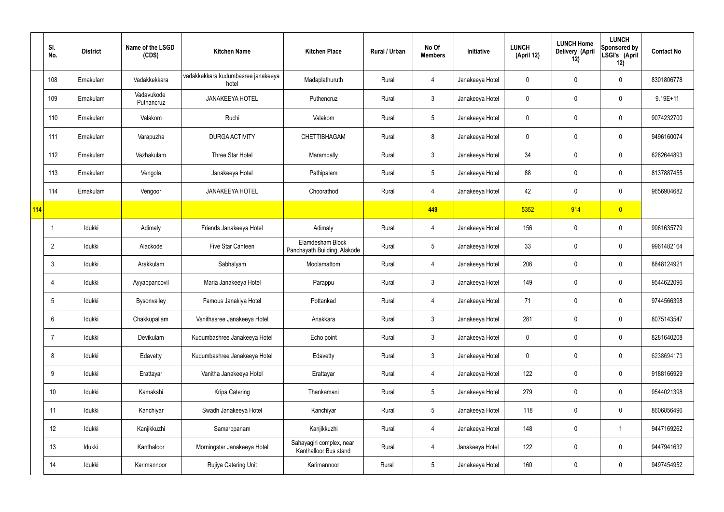|     | SI.<br>No.      | <b>District</b> | Name of the LSGD<br>(CDS) | <b>Kitchen Name</b>                         | <b>Kitchen Place</b>                              | Rural / Urban | No Of<br><b>Members</b> | Initiative      | <b>LUNCH</b><br>(April 12) | <b>LUNCH Home</b><br>Delivery (April<br>12) | <b>LUNCH</b><br><b>Sponsored by</b><br>LSGI's (April<br>12) | <b>Contact No</b> |
|-----|-----------------|-----------------|---------------------------|---------------------------------------------|---------------------------------------------------|---------------|-------------------------|-----------------|----------------------------|---------------------------------------------|-------------------------------------------------------------|-------------------|
|     | 108             | Ernakulam       | Vadakkekkara              | vadakkekkara kudumbasree janakeeya<br>hotel | Madaplathuruth                                    | Rural         | 4                       | Janakeeya Hotel | 0                          | 0                                           | $\pmb{0}$                                                   | 8301806778        |
|     | 109             | Ernakulam       | Vadavukode<br>Puthancruz  | <b>JANAKEEYA HOTEL</b>                      | Puthencruz                                        | Rural         | $\mathfrak{Z}$          | Janakeeya Hotel | 0                          | $\mathbf 0$                                 | $\pmb{0}$                                                   | $9.19E + 11$      |
|     | 110             | Ernakulam       | Valakom                   | Ruchi                                       | Valakom                                           | Rural         | $5\phantom{.0}$         | Janakeeya Hotel | 0                          | 0                                           | $\pmb{0}$                                                   | 9074232700        |
|     | 111             | Ernakulam       | Varapuzha                 | <b>DURGA ACTIVITY</b>                       | <b>CHETTIBHAGAM</b>                               | Rural         | 8                       | Janakeeya Hotel | 0                          | 0                                           | $\mathbf 0$                                                 | 9496160074        |
|     | 112             | Ernakulam       | Vazhakulam                | Three Star Hotel                            | Marampally                                        | Rural         | $\mathfrak{Z}$          | Janakeeya Hotel | 34                         | $\mathbf 0$                                 | $\pmb{0}$                                                   | 6282644893        |
|     | 113             | Ernakulam       | Vengola                   | Janakeeya Hotel                             | Pathipalam                                        | Rural         | $5\phantom{.0}$         | Janakeeya Hotel | 88                         | 0                                           | $\pmb{0}$                                                   | 8137887455        |
|     | 114             | Ernakulam       | Vengoor                   | <b>JANAKEEYA HOTEL</b>                      | Choorathod                                        | Rural         | 4                       | Janakeeya Hotel | 42                         | $\mathbf 0$                                 | $\pmb{0}$                                                   | 9656904682        |
| 114 |                 |                 |                           |                                             |                                                   |               | 449                     |                 | 5352                       | 914                                         | $\overline{0}$                                              |                   |
|     | $\overline{1}$  | Idukki          | Adimaly                   | Friends Janakeeya Hotel                     | Adimaly                                           | Rural         | $\overline{4}$          | Janakeeya Hotel | 156                        | $\mathbf 0$                                 | $\pmb{0}$                                                   | 9961635779        |
|     | $\overline{2}$  | Idukki          | Alackode                  | Five Star Canteen                           | Elamdesham Block<br>Panchayath Building, Alakode  | Rural         | $5\phantom{.0}$         | Janakeeya Hotel | 33                         | 0                                           | $\pmb{0}$                                                   | 9961482164        |
|     | $\mathbf{3}$    | Idukki          | Arakkulam                 | Sabhalyam                                   | Moolamattom                                       | Rural         | 4                       | Janakeeya Hotel | 206                        | 0                                           | $\pmb{0}$                                                   | 8848124921        |
|     | 4               | Idukki          | Ayyappancovil             | Maria Janakeeya Hotel                       | Parappu                                           | Rural         | $\mathfrak{Z}$          | Janakeeya Hotel | 149                        | 0                                           | $\pmb{0}$                                                   | 9544622096        |
|     | 5               | Idukki          | Bysonvalley               | Famous Janakiya Hotel                       | Pottankad                                         | Rural         | 4                       | Janakeeya Hotel | 71                         | 0                                           | $\mathbf 0$                                                 | 9744566398        |
|     | $6\phantom{.}6$ | Idukki          | Chakkupallam              | Vanithasree Janakeeya Hotel                 | Anakkara                                          | Rural         | $\mathbf{3}$            | Janakeeya Hotel | 281                        | 0                                           | $\mathbf 0$                                                 | 8075143547        |
|     | $\overline{7}$  | Idukki          | Devikulam                 | Kudumbashree Janakeeya Hotel                | Echo point                                        | Rural         | $\mathbf{3}$            | Janakeeya Hotel | 0                          | $\mathbf 0$                                 | $\mathbf 0$                                                 | 8281640208        |
|     | 8               | Idukki          | Edavetty                  | Kudumbashree Janakeeya Hotel                | Edavetty                                          | Rural         | $\mathfrak{Z}$          | Janakeeya Hotel | $\mathbf 0$                | $\pmb{0}$                                   | $\pmb{0}$                                                   | 6238694173        |
|     | $9\,$           | Idukki          | Erattayar                 | Vanitha Janakeeya Hotel                     | Erattayar                                         | Rural         | 4                       | Janakeeya Hotel | 122                        | $\pmb{0}$                                   | $\mathbf 0$                                                 | 9188166929        |
|     | 10              | Idukki          | Kamakshi                  | Kripa Catering                              | Thankamani                                        | Rural         | $5\phantom{.0}$         | Janakeeya Hotel | 279                        | $\pmb{0}$                                   | $\pmb{0}$                                                   | 9544021398        |
|     | 11              | Idukki          | Kanchiyar                 | Swadh Janakeeya Hotel                       | Kanchiyar                                         | Rural         | $5\phantom{.0}$         | Janakeeya Hotel | 118                        | $\pmb{0}$                                   | $\mathbf 0$                                                 | 8606856496        |
|     | 12              | Idukki          | Kanjikkuzhi               | Samarppanam                                 | Kanjikkuzhi                                       | Rural         | 4                       | Janakeeya Hotel | 148                        | $\pmb{0}$                                   | $\mathbf{1}$                                                | 9447169262        |
|     | 13              | Idukki          | Kanthaloor                | Morningstar Janakeeya Hotel                 | Sahayagiri complex, near<br>Kanthalloor Bus stand | Rural         | 4                       | Janakeeya Hotel | 122                        | $\pmb{0}$                                   | $\mathbf 0$                                                 | 9447941632        |
|     | 14              | Idukki          | Karimannoor               | Rujiya Catering Unit                        | Karimannoor                                       | Rural         | $\overline{5}$          | Janakeeya Hotel | 160                        | 0                                           | $\pmb{0}$                                                   | 9497454952        |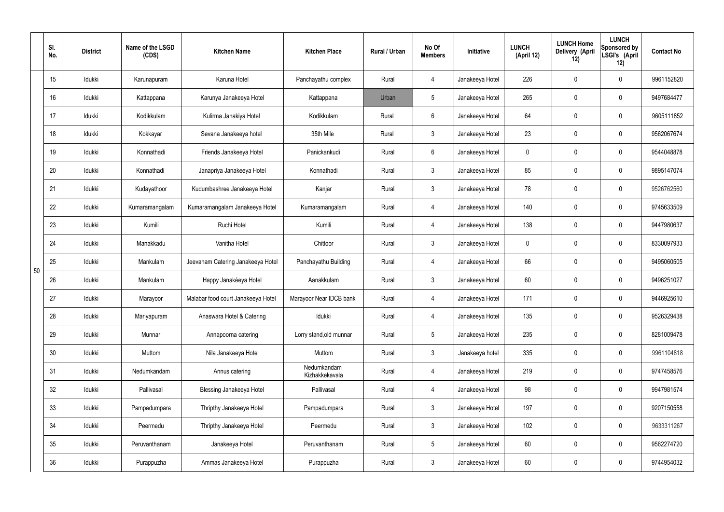|    | SI.<br>No. | <b>District</b> | Name of the LSGD<br>(CDS) | <b>Kitchen Name</b>                | <b>Kitchen Place</b>          | <b>Rural / Urban</b> | No Of<br><b>Members</b> | Initiative      | <b>LUNCH</b><br>(April 12) | <b>LUNCH Home</b><br>Delivery (April<br>12) | <b>LUNCH</b><br>Sponsored by<br>LSGI's (April<br>12) | <b>Contact No</b> |
|----|------------|-----------------|---------------------------|------------------------------------|-------------------------------|----------------------|-------------------------|-----------------|----------------------------|---------------------------------------------|------------------------------------------------------|-------------------|
|    | 15         | Idukki          | Karunapuram               | Karuna Hotel                       | Panchayathu complex           | Rural                | 4                       | Janakeeya Hotel | 226                        | $\mathbf 0$                                 | $\pmb{0}$                                            | 9961152820        |
|    | 16         | Idukki          | Kattappana                | Karunya Janakeeya Hotel            | Kattappana                    | Urban                | 5                       | Janakeeya Hotel | 265                        | $\pmb{0}$                                   | $\pmb{0}$                                            | 9497684477        |
|    | 17         | Idukki          | Kodikkulam                | Kulirma Janakiya Hotel             | Kodikkulam                    | Rural                | $6\phantom{.}$          | Janakeeya Hotel | 64                         | 0                                           | $\pmb{0}$                                            | 9605111852        |
|    | 18         | Idukki          | Kokkayar                  | Sevana Janakeeya hotel             | 35th Mile                     | Rural                | $\mathfrak{Z}$          | Janakeeya Hotel | 23                         | $\pmb{0}$                                   | $\pmb{0}$                                            | 9562067674        |
|    | 19         | Idukki          | Konnathadi                | Friends Janakeeya Hotel            | Panickankudi                  | Rural                | $6\overline{6}$         | Janakeeya Hotel | 0                          | 0                                           | $\pmb{0}$                                            | 9544048878        |
|    | 20         | Idukki          | Konnathadi                | Janapriya Janakeeya Hotel          | Konnathadi                    | Rural                | $\mathbf{3}$            | Janakeeya Hotel | 85                         | $\mathbf 0$                                 | $\pmb{0}$                                            | 9895147074        |
|    | 21         | Idukki          | Kudayathoor               | Kudumbashree Janakeeya Hotel       | Kanjar                        | Rural                | $\mathbf{3}$            | Janakeeya Hotel | 78                         | $\mathbf 0$                                 | $\pmb{0}$                                            | 9526762560        |
|    | 22         | Idukki          | Kumaramangalam            | Kumaramangalam Janakeeya Hotel     | Kumaramangalam                | Rural                | 4                       | Janakeeya Hotel | 140                        | $\mathbf 0$                                 | $\pmb{0}$                                            | 9745633509        |
|    | 23         | Idukki          | Kumili                    | Ruchi Hotel                        | Kumili                        | Rural                | 4                       | Janakeeya Hotel | 138                        | $\mathbf 0$                                 | $\mathbf 0$                                          | 9447980637        |
|    | 24         | Idukki          | Manakkadu                 | Vanitha Hotel                      | Chittoor                      | Rural                | $\mathbf{3}$            | Janakeeya Hotel | 0                          | $\mathbf 0$                                 | $\pmb{0}$                                            | 8330097933        |
| 50 | 25         | Idukki          | Mankulam                  | Jeevanam Catering Janakeeya Hotel  | Panchayathu Building          | Rural                | 4                       | Janakeeya Hotel | 66                         | 0                                           | $\pmb{0}$                                            | 9495060505        |
|    | 26         | Idukki          | Mankulam                  | Happy Janakéeya Hotel              | Aanakkulam                    | Rural                | $\mathfrak{Z}$          | Janakeeya Hotel | 60                         | $\mathbf 0$                                 | $\pmb{0}$                                            | 9496251027        |
|    | 27         | Idukki          | Marayoor                  | Malabar food court Janakeeya Hotel | Marayoor Near IDCB bank       | Rural                | 4                       | Janakeeya Hotel | 171                        | $\mathbf 0$                                 | 0                                                    | 9446925610        |
|    | 28         | Idukki          | Mariyapuram               | Anaswara Hotel & Catering          | Idukki                        | Rural                | 4                       | Janakeeya Hotel | 135                        | $\mathbf 0$                                 | $\mathbf 0$                                          | 9526329438        |
|    | 29         | Idukki          | Munnar                    | Annapoorna catering                | Lorry stand, old munnar       | Rural                | 5 <sub>5</sub>          | Janakeeya Hotel | 235                        | $\mathbf 0$                                 | $\pmb{0}$                                            | 8281009478        |
|    | 30         | Idukki          | Muttom                    | Nila Janakeeya Hotel               | Muttom                        | Rural                | $\mathbf{3}$            | Janakeeya hotel | 335                        | $\mathbf 0$                                 | $\mathbf 0$                                          | 9961104818        |
|    | 31         | Idukki          | Nedumkandam               | Annus catering                     | Nedumkandam<br>Kizhakkekavala | Rural                | 4                       | Janakeeya Hotel | 219                        | $\mathbf 0$                                 | $\mathbf 0$                                          | 9747458576        |
|    | 32         | Idukki          | Pallivasal                | <b>Blessing Janakeeya Hotel</b>    | Pallivasal                    | Rural                | 4                       | Janakeeya Hotel | 98                         | $\mathbf 0$                                 | $\mathbf 0$                                          | 9947981574        |
|    | 33         | Idukki          | Pampadumpara              | Thripthy Janakeeya Hotel           | Pampadumpara                  | Rural                | $\mathbf{3}$            | Janakeeya Hotel | 197                        | $\mathbf 0$                                 | $\mathbf 0$                                          | 9207150558        |
|    | 34         | Idukki          | Peermedu                  | Thripthy Janakeeya Hotel           | Peermedu                      | Rural                | 3 <sup>1</sup>          | Janakeeya Hotel | 102                        | $\mathbf 0$                                 | $\mathbf 0$                                          | 9633311267        |
|    | 35         | Idukki          | Peruvanthanam             | Janakeeya Hotel                    | Peruvanthanam                 | Rural                | $5\phantom{.0}$         | Janakeeya Hotel | 60                         | $\mathbf 0$                                 | $\pmb{0}$                                            | 9562274720        |
|    | 36         | Idukki          | Purappuzha                | Ammas Janakeeya Hotel              | Purappuzha                    | Rural                | $\mathfrak{Z}$          | Janakeeya Hotel | 60                         | 0                                           | $\pmb{0}$                                            | 9744954032        |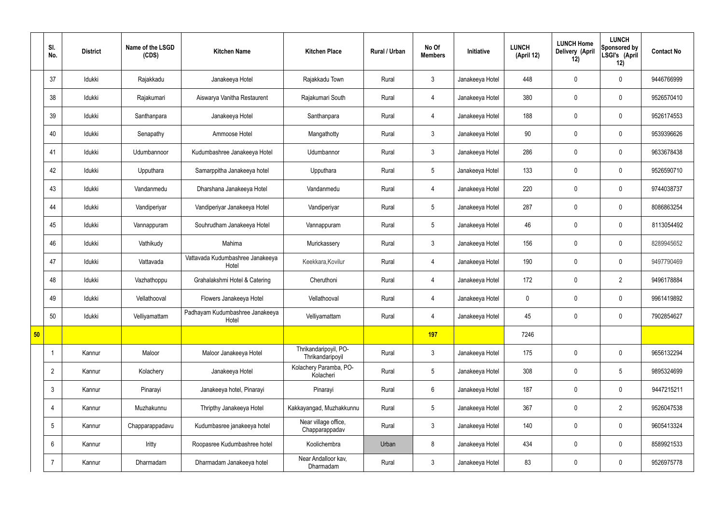|    | SI.<br>No.      | <b>District</b> | Name of the LSGD<br>(CDS) | <b>Kitchen Name</b>                       | <b>Kitchen Place</b>                      | Rural / Urban | No Of<br><b>Members</b> | Initiative      | <b>LUNCH</b><br>(April 12) | <b>LUNCH Home</b><br>Delivery (April<br>12) | <b>LUNCH</b><br>Sponsored by<br>LSGI's (April<br>12) | <b>Contact No</b> |
|----|-----------------|-----------------|---------------------------|-------------------------------------------|-------------------------------------------|---------------|-------------------------|-----------------|----------------------------|---------------------------------------------|------------------------------------------------------|-------------------|
|    | 37              | Idukki          | Rajakkadu                 | Janakeeya Hotel                           | Rajakkadu Town                            | Rural         | $\mathbf{3}$            | Janakeeya Hotel | 448                        | $\mathbf 0$                                 | $\mathbf 0$                                          | 9446766999        |
|    | 38              | Idukki          | Rajakumari                | Aiswarya Vanitha Restaurent               | Rajakumari South                          | Rural         | $\overline{4}$          | Janakeeya Hotel | 380                        | $\mathbf 0$                                 | $\mathbf 0$                                          | 9526570410        |
|    | 39              | Idukki          | Santhanpara               | Janakeeya Hotel                           | Santhanpara                               | Rural         | $\overline{4}$          | Janakeeya Hotel | 188                        | $\mathbf 0$                                 | $\mathbf 0$                                          | 9526174553        |
|    | 40              | Idukki          | Senapathy                 | Ammoose Hotel                             | Mangathotty                               | Rural         | $\mathbf{3}$            | Janakeeya Hotel | 90                         | $\mathbf 0$                                 | $\mathbf 0$                                          | 9539396626        |
|    | 41              | Idukki          | Udumbannoor               | Kudumbashree Janakeeya Hotel              | Udumbannor                                | Rural         | $\mathbf{3}$            | Janakeeya Hotel | 286                        | $\mathbf 0$                                 | $\mathbf 0$                                          | 9633678438        |
|    | 42              | Idukki          | Upputhara                 | Samarppitha Janakeeya hotel               | Upputhara                                 | Rural         | $5\phantom{.0}$         | Janakeeya Hotel | 133                        | $\mathbf 0$                                 | $\mathbf 0$                                          | 9526590710        |
|    | 43              | Idukki          | Vandanmedu                | Dharshana Janakeeya Hotel                 | Vandanmedu                                | Rural         | $\overline{4}$          | Janakeeya Hotel | 220                        | $\mathbf 0$                                 | $\mathbf 0$                                          | 9744038737        |
|    | 44              | Idukki          | Vandiperiyar              | Vandiperiyar Janakeeya Hotel              | Vandiperiyar                              | Rural         | $5\overline{)}$         | Janakeeya Hotel | 287                        | $\mathbf 0$                                 | $\mathbf 0$                                          | 8086863254        |
|    | 45              | Idukki          | Vannappuram               | Souhrudham Janakeeya Hotel                | Vannappuram                               | Rural         | $5\overline{)}$         | Janakeeya Hotel | 46                         | $\mathbf 0$                                 | $\mathbf 0$                                          | 8113054492        |
|    | 46              | Idukki          | Vathikudy                 | Mahima                                    | Murickassery                              | Rural         | $\mathbf{3}$            | Janakeeya Hotel | 156                        | $\mathbf 0$                                 | $\mathbf 0$                                          | 8289945652        |
|    | 47              | Idukki          | Vattavada                 | Vattavada Kudumbashree Janakeeya<br>Hotel | Keekkara, Kovilur                         | Rural         | $\overline{4}$          | Janakeeya Hotel | 190                        | $\pmb{0}$                                   | $\mathbf 0$                                          | 9497790469        |
|    | 48              | Idukki          | Vazhathoppu               | Grahalakshmi Hotel & Catering             | Cheruthoni                                | Rural         | $\overline{4}$          | Janakeeya Hotel | 172                        | $\mathbf 0$                                 | $\overline{2}$                                       | 9496178884        |
|    | 49              | Idukki          | Vellathooval              | Flowers Janakeeya Hotel                   | Vellathooval                              | Rural         | $\overline{4}$          | Janakeeya Hotel | $\mathbf 0$                | $\mathbf 0$                                 | $\mathbf 0$                                          | 9961419892        |
|    | 50              | Idukki          | Velliyamattam             | Padhayam Kudumbashree Janakeeya<br>Hotel  | Velliyamattam                             | Rural         | $\overline{4}$          | Janakeeya Hotel | 45                         | $\pmb{0}$                                   | $\mathbf 0$                                          | 7902854627        |
| 50 |                 |                 |                           |                                           |                                           |               | 197                     |                 | 7246                       |                                             |                                                      |                   |
|    |                 | Kannur          | Maloor                    | Maloor Janakeeya Hotel                    | Thrikandaripoyil, PO-<br>Thrikandaripoyil | Rural         | $\mathbf{3}$            | Janakeeya Hotel | 175                        | $\pmb{0}$                                   | $\mathbf 0$                                          | 9656132294        |
|    | $\overline{2}$  | Kannur          | Kolachery                 | Janakeeya Hotel                           | Kolachery Paramba, PO-<br>Kolacheri       | Rural         | $5\overline{)}$         | Janakeeya Hotel | 308                        | $\pmb{0}$                                   | $5\phantom{.0}$                                      | 9895324699        |
|    | $\mathfrak{Z}$  | Kannur          | Pinarayi                  | Janakeeya hotel, Pinarayi                 | Pinarayi                                  | Rural         | $6\overline{6}$         | Janakeeya Hotel | 187                        | $\pmb{0}$                                   | $\mathbf 0$                                          | 9447215211        |
|    | 4               | Kannur          | Muzhakunnu                | Thripthy Janakeeya Hotel                  | Kakkayangad, Muzhakkunnu                  | Rural         | $5\phantom{.0}$         | Janakeeya Hotel | 367                        | $\pmb{0}$                                   | $\overline{2}$                                       | 9526047538        |
|    | $5\phantom{.0}$ | Kannur          | Chapparappadavu           | Kudumbasree janakeeya hotel               | Near village office,<br>Chapparappadav    | Rural         | $\mathbf{3}$            | Janakeeya Hotel | 140                        | $\pmb{0}$                                   | $\mathbf 0$                                          | 9605413324        |
|    | $6\phantom{.}$  | Kannur          | Iritty                    | Roopasree Kudumbashree hotel              | Koolichembra                              | Urban         | 8                       | Janakeeya Hotel | 434                        | $\pmb{0}$                                   | $\mathbf 0$                                          | 8589921533        |
|    | $\overline{7}$  | Kannur          | Dharmadam                 | Dharmadam Janakeeya hotel                 | Near Andalloor kav,<br>Dharmadam          | Rural         | $3\overline{3}$         | Janakeeya Hotel | 83                         | $\pmb{0}$                                   | $\boldsymbol{0}$                                     | 9526975778        |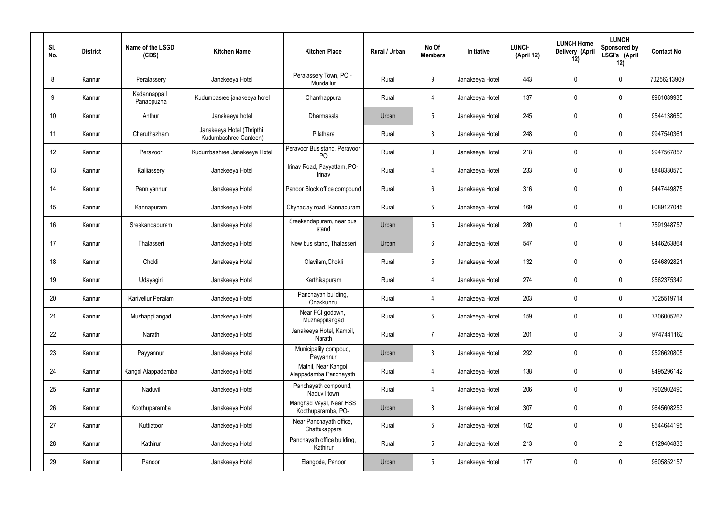| SI.<br>No. | <b>District</b> | Name of the LSGD<br>(CDS)   | <b>Kitchen Name</b>                                | <b>Kitchen Place</b>                           | Rural / Urban | No Of<br><b>Members</b> | Initiative      | <b>LUNCH</b><br>(April 12) | <b>LUNCH Home</b><br>Delivery (April<br>12) | <b>LUNCH</b><br>Sponsored by<br>LSGI's (April<br>12) | <b>Contact No</b> |
|------------|-----------------|-----------------------------|----------------------------------------------------|------------------------------------------------|---------------|-------------------------|-----------------|----------------------------|---------------------------------------------|------------------------------------------------------|-------------------|
| 8          | Kannur          | Peralassery                 | Janakeeya Hotel                                    | Peralassery Town, PO -<br>Mundallur            | Rural         | 9                       | Janakeeya Hotel | 443                        | 0                                           | $\mathbf 0$                                          | 70256213909       |
| 9          | Kannur          | Kadannappalli<br>Panappuzha | Kudumbasree janakeeya hotel                        | Chanthappura                                   | Rural         | $\overline{4}$          | Janakeeya Hotel | 137                        | 0                                           | $\mathbf 0$                                          | 9961089935        |
| 10         | Kannur          | Anthur                      | Janakeeya hotel                                    | Dharmasala                                     | Urban         | $5\phantom{.0}$         | Janakeeya Hotel | 245                        | 0                                           | $\mathbf 0$                                          | 9544138650        |
| 11         | Kannur          | Cheruthazham                | Janakeeya Hotel (Thripthi<br>Kudumbashree Canteen) | Pilathara                                      | Rural         | $\mathbf{3}$            | Janakeeya Hotel | 248                        | 0                                           | $\mathbf 0$                                          | 9947540361        |
| 12         | Kannur          | Peravoor                    | Kudumbashree Janakeeya Hotel                       | Peravoor Bus stand, Peravoor<br>P <sub>O</sub> | Rural         | $\mathbf{3}$            | Janakeeya Hotel | 218                        | 0                                           | $\mathbf 0$                                          | 9947567857        |
| 13         | Kannur          | Kalliassery                 | Janakeeya Hotel                                    | Irinav Road, Payyattam, PO-<br>Irinav          | Rural         | $\overline{4}$          | Janakeeya Hotel | 233                        | 0                                           | $\mathbf 0$                                          | 8848330570        |
| 14         | Kannur          | Panniyannur                 | Janakeeya Hotel                                    | Panoor Block office compound                   | Rural         | $6\phantom{.}6$         | Janakeeya Hotel | 316                        | 0                                           | $\mathbf 0$                                          | 9447449875        |
| 15         | Kannur          | Kannapuram                  | Janakeeya Hotel                                    | Chynaclay road, Kannapuram                     | Rural         | $5\phantom{.0}$         | Janakeeya Hotel | 169                        | 0                                           | $\mathbf 0$                                          | 8089127045        |
| 16         | Kannur          | Sreekandapuram              | Janakeeya Hotel                                    | Sreekandapuram, near bus<br>stand              | Urban         | $5\phantom{.0}$         | Janakeeya Hotel | 280                        | 0                                           |                                                      | 7591948757        |
| 17         | Kannur          | Thalasseri                  | Janakeeya Hotel                                    | New bus stand, Thalasseri                      | Urban         | $6\phantom{.}6$         | Janakeeya Hotel | 547                        | 0                                           | $\mathbf 0$                                          | 9446263864        |
| 18         | Kannur          | Chokli                      | Janakeeya Hotel                                    | Olavilam, Chokli                               | Rural         | $5\,$                   | Janakeeya Hotel | 132                        | $\boldsymbol{0}$                            | $\mathbf 0$                                          | 9846892821        |
| 19         | Kannur          | Udayagiri                   | Janakeeya Hotel                                    | Karthikapuram                                  | Rural         | 4                       | Janakeeya Hotel | 274                        | 0                                           | $\mathbf 0$                                          | 9562375342        |
| 20         | Kannur          | Karivellur Peralam          | Janakeeya Hotel                                    | Panchayah building,<br>Onakkunnu               | Rural         | 4                       | Janakeeya Hotel | 203                        | 0                                           | 0                                                    | 7025519714        |
| 21         | Kannur          | Muzhappilangad              | Janakeeya Hotel                                    | Near FCI godown,<br>Muzhappilangad             | Rural         | $5\phantom{.0}$         | Janakeeya Hotel | 159                        | 0                                           | $\mathbf 0$                                          | 7306005267        |
| 22         | Kannur          | Narath                      | Janakeeya Hotel                                    | Janakeeya Hotel, Kambil,<br>Narath             | Rural         | $\overline{7}$          | Janakeeya Hotel | 201                        | 0                                           | $\mathbf{3}$                                         | 9747441162        |
| 23         | Kannur          | Payyannur                   | Janakeeya Hotel                                    | Municipality compoud,<br>Payyannur             | Urban         | $\mathbf{3}$            | Janakeeya Hotel | 292                        | 0                                           | $\mathbf 0$                                          | 9526620805        |
| 24         | Kannur          | Kangol Alappadamba          | Janakeeya Hotel                                    | Mathil, Near Kangol<br>Alappadamba Panchayath  | Rural         | $\overline{4}$          | Janakeeya Hotel | 138                        | 0                                           | $\mathbf 0$                                          | 9495296142        |
| 25         | Kannur          | Naduvil                     | Janakeeya Hotel                                    | Panchayath compound,<br>Naduvil town           | Rural         | $\overline{4}$          | Janakeeya Hotel | 206                        | 0                                           | $\mathbf 0$                                          | 7902902490        |
| 26         | Kannur          | Koothuparamba               | Janakeeya Hotel                                    | Manghad Vayal, Near HSS<br>Koothuparamba, PO-  | Urban         | 8                       | Janakeeya Hotel | 307                        | 0                                           | $\mathbf 0$                                          | 9645608253        |
| 27         | Kannur          | Kuttiatoor                  | Janakeeya Hotel                                    | Near Panchayath office,<br>Chattukappara       | Rural         | $5\phantom{.0}$         | Janakeeya Hotel | 102                        | 0                                           | $\mathbf 0$                                          | 9544644195        |
| 28         | Kannur          | Kathirur                    | Janakeeya Hotel                                    | Panchayath office building,<br>Kathirur        | Rural         | $5\phantom{.0}$         | Janakeeya Hotel | 213                        | 0                                           | $\overline{2}$                                       | 8129404833        |
| 29         | Kannur          | Panoor                      | Janakeeya Hotel                                    | Elangode, Panoor                               | Urban         | $5\phantom{.0}$         | Janakeeya Hotel | 177                        | $\pmb{0}$                                   | $\bm{0}$                                             | 9605852157        |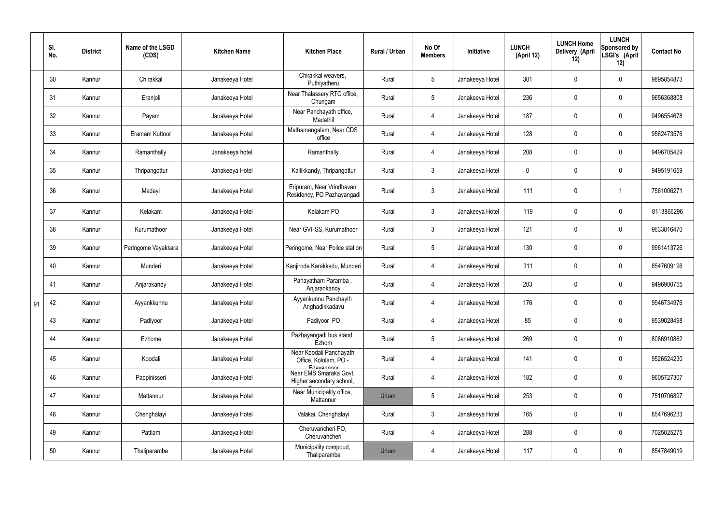|    | SI.<br>No. | <b>District</b> | Name of the LSGD<br>(CDS) | <b>Kitchen Name</b> | <b>Kitchen Place</b>                                           | Rural / Urban | No Of<br><b>Members</b> | Initiative      | <b>LUNCH</b><br>(April 12) | <b>LUNCH Home</b><br>Delivery (April<br>12) | <b>LUNCH</b><br>Sponsored by<br>LSGI's (April<br>12) | <b>Contact No</b> |
|----|------------|-----------------|---------------------------|---------------------|----------------------------------------------------------------|---------------|-------------------------|-----------------|----------------------------|---------------------------------------------|------------------------------------------------------|-------------------|
|    | 30         | Kannur          | Chirakkal                 | Janakeeya Hotel     | Chirakkal weavers,<br>Puthiyatheru                             | Rural         | $5\phantom{.0}$         | Janakeeya Hotel | 301                        | 0                                           | $\mathbf 0$                                          | 9895854873        |
|    | 31         | Kannur          | Eranjoli                  | Janakeeya Hotel     | Near Thalassery RTO office,<br>Chungam                         | Rural         | $5\phantom{.0}$         | Janakeeya Hotel | 236                        | $\mathbf 0$                                 | $\overline{0}$                                       | 9656368808        |
|    | 32         | Kannur          | Payam                     | Janakeeya Hotel     | Near Panchayath office,<br>Madathil                            | Rural         | 4                       | Janakeeya Hotel | 187                        | $\mathbf 0$                                 | $\mathbf 0$                                          | 9496554678        |
|    | 33         | Kannur          | Eramam Kuttoor            | Janakeeya Hotel     | Mathamangalam, Near CDS<br>office                              | Rural         | $\overline{4}$          | Janakeeya Hotel | 128                        | $\mathbf 0$                                 | $\overline{0}$                                       | 9562473576        |
|    | 34         | Kannur          | Ramanthally               | Janakeeya hotel     | Ramanthally                                                    | Rural         | 4                       | Janakeeya Hotel | 208                        | $\mathbf 0$                                 | $\mathbf 0$                                          | 9496705429        |
|    | 35         | Kannur          | Thripangottur             | Janakeeya Hotel     | Kallikkandy, Thripangottur                                     | Rural         | $\mathbf{3}$            | Janakeeya Hotel | $\mathbf 0$                | $\mathbf 0$                                 | $\overline{0}$                                       | 9495191659        |
|    | 36         | Kannur          | Madayi                    | Janakeeya Hotel     | Eripuram, Near Vrindhavan<br>Residency, PO Pazhayangadi        | Rural         | $\mathbf{3}$            | Janakeeya Hotel | 111                        | $\pmb{0}$                                   |                                                      | 7561006271        |
|    | 37         | Kannur          | Kelakam                   | Janakeeya Hotel     | Kelakam PO                                                     | Rural         | $\mathbf{3}$            | Janakeeya Hotel | 119                        | 0                                           | $\mathbf 0$                                          | 8113866296        |
|    | 38         | Kannur          | Kurumathoor               | Janakeeya Hotel     | Near GVHSS, Kurumathoor                                        | Rural         | $\mathbf{3}$            | Janakeeya Hotel | 121                        | $\mathbf 0$                                 | $\mathbf 0$                                          | 9633816470        |
|    | 39         | Kannur          | Peringome Vayakkara       | Janakeeya Hotel     | Peringome, Near Police station                                 | Rural         | $5\overline{)}$         | Janakeeya Hotel | 130                        | 0                                           | $\mathbf 0$                                          | 9961413726        |
|    | 40         | Kannur          | Munderi                   | Janakeeya Hotel     | Kanjirode Karakkadu, Munderi                                   | Rural         | 4                       | Janakeeya Hotel | 311                        | 0                                           | $\mathbf 0$                                          | 8547609196        |
|    | 41         | Kannur          | Anjarakandy               | Janakeeya Hotel     | Panayatham Paramba,<br>Anjarankandy                            | Rural         | $\overline{4}$          | Janakeeya Hotel | 203                        | 0                                           | $\overline{0}$                                       | 9496900755        |
| 91 | 42         | Kannur          | Ayyankkunnu               | Janakeeya Hotel     | Ayyankunnu Panchayth<br>Anghadikkadavu                         | Rural         | 4                       | Janakeeya Hotel | 176                        | 0                                           | 0                                                    | 9946734976        |
|    | 43         | Kannur          | Padiyoor                  | Janakeeya Hotel     | Padiyoor PO                                                    | Rural         | $\overline{4}$          | Janakeeya Hotel | 85                         | 0                                           | $\mathbf 0$                                          | 9539028498        |
|    | 44         | Kannur          | Ezhome                    | Janakeeya Hotel     | Pazhayangadi bus stand,<br>Ezhom                               | Rural         | $5\phantom{.0}$         | Janakeeya Hotel | 269                        | 0                                           | $\mathbf 0$                                          | 8086910862        |
|    | 45         | Kannur          | Koodali                   | Janakeeya Hotel     | Near Koodali Panchayath<br>Office, Kololam, PO -<br>Edavannoor | Rural         | $\overline{4}$          | Janakeeya Hotel | 141                        | $\pmb{0}$                                   | $\mathbf 0$                                          | 9526524230        |
|    | 46         | Kannur          | Pappinisseri              | Janakeeya Hotel     | Near EMS Smaraka Govt.<br>Higher secondary school,             | Rural         | 4                       | Janakeeya Hotel | 182                        | $\pmb{0}$                                   | $\mathbf 0$                                          | 9605727307        |
|    | 47         | Kannur          | Mattannur                 | Janakeeya Hotel     | Near Municipality office,<br>Mattannur                         | Urban         | $5\phantom{.0}$         | Janakeeya Hotel | 253                        | 0                                           | $\mathbf 0$                                          | 7510706897        |
|    | 48         | Kannur          | Chenghalayi               | Janakeeya Hotel     | Valakai, Chenghalayi                                           | Rural         | $\mathbf{3}$            | Janakeeya Hotel | 165                        | 0                                           | $\mathbf 0$                                          | 8547696233        |
|    | 49         | Kannur          | Pattiam                   | Janakeeya Hotel     | Cheruvancheri PO,<br>Cheruvancheri                             | Rural         | $\overline{4}$          | Janakeeya Hotel | 288                        | 0                                           | $\mathbf 0$                                          | 7025025275        |
|    | 50         | Kannur          | Thaliparamba              | Janakeeya Hotel     | Municipality compoud,<br>Thaliparamba                          | Urban         | 4                       | Janakeeya Hotel | 117                        | 0                                           | $\boldsymbol{0}$                                     | 8547849019        |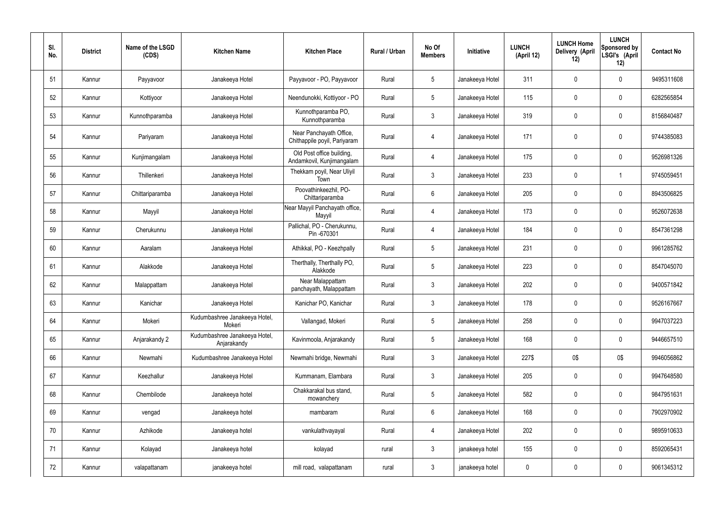| SI.<br>No. | <b>District</b> | Name of the LSGD<br>(CDS) | <b>Kitchen Name</b>                          | <b>Kitchen Place</b>                                    | Rural / Urban | No Of<br><b>Members</b> | Initiative      | <b>LUNCH</b><br>(April 12) | <b>LUNCH Home</b><br><b>Delivery (April</b><br>12) | <b>LUNCH</b><br>Sponsored by<br>LSGI's (April<br>12) | <b>Contact No</b> |
|------------|-----------------|---------------------------|----------------------------------------------|---------------------------------------------------------|---------------|-------------------------|-----------------|----------------------------|----------------------------------------------------|------------------------------------------------------|-------------------|
| 51         | Kannur          | Payyavoor                 | Janakeeya Hotel                              | Payyavoor - PO, Payyavoor                               | Rural         | $5\overline{)}$         | Janakeeya Hotel | 311                        | 0                                                  | $\mathbf 0$                                          | 9495311608        |
| 52         | Kannur          | Kottiyoor                 | Janakeeya Hotel                              | Neendunokki, Kottiyoor - PO                             | Rural         | $5\phantom{.0}$         | Janakeeya Hotel | 115                        | 0                                                  | $\mathbf 0$                                          | 6282565854        |
| 53         | Kannur          | Kunnothparamba            | Janakeeya Hotel                              | Kunnothparamba PO,<br>Kunnothparamba                    | Rural         | $\mathbf{3}$            | Janakeeya Hotel | 319                        | 0                                                  | $\mathbf 0$                                          | 8156840487        |
| 54         | Kannur          | Pariyaram                 | Janakeeya Hotel                              | Near Panchayath Office,<br>Chithappile poyil, Pariyaram | Rural         | 4                       | Janakeeya Hotel | 171                        | 0                                                  | $\mathbf 0$                                          | 9744385083        |
| 55         | Kannur          | Kunjimangalam             | Janakeeya Hotel                              | Old Post office building,<br>Andamkovil, Kunjimangalam  | Rural         | 4                       | Janakeeya Hotel | 175                        | $\mathbf 0$                                        | $\mathbf 0$                                          | 9526981326        |
| 56         | Kannur          | Thillenkeri               | Janakeeya Hotel                              | Thekkam poyil, Near Uliyil<br>Town                      | Rural         | $\mathbf{3}$            | Janakeeya Hotel | 233                        | 0                                                  |                                                      | 9745059451        |
| 57         | Kannur          | Chittariparamba           | Janakeeya Hotel                              | Poovathinkeezhil, PO-<br>Chittariparamba                | Rural         | $6\overline{6}$         | Janakeeya Hotel | 205                        | 0                                                  | $\mathbf 0$                                          | 8943506825        |
| 58         | Kannur          | Mayyil                    | Janakeeya Hotel                              | Near Mayyil Panchayath office,<br>Mayyil                | Rural         | $\overline{4}$          | Janakeeya Hotel | 173                        | 0                                                  | $\mathbf 0$                                          | 9526072638        |
| 59         | Kannur          | Cherukunnu                | Janakeeya Hotel                              | Pallichal, PO - Cherukunnu,<br>Pin -670301              | Rural         | 4                       | Janakeeya Hotel | 184                        | 0                                                  | $\mathbf 0$                                          | 8547361298        |
| 60         | Kannur          | Aaralam                   | Janakeeya Hotel                              | Athikkal, PO - Keezhpally                               | Rural         | $5\overline{)}$         | Janakeeya Hotel | 231                        | 0                                                  | $\mathbf 0$                                          | 9961285762        |
| 61         | Kannur          | Alakkode                  | Janakeeya Hotel                              | Therthally, Therthally PO,<br>Alakkode                  | Rural         | $5\overline{)}$         | Janakeeya Hotel | 223                        | 0                                                  | $\mathbf 0$                                          | 8547045070        |
| 62         | Kannur          | Malappattam               | Janakeeya Hotel                              | Near Malappattam<br>panchayath, Malappattam             | Rural         | $\mathbf{3}$            | Janakeeya Hotel | 202                        | 0                                                  | $\overline{0}$                                       | 9400571842        |
| 63         | Kannur          | Kanichar                  | Janakeeya Hotel                              | Kanichar PO, Kanichar                                   | Rural         | 3                       | Janakeeya Hotel | 178                        | 0                                                  | 0                                                    | 9526167667        |
| 64         | Kannur          | Mokeri                    | Kudumbashree Janakeeya Hotel,<br>Mokeri      | Vallangad, Mokeri                                       | Rural         | $5\phantom{.0}$         | Janakeeya Hotel | 258                        | 0                                                  | $\mathbf 0$                                          | 9947037223        |
| 65         | Kannur          | Anjarakandy 2             | Kudumbashree Janakeeya Hotel,<br>Anjarakandy | Kavinmoola, Anjarakandy                                 | Rural         | 5 <sub>5</sub>          | Janakeeya Hotel | 168                        | 0                                                  | $\mathbf 0$                                          | 9446657510        |
| 66         | Kannur          | Newmahi                   | Kudumbashree Janakeeya Hotel                 | Newmahi bridge, Newmahi                                 | Rural         | $\mathbf{3}$            | Janakeeya Hotel | 227\$                      | 0\$                                                | 0\$                                                  | 9946056862        |
| 67         | Kannur          | Keezhallur                | Janakeeya Hotel                              | Kummanam, Elambara                                      | Rural         | $\mathbf{3}$            | Janakeeya Hotel | 205                        | 0                                                  | $\mathbf 0$                                          | 9947648580        |
| 68         | Kannur          | Chembilode                | Janakeeya hotel                              | Chakkarakal bus stand,<br>mowanchery                    | Rural         | $5\phantom{.0}$         | Janakeeya Hotel | 582                        | 0                                                  | $\mathbf 0$                                          | 9847951631        |
| 69         | Kannur          | vengad                    | Janakeeya hotel                              | mambaram                                                | Rural         | $6\phantom{.}6$         | Janakeeya Hotel | 168                        | 0                                                  | $\mathbf 0$                                          | 7902970902        |
| 70         | Kannur          | Azhikode                  | Janakeeya hotel                              | vankulathvayayal                                        | Rural         | 4                       | Janakeeya Hotel | 202                        | 0                                                  | $\mathbf 0$                                          | 9895910633        |
| 71         | Kannur          | Kolayad                   | Janakeeya hotel                              | kolayad                                                 | rural         | $\mathbf{3}$            | janakeeya hotel | 155                        | 0                                                  | $\boldsymbol{0}$                                     | 8592065431        |
| 72         | Kannur          | valapattanam              | janakeeya hotel                              | mill road, valapattanam                                 | rural         | $\mathbf{3}$            | janakeeya hotel | $\pmb{0}$                  | 0                                                  | $\boldsymbol{0}$                                     | 9061345312        |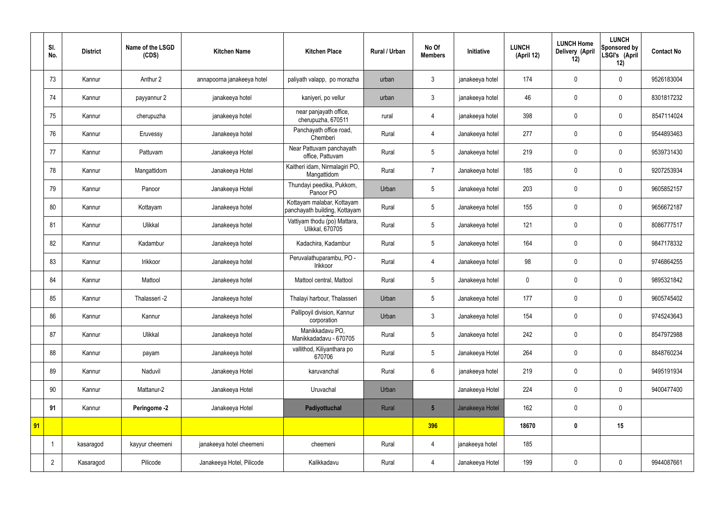|    | SI.<br>No.     | <b>District</b> | Name of the LSGD<br>(CDS) | <b>Kitchen Name</b>        | <b>Kitchen Place</b>                                        | <b>Rural / Urban</b> | No Of<br><b>Members</b> | Initiative      | <b>LUNCH</b><br>(April 12) | <b>LUNCH Home</b><br>Delivery (April<br>12) | <b>LUNCH</b><br>Sponsored by<br>LSGI's (April<br>12) | <b>Contact No</b> |
|----|----------------|-----------------|---------------------------|----------------------------|-------------------------------------------------------------|----------------------|-------------------------|-----------------|----------------------------|---------------------------------------------|------------------------------------------------------|-------------------|
|    | 73             | Kannur          | Anthur 2                  | annapoorna janakeeya hotel | paliyath valapp, po morazha                                 | urban                | 3                       | janakeeya hotel | 174                        | $\mathbf 0$                                 | $\mathbf 0$                                          | 9526183004        |
|    | 74             | Kannur          | payyannur 2               | janakeeya hotel            | kaniyeri, po vellur                                         | urban                | $\mathbf{3}$            | janakeeya hotel | 46                         | $\mathbf 0$                                 | $\mathbf 0$                                          | 8301817232        |
|    | 75             | Kannur          | cherupuzha                | janakeeya hotel            | near panjayath office,<br>cherupuzha, 670511                | rural                | 4                       | janakeeya hotel | 398                        | $\mathbf 0$                                 | $\mathbf 0$                                          | 8547114024        |
|    | 76             | Kannur          | Eruvessy                  | Janakeeya hotel            | Panchayath office road,<br>Chemberi                         | Rural                | 4                       | Janakeeya hotel | 277                        | $\mathbf 0$                                 | $\mathbf 0$                                          | 9544893463        |
|    | 77             | Kannur          | Pattuvam                  | Janakeeya Hotel            | Near Pattuvam panchayath<br>office, Pattuvam                | Rural                | 5                       | Janakeeya hotel | 219                        | $\mathbf 0$                                 | $\mathbf 0$                                          | 9539731430        |
|    | 78             | Kannur          | Mangattidom               | Janakeeya Hotel            | Kaitheri idam, Nirmalagiri PO,<br>Mangattidom               | Rural                | $\overline{7}$          | Janakeeya hotel | 185                        | $\mathbf 0$                                 | $\mathbf 0$                                          | 9207253934        |
|    | 79             | Kannur          | Panoor                    | Janakeeya Hotel            | Thundayi peedika, Pukkom,<br>Panoor PO                      | Urban                | 5                       | Janakeeya hotel | 203                        | $\mathbf 0$                                 | $\mathbf 0$                                          | 9605852157        |
|    | 80             | Kannur          | Kottayam                  | Janakeeya hotel            | Kottayam malabar, Kottayam<br>panchayath building, Kottayam | Rural                | 5                       | Janakeeya hotel | 155                        | $\mathbf 0$                                 | $\mathbf 0$                                          | 9656672187        |
|    | 81             | Kannur          | Ulikkal                   | Janakeeya hotel            | Vattiyam thodu (po) Mattara,<br>Ulikkal, 670705             | Rural                | 5                       | Janakeeya hotel | 121                        | $\mathbf 0$                                 | $\mathbf 0$                                          | 8086777517        |
|    | 82             | Kannur          | Kadambur                  | Janakeeya hotel            | Kadachira, Kadambur                                         | Rural                | 5                       | Janakeeya hotel | 164                        | $\mathbf 0$                                 | $\mathbf 0$                                          | 9847178332        |
|    | 83             | Kannur          | Irikkoor                  | Janakeeya hotel            | Peruvalathuparambu, PO -<br>Irikkoor                        | Rural                | $\overline{4}$          | Janakeeya hotel | 98                         | $\mathbf 0$                                 | $\mathbf 0$                                          | 9746864255        |
|    | 84             | Kannur          | Mattool                   | Janakeeya hotel            | Mattool central, Mattool                                    | Rural                | 5                       | Janakeeya hotel | $\boldsymbol{0}$           | $\mathbf 0$                                 | $\mathbf 0$                                          | 9895321842        |
|    | 85             | Kannur          | Thalasseri -2             | Janakeeya hotel            | Thalayi harbour, Thalasseri                                 | Urban                | 5                       | Janakeeya hotel | 177                        | $\mathbf 0$                                 | $\mathbf 0$                                          | 9605745402        |
|    | 86             | Kannur          | Kannur                    | Janakeeya hotel            | Pallipoyil division, Kannur<br>corporation                  | Urban                | $\mathfrak{Z}$          | Janakeeya hotel | 154                        | $\pmb{0}$                                   | $\mathbf 0$                                          | 9745243643        |
|    | 87             | Kannur          | Ulikkal                   | Janakeeya hotel            | Manikkadavu PO,<br>Manikkadadavu - 670705                   | Rural                | 5                       | Janakeeya hotel | 242                        | $\pmb{0}$                                   | $\mathbf 0$                                          | 8547972988        |
|    | 88             | Kannur          | payam                     | Janakeeya hotel            | vallithod, Kiliyanthara po<br>670706                        | Rural                | 5                       | Janakeeya Hotel | 264                        | $\pmb{0}$                                   | $\mathbf 0$                                          | 8848760234        |
|    | 89             | Kannur          | Naduvil                   | Janakeeya Hotel            | karuvanchal                                                 | Rural                | $6\overline{6}$         | janakeeya hotel | 219                        | $\pmb{0}$                                   | $\mathbf 0$                                          | 9495191934        |
|    | 90             | Kannur          | Mattanur-2                | Janakeeya Hotel            | Uruvachal                                                   | Urban                |                         | Janakeeya Hotel | 224                        | $\pmb{0}$                                   | $\mathbf 0$                                          | 9400477400        |
|    | 91             | Kannur          | Peringome -2              | Janakeeya Hotel            | Padiyottuchal                                               | Rural                | $5\overline{)}$         | Janakeeya Hotel | 162                        | $\pmb{0}$                                   | $\mathbf 0$                                          |                   |
| 91 |                |                 |                           |                            |                                                             |                      | 396                     |                 | 18670                      | $\pmb{0}$                                   | 15                                                   |                   |
|    |                | kasaragod       | kayyur cheemeni           | janakeeya hotel cheemeni   | cheemeni                                                    | Rural                | 4                       | janakeeya hotel | 185                        |                                             |                                                      |                   |
|    | $\overline{2}$ | Kasaragod       | Pilicode                  | Janakeeya Hotel, Pilicode  | Kalikkadavu                                                 | Rural                | 4                       | Janakeeya Hotel | 199                        | $\pmb{0}$                                   | $\mathbf 0$                                          | 9944087661        |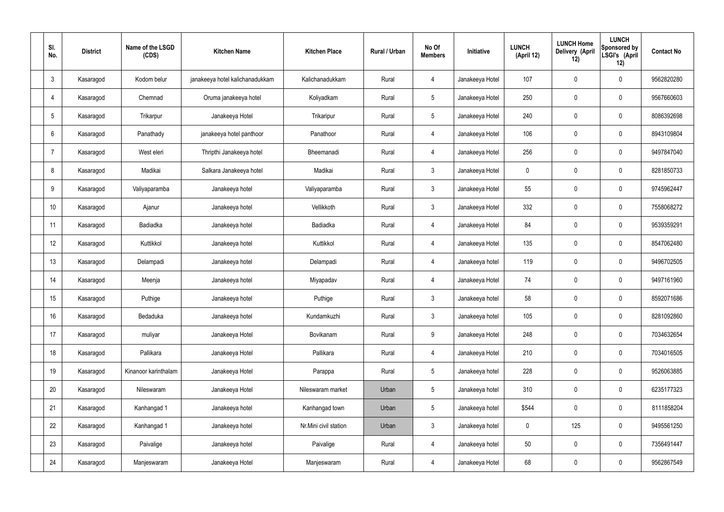| SI.<br>No.     | <b>District</b> | Name of the LSGD<br>(CDS) | <b>Kitchen Name</b>             | <b>Kitchen Place</b>  | Rural / Urban | No Of<br><b>Members</b> | Initiative      | <b>LUNCH</b><br>(April 12) | <b>LUNCH Home</b><br>Delivery (April<br>12) | <b>LUNCH</b><br>Sponsored by<br>LSGI's (April<br>12) | <b>Contact No</b> |
|----------------|-----------------|---------------------------|---------------------------------|-----------------------|---------------|-------------------------|-----------------|----------------------------|---------------------------------------------|------------------------------------------------------|-------------------|
| $\mathbf{3}$   | Kasaragod       | Kodom belur               | janakeeya hotel kalichanadukkam | Kalichanadukkam       | Rural         | 4                       | Janakeeya Hotel | 107                        | $\mathbf 0$                                 | $\mathbf 0$                                          | 9562820280        |
| 4              | Kasaragod       | Chemnad                   | Oruma janakeeya hotel           | Koliyadkam            | Rural         | $5\overline{)}$         | Janakeeya Hotel | 250                        | $\mathbf 0$                                 | $\mathbf 0$                                          | 9567660603        |
| 5              | Kasaragod       | Trikarpur                 | Janakeeya Hotel                 | Trikaripur            | Rural         | $5\overline{)}$         | Janakeeya Hotel | 240                        | $\mathbf 0$                                 | $\mathbf 0$                                          | 8086392698        |
| 6              | Kasaragod       | Panathady                 | janakeeya hotel panthoor        | Panathoor             | Rural         | $\overline{4}$          | Janakeeya Hotel | 106                        | $\mathbf 0$                                 | $\mathbf 0$                                          | 8943109804        |
| $\overline{7}$ | Kasaragod       | West eleri                | Thripthi Janakeeya hotel        | Bheemanadi            | Rural         | $\overline{4}$          | Janakeeya Hotel | 256                        | $\pmb{0}$                                   | $\mathbf 0$                                          | 9497847040        |
| 8              | Kasaragod       | Madikai                   | Salkara Janakeeya hotel         | Madikai               | Rural         | $\mathbf{3}$            | Janakeeya Hotel | $\mathbf 0$                | $\pmb{0}$                                   | $\mathbf 0$                                          | 8281850733        |
| 9              | Kasaragod       | Valiyaparamba             | Janakeeya hotel                 | Valiyaparamba         | Rural         | $\mathbf{3}$            | Janakeeya Hotel | 55                         | $\pmb{0}$                                   | $\mathbf 0$                                          | 9745962447        |
| 10             | Kasaragod       | Ajanur                    | Janakeeya hotel                 | Vellikkoth            | Rural         | $\mathbf{3}$            | Janakeeya Hotel | 332                        | $\mathbf 0$                                 | $\mathbf 0$                                          | 7558068272        |
| 11             | Kasaragod       | Badiadka                  | Janakeeya hotel                 | Badiadka              | Rural         | $\overline{4}$          | Janakeeya Hotel | 84                         | $\pmb{0}$                                   | $\mathbf 0$                                          | 9539359291        |
| 12             | Kasaragod       | Kuttikkol                 | Janakeeya hotel                 | Kuttikkol             | Rural         | $\overline{4}$          | Janakeeya Hotel | 135                        | $\pmb{0}$                                   | $\mathbf 0$                                          | 8547062480        |
| 13             | Kasaragod       | Delampadi                 | Janakeeya hotel                 | Delampadi             | Rural         | $\overline{4}$          | Janakeeya hotel | 119                        | $\pmb{0}$                                   | $\mathbf 0$                                          | 9496702505        |
| 14             | Kasaragod       | Meenja                    | Janakeeya hotel                 | Miyapadav             | Rural         | $\overline{4}$          | Janakeeya Hotel | 74                         | $\pmb{0}$                                   | $\mathbf 0$                                          | 9497161960        |
| 15             | Kasaragod       | Puthige                   | Janakeeya hotel                 | Puthige               | Rural         | $\mathfrak{Z}$          | Janakeeya hotel | 58                         | $\mathbf 0$                                 | $\mathbf 0$                                          | 8592071686        |
| 16             | Kasaragod       | Bedaduka                  | Janakeeya hotel                 | Kundamkuzhi           | Rural         | $\mathbf{3}$            | Janakeeya hotel | 105                        | $\pmb{0}$                                   | $\mathbf 0$                                          | 8281092860        |
| 17             | Kasaragod       | muliyar                   | Janakeeya Hotel                 | Bovikanam             | Rural         | 9                       | Janakeeya Hotel | 248                        | $\pmb{0}$                                   | $\mathbf 0$                                          | 7034632654        |
| 18             | Kasaragod       | Pallikara                 | Janakeeya Hotel                 | Pallikara             | Rural         | $\overline{4}$          | Janakeeya Hotel | 210                        | $\pmb{0}$                                   | $\mathbf 0$                                          | 7034016505        |
| 19             | Kasaragod       | Kinanoor karinthalam      | Janakeeya Hotel                 | Parappa               | Rural         | $5\phantom{.0}$         | Janakeeya hotel | 228                        | $\pmb{0}$                                   | $\mathbf 0$                                          | 9526063885        |
| 20             | Kasaragod       | Nileswaram                | Janakeeya Hotel                 | Nileswaram market     | Urban         | $5\phantom{.0}$         | Janakeeya hotel | 310                        | $\pmb{0}$                                   | $\mathbf 0$                                          | 6235177323        |
| 21             | Kasaragod       | Kanhangad 1               | Janakeeya hotel                 | Kanhangad town        | Urban         | $5\phantom{.0}$         | Janakeeya hotel | \$544                      | $\pmb{0}$                                   | $\mathbf 0$                                          | 8111858204        |
| 22             | Kasaragod       | Kanhangad 1               | Janakeeya hotel                 | Nr.Mini civil station | Urban         | $\mathbf{3}$            | Janakeeya hotel | $\pmb{0}$                  | 125                                         | $\mathbf 0$                                          | 9495561250        |
| 23             | Kasaragod       | Paivalige                 | Janakeeya hotel                 | Paivalige             | Rural         | $\overline{4}$          | Janakeeya hotel | 50                         | $\pmb{0}$                                   | $\mathbf 0$                                          | 7356491447        |
| 24             | Kasaragod       | Manjeswaram               | Janakeeya Hotel                 | Manjeswaram           | Rural         | 4                       | Janakeeya Hotel | 68                         | $\pmb{0}$                                   | $\boldsymbol{0}$                                     | 9562867549        |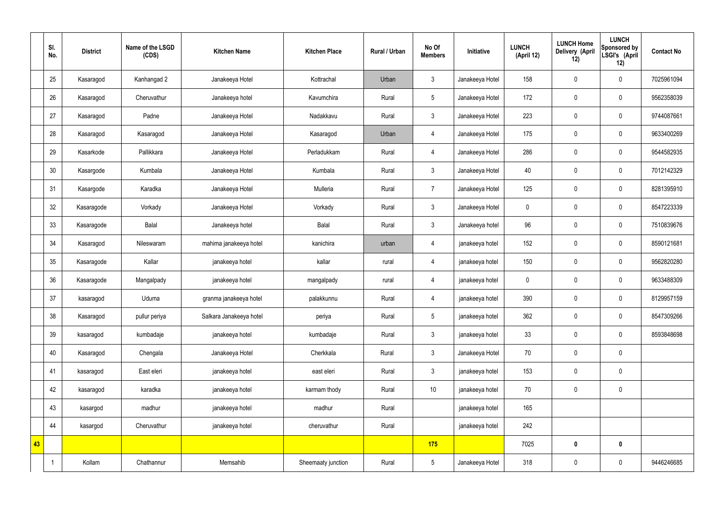|    | SI.<br>No. | <b>District</b> | Name of the LSGD<br>(CDS) | <b>Kitchen Name</b>     | <b>Kitchen Place</b> | <b>Rural / Urban</b> | No Of<br><b>Members</b> | Initiative      | <b>LUNCH</b><br>(April 12) | <b>LUNCH Home</b><br>Delivery (April<br>12) | <b>LUNCH</b><br>Sponsored by<br>LSGI's (April<br>12) | <b>Contact No</b> |
|----|------------|-----------------|---------------------------|-------------------------|----------------------|----------------------|-------------------------|-----------------|----------------------------|---------------------------------------------|------------------------------------------------------|-------------------|
|    | 25         | Kasaragod       | Kanhangad 2               | Janakeeya Hotel         | Kottrachal           | Urban                | 3                       | Janakeeya Hotel | 158                        | $\pmb{0}$                                   | $\mathbf 0$                                          | 7025961094        |
|    | 26         | Kasaragod       | Cheruvathur               | Janakeeya hotel         | Kavumchira           | Rural                | 5                       | Janakeeya Hotel | 172                        | $\pmb{0}$                                   | $\pmb{0}$                                            | 9562358039        |
|    | 27         | Kasaragod       | Padne                     | Janakeeya Hotel         | Nadakkavu            | Rural                | $\mathfrak{Z}$          | Janakeeya Hotel | 223                        | $\pmb{0}$                                   | $\mathbf 0$                                          | 9744087661        |
|    | 28         | Kasaragod       | Kasaragod                 | Janakeeya Hotel         | Kasaragod            | Urban                | 4                       | Janakeeya Hotel | 175                        | $\pmb{0}$                                   | $\pmb{0}$                                            | 9633400269        |
|    | 29         | Kasarkode       | Pallikkara                | Janakeeya Hotel         | Perladukkam          | Rural                | $\overline{4}$          | Janakeeya Hotel | 286                        | $\pmb{0}$                                   | $\mathbf 0$                                          | 9544582935        |
|    | 30         | Kasargode       | Kumbala                   | Janakeeya Hotel         | Kumbala              | Rural                | $\mathbf{3}$            | Janakeeya Hotel | 40                         | $\mathbf 0$                                 | $\mathbf 0$                                          | 7012142329        |
|    | 31         | Kasargode       | Karadka                   | Janakeeya Hotel         | Mulleria             | Rural                | $\overline{7}$          | Janakeeya Hotel | 125                        | $\mathbf 0$                                 | $\mathbf 0$                                          | 8281395910        |
|    | 32         | Kasaragode      | Vorkady                   | Janakeeya Hotel         | Vorkady              | Rural                | $\mathbf{3}$            | Janakeeya Hotel | $\mathbf 0$                | $\mathbf 0$                                 | $\pmb{0}$                                            | 8547223339        |
|    | 33         | Kasaragode      | Balal                     | Janakeeya hotel         | Balal                | Rural                | $\mathfrak{Z}$          | Janakeeya hotel | 96                         | $\pmb{0}$                                   | $\mathbf 0$                                          | 7510839676        |
|    | 34         | Kasaragod       | Nileswaram                | mahima janakeeya hotel  | kanichira            | urban                | $\overline{4}$          | janakeeya hotel | 152                        | $\mathbf 0$                                 | $\mathbf 0$                                          | 8590121681        |
|    | 35         | Kasaragode      | Kallar                    | janakeeya hotel         | kallar               | rural                | $\overline{4}$          | janakeeya hotel | 150                        | $\pmb{0}$                                   | $\mathbf 0$                                          | 9562820280        |
|    | 36         | Kasaragode      | Mangalpady                | janakeeya hotel         | mangalpady           | rural                | $\overline{4}$          | janakeeya hotel | $\mathbf 0$                | $\pmb{0}$                                   | $\pmb{0}$                                            | 9633488309        |
|    | 37         | kasaragod       | Uduma                     | granma janakeeya hotel  | palakkunnu           | Rural                | $\overline{4}$          | janakeeya hotel | 390                        | 0                                           | $\mathbf 0$                                          | 8129957159        |
|    | 38         | Kasaragod       | pullur periya             | Salkara Janakeeya hotel | periya               | Rural                | $5\phantom{.0}$         | janakeeya hotel | 362                        | $\pmb{0}$                                   | $\pmb{0}$                                            | 8547309266        |
|    | 39         | kasaragod       | kumbadaje                 | janakeeya hotel         | kumbadaje            | Rural                | 3 <sup>1</sup>          | janakeeya hotel | 33                         | $\mathbf 0$                                 | $\pmb{0}$                                            | 8593848698        |
|    | 40         | Kasaragod       | Chengala                  | Janakeeya Hotel         | Cherkkala            | Rural                | 3 <sup>1</sup>          | Janakeeya Hotel | 70                         | $\overline{0}$                              | $\pmb{0}$                                            |                   |
|    | 41         | kasaragod       | East eleri                | janakeeya hotel         | east eleri           | Rural                | 3 <sup>1</sup>          | janakeeya hotel | 153                        | $\mathbf 0$                                 | $\pmb{0}$                                            |                   |
|    | 42         | kasaragod       | karadka                   | janakeeya hotel         | karmam thody         | Rural                | 10                      | janakeeya hotel | 70                         | $\overline{0}$                              | $\pmb{0}$                                            |                   |
|    | 43         | kasargod        | madhur                    | janakeeya hotel         | madhur               | Rural                |                         | janakeeya hotel | 165                        |                                             |                                                      |                   |
|    | 44         | kasargod        | Cheruvathur               | janakeeya hotel         | cheruvathur          | Rural                |                         | janakeeya hotel | 242                        |                                             |                                                      |                   |
| 43 |            |                 |                           |                         |                      |                      | 175                     |                 | 7025                       | $\pmb{0}$                                   | $\pmb{0}$                                            |                   |
|    |            | Kollam          | Chathannur                | Memsahib                | Sheemaaty junction   | Rural                | $5\overline{)}$         | Janakeeya Hotel | 318                        | $\boldsymbol{0}$                            | $\pmb{0}$                                            | 9446246685        |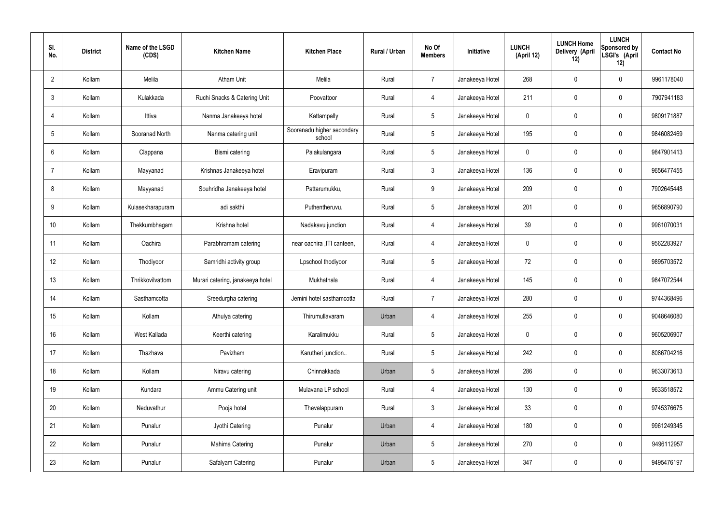| SI.<br>No.     | <b>District</b> | Name of the LSGD<br>(CDS) | <b>Kitchen Name</b>              | <b>Kitchen Place</b>                 | Rural / Urban | No Of<br><b>Members</b> | Initiative      | <b>LUNCH</b><br>(April 12) | <b>LUNCH Home</b><br>Delivery (April<br>12) | <b>LUNCH</b><br>Sponsored by<br>LSGI's (April<br>12) | <b>Contact No</b> |
|----------------|-----------------|---------------------------|----------------------------------|--------------------------------------|---------------|-------------------------|-----------------|----------------------------|---------------------------------------------|------------------------------------------------------|-------------------|
| $\overline{2}$ | Kollam          | Melila                    | <b>Atham Unit</b>                | Melila                               | Rural         | $\overline{7}$          | Janakeeya Hotel | 268                        | $\mathbf 0$                                 | $\mathbf 0$                                          | 9961178040        |
| 3              | Kollam          | Kulakkada                 | Ruchi Snacks & Catering Unit     | Poovattoor                           | Rural         | $\overline{4}$          | Janakeeya Hotel | 211                        | $\mathbf 0$                                 | $\mathbf 0$                                          | 7907941183        |
| $\overline{4}$ | Kollam          | Ittiva                    | Nanma Janakeeya hotel            | Kattampally                          | Rural         | $5\overline{)}$         | Janakeeya Hotel | 0                          | $\mathbf 0$                                 | $\mathbf 0$                                          | 9809171887        |
| 5              | Kollam          | Sooranad North            | Nanma catering unit              | Sooranadu higher secondary<br>school | Rural         | $5\overline{)}$         | Janakeeya Hotel | 195                        | $\mathbf 0$                                 | $\mathbf 0$                                          | 9846082469        |
| 6              | Kollam          | Clappana                  | Bismi catering                   | Palakulangara                        | Rural         | $5\overline{)}$         | Janakeeya Hotel | 0                          | $\mathbf 0$                                 | $\mathbf 0$                                          | 9847901413        |
| $\overline{7}$ | Kollam          | Mayyanad                  | Krishnas Janakeeya hotel         | Eravipuram                           | Rural         | $\mathbf{3}$            | Janakeeya Hotel | 136                        | $\mathbf 0$                                 | $\mathbf 0$                                          | 9656477455        |
| 8              | Kollam          | Mayyanad                  | Souhridha Janakeeya hotel        | Pattarumukku,                        | Rural         | 9                       | Janakeeya Hotel | 209                        | $\mathbf 0$                                 | $\mathbf 0$                                          | 7902645448        |
| 9              | Kollam          | Kulasekharapuram          | adi sakthi                       | Puthentheruvu.                       | Rural         | $5\overline{)}$         | Janakeeya Hotel | 201                        | $\mathbf 0$                                 | $\mathbf 0$                                          | 9656890790        |
| 10             | Kollam          | Thekkumbhagam             | Krishna hotel                    | Nadakavu junction                    | Rural         | $\overline{4}$          | Janakeeya Hotel | 39                         | $\mathbf 0$                                 | $\mathbf 0$                                          | 9961070031        |
| 11             | Kollam          | Oachira                   | Parabhramam catering             | near oachira , ITI canteen,          | Rural         | 4                       | Janakeeya Hotel | 0                          | $\mathbf 0$                                 | $\mathbf 0$                                          | 9562283927        |
| 12             | Kollam          | Thodiyoor                 | Samridhi activity group          | Lpschool thodiyoor                   | Rural         | $5\overline{)}$         | Janakeeya Hotel | 72                         | 0                                           | $\mathbf 0$                                          | 9895703572        |
| 13             | Kollam          | Thrikkovilvattom          | Murari catering, janakeeya hotel | Mukhathala                           | Rural         | 4                       | Janakeeya Hotel | 145                        | $\mathbf 0$                                 | $\mathbf 0$                                          | 9847072544        |
| 14             | Kollam          | Sasthamcotta              | Sreedurgha catering              | Jemini hotel sasthamcotta            | Rural         | $\overline{7}$          | Janakeeya Hotel | 280                        | 0                                           | $\mathbf 0$                                          | 9744368496        |
| 15             | Kollam          | Kollam                    | Athulya catering                 | Thirumullavaram                      | Urban         | $\overline{4}$          | Janakeeya Hotel | 255                        | $\mathbf 0$                                 | $\mathbf 0$                                          | 9048646080        |
| 16             | Kollam          | West Kallada              | Keerthi catering                 | Karalimukku                          | Rural         | $5\phantom{.0}$         | Janakeeya Hotel | $\mathbf 0$                | 0                                           | $\mathbf 0$                                          | 9605206907        |
| 17             | Kollam          | Thazhava                  | Pavizham                         | Karutheri junction                   | Rural         | $5\overline{)}$         | Janakeeya Hotel | 242                        | 0                                           | $\mathbf 0$                                          | 8086704216        |
| 18             | Kollam          | Kollam                    | Niravu catering                  | Chinnakkada                          | Urban         | $5\overline{)}$         | Janakeeya Hotel | 286                        | 0                                           | $\mathbf 0$                                          | 9633073613        |
| 19             | Kollam          | Kundara                   | Ammu Catering unit               | Mulavana LP school                   | Rural         | $\overline{4}$          | Janakeeya Hotel | 130                        | 0                                           | $\mathbf 0$                                          | 9633518572        |
| 20             | Kollam          | Neduvathur                | Pooja hotel                      | Thevalappuram                        | Rural         | $\mathbf{3}$            | Janakeeya Hotel | 33                         | 0                                           | $\mathbf 0$                                          | 9745376675        |
| 21             | Kollam          | Punalur                   | Jyothi Catering                  | Punalur                              | Urban         | $\overline{4}$          | Janakeeya Hotel | 180                        | 0                                           | $\mathbf 0$                                          | 9961249345        |
| 22             | Kollam          | Punalur                   | Mahima Catering                  | Punalur                              | Urban         | $5\phantom{.0}$         | Janakeeya Hotel | 270                        | 0                                           | $\mathbf 0$                                          | 9496112957        |
| 23             | Kollam          | Punalur                   | Safalyam Catering                | Punalur                              | Urban         | $5\phantom{.0}$         | Janakeeya Hotel | 347                        | 0                                           | $\overline{0}$                                       | 9495476197        |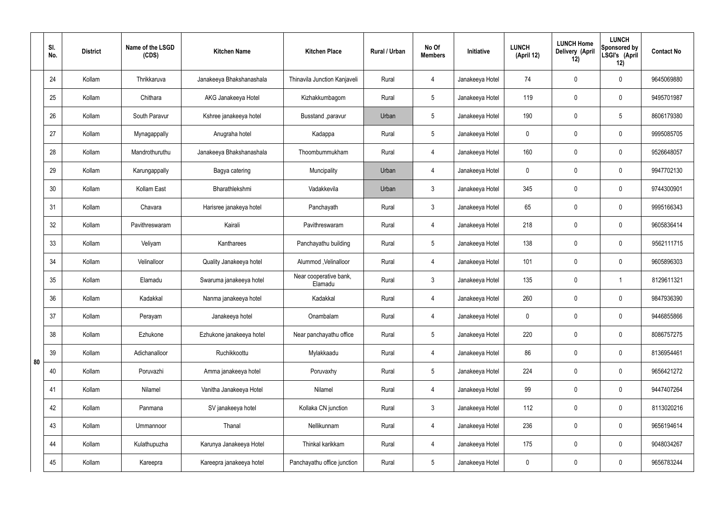|    | SI.<br>No. | <b>District</b> | Name of the LSGD<br>(CDS) | <b>Kitchen Name</b>      | <b>Kitchen Place</b>              | Rural / Urban | No Of<br><b>Members</b> | Initiative      | <b>LUNCH</b><br>(April 12) | <b>LUNCH Home</b><br>Delivery (April<br>12) | <b>LUNCH</b><br>Sponsored by<br>LSGI's (April<br>12) | <b>Contact No</b> |
|----|------------|-----------------|---------------------------|--------------------------|-----------------------------------|---------------|-------------------------|-----------------|----------------------------|---------------------------------------------|------------------------------------------------------|-------------------|
|    | 24         | Kollam          | Thrikkaruva               | Janakeeya Bhakshanashala | Thinavila Junction Kanjaveli      | Rural         | 4                       | Janakeeya Hotel | 74                         | $\mathbf 0$                                 | $\mathbf 0$                                          | 9645069880        |
|    | 25         | Kollam          | Chithara                  | AKG Janakeeya Hotel      | Kizhakkumbagom                    | Rural         | $5\overline{)}$         | Janakeeya Hotel | 119                        | $\mathbf 0$                                 | $\mathbf 0$                                          | 9495701987        |
|    | 26         | Kollam          | South Paravur             | Kshree janakeeya hotel   | Busstand , paravur                | Urban         | $5\phantom{.0}$         | Janakeeya Hotel | 190                        | $\mathbf 0$                                 | $5\phantom{.0}$                                      | 8606179380        |
|    | 27         | Kollam          | Mynagappally              | Anugraha hotel           | Kadappa                           | Rural         | $5\overline{)}$         | Janakeeya Hotel | $\mathbf 0$                | $\mathbf 0$                                 | $\mathbf 0$                                          | 9995085705        |
|    | 28         | Kollam          | Mandrothuruthu            | Janakeeya Bhakshanashala | Thoombummukham                    | Rural         | 4                       | Janakeeya Hotel | 160                        | $\mathbf 0$                                 | $\mathbf 0$                                          | 9526648057        |
|    | 29         | Kollam          | Karungappally             | Bagya catering           | Muncipality                       | Urban         | 4                       | Janakeeya Hotel | $\mathbf 0$                | $\mathbf 0$                                 | $\mathbf 0$                                          | 9947702130        |
|    | 30         | Kollam          | Kollam East               | Bharathlekshmi           | Vadakkevila                       | Urban         | $\mathbf{3}$            | Janakeeya Hotel | 345                        | $\mathbf 0$                                 | $\mathbf 0$                                          | 9744300901        |
|    | 31         | Kollam          | Chavara                   | Harisree janakeya hotel  | Panchayath                        | Rural         | $\mathbf{3}$            | Janakeeya Hotel | 65                         | $\mathbf 0$                                 | $\mathbf 0$                                          | 9995166343        |
|    | 32         | Kollam          | Pavithreswaram            | Kairali                  | Pavithreswaram                    | Rural         | 4                       | Janakeeya Hotel | 218                        | 0                                           | $\mathbf 0$                                          | 9605836414        |
|    | 33         | Kollam          | Veliyam                   | Kantharees               | Panchayathu building              | Rural         | $5\overline{)}$         | Janakeeya Hotel | 138                        | $\mathbf 0$                                 | $\mathbf 0$                                          | 9562111715        |
|    | 34         | Kollam          | Velinalloor               | Quality Janakeeya hotel  | Alummod, Velinalloor              | Rural         | 4                       | Janakeeya Hotel | 101                        | 0                                           | $\mathbf 0$                                          | 9605896303        |
|    | 35         | Kollam          | Elamadu                   | Swaruma janakeeya hotel  | Near cooperative bank,<br>Elamadu | Rural         | $\mathbf{3}$            | Janakeeya Hotel | 135                        | $\mathbf 0$                                 | -1                                                   | 8129611321        |
|    | 36         | Kollam          | Kadakkal                  | Nanma janakeeya hotel    | Kadakkal                          | Rural         | 4                       | Janakeeya Hotel | 260                        | $\mathbf 0$                                 | $\mathbf 0$                                          | 9847936390        |
|    | 37         | Kollam          | Perayam                   | Janakeeya hotel          | Onambalam                         | Rural         | $\overline{4}$          | Janakeeya Hotel | $\mathbf 0$                | $\pmb{0}$                                   | $\mathbf 0$                                          | 9446855866        |
|    | 38         | Kollam          | Ezhukone                  | Ezhukone janakeeya hotel | Near panchayathu office           | Rural         | $5\phantom{.0}$         | Janakeeya Hotel | 220                        | $\pmb{0}$                                   | $\mathbf 0$                                          | 8086757275        |
| 80 | 39         | Kollam          | Adichanalloor             | Ruchikkoottu             | Mylakkaadu                        | Rural         | $\overline{4}$          | Janakeeya Hotel | 86                         | 0                                           | $\mathbf 0$                                          | 8136954461        |
|    | 40         | Kollam          | Poruvazhi                 | Amma janakeeya hotel     | Poruvaxhy                         | Rural         | $5\phantom{.0}$         | Janakeeya Hotel | 224                        | $\pmb{0}$                                   | $\mathbf 0$                                          | 9656421272        |
|    | 41         | Kollam          | Nilamel                   | Vanitha Janakeeya Hotel  | Nilamel                           | Rural         | $\overline{4}$          | Janakeeya Hotel | 99                         | 0                                           | $\mathbf 0$                                          | 9447407264        |
|    | 42         | Kollam          | Panmana                   | SV janakeeya hotel       | Kollaka CN junction               | Rural         | 3                       | Janakeeya Hotel | 112                        | $\pmb{0}$                                   | $\mathbf 0$                                          | 8113020216        |
|    | 43         | Kollam          | Ummannoor                 | Thanal                   | Nellikunnam                       | Rural         | $\overline{4}$          | Janakeeya Hotel | 236                        | 0                                           | $\mathbf 0$                                          | 9656194614        |
|    | 44         | Kollam          | Kulathupuzha              | Karunya Janakeeya Hotel  | Thinkal karikkam                  | Rural         | 4                       | Janakeeya Hotel | 175                        | 0                                           | $\mathbf 0$                                          | 9048034267        |
|    | 45         | Kollam          | Kareepra                  | Kareepra janakeeya hotel | Panchayathu office junction       | Rural         | $5\phantom{.0}$         | Janakeeya Hotel | $\pmb{0}$                  | $\pmb{0}$                                   | $\boldsymbol{0}$                                     | 9656783244        |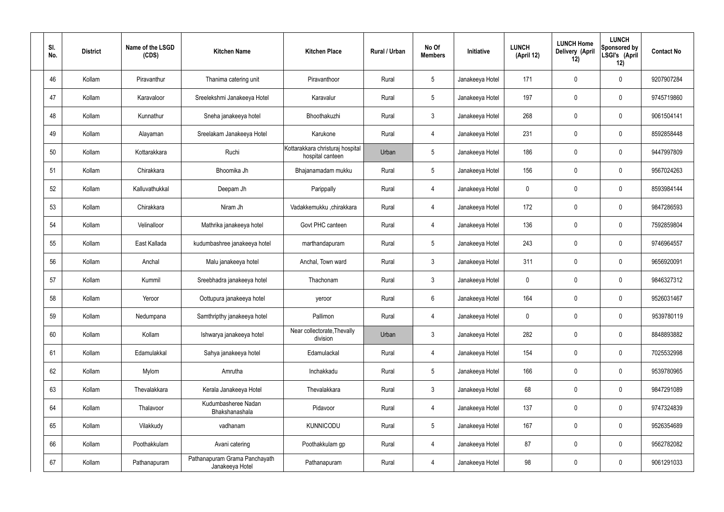| SI.<br>No. | <b>District</b> | Name of the LSGD<br>(CDS) | <b>Kitchen Name</b>                              | <b>Kitchen Place</b>                                 | Rural / Urban | No Of<br><b>Members</b> | Initiative      | <b>LUNCH</b><br>(April 12) | <b>LUNCH Home</b><br>Delivery (April<br>12) | <b>LUNCH</b><br>Sponsored by<br>LSGI's (April<br>12) | <b>Contact No</b> |
|------------|-----------------|---------------------------|--------------------------------------------------|------------------------------------------------------|---------------|-------------------------|-----------------|----------------------------|---------------------------------------------|------------------------------------------------------|-------------------|
| 46         | Kollam          | Piravanthur               | Thanima catering unit                            | Piravanthoor                                         | Rural         | $5\phantom{.0}$         | Janakeeya Hotel | 171                        | $\mathbf 0$                                 | $\mathbf 0$                                          | 9207907284        |
| 47         | Kollam          | Karavaloor                | Sreelekshmi Janakeeya Hotel                      | Karavalur                                            | Rural         | $\sqrt{5}$              | Janakeeya Hotel | 197                        | 0                                           | $\mathbf 0$                                          | 9745719860        |
| 48         | Kollam          | Kunnathur                 | Sneha janakeeya hotel                            | Bhoothakuzhi                                         | Rural         | $\mathbf{3}$            | Janakeeya Hotel | 268                        | 0                                           | $\mathbf 0$                                          | 9061504141        |
| 49         | Kollam          | Alayaman                  | Sreelakam Janakeeya Hotel                        | Karukone                                             | Rural         | $\overline{4}$          | Janakeeya Hotel | 231                        | 0                                           | $\mathbf 0$                                          | 8592858448        |
| 50         | Kollam          | Kottarakkara              | Ruchi                                            | Kottarakkara christuraj hospital<br>hospital canteen | Urban         | $\sqrt{5}$              | Janakeeya Hotel | 186                        | $\boldsymbol{0}$                            | $\mathbf 0$                                          | 9447997809        |
| 51         | Kollam          | Chirakkara                | Bhoomika Jh                                      | Bhajanamadam mukku                                   | Rural         | $\sqrt{5}$              | Janakeeya Hotel | 156                        | 0                                           | $\mathbf 0$                                          | 9567024263        |
| 52         | Kollam          | Kalluvathukkal            | Deepam Jh                                        | Parippally                                           | Rural         | 4                       | Janakeeya Hotel | $\mathbf 0$                | 0                                           | $\mathbf 0$                                          | 8593984144        |
| 53         | Kollam          | Chirakkara                | Niram Jh                                         | Vadakkemukku ,chirakkara                             | Rural         | $\overline{4}$          | Janakeeya Hotel | 172                        | 0                                           | $\mathbf 0$                                          | 9847286593        |
| 54         | Kollam          | Velinalloor               | Mathrika janakeeya hotel                         | Govt PHC canteen                                     | Rural         | $\overline{4}$          | Janakeeya Hotel | 136                        | $\boldsymbol{0}$                            | $\mathbf 0$                                          | 7592859804        |
| 55         | Kollam          | East Kallada              | kudumbashree janakeeya hotel                     | marthandapuram                                       | Rural         | $\sqrt{5}$              | Janakeeya Hotel | 243                        | 0                                           | $\mathbf 0$                                          | 9746964557        |
| 56         | Kollam          | Anchal                    | Malu janakeeya hotel                             | Anchal, Town ward                                    | Rural         | $\mathbf{3}$            | Janakeeya Hotel | 311                        | $\mathbf 0$                                 | $\boldsymbol{0}$                                     | 9656920091        |
| 57         | Kollam          | Kummil                    | Sreebhadra janakeeya hotel                       | Thachonam                                            | Rural         | $\mathfrak{Z}$          | Janakeeya Hotel | $\mathbf 0$                | 0                                           | $\boldsymbol{0}$                                     | 9846327312        |
| 58         | Kollam          | Yeroor                    | Oottupura janakeeya hotel                        | yeroor                                               | Rural         | 6                       | Janakeeya Hotel | 164                        | 0                                           | 0                                                    | 9526031467        |
| 59         | Kollam          | Nedumpana                 | Samthripthy janakeeya hotel                      | Pallimon                                             | Rural         | $\overline{4}$          | Janakeeya Hotel | $\mathbf 0$                | 0                                           | $\mathbf 0$                                          | 9539780119        |
| 60         | Kollam          | Kollam                    | Ishwarya janakeeya hotel                         | Near collectorate, Thevally<br>division              | Urban         | $\mathbf{3}$            | Janakeeya Hotel | 282                        | $\mathbf 0$                                 | $\mathbf 0$                                          | 8848893882        |
| 61         | Kollam          | Edamulakkal               | Sahya janakeeya hotel                            | Edamulackal                                          | Rural         | $\overline{4}$          | Janakeeya Hotel | 154                        | 0                                           | $\mathbf 0$                                          | 7025532998        |
| 62         | Kollam          | Mylom                     | Amrutha                                          | Inchakkadu                                           | Rural         | $5\phantom{.0}$         | Janakeeya Hotel | 166                        | $\mathbf 0$                                 | $\mathbf 0$                                          | 9539780965        |
| 63         | Kollam          | Thevalakkara              | Kerala Janakeeya Hotel                           | Thevalakkara                                         | Rural         | $\mathbf{3}$            | Janakeeya Hotel | 68                         | 0                                           | $\mathbf 0$                                          | 9847291089        |
| 64         | Kollam          | Thalavoor                 | Kudumbasheree Nadan<br>Bhakshanashala            | Pidavoor                                             | Rural         | $\overline{4}$          | Janakeeya Hotel | 137                        | $\mathbf 0$                                 | $\mathbf 0$                                          | 9747324839        |
| 65         | Kollam          | Vilakkudy                 | vadhanam                                         | <b>KUNNICODU</b>                                     | Rural         | $\sqrt{5}$              | Janakeeya Hotel | 167                        | 0                                           | $\mathbf 0$                                          | 9526354689        |
| 66         | Kollam          | Poothakkulam              | Avani catering                                   | Poothakkulam gp                                      | Rural         | $\overline{4}$          | Janakeeya Hotel | 87                         | 0                                           | $\mathbf 0$                                          | 9562782082        |
| 67         | Kollam          | Pathanapuram              | Pathanapuram Grama Panchayath<br>Janakeeya Hotel | Pathanapuram                                         | Rural         | 4                       | Janakeeya Hotel | 98                         | 0                                           | $\boldsymbol{0}$                                     | 9061291033        |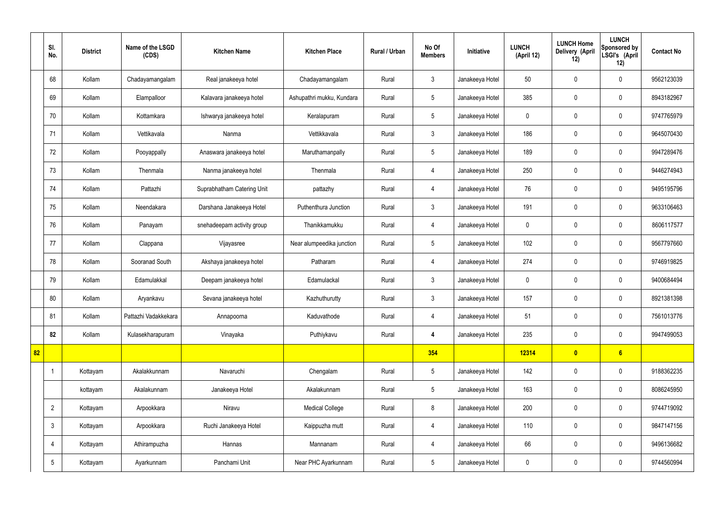|    | SI.<br>No.      | <b>District</b> | Name of the LSGD<br>(CDS) | <b>Kitchen Name</b>        | <b>Kitchen Place</b>      | Rural / Urban | No Of<br><b>Members</b> | Initiative      | <b>LUNCH</b><br>(April 12) | <b>LUNCH Home</b><br>Delivery (April<br>12) | <b>LUNCH</b><br>Sponsored by<br>LSGI's (April<br>12) | <b>Contact No</b> |
|----|-----------------|-----------------|---------------------------|----------------------------|---------------------------|---------------|-------------------------|-----------------|----------------------------|---------------------------------------------|------------------------------------------------------|-------------------|
|    | 68              | Kollam          | Chadayamangalam           | Real janakeeya hotel       | Chadayamangalam           | Rural         | $\mathbf{3}$            | Janakeeya Hotel | 50                         | $\mathbf 0$                                 | $\mathbf 0$                                          | 9562123039        |
|    | 69              | Kollam          | Elampalloor               | Kalavara janakeeya hotel   | Ashupathri mukku, Kundara | Rural         | $5\phantom{.0}$         | Janakeeya Hotel | 385                        | $\mathbf 0$                                 | $\mathbf 0$                                          | 8943182967        |
|    | 70              | Kollam          | Kottamkara                | Ishwarya janakeeya hotel   | Keralapuram               | Rural         | $5\overline{)}$         | Janakeeya Hotel | $\mathbf 0$                | $\mathbf 0$                                 | $\mathbf 0$                                          | 9747765979        |
|    | 71              | Kollam          | Vettikavala               | Nanma                      | Vettikkavala              | Rural         | $\mathbf{3}$            | Janakeeya Hotel | 186                        | $\mathbf 0$                                 | $\mathbf 0$                                          | 9645070430        |
|    | 72              | Kollam          | Pooyappally               | Anaswara janakeeya hotel   | Maruthamanpally           | Rural         | $5\overline{)}$         | Janakeeya Hotel | 189                        | $\mathbf 0$                                 | $\mathbf 0$                                          | 9947289476        |
|    | 73              | Kollam          | Thenmala                  | Nanma janakeeya hotel      | Thenmala                  | Rural         | $\overline{4}$          | Janakeeya Hotel | 250                        | $\mathbf 0$                                 | $\mathbf 0$                                          | 9446274943        |
|    | 74              | Kollam          | Pattazhi                  | Suprabhatham Catering Unit | pattazhy                  | Rural         | $\overline{4}$          | Janakeeya Hotel | 76                         | $\mathbf 0$                                 | $\mathbf 0$                                          | 9495195796        |
|    | 75              | Kollam          | Neendakara                | Darshana Janakeeya Hotel   | Puthenthura Junction      | Rural         | $\mathbf{3}$            | Janakeeya Hotel | 191                        | $\mathbf 0$                                 | $\mathbf 0$                                          | 9633106463        |
|    | 76              | Kollam          | Panayam                   | snehadeepam activity group | Thanikkamukku             | Rural         | $\overline{4}$          | Janakeeya Hotel | $\mathbf 0$                | $\mathbf 0$                                 | $\mathbf 0$                                          | 8606117577        |
|    | 77              | Kollam          | Clappana                  | Vijayasree                 | Near alumpeedika junction | Rural         | $5\phantom{.0}$         | Janakeeya Hotel | 102                        | $\mathbf 0$                                 | $\mathbf 0$                                          | 9567797660        |
|    | 78              | Kollam          | Sooranad South            | Akshaya janakeeya hotel    | Patharam                  | Rural         | $\overline{4}$          | Janakeeya Hotel | 274                        | $\mathbf 0$                                 | $\mathbf 0$                                          | 9746919825        |
|    | 79              | Kollam          | Edamulakkal               | Deepam janakeeya hotel     | Edamulackal               | Rural         | $\mathbf{3}$            | Janakeeya Hotel | $\mathbf 0$                | $\mathbf 0$                                 | $\mathbf 0$                                          | 9400684494        |
|    | 80              | Kollam          | Aryankavu                 | Sevana janakeeya hotel     | Kazhuthurutty             | Rural         | $\mathbf{3}$            | Janakeeya Hotel | 157                        | $\mathbf 0$                                 | $\mathbf 0$                                          | 8921381398        |
|    | 81              | Kollam          | Pattazhi Vadakkekara      | Annapoorna                 | Kaduvathode               | Rural         | 4                       | Janakeeya Hotel | 51                         | $\pmb{0}$                                   | $\mathbf 0$                                          | 7561013776        |
|    | 82              | Kollam          | Kulasekharapuram          | Vinayaka                   | Puthiykavu                | Rural         | 4                       | Janakeeya Hotel | 235                        | $\pmb{0}$                                   | $\mathbf 0$                                          | 9947499053        |
| 82 |                 |                 |                           |                            |                           |               | 354                     |                 | 12314                      | $\bullet$                                   | $6\phantom{a}$                                       |                   |
|    |                 | Kottayam        | Akalakkunnam              | Navaruchi                  | Chengalam                 | Rural         | $5\,$                   | Janakeeya Hotel | 142                        | $\pmb{0}$                                   | $\mathbf 0$                                          | 9188362235        |
|    |                 | kottayam        | Akalakunnam               | Janakeeya Hotel            | Akalakunnam               | Rural         | $5\phantom{.0}$         | Janakeeya Hotel | 163                        | $\pmb{0}$                                   | $\mathbf 0$                                          | 8086245950        |
|    | $\overline{2}$  | Kottayam        | Arpookkara                | Niravu                     | <b>Medical College</b>    | Rural         | 8                       | Janakeeya Hotel | 200                        | $\pmb{0}$                                   | $\mathbf 0$                                          | 9744719092        |
|    | $\mathbf{3}$    | Kottayam        | Arpookkara                | Ruchi Janakeeya Hotel      | Kaippuzha mutt            | Rural         | $\overline{4}$          | Janakeeya Hotel | 110                        | $\pmb{0}$                                   | $\mathbf 0$                                          | 9847147156        |
|    | $\overline{4}$  | Kottayam        | Athirampuzha              | Hannas                     | Mannanam                  | Rural         | 4                       | Janakeeya Hotel | 66                         | $\pmb{0}$                                   | $\mathbf 0$                                          | 9496136682        |
|    | $5\phantom{.0}$ | Kottayam        | Ayarkunnam                | Panchami Unit              | Near PHC Ayarkunnam       | Rural         | $5\overline{)}$         | Janakeeya Hotel | $\pmb{0}$                  | $\pmb{0}$                                   | $\boldsymbol{0}$                                     | 9744560994        |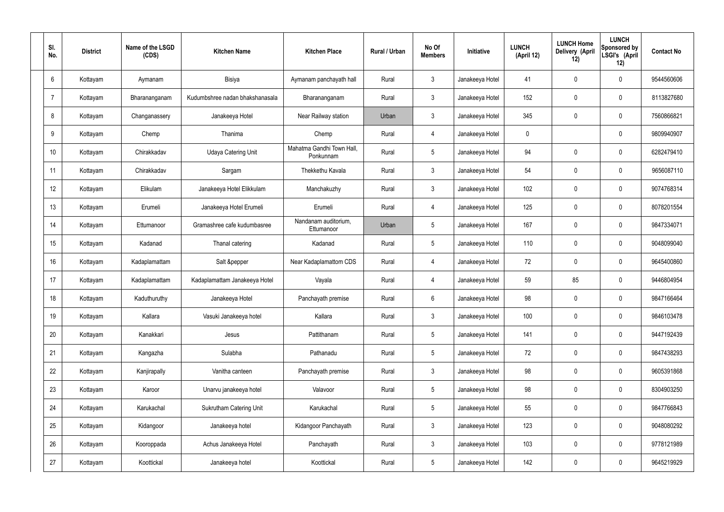| SI.<br>No. | <b>District</b> | Name of the LSGD<br>(CDS) | <b>Kitchen Name</b>             | <b>Kitchen Place</b>                   | Rural / Urban | No Of<br><b>Members</b> | Initiative      | <b>LUNCH</b><br>(April 12) | <b>LUNCH Home</b><br>Delivery (April<br>12) | <b>LUNCH</b><br>Sponsored by<br>LSGI's (April<br>12) | <b>Contact No</b> |
|------------|-----------------|---------------------------|---------------------------------|----------------------------------------|---------------|-------------------------|-----------------|----------------------------|---------------------------------------------|------------------------------------------------------|-------------------|
| 6          | Kottayam        | Aymanam                   | Bisiya                          | Aymanam panchayath hall                | Rural         | $\mathfrak{Z}$          | Janakeeya Hotel | 41                         | 0                                           | $\mathbf 0$                                          | 9544560606        |
| 7          | Kottayam        | Bharananganam             | Kudumbshree nadan bhakshanasala | Bharananganam                          | Rural         | $\mathbf{3}$            | Janakeeya Hotel | 152                        | 0                                           | $\mathbf 0$                                          | 8113827680        |
| 8          | Kottayam        | Changanassery             | Janakeeya Hotel                 | Near Railway station                   | Urban         | $\mathbf{3}$            | Janakeeya Hotel | 345                        | $\mathbf 0$                                 | $\mathbf 0$                                          | 7560866821        |
| 9          | Kottayam        | Chemp                     | Thanima                         | Chemp                                  | Rural         | $\overline{4}$          | Janakeeya Hotel | $\mathbf 0$                |                                             | $\mathbf 0$                                          | 9809940907        |
| 10         | Kottayam        | Chirakkadav               | <b>Udaya Catering Unit</b>      | Mahatma Gandhi Town Hall,<br>Ponkunnam | Rural         | $5\overline{)}$         | Janakeeya Hotel | 94                         | 0                                           | $\mathbf 0$                                          | 6282479410        |
| 11         | Kottayam        | Chirakkadav               | Sargam                          | Thekkethu Kavala                       | Rural         | $\mathbf{3}$            | Janakeeya Hotel | 54                         | 0                                           | $\mathbf 0$                                          | 9656087110        |
| 12         | Kottayam        | Elikulam                  | Janakeeya Hotel Elikkulam       | Manchakuzhy                            | Rural         | $\mathbf{3}$            | Janakeeya Hotel | 102                        | $\mathbf 0$                                 | $\mathbf 0$                                          | 9074768314        |
| 13         | Kottayam        | Erumeli                   | Janakeeya Hotel Erumeli         | Erumeli                                | Rural         | $\overline{4}$          | Janakeeya Hotel | 125                        | 0                                           | $\mathbf 0$                                          | 8078201554        |
| 14         | Kottayam        | Ettumanoor                | Gramashree cafe kudumbasree     | Nandanam auditorium,<br>Ettumanoor     | Urban         | $5\overline{)}$         | Janakeeya Hotel | 167                        | 0                                           | $\mathbf 0$                                          | 9847334071        |
| 15         | Kottayam        | Kadanad                   | Thanal catering                 | Kadanad                                | Rural         | $5\phantom{.0}$         | Janakeeya Hotel | 110                        | 0                                           | $\mathbf 0$                                          | 9048099040        |
| 16         | Kottayam        | Kadaplamattam             | Salt &pepper                    | Near Kadaplamattom CDS                 | Rural         | 4                       | Janakeeya Hotel | 72                         | $\mathbf 0$                                 | $\mathbf 0$                                          | 9645400860        |
| 17         | Kottayam        | Kadaplamattam             | Kadaplamattam Janakeeya Hotel   | Vayala                                 | Rural         | 4                       | Janakeeya Hotel | 59                         | 85                                          | $\mathbf 0$                                          | 9446804954        |
| 18         | Kottayam        | Kaduthuruthy              | Janakeeya Hotel                 | Panchayath premise                     | Rural         | 6                       | Janakeeya Hotel | 98                         | 0                                           | $\mathbf 0$                                          | 9847166464        |
| 19         | Kottayam        | Kallara                   | Vasuki Janakeeya hotel          | Kallara                                | Rural         | $\mathbf{3}$            | Janakeeya Hotel | 100                        | $\mathsf{0}$                                | $\mathbf 0$                                          | 9846103478        |
| 20         | Kottayam        | Kanakkari                 | Jesus                           | Pattithanam                            | Rural         | $5\phantom{.0}$         | Janakeeya Hotel | 141                        | $\mathsf{0}$                                | $\mathbf 0$                                          | 9447192439        |
| 21         | Kottayam        | Kangazha                  | Sulabha                         | Pathanadu                              | Rural         | $5\phantom{.0}$         | Janakeeya Hotel | 72                         | $\mathbf 0$                                 | $\mathbf 0$                                          | 9847438293        |
| 22         | Kottayam        | Kanjirapally              | Vanitha canteen                 | Panchayath premise                     | Rural         | $\mathfrak{Z}$          | Janakeeya Hotel | 98                         | 0                                           | $\mathbf 0$                                          | 9605391868        |
| 23         | Kottayam        | Karoor                    | Unarvu janakeeya hotel          | Valavoor                               | Rural         | $5\phantom{.0}$         | Janakeeya Hotel | 98                         | 0                                           | $\mathbf 0$                                          | 8304903250        |
| 24         | Kottayam        | Karukachal                | Sukrutham Catering Unit         | Karukachal                             | Rural         | $5\phantom{.0}$         | Janakeeya Hotel | 55                         | 0                                           | $\mathbf 0$                                          | 9847766843        |
| 25         | Kottayam        | Kidangoor                 | Janakeeya hotel                 | Kidangoor Panchayath                   | Rural         | $\mathfrak{Z}$          | Janakeeya Hotel | 123                        | 0                                           | $\mathbf 0$                                          | 9048080292        |
| 26         | Kottayam        | Kooroppada                | Achus Janakeeya Hotel           | Panchayath                             | Rural         | $\mathfrak{Z}$          | Janakeeya Hotel | 103                        | 0                                           | $\mathbf 0$                                          | 9778121989        |
| 27         | Kottayam        | Koottickal                | Janakeeya hotel                 | Koottickal                             | Rural         | $5\,$                   | Janakeeya Hotel | 142                        | 0                                           | $\boldsymbol{0}$                                     | 9645219929        |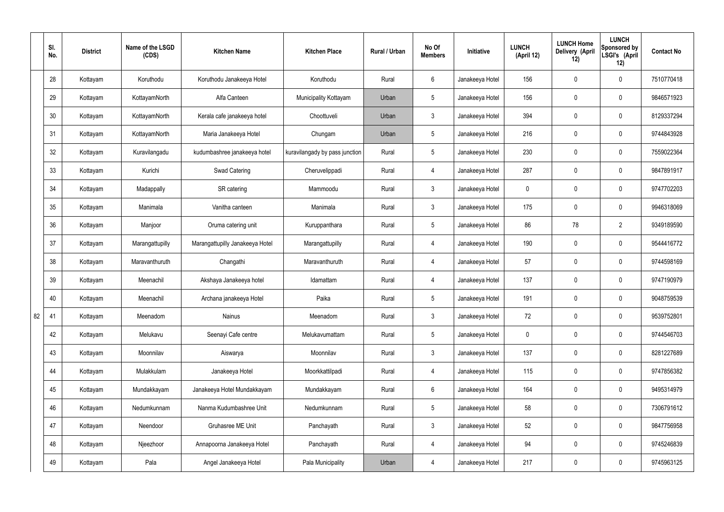|    | SI.<br>No. | <b>District</b> | Name of the LSGD<br>(CDS) | <b>Kitchen Name</b>             | <b>Kitchen Place</b>           | Rural / Urban | No Of<br><b>Members</b> | Initiative      | <b>LUNCH</b><br>(April 12) | <b>LUNCH Home</b><br>Delivery (April<br>12) | <b>LUNCH</b><br>Sponsored by<br>LSGI's (April<br>12) | <b>Contact No</b> |
|----|------------|-----------------|---------------------------|---------------------------------|--------------------------------|---------------|-------------------------|-----------------|----------------------------|---------------------------------------------|------------------------------------------------------|-------------------|
|    | 28         | Kottayam        | Koruthodu                 | Koruthodu Janakeeya Hotel       | Koruthodu                      | Rural         | $6\overline{6}$         | Janakeeya Hotel | 156                        | $\mathbf 0$                                 | $\mathbf 0$                                          | 7510770418        |
|    | 29         | Kottayam        | KottayamNorth             | Alfa Canteen                    | Municipality Kottayam          | Urban         | $5\overline{)}$         | Janakeeya Hotel | 156                        | $\mathbf 0$                                 | $\mathbf 0$                                          | 9846571923        |
|    | 30         | Kottayam        | KottayamNorth             | Kerala cafe janakeeya hotel     | Choottuveli                    | Urban         | $\mathbf{3}$            | Janakeeya Hotel | 394                        | $\mathbf 0$                                 | $\mathbf 0$                                          | 8129337294        |
|    | 31         | Kottayam        | KottayamNorth             | Maria Janakeeya Hotel           | Chungam                        | Urban         | $5\phantom{.0}$         | Janakeeya Hotel | 216                        | $\mathbf 0$                                 | $\mathbf 0$                                          | 9744843928        |
|    | 32         | Kottayam        | Kuravilangadu             | kudumbashree janakeeya hotel    | kuravilangady by pass junction | Rural         | $5\phantom{.0}$         | Janakeeya Hotel | 230                        | $\mathbf 0$                                 | $\mathbf 0$                                          | 7559022364        |
|    | 33         | Kottayam        | Kurichi                   | <b>Swad Catering</b>            | Cheruvelippadi                 | Rural         | $\overline{4}$          | Janakeeya Hotel | 287                        | $\mathbf 0$                                 | $\mathbf 0$                                          | 9847891917        |
|    | 34         | Kottayam        | Madappally                | SR catering                     | Mammoodu                       | Rural         | $\mathbf{3}$            | Janakeeya Hotel | $\mathbf 0$                | $\mathbf 0$                                 | $\mathbf 0$                                          | 9747702203        |
|    | 35         | Kottayam        | Manimala                  | Vanitha canteen                 | Manimala                       | Rural         | $\mathbf{3}$            | Janakeeya Hotel | 175                        | $\mathbf 0$                                 | $\mathbf 0$                                          | 9946318069        |
|    | 36         | Kottayam        | Manjoor                   | Oruma catering unit             | Kuruppanthara                  | Rural         | $5\phantom{.0}$         | Janakeeya Hotel | 86                         | 78                                          | $\overline{2}$                                       | 9349189590        |
|    | 37         | Kottayam        | Marangattupilly           | Marangattupilly Janakeeya Hotel | Marangattupilly                | Rural         | 4                       | Janakeeya Hotel | 190                        | $\mathbf 0$                                 | $\mathbf 0$                                          | 9544416772        |
|    | 38         | Kottayam        | Maravanthuruth            | Changathi                       | Maravanthuruth                 | Rural         | 4                       | Janakeeya Hotel | 57                         | 0                                           | $\mathbf 0$                                          | 9744598169        |
|    | 39         | Kottayam        | Meenachil                 | Akshaya Janakeeya hotel         | Idamattam                      | Rural         | 4                       | Janakeeya Hotel | 137                        | $\mathbf 0$                                 | $\mathbf 0$                                          | 9747190979        |
|    | 40         | Kottayam        | Meenachil                 | Archana janakeeya Hotel         | Paika                          | Rural         | $5\overline{)}$         | Janakeeya Hotel | 191                        | $\mathbf 0$                                 | $\mathbf 0$                                          | 9048759539        |
| 82 | 41         | Kottayam        | Meenadom                  | Nainus                          | Meenadom                       | Rural         | $\mathbf{3}$            | Janakeeya Hotel | 72                         | $\pmb{0}$                                   | $\mathbf 0$                                          | 9539752801        |
|    | 42         | Kottayam        | Melukavu                  | Seenayi Cafe centre             | Melukavumattam                 | Rural         | $5\overline{)}$         | Janakeeya Hotel | $\mathbf 0$                | $\pmb{0}$                                   | $\mathbf 0$                                          | 9744546703        |
|    | 43         | Kottayam        | Moonnilav                 | Aiswarya                        | Moonnilav                      | Rural         | 3                       | Janakeeya Hotel | 137                        | 0                                           | $\mathbf 0$                                          | 8281227689        |
|    | 44         | Kottayam        | Mulakkulam                | Janakeeya Hotel                 | Moorkkattilpadi                | Rural         | $\overline{4}$          | Janakeeya Hotel | 115                        | 0                                           | $\mathbf 0$                                          | 9747856382        |
|    | 45         | Kottayam        | Mundakkayam               | Janakeeya Hotel Mundakkayam     | Mundakkayam                    | Rural         | $6\overline{6}$         | Janakeeya Hotel | 164                        | 0                                           | $\mathbf 0$                                          | 9495314979        |
|    | 46         | Kottayam        | Nedumkunnam               | Nanma Kudumbashree Unit         | Nedumkunnam                    | Rural         | $5\phantom{.0}$         | Janakeeya Hotel | 58                         | 0                                           | $\mathbf 0$                                          | 7306791612        |
|    | 47         | Kottayam        | Neendoor                  | Gruhasree ME Unit               | Panchayath                     | Rural         | $\mathbf{3}$            | Janakeeya Hotel | 52                         | 0                                           | $\mathbf 0$                                          | 9847756958        |
|    | 48         | Kottayam        | Njeezhoor                 | Annapoorna Janakeeya Hotel      | Panchayath                     | Rural         | $\overline{4}$          | Janakeeya Hotel | 94                         | 0                                           | $\mathbf 0$                                          | 9745246839        |
|    | 49         | Kottayam        | Pala                      | Angel Janakeeya Hotel           | Pala Municipality              | Urban         | 4                       | Janakeeya Hotel | 217                        | 0                                           | $\overline{0}$                                       | 9745963125        |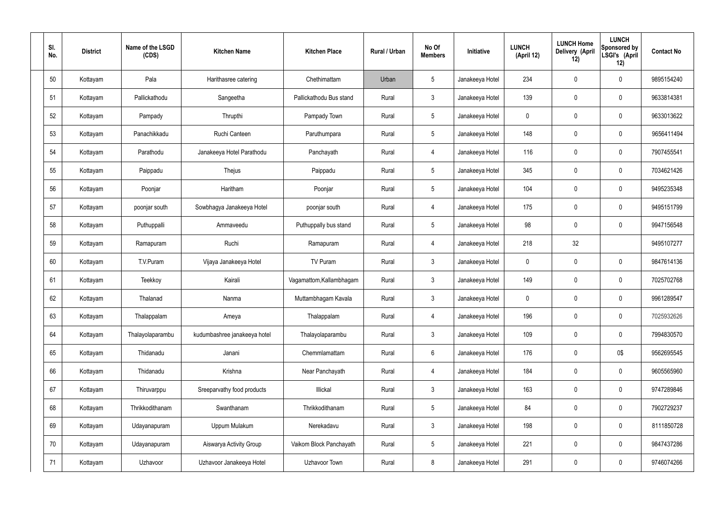| SI.<br>No. | <b>District</b> | Name of the LSGD<br>(CDS) | <b>Kitchen Name</b>          | <b>Kitchen Place</b>     | Rural / Urban | No Of<br><b>Members</b> | Initiative      | <b>LUNCH</b><br>(April 12) | <b>LUNCH Home</b><br>Delivery (April<br>12) | <b>LUNCH</b><br>Sponsored by<br>LSGI's (April<br>12) | <b>Contact No</b> |
|------------|-----------------|---------------------------|------------------------------|--------------------------|---------------|-------------------------|-----------------|----------------------------|---------------------------------------------|------------------------------------------------------|-------------------|
| 50         | Kottayam        | Pala                      | Harithasree catering         | Chethimattam             | Urban         | $5\phantom{.0}$         | Janakeeya Hotel | 234                        | $\mathbf 0$                                 | $\mathbf 0$                                          | 9895154240        |
| 51         | Kottayam        | Pallickathodu             | Sangeetha                    | Pallickathodu Bus stand  | Rural         | $\mathbf{3}$            | Janakeeya Hotel | 139                        | $\mathbf 0$                                 | $\mathbf 0$                                          | 9633814381        |
| 52         | Kottayam        | Pampady                   | Thrupthi                     | Pampady Town             | Rural         | $5\phantom{.0}$         | Janakeeya Hotel | $\mathbf 0$                | $\mathbf 0$                                 | $\mathbf 0$                                          | 9633013622        |
| 53         | Kottayam        | Panachikkadu              | Ruchi Canteen                | Paruthumpara             | Rural         | $5\phantom{.0}$         | Janakeeya Hotel | 148                        | $\mathbf 0$                                 | $\mathbf 0$                                          | 9656411494        |
| 54         | Kottayam        | Parathodu                 | Janakeeya Hotel Parathodu    | Panchayath               | Rural         | 4                       | Janakeeya Hotel | 116                        | $\boldsymbol{0}$                            | $\mathbf 0$                                          | 7907455541        |
| 55         | Kottayam        | Paippadu                  | Thejus                       | Paippadu                 | Rural         | $5\phantom{.0}$         | Janakeeya Hotel | 345                        | $\boldsymbol{0}$                            | $\pmb{0}$                                            | 7034621426        |
| 56         | Kottayam        | Poonjar                   | Haritham                     | Poonjar                  | Rural         | $5\phantom{.0}$         | Janakeeya Hotel | 104                        | $\boldsymbol{0}$                            | $\mathbf 0$                                          | 9495235348        |
| 57         | Kottayam        | poonjar south             | Sowbhagya Janakeeya Hotel    | poonjar south            | Rural         | $\overline{4}$          | Janakeeya Hotel | 175                        | $\mathbf 0$                                 | $\mathbf 0$                                          | 9495151799        |
| 58         | Kottayam        | Puthuppalli               | Ammaveedu                    | Puthuppally bus stand    | Rural         | $5\phantom{.0}$         | Janakeeya Hotel | 98                         | $\mathbf 0$                                 | $\mathbf 0$                                          | 9947156548        |
| 59         | Kottayam        | Ramapuram                 | Ruchi                        | Ramapuram                | Rural         | $\overline{4}$          | Janakeeya Hotel | 218                        | 32                                          |                                                      | 9495107277        |
| 60         | Kottayam        | T.V.Puram                 | Vijaya Janakeeya Hotel       | TV Puram                 | Rural         | $\mathbf{3}$            | Janakeeya Hotel | $\mathbf 0$                | $\boldsymbol{0}$                            | $\mathbf 0$                                          | 9847614136        |
| 61         | Kottayam        | Teekkoy                   | Kairali                      | Vagamattom, Kallambhagam | Rural         | $\mathbf{3}$            | Janakeeya Hotel | 149                        | 0                                           | $\boldsymbol{0}$                                     | 7025702768        |
| 62         | Kottayam        | Thalanad                  | Nanma                        | Muttambhagam Kavala      | Rural         | $\mathbf{3}$            | Janakeeya Hotel | $\mathbf 0$                | $\mathbf 0$                                 | $\mathbf 0$                                          | 9961289547        |
| 63         | Kottayam        | Thalappalam               | Ameya                        | Thalappalam              | Rural         | $\overline{4}$          | Janakeeya Hotel | 196                        | $\mathbf 0$                                 | $\mathbf 0$                                          | 7025932626        |
| 64         | Kottayam        | Thalayolaparambu          | kudumbashree janakeeya hotel | Thalayolaparambu         | Rural         | $\mathbf{3}$            | Janakeeya Hotel | 109                        | $\mathbf 0$                                 | $\pmb{0}$                                            | 7994830570        |
| 65         | Kottayam        | Thidanadu                 | Janani                       | Chemmlamattam            | Rural         | $6\overline{6}$         | Janakeeya Hotel | 176                        | $\boldsymbol{0}$                            | 0\$                                                  | 9562695545        |
| 66         | Kottayam        | Thidanadu                 | Krishna                      | Near Panchayath          | Rural         | $\overline{4}$          | Janakeeya Hotel | 184                        | $\mathbf 0$                                 | $\pmb{0}$                                            | 9605565960        |
| 67         | Kottayam        | Thiruvarppu               | Sreeparvathy food products   | Illickal                 | Rural         | $\mathbf{3}$            | Janakeeya Hotel | 163                        | $\boldsymbol{0}$                            | $\boldsymbol{0}$                                     | 9747289846        |
| 68         | Kottayam        | Thrikkodithanam           | Swanthanam                   | Thrikkodithanam          | Rural         | $5\phantom{.0}$         | Janakeeya Hotel | 84                         | $\mathbf 0$                                 | $\pmb{0}$                                            | 7902729237        |
| 69         | Kottayam        | Udayanapuram              | Uppum Mulakum                | Nerekadavu               | Rural         | $\mathbf{3}$            | Janakeeya Hotel | 198                        | $\mathbf 0$                                 | $\mathbf 0$                                          | 8111850728        |
| 70         | Kottayam        | Udayanapuram              | Aiswarya Activity Group      | Vaikom Block Panchayath  | Rural         | $5\phantom{.0}$         | Janakeeya Hotel | 221                        | $\mathbf 0$                                 | $\pmb{0}$                                            | 9847437286        |
| 71         | Kottayam        | Uzhavoor                  | Uzhavoor Janakeeya Hotel     | Uzhavoor Town            | Rural         | 8                       | Janakeeya Hotel | 291                        | $\boldsymbol{0}$                            | $\pmb{0}$                                            | 9746074266        |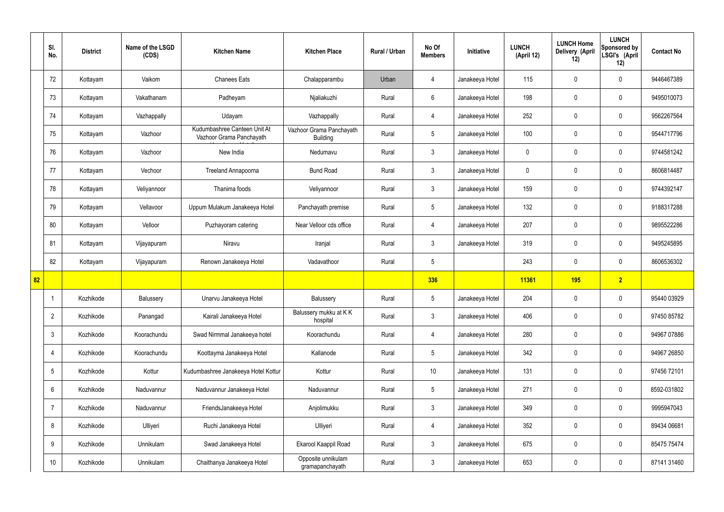|    | SI.<br>No.      | <b>District</b> | Name of the LSGD<br>(CDS) | <b>Kitchen Name</b>                                      | <b>Kitchen Place</b>                        | Rural / Urban | No Of<br><b>Members</b> | Initiative      | <b>LUNCH</b><br>(April 12) | <b>LUNCH Home</b><br>Delivery (April<br>12) | <b>LUNCH</b><br>Sponsored by<br>LSGI's (April<br>12) | <b>Contact No</b> |
|----|-----------------|-----------------|---------------------------|----------------------------------------------------------|---------------------------------------------|---------------|-------------------------|-----------------|----------------------------|---------------------------------------------|------------------------------------------------------|-------------------|
|    | 72              | Kottayam        | Vaikom                    | <b>Chanees Eats</b>                                      | Chalapparambu                               | Urban         | $\overline{4}$          | Janakeeya Hotel | 115                        | $\mathbf 0$                                 | $\mathbf 0$                                          | 9446467389        |
|    | 73              | Kottayam        | Vakathanam                | Padheyam                                                 | Njaliakuzhi                                 | Rural         | $6\overline{6}$         | Janakeeya Hotel | 198                        | $\mathbf 0$                                 | $\mathbf 0$                                          | 9495010073        |
|    | 74              | Kottayam        | Vazhappally               | Udayam                                                   | Vazhappally                                 | Rural         | 4                       | Janakeeya Hotel | 252                        | $\mathbf 0$                                 | $\mathbf 0$                                          | 9562267564        |
|    | 75              | Kottayam        | Vazhoor                   | Kudumbashree Canteen Unit At<br>Vazhoor Grama Panchayath | Vazhoor Grama Panchayath<br><b>Building</b> | Rural         | $5\overline{)}$         | Janakeeya Hotel | 100                        | $\mathbf 0$                                 | $\mathbf 0$                                          | 9544717796        |
|    | 76              | Kottayam        | Vazhoor                   | New India                                                | Nedumavu                                    | Rural         | $\mathbf{3}$            | Janakeeya Hotel | $\mathbf 0$                | $\mathbf 0$                                 | $\mathbf 0$                                          | 9744581242        |
|    | 77              | Kottayam        | Vechoor                   | Treeland Annapoorna                                      | <b>Bund Road</b>                            | Rural         | $\mathbf{3}$            | Janakeeya Hotel | $\mathbf 0$                | $\mathbf 0$                                 | $\mathbf 0$                                          | 8606814487        |
|    | 78              | Kottayam        | Veliyannoor               | Thanima foods                                            | Veliyannoor                                 | Rural         | $\mathbf{3}$            | Janakeeya Hotel | 159                        | $\mathbf 0$                                 | $\mathbf 0$                                          | 9744392147        |
|    | 79              | Kottayam        | Vellavoor                 | Uppum Mulakum Janakeeya Hotel                            | Panchayath premise                          | Rural         | $5\overline{)}$         | Janakeeya Hotel | 132                        | $\mathbf 0$                                 | $\mathbf 0$                                          | 9188317288        |
|    | 80              | Kottayam        | Velloor                   | Puzhayoram catering                                      | Near Velloor cds office                     | Rural         | 4                       | Janakeeya Hotel | 207                        | $\mathbf 0$                                 | $\mathbf 0$                                          | 9895522286        |
|    | 81              | Kottayam        | Vijayapuram               | Niravu                                                   | Iranjal                                     | Rural         | $\mathbf{3}$            | Janakeeya Hotel | 319                        | $\mathbf 0$                                 | $\mathbf 0$                                          | 9495245895        |
|    | 82              | Kottayam        | Vijayapuram               | Renown Janakeeya Hotel                                   | Vadavathoor                                 | Rural         | $5\overline{)}$         |                 | 243                        | $\mathbf 0$                                 | $\mathbf 0$                                          | 8606536302        |
| 82 |                 |                 |                           |                                                          |                                             |               | 336                     |                 | 11361                      | 195                                         | $\overline{2}$                                       |                   |
|    |                 | Kozhikode       | Balussery                 | Unarvu Janakeeya Hotel                                   | Balussery                                   | Rural         | $5\overline{)}$         | Janakeeya Hotel | 204                        | $\mathbf 0$                                 | $\mathbf 0$                                          | 95440 03929       |
|    | $\overline{2}$  | Kozhikode       | Panangad                  | Kairali Janakeeya Hotel                                  | Balussery mukku at KK<br>hospital           | Rural         | 3 <sup>1</sup>          | Janakeeya Hotel | 406                        | 0                                           | $\mathbf 0$                                          | 97450 85782       |
|    | $\mathfrak{Z}$  | Kozhikode       | Koorachundu               | Swad Nirmmal Janakeeya hotel                             | Koorachundu                                 | Rural         | $\overline{4}$          | Janakeeya Hotel | 280                        | 0                                           | $\mathbf 0$                                          | 94967 07886       |
|    | 4               | Kozhikode       | Koorachundu               | Koottayma Janakeeya Hotel                                | Kallanode                                   | Rural         | 5 <sub>5</sub>          | Janakeeya Hotel | 342                        | 0                                           | $\mathbf 0$                                          | 94967 26850       |
|    | 5               | Kozhikode       | Kottur                    | Kudumbashree Janakeeya Hotel Kottur                      | Kottur                                      | Rural         | $10$                    | Janakeeya Hotel | 131                        | 0                                           | $\mathbf 0$                                          | 97456 72101       |
|    | 6               | Kozhikode       | Naduvannur                | Naduvannur Janakeeya Hotel                               | Naduvannur                                  | Rural         | 5 <sub>5</sub>          | Janakeeya Hotel | 271                        | 0                                           | $\mathbf 0$                                          | 8592-031802       |
|    | $\overline{7}$  | Kozhikode       | Naduvannur                | FriendsJanakeeya Hotel                                   | Anjolimukku                                 | Rural         | $\mathbf{3}$            | Janakeeya Hotel | 349                        | 0                                           | $\mathbf 0$                                          | 9995947043        |
|    | 8               | Kozhikode       | Ulliyeri                  | Ruchi Janakeeya Hotel                                    | Ulliyeri                                    | Rural         | $\overline{4}$          | Janakeeya Hotel | 352                        | 0                                           | $\mathbf 0$                                          | 89434 06681       |
|    | 9               | Kozhikode       | Unnikulam                 | Swad Janakeeya Hotel                                     | Ekarool Kaappil Road                        | Rural         | $\mathbf{3}$            | Janakeeya Hotel | 675                        | $\pmb{0}$                                   | $\mathbf 0$                                          | 85475 75474       |
|    | 10 <sup>°</sup> | Kozhikode       | Unnikulam                 | Chaithanya Janakeeya Hotel                               | Opposite unnikulam<br>gramapanchayath       | Rural         | $\mathfrak{Z}$          | Janakeeya Hotel | 653                        | $\pmb{0}$                                   | $\boldsymbol{0}$                                     | 87141 31460       |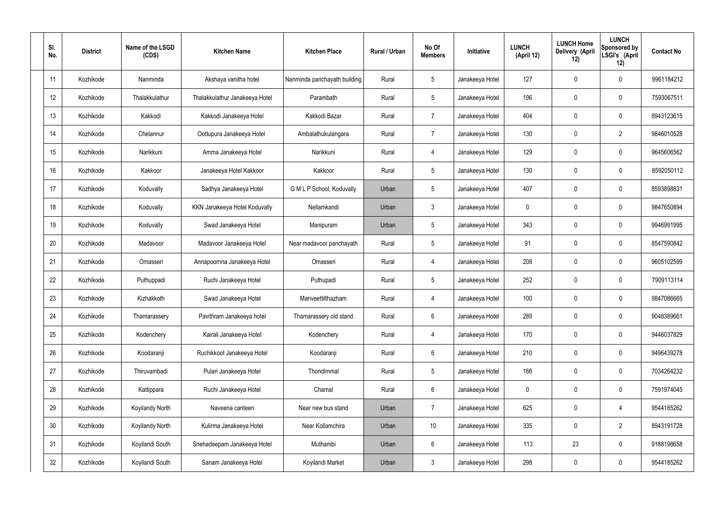| SI.<br>No. | <b>District</b> | Name of the LSGD<br>(CDS) | <b>Kitchen Name</b>            | <b>Kitchen Place</b>         | Rural / Urban | No Of<br><b>Members</b> | Initiative      | <b>LUNCH</b><br>(April 12) | <b>LUNCH Home</b><br>Delivery (April<br>12) | <b>LUNCH</b><br>Sponsored by<br>LSGI's (April<br>12) | <b>Contact No</b> |
|------------|-----------------|---------------------------|--------------------------------|------------------------------|---------------|-------------------------|-----------------|----------------------------|---------------------------------------------|------------------------------------------------------|-------------------|
| 11         | Kozhikode       | Nanminda                  | Akshaya vanitha hotel          | Nanminda panchayath building | Rural         | $5\phantom{.0}$         | Janakeeya Hotel | 127                        | 0                                           | 0                                                    | 9961184212        |
| 12         | Kozhikode       | Thalakkulathur            | Thalakkulathur Janakeeya Hotel | Parambath                    | Rural         | $5\phantom{.0}$         | Janakeeya Hotel | 196                        | 0                                           | $\mathbf 0$                                          | 7593067511        |
| 13         | Kozhikode       | Kakkodi                   | Kakkodi Janakeeya Hotel        | Kakkodi Bazar                | Rural         | $\overline{7}$          | Janakeeya Hotel | 404                        | 0                                           | $\mathbf 0$                                          | 8943123615        |
| 14         | Kozhikode       | Chelannur                 | Oottupura Janakeeya Hotel      | Ambalathukulangara           | Rural         | $\overline{7}$          | Janakeeya Hotel | 130                        | 0                                           | $\overline{2}$                                       | 9846010528        |
| 15         | Kozhikode       | Narikkuni                 | Amma Janakeeya Hotel           | Narikkuni                    | Rural         | 4                       | Janakeeya Hotel | 129                        | 0                                           | $\mathbf 0$                                          | 9645606562        |
| 16         | Kozhikode       | Kakkoor                   | Janakeeya Hotel Kakkoor        | Kakkoor                      | Rural         | $5\phantom{.0}$         | Janakeeya Hotel | 130                        | 0                                           | $\mathbf 0$                                          | 8592050112        |
| 17         | Kozhikode       | Koduvally                 | Sadhya Janakeeya Hotel         | G M L P School, Koduvally    | Urban         | $5\phantom{.0}$         | Janakeeya Hotel | 407                        | 0                                           | $\mathbf 0$                                          | 8593898831        |
| 18         | Kozhikode       | Koduvally                 | KKN Janakeeya Hotel Koduvally  | Nellamkandi                  | Urban         | $\mathbf{3}$            | Janakeeya Hotel | $\mathbf 0$                | 0                                           | $\mathbf 0$                                          | 9847650894        |
| 19         | Kozhikode       | Koduvally                 | Swad Janakeeya Hotel           | Manipuram                    | Urban         | $5\phantom{.0}$         | Janakeeya Hotel | 343                        | $\boldsymbol{0}$                            | $\mathbf 0$                                          | 9946991995        |
| 20         | Kozhikode       | Madavoor                  | Madavoor Janakeeya Hotel       | Near madavoor panchayath     | Rural         | $5\phantom{.0}$         | Janakeeya Hotel | 91                         | 0                                           | $\mathbf 0$                                          | 8547590842        |
| 21         | Kozhikode       | Omasseri                  | Annapoornna Janakeeya Hotel    | Omasseri                     | Rural         | 4                       | Janakeeya Hotel | 208                        | $\mathbf 0$                                 | $\mathbf 0$                                          | 9605102599        |
| 22         | Kozhikode       | Puthuppadi                | Ruchi Janakeeya Hotel          | Puthupadi                    | Rural         | $5\phantom{.0}$         | Janakeeya Hotel | 252                        | 0                                           | $\mathbf 0$                                          | 7909113114        |
| 23         | Kozhikode       | Kizhakkoth                | Swad Janakeeya Hotel           | Mariveettilthazham           | Rural         | 4                       | Janakeeya Hotel | 100                        | $\mathbf 0$                                 | 0                                                    | 9847086665        |
| 24         | Kozhikode       | Thamarassery              | Pavithram Janakeeya hotel      | Thamarassery old stand       | Rural         | $6\,$                   | Janakeeya Hotel | 289                        | 0                                           | $\pmb{0}$                                            | 9048389661        |
| 25         | Kozhikode       | Kodenchery                | Kairali Janakeeya Hotel        | Kodenchery                   | Rural         | $\overline{4}$          | Janakeeya Hotel | 170                        | 0                                           | $\mathbf 0$                                          | 9446037829        |
| 26         | Kozhikode       | Koodaranji                | Ruchikkoot Janakeeya Hotel     | Koodaranji                   | Rural         | $6\phantom{.}6$         | Janakeeya Hotel | 210                        | 0                                           | $\mathbf 0$                                          | 9496439278        |
| 27         | Kozhikode       | Thiruvambadi              | Pulari Janakeeya Hotel         | Thondimmal                   | Rural         | $5\phantom{.0}$         | Janakeeya Hotel | 166                        | 0                                           | $\mathbf 0$                                          | 7034264232        |
| 28         | Kozhikode       | Kattippara                | Ruchi Janakeeya Hotel          | Chamal                       | Rural         | $6\phantom{.}6$         | Janakeeya Hotel | $\pmb{0}$                  | 0                                           | $\mathbf 0$                                          | 7591974045        |
| 29         | Kozhikode       | Koyilandy North           | Naveena canteen                | Near new bus stand           | Urban         | $\overline{7}$          | Janakeeya Hotel | 625                        | 0                                           | $\overline{4}$                                       | 9544185262        |
| 30         | Kozhikode       | Koyilandy North           | Kulirma Janakeeya Hotel        | Near Kollamchira             | Urban         | 10 <sup>°</sup>         | Janakeeya Hotel | 335                        | 0                                           | $\overline{2}$                                       | 8943191728        |
| 31         | Kozhikode       | Koyilandi South           | Snehadeepam Janakeeya Hotel    | Muthambi                     | Urban         | $6\phantom{.}6$         | Janakeeya Hotel | 113                        | 23                                          | $\mathbf 0$                                          | 9188198658        |
| 32         | Kozhikode       | Koyilandi South           | Sanam Janakeeya Hotel          | Koyilandi Market             | Urban         | $\mathfrak{Z}$          | Janakeeya Hotel | 298                        | 0                                           | $\mathbf 0$                                          | 9544185262        |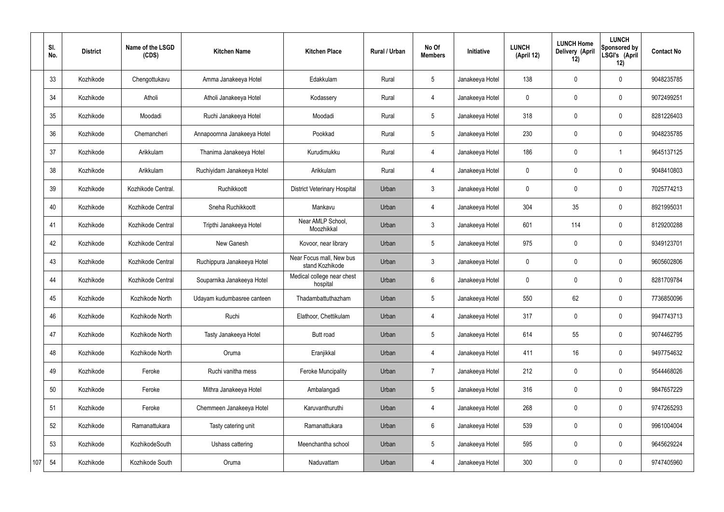|     | SI.<br>No. | <b>District</b> | Name of the LSGD<br>(CDS) | <b>Kitchen Name</b>         | <b>Kitchen Place</b>                        | Rural / Urban | No Of<br><b>Members</b> | Initiative      | <b>LUNCH</b><br>(April 12) | <b>LUNCH Home</b><br>Delivery (April<br>12) | <b>LUNCH</b><br>Sponsored by<br>LSGI's (April<br>12) | <b>Contact No</b> |
|-----|------------|-----------------|---------------------------|-----------------------------|---------------------------------------------|---------------|-------------------------|-----------------|----------------------------|---------------------------------------------|------------------------------------------------------|-------------------|
|     | 33         | Kozhikode       | Chengottukavu             | Amma Janakeeya Hotel        | Edakkulam                                   | Rural         | $5\overline{)}$         | Janakeeya Hotel | 138                        | $\mathbf 0$                                 | $\mathbf 0$                                          | 9048235785        |
|     | 34         | Kozhikode       | Atholi                    | Atholi Janakeeya Hotel      | Kodassery                                   | Rural         | $\overline{4}$          | Janakeeya Hotel | $\mathbf 0$                | $\mathbf 0$                                 | $\mathbf 0$                                          | 9072499251        |
|     | 35         | Kozhikode       | Moodadi                   | Ruchi Janakeeya Hotel       | Moodadi                                     | Rural         | $5\overline{)}$         | Janakeeya Hotel | 318                        | $\mathbf 0$                                 | $\mathbf 0$                                          | 8281226403        |
|     | 36         | Kozhikode       | Chemancheri               | Annapoornna Janakeeya Hotel | Pookkad                                     | Rural         | $5\overline{)}$         | Janakeeya Hotel | 230                        | $\mathbf 0$                                 | $\mathbf 0$                                          | 9048235785        |
|     | 37         | Kozhikode       | Arikkulam                 | Thanima Janakeeya Hotel     | Kurudimukku                                 | Rural         | 4                       | Janakeeya Hotel | 186                        | $\mathbf 0$                                 | -1                                                   | 9645137125        |
|     | 38         | Kozhikode       | Arikkulam                 | Ruchiyidam Janakeeya Hotel  | Arikkulam                                   | Rural         | $\overline{4}$          | Janakeeya Hotel | $\mathbf 0$                | $\mathbf 0$                                 | $\mathbf 0$                                          | 9048410803        |
|     | 39         | Kozhikode       | Kozhikode Central.        | Ruchikkoott                 | <b>District Veterinary Hospital</b>         | Urban         | 3                       | Janakeeya Hotel | $\mathbf 0$                | $\mathbf 0$                                 | $\mathbf 0$                                          | 7025774213        |
|     | 40         | Kozhikode       | Kozhikode Central         | Sneha Ruchikkoott           | Mankavu                                     | Urban         | $\overline{4}$          | Janakeeya Hotel | 304                        | 35                                          | $\mathbf 0$                                          | 8921995031        |
|     | 41         | Kozhikode       | Kozhikode Central         | Tripthi Janakeeya Hotel     | Near AMLP School,<br>Moozhikkal             | Urban         | $\mathbf{3}$            | Janakeeya Hotel | 601                        | 114                                         | $\mathbf 0$                                          | 8129200288        |
|     | 42         | Kozhikode       | Kozhikode Central         | New Ganesh                  | Kovoor, near library                        | Urban         | $5\overline{)}$         | Janakeeya Hotel | 975                        | $\mathbf 0$                                 | $\mathbf 0$                                          | 9349123701        |
|     | 43         | Kozhikode       | Kozhikode Central         | Ruchippura Janakeeya Hotel  | Near Focus mall, New bus<br>stand Kozhikode | Urban         | $\mathbf{3}$            | Janakeeya Hotel | $\mathbf 0$                | $\mathbf 0$                                 | $\mathbf 0$                                          | 9605602806        |
|     | 44         | Kozhikode       | Kozhikode Central         | Souparnika Janakeeya Hotel  | Medical college near chest<br>hospital      | Urban         | 6                       | Janakeeya Hotel | $\mathbf 0$                | $\mathbf 0$                                 | $\mathbf 0$                                          | 8281709784        |
|     | 45         | Kozhikode       | Kozhikode North           | Udayam kudumbasree canteen  | Thadambattuthazham                          | Urban         | 5                       | Janakeeya Hotel | 550                        | 62                                          | $\mathbf 0$                                          | 7736850096        |
|     | 46         | Kozhikode       | Kozhikode North           | Ruchi                       | Elathoor, Chettikulam                       | Urban         | $\overline{4}$          | Janakeeya Hotel | 317                        | $\mathbf 0$                                 | $\mathbf 0$                                          | 9947743713        |
|     | 47         | Kozhikode       | Kozhikode North           | Tasty Janakeeya Hotel       | Butt road                                   | Urban         | $5\overline{)}$         | Janakeeya Hotel | 614                        | 55                                          | $\mathbf 0$                                          | 9074462795        |
|     | 48         | Kozhikode       | Kozhikode North           | Oruma                       | Eranjikkal                                  | Urban         | 4                       | Janakeeya Hotel | 411                        | 16                                          | $\mathbf 0$                                          | 9497754632        |
|     | 49         | Kozhikode       | Feroke                    | Ruchi vanitha mess          | <b>Feroke Muncipality</b>                   | Urban         | $\overline{7}$          | Janakeeya Hotel | 212                        | $\pmb{0}$                                   | $\mathbf 0$                                          | 9544468026        |
|     | 50         | Kozhikode       | Feroke                    | Mithra Janakeeya Hotel      | Ambalangadi                                 | Urban         | 5 <sub>5</sub>          | Janakeeya Hotel | 316                        | $\pmb{0}$                                   | $\mathbf 0$                                          | 9847657229        |
|     | 51         | Kozhikode       | Feroke                    | Chemmeen Janakeeya Hotel    | Karuvanthuruthi                             | Urban         | $\overline{4}$          | Janakeeya Hotel | 268                        | $\pmb{0}$                                   | $\mathbf 0$                                          | 9747265293        |
|     | 52         | Kozhikode       | Ramanattukara             | Tasty catering unit         | Ramanattukara                               | Urban         | $6\overline{6}$         | Janakeeya Hotel | 539                        | $\mathbf 0$                                 | $\mathbf 0$                                          | 9961004004        |
|     | 53         | Kozhikode       | KozhikodeSouth            | Ushass cattering            | Meenchantha school                          | Urban         | $5\phantom{.0}$         | Janakeeya Hotel | 595                        | $\mathbf 0$                                 | $\mathbf 0$                                          | 9645629224        |
| 107 | 54         | Kozhikode       | Kozhikode South           | Oruma                       | Naduvattam                                  | Urban         | 4                       | Janakeeya Hotel | 300                        | $\pmb{0}$                                   | $\overline{0}$                                       | 9747405960        |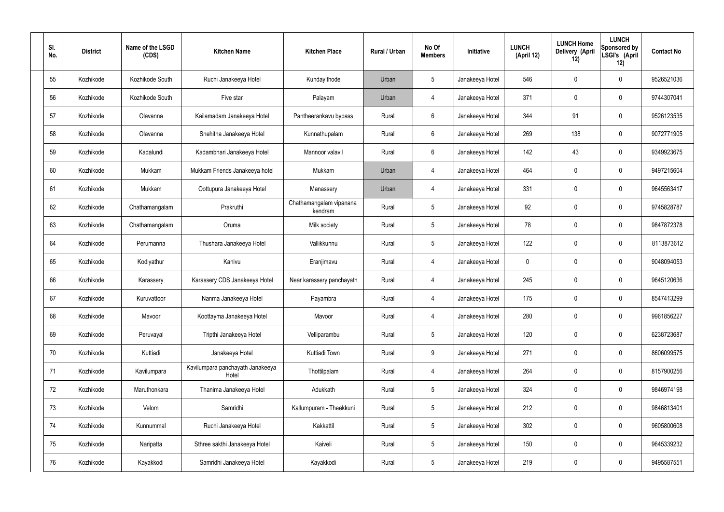| SI.<br>No. | <b>District</b> | Name of the LSGD<br>(CDS) | <b>Kitchen Name</b>                       | <b>Kitchen Place</b>               | Rural / Urban | No Of<br><b>Members</b> | <b>Initiative</b> | <b>LUNCH</b><br>(April 12) | <b>LUNCH Home</b><br>Delivery (April<br>12) | <b>LUNCH</b><br>Sponsored by<br>LSGI's (April<br>12) | <b>Contact No</b> |
|------------|-----------------|---------------------------|-------------------------------------------|------------------------------------|---------------|-------------------------|-------------------|----------------------------|---------------------------------------------|------------------------------------------------------|-------------------|
| 55         | Kozhikode       | Kozhikode South           | Ruchi Janakeeya Hotel                     | Kundayithode                       | Urban         | $5\phantom{.0}$         | Janakeeya Hotel   | 546                        | $\mathbf 0$                                 | $\mathbf 0$                                          | 9526521036        |
| 56         | Kozhikode       | Kozhikode South           | Five star                                 | Palayam                            | Urban         | 4                       | Janakeeya Hotel   | 371                        | $\mathbf 0$                                 | $\mathbf 0$                                          | 9744307041        |
| 57         | Kozhikode       | Olavanna                  | Kailamadam Janakeeya Hotel                | Pantheerankavu bypass              | Rural         | $6\phantom{.}6$         | Janakeeya Hotel   | 344                        | 91                                          | $\mathbf 0$                                          | 9526123535        |
| 58         | Kozhikode       | Olavanna                  | Snehitha Janakeeya Hotel                  | Kunnathupalam                      | Rural         | $6\phantom{.}6$         | Janakeeya Hotel   | 269                        | 138                                         | $\mathbf 0$                                          | 9072771905        |
| 59         | Kozhikode       | Kadalundi                 | Kadambhari Janakeeya Hotel                | Mannoor valavil                    | Rural         | $6\phantom{.}6$         | Janakeeya Hotel   | 142                        | 43                                          | $\mathbf 0$                                          | 9349923675        |
| 60         | Kozhikode       | Mukkam                    | Mukkam Friends Janakeeya hotel            | Mukkam                             | Urban         | 4                       | Janakeeya Hotel   | 464                        | 0                                           | $\mathbf 0$                                          | 9497215604        |
| 61         | Kozhikode       | Mukkam                    | Oottupura Janakeeya Hotel                 | Manassery                          | Urban         | $\overline{4}$          | Janakeeya Hotel   | 331                        | $\mathbf 0$                                 | $\mathbf 0$                                          | 9645563417        |
| 62         | Kozhikode       | Chathamangalam            | Prakruthi                                 | Chathamangalam vipanana<br>kendram | Rural         | $5\phantom{.0}$         | Janakeeya Hotel   | 92                         | 0                                           | $\mathbf 0$                                          | 9745828787        |
| 63         | Kozhikode       | Chathamangalam            | Oruma                                     | Milk society                       | Rural         | $5\phantom{.0}$         | Janakeeya Hotel   | 78                         | $\mathbf 0$                                 | $\mathbf 0$                                          | 9847872378        |
| 64         | Kozhikode       | Perumanna                 | Thushara Janakeeya Hotel                  | Vallikkunnu                        | Rural         | $5\phantom{.0}$         | Janakeeya Hotel   | 122                        | 0                                           | $\mathbf 0$                                          | 8113873612        |
| 65         | Kozhikode       | Kodiyathur                | Kanivu                                    | Eranjimavu                         | Rural         | 4                       | Janakeeya Hotel   | $\mathbf 0$                | 0                                           | $\mathbf 0$                                          | 9048094053        |
| 66         | Kozhikode       | Karassery                 | Karassery CDS Janakeeya Hotel             | Near karassery panchayath          | Rural         | 4                       | Janakeeya Hotel   | 245                        | 0                                           | $\mathbf 0$                                          | 9645120636        |
| 67         | Kozhikode       | Kuruvattoor               | Nanma Janakeeya Hotel                     | Payambra                           | Rural         | 4                       | Janakeeya Hotel   | 175                        | 0                                           | 0                                                    | 8547413299        |
| 68         | Kozhikode       | Mavoor                    | Koottayma Janakeeya Hotel                 | Mavoor                             | Rural         | $\overline{4}$          | Janakeeya Hotel   | 280                        | $\mathbf 0$                                 | $\mathbf 0$                                          | 9961856227        |
| 69         | Kozhikode       | Peruvayal                 | Tripthi Janakeeya Hotel                   | Velliparambu                       | Rural         | $5\phantom{.0}$         | Janakeeya Hotel   | 120                        | $\mathbf 0$                                 | $\mathbf 0$                                          | 6238723687        |
| 70         | Kozhikode       | Kuttiadi                  | Janakeeya Hotel                           | Kuttiadi Town                      | Rural         | 9                       | Janakeeya Hotel   | 271                        | $\mathbf 0$                                 | $\mathbf 0$                                          | 8606099575        |
| 71         | Kozhikode       | Kavilumpara               | Kavilumpara panchayath Janakeeya<br>Hotel | Thottilpalam                       | Rural         | $\overline{4}$          | Janakeeya Hotel   | 264                        | 0                                           | $\mathbf 0$                                          | 8157900256        |
| 72         | Kozhikode       | Maruthonkara              | Thanima Janakeeya Hotel                   | Adukkath                           | Rural         | $5\phantom{.0}$         | Janakeeya Hotel   | 324                        | 0                                           | $\mathbf 0$                                          | 9846974198        |
| 73         | Kozhikode       | Velom                     | Samridhi                                  | Kallumpuram - Theekkuni            | Rural         | $5\phantom{.0}$         | Janakeeya Hotel   | 212                        | 0                                           | $\mathbf 0$                                          | 9846813401        |
| 74         | Kozhikode       | Kunnummal                 | Ruchi Janakeeya Hotel                     | Kakkattil                          | Rural         | $5\phantom{.0}$         | Janakeeya Hotel   | 302                        | 0                                           | $\mathbf 0$                                          | 9605800608        |
| 75         | Kozhikode       | Naripatta                 | Sthree sakthi Janakeeya Hotel             | Kaiveli                            | Rural         | $5\phantom{.0}$         | Janakeeya Hotel   | 150                        | 0                                           | $\mathbf 0$                                          | 9645339232        |
| 76         | Kozhikode       | Kayakkodi                 | Samridhi Janakeeya Hotel                  | Kayakkodi                          | Rural         | $5\,$                   | Janakeeya Hotel   | 219                        | 0                                           | $\mathbf 0$                                          | 9495587551        |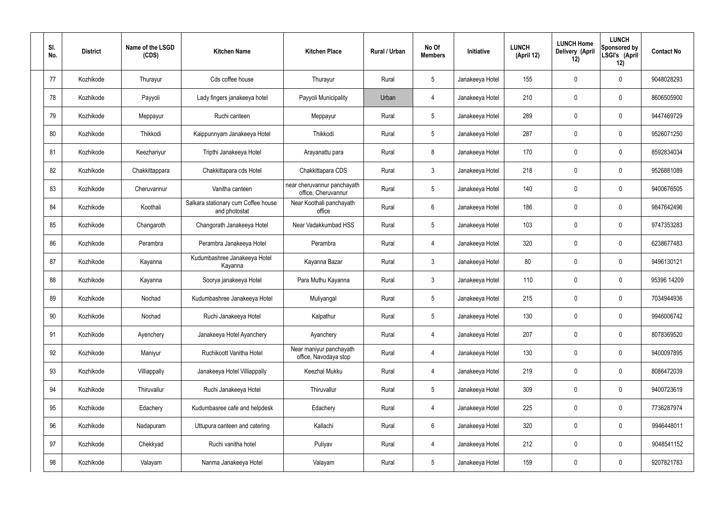| SI.<br>No. | <b>District</b> | Name of the LSGD<br>(CDS) | <b>Kitchen Name</b>                                  | <b>Kitchen Place</b>                               | Rural / Urban | No Of<br><b>Members</b> | Initiative      | <b>LUNCH</b><br>(April 12) | <b>LUNCH Home</b><br><b>Delivery (April</b><br>12) | <b>LUNCH</b><br><b>Sponsored by</b><br>LSGI's (April<br>12) | <b>Contact No</b> |
|------------|-----------------|---------------------------|------------------------------------------------------|----------------------------------------------------|---------------|-------------------------|-----------------|----------------------------|----------------------------------------------------|-------------------------------------------------------------|-------------------|
| 77         | Kozhikode       | Thurayur                  | Cds coffee house                                     | Thurayur                                           | Rural         | 5                       | Janakeeya Hotel | 155                        | $\mathbf 0$                                        | 0                                                           | 9048028293        |
| 78         | Kozhikode       | Payyoli                   | Lady fingers janakeeya hotel                         | Payyoli Municipality                               | Urban         | $\overline{4}$          | Janakeeya Hotel | 210                        | $\mathbf 0$                                        | 0                                                           | 8606505900        |
| 79         | Kozhikode       | Meppayur                  | Ruchi canteen                                        | Meppayur                                           | Rural         | 5                       | Janakeeya Hotel | 289                        | $\mathbf 0$                                        | 0                                                           | 9447469729        |
| 80         | Kozhikode       | Thikkodi                  | Kaippunnyam Janakeeya Hotel                          | Thikkodi                                           | Rural         | $5\phantom{.0}$         | Janakeeya Hotel | 287                        | $\mathbf 0$                                        | 0                                                           | 9526071250        |
| 81         | Kozhikode       | Keezhariyur               | Tripthi Janakeeya Hotel                              | Arayanattu para                                    | Rural         | 8                       | Janakeeya Hotel | 170                        | 0                                                  | 0                                                           | 8592834034        |
| 82         | Kozhikode       | Chakkittappara            | Chakkittapara cds Hotel                              | Chakkittapara CDS                                  | Rural         | $\mathbf{3}$            | Janakeeya Hotel | 218                        | $\mathbf 0$                                        | 0                                                           | 9526881089        |
| 83         | Kozhikode       | Cheruvannur               | Vanitha canteen                                      | near cheruvannur panchayath<br>office, Cheruvannur | Rural         | $5\phantom{.0}$         | Janakeeya Hotel | 140                        | $\mathbf 0$                                        | 0                                                           | 9400676505        |
| 84         | Kozhikode       | Koothali                  | Salkara stationary cum Coffee house<br>and photostat | Near Koothali panchayath<br>office                 | Rural         | $6\overline{6}$         | Janakeeya Hotel | 186                        | $\mathbf 0$                                        | 0                                                           | 9847642496        |
| 85         | Kozhikode       | Changaroth                | Changorath Janakeeya Hotel                           | Near Vadakkumbad HSS                               | Rural         | $\sqrt{5}$              | Janakeeya Hotel | 103                        | $\boldsymbol{0}$                                   | 0                                                           | 9747353283        |
| 86         | Kozhikode       | Perambra                  | Perambra Janakeeya Hotel                             | Perambra                                           | Rural         | $\overline{4}$          | Janakeeya Hotel | 320                        | $\mathbf 0$                                        | 0                                                           | 6238677483        |
| 87         | Kozhikode       | Kayanna                   | Kudumbashree Janakeeya Hotel<br>Kayanna              | Kayanna Bazar                                      | Rural         | $\mathbf{3}$            | Janakeeya Hotel | 80                         | $\mathbf 0$                                        | 0                                                           | 9496130121        |
| 88         | Kozhikode       | Kayanna                   | Soorya janakeeya Hotel                               | Para Muthu Kayanna                                 | Rural         | $\mathbf{3}$            | Janakeeya Hotel | 110                        | $\mathbf 0$                                        | 0                                                           | 95396 14209       |
| 89         | Kozhikode       | Nochad                    | Kudumbashree Janakeeya Hotel                         | Muliyangal                                         | Rural         | $5\phantom{.0}$         | Janakeeya Hotel | 215                        | $\mathbf 0$                                        | 0                                                           | 7034944936        |
| 90         | Kozhikode       | Nochad                    | Ruchi Janakeeya Hotel                                | Kalpathur                                          | Rural         | $5\phantom{.0}$         | Janakeeya Hotel | 130                        | $\pmb{0}$                                          | 0                                                           | 9946006742        |
| 91         | Kozhikode       | Ayenchery                 | Janakeeya Hotel Ayanchery                            | Ayanchery                                          | Rural         | $\overline{4}$          | Janakeeya Hotel | 207                        | $\pmb{0}$                                          | $\mathbf 0$                                                 | 8078369520        |
| 92         | Kozhikode       | Maniyur                   | Ruchikoott Vanitha Hotel                             | Near maniyur panchayath<br>office, Navodaya stop   | Rural         | $\overline{4}$          | Janakeeya Hotel | 130                        | $\mathbf 0$                                        | 0                                                           | 9400097895        |
| 93         | Kozhikode       | Villiappally              | Janakeeya Hotel Villiappally                         | Keezhal Mukku                                      | Rural         | $\overline{4}$          | Janakeeya Hotel | 219                        | $\pmb{0}$                                          | 0                                                           | 8086472039        |
| 94         | Kozhikode       | Thiruvallur               | Ruchi Janakeeya Hotel                                | Thiruvallur                                        | Rural         | $5\phantom{.0}$         | Janakeeya Hotel | 309                        | $\mathbf 0$                                        | 0                                                           | 9400723619        |
| 95         | Kozhikode       | Edachery                  | Kudumbasree cafe and helpdesk                        | Edachery                                           | Rural         | $\overline{4}$          | Janakeeya Hotel | 225                        | $\pmb{0}$                                          | 0                                                           | 7736287974        |
| 96         | Kozhikode       | Nadapuram                 | Uttupura canteen and catering                        | Kallachi                                           | Rural         | $6\phantom{.}6$         | Janakeeya Hotel | 320                        | $\pmb{0}$                                          | 0                                                           | 9946448011        |
| 97         | Kozhikode       | Chekkyad                  | Ruchi vanitha hotel                                  | Puliyav                                            | Rural         | $\overline{4}$          | Janakeeya Hotel | 212                        | $\pmb{0}$                                          | 0                                                           | 9048541152        |
| 98         | Kozhikode       | Valayam                   | Nanma Janakeeya Hotel                                | Valayam                                            | Rural         | $5\phantom{.0}$         | Janakeeya Hotel | 159                        | $\pmb{0}$                                          | 0                                                           | 9207821783        |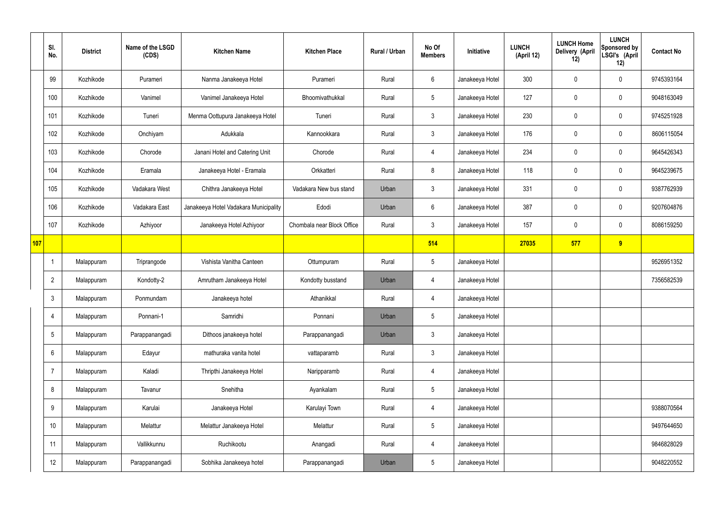|     | SI.<br>No.     | <b>District</b> | Name of the LSGD<br>(CDS) | <b>Kitchen Name</b>                   | <b>Kitchen Place</b>       | Rural / Urban | No Of<br><b>Members</b> | Initiative      | <b>LUNCH</b><br>(April 12) | <b>LUNCH Home</b><br>Delivery (April<br>12) | <b>LUNCH</b><br>Sponsored by<br>LSGI's (April<br>12) | <b>Contact No</b> |
|-----|----------------|-----------------|---------------------------|---------------------------------------|----------------------------|---------------|-------------------------|-----------------|----------------------------|---------------------------------------------|------------------------------------------------------|-------------------|
|     | 99             | Kozhikode       | Purameri                  | Nanma Janakeeya Hotel                 | Purameri                   | Rural         | $6\overline{6}$         | Janakeeya Hotel | 300                        | $\mathbf 0$                                 | $\mathbf 0$                                          | 9745393164        |
|     | 100            | Kozhikode       | Vanimel                   | Vanimel Janakeeya Hotel               | Bhoomivathukkal            | Rural         | $5\overline{)}$         | Janakeeya Hotel | 127                        | $\mathbf 0$                                 | $\mathbf 0$                                          | 9048163049        |
|     | 101            | Kozhikode       | Tuneri                    | Menma Oottupura Janakeeya Hotel       | Tuneri                     | Rural         | $\mathbf{3}$            | Janakeeya Hotel | 230                        | $\mathbf 0$                                 | $\mathbf 0$                                          | 9745251928        |
|     | 102            | Kozhikode       | Onchiyam                  | Adukkala                              | Kannookkara                | Rural         | $\mathbf{3}$            | Janakeeya Hotel | 176                        | $\mathbf 0$                                 | $\mathbf 0$                                          | 8606115054        |
|     | 103            | Kozhikode       | Chorode                   | Janani Hotel and Catering Unit        | Chorode                    | Rural         | $\overline{4}$          | Janakeeya Hotel | 234                        | $\mathbf 0$                                 | $\mathbf 0$                                          | 9645426343        |
|     | 104            | Kozhikode       | Eramala                   | Janakeeya Hotel - Eramala             | Orkkatteri                 | Rural         | 8                       | Janakeeya Hotel | 118                        | $\mathbf 0$                                 | $\mathbf 0$                                          | 9645239675        |
|     | 105            | Kozhikode       | Vadakara West             | Chithra Janakeeya Hotel               | Vadakara New bus stand     | Urban         | $\mathbf{3}$            | Janakeeya Hotel | 331                        | $\mathbf 0$                                 | $\mathbf 0$                                          | 9387762939        |
|     | 106            | Kozhikode       | Vadakara East             | Janakeeya Hotel Vadakara Municipality | Edodi                      | Urban         | $6\phantom{.}6$         | Janakeeya Hotel | 387                        | $\mathbf 0$                                 | $\mathbf 0$                                          | 9207604876        |
|     | 107            | Kozhikode       | Azhiyoor                  | Janakeeya Hotel Azhiyoor              | Chombala near Block Office | Rural         | $\mathbf{3}$            | Janakeeya Hotel | 157                        | $\mathbf 0$                                 | $\mathbf 0$                                          | 8086159250        |
| 107 |                |                 |                           |                                       |                            |               | 514                     |                 | 27035                      | 577                                         | 9                                                    |                   |
|     | -1             | Malappuram      | Triprangode               | Vishista Vanitha Canteen              | Ottumpuram                 | Rural         | $5\phantom{.0}$         | Janakeeya Hotel |                            |                                             |                                                      | 9526951352        |
|     | $\overline{2}$ | Malappuram      | Kondotty-2                | Amrutham Janakeeya Hotel              | Kondotty busstand          | Urban         | 4                       | Janakeeya Hotel |                            |                                             |                                                      | 7356582539        |
|     | 3              | Malappuram      | Ponmundam                 | Janakeeya hotel                       | Athanikkal                 | Rural         | $\overline{4}$          | Janakeeya Hotel |                            |                                             |                                                      |                   |
|     | $\overline{4}$ | Malappuram      | Ponnani-1                 | Samridhi                              | Ponnani                    | Urban         | 5                       | Janakeeya Hotel |                            |                                             |                                                      |                   |
|     | 5              | Malappuram      | Parappanangadi            | Dithoos janakeeya hotel               | Parappanangadi             | Urban         | $\mathbf{3}$            | Janakeeya Hotel |                            |                                             |                                                      |                   |
|     | 6              | Malappuram      | Edayur                    | mathuraka vanita hotel                | vattaparamb                | Rural         | $\mathbf{3}$            | Janakeeya Hotel |                            |                                             |                                                      |                   |
|     | $\overline{7}$ | Malappuram      | Kaladi                    | Thripthi Janakeeya Hotel              | Naripparamb                | Rural         | $\overline{4}$          | Janakeeya Hotel |                            |                                             |                                                      |                   |
|     | 8              | Malappuram      | Tavanur                   | Snehitha                              | Ayankalam                  | Rural         | $5\overline{)}$         | Janakeeya Hotel |                            |                                             |                                                      |                   |
|     | 9              | Malappuram      | Karulai                   | Janakeeya Hotel                       | Karulayi Town              | Rural         | $\overline{4}$          | Janakeeya Hotel |                            |                                             |                                                      | 9388070564        |
|     | 10             | Malappuram      | Melattur                  | Melattur Janakeeya Hotel              | Melattur                   | Rural         | $5\phantom{.0}$         | Janakeeya Hotel |                            |                                             |                                                      | 9497644650        |
|     | 11             | Malappuram      | Vallikkunnu               | Ruchikootu                            | Anangadi                   | Rural         | $\overline{4}$          | Janakeeya Hotel |                            |                                             |                                                      | 9846828029        |
|     | 12             | Malappuram      | Parappanangadi            | Sobhika Janakeeya hotel               | Parappanangadi             | Urban         | $5\phantom{.0}$         | Janakeeya Hotel |                            |                                             |                                                      | 9048220552        |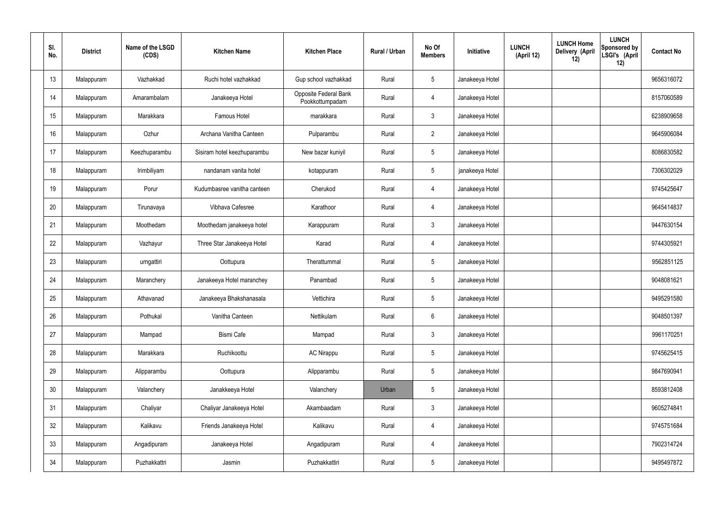| SI.<br>No. | <b>District</b> | Name of the LSGD<br>(CDS) | <b>Kitchen Name</b>         | <b>Kitchen Place</b>                     | Rural / Urban | No Of<br><b>Members</b> | <b>Initiative</b> | <b>LUNCH Home</b><br><b>LUNCH</b><br>Delivery (April<br>(April 12)<br>12) | <b>LUNCH</b><br>Sponsored by<br>LSGI's (April<br>12) | <b>Contact No</b> |
|------------|-----------------|---------------------------|-----------------------------|------------------------------------------|---------------|-------------------------|-------------------|---------------------------------------------------------------------------|------------------------------------------------------|-------------------|
| 13         | Malappuram      | Vazhakkad                 | Ruchi hotel vazhakkad       | Gup school vazhakkad                     | Rural         | $5\phantom{.0}$         | Janakeeya Hotel   |                                                                           |                                                      | 9656316072        |
| 14         | Malappuram      | Amarambalam               | Janakeeya Hotel             | Opposite Federal Bank<br>Pookkottumpadam | Rural         | $\overline{4}$          | Janakeeya Hotel   |                                                                           |                                                      | 8157060589        |
| 15         | Malappuram      | Marakkara                 | <b>Famous Hotel</b>         | marakkara                                | Rural         | $\mathbf{3}$            | Janakeeya Hotel   |                                                                           |                                                      | 6238909658        |
| 16         | Malappuram      | Ozhur                     | Archana Vanitha Canteen     | Pulparambu                               | Rural         | $\overline{2}$          | Janakeeya Hotel   |                                                                           |                                                      | 9645906084        |
| 17         | Malappuram      | Keezhuparambu             | Sisiram hotel keezhuparambu | New bazar kuniyil                        | Rural         | $5\phantom{.0}$         | Janakeeya Hotel   |                                                                           |                                                      | 8086830582        |
| 18         | Malappuram      | Irimbiliyam               | nandanam vanita hotel       | kotappuram                               | Rural         | $5\phantom{.0}$         | janakeeya Hotel   |                                                                           |                                                      | 7306302029        |
| 19         | Malappuram      | Porur                     | Kudumbasree vanitha canteen | Cherukod                                 | Rural         | $\overline{4}$          | Janakeeya Hotel   |                                                                           |                                                      | 9745425647        |
| 20         | Malappuram      | Tirunavaya                | Vibhava Cafesree            | Karathoor                                | Rural         | $\overline{4}$          | Janakeeya Hotel   |                                                                           |                                                      | 9645414837        |
| 21         | Malappuram      | Moothedam                 | Moothedam janakeeya hotel   | Karappuram                               | Rural         | $\mathbf{3}$            | Janakeeya Hotel   |                                                                           |                                                      | 9447630154        |
| 22         | Malappuram      | Vazhayur                  | Three Star Janakeeya Hotel  | Karad                                    | Rural         | $\overline{4}$          | Janakeeya Hotel   |                                                                           |                                                      | 9744305921        |
| 23         | Malappuram      | urngattiri                | Oottupura                   | Therattummal                             | Rural         | $5\phantom{.0}$         | Janakeeya Hotel   |                                                                           |                                                      | 9562851125        |
| 24         | Malappuram      | Maranchery                | Janakeeya Hotel maranchey   | Panambad                                 | Rural         | $5\phantom{.0}$         | Janakeeya Hotel   |                                                                           |                                                      | 9048081621        |
| 25         | Malappuram      | Athavanad                 | Janakeeya Bhakshanasala     | Vettichira                               | Rural         | $5\phantom{.0}$         | Janakeeya Hotel   |                                                                           |                                                      | 9495291580        |
| 26         | Malappuram      | Pothukal                  | Vanitha Canteen             | Nettikulam                               | Rural         | $6\phantom{.}6$         | Janakeeya Hotel   |                                                                           |                                                      | 9048501397        |
| 27         | Malappuram      | Mampad                    | <b>Bismi Cafe</b>           | Mampad                                   | Rural         | $\mathbf{3}$            | Janakeeya Hotel   |                                                                           |                                                      | 9961170251        |
| 28         | Malappuram      | Marakkara                 | Ruchikoottu                 | AC Nirappu                               | Rural         | $5\overline{)}$         | Janakeeya Hotel   |                                                                           |                                                      | 9745625415        |
| 29         | Malappuram      | Alipparambu               | Oottupura                   | Alipparambu                              | Rural         | $5\phantom{.0}$         | Janakeeya Hotel   |                                                                           |                                                      | 9847690941        |
| 30         | Malappuram      | Valanchery                | Janakkeeya Hotel            | Valanchery                               | Urban         | $5\phantom{.0}$         | Janakeeya Hotel   |                                                                           |                                                      | 8593812408        |
| 31         | Malappuram      | Chaliyar                  | Chaliyar Janakeeya Hotel    | Akambaadam                               | Rural         | $\mathfrak{Z}$          | Janakeeya Hotel   |                                                                           |                                                      | 9605274841        |
| 32         | Malappuram      | Kalikavu                  | Friends Janakeeya Hotel     | Kalikavu                                 | Rural         | $\overline{4}$          | Janakeeya Hotel   |                                                                           |                                                      | 9745751684        |
| 33         | Malappuram      | Angadipuram               | Janakeeya Hotel             | Angadipuram                              | Rural         | 4                       | Janakeeya Hotel   |                                                                           |                                                      | 7902314724        |
| 34         | Malappuram      | Puzhakkattri              | Jasmin                      | Puzhakkattiri                            | Rural         | $5\,$                   | Janakeeya Hotel   |                                                                           |                                                      | 9495497872        |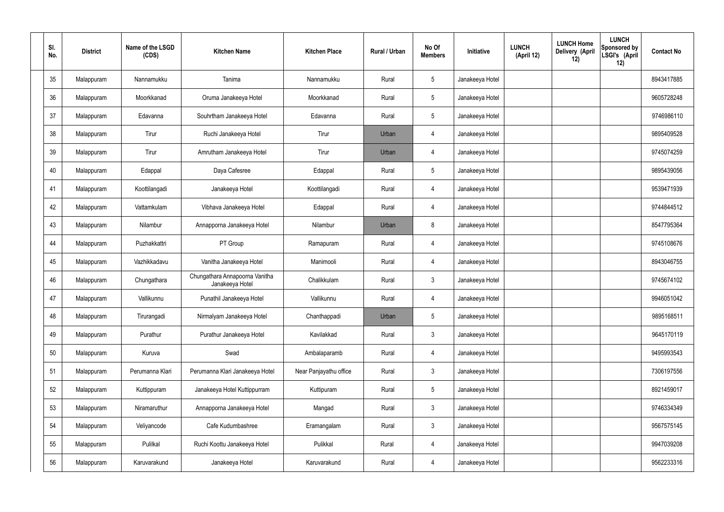| SI.<br>No. | <b>District</b> | Name of the LSGD<br>(CDS) | <b>Kitchen Name</b>                               | <b>Kitchen Place</b>   | Rural / Urban | No Of<br><b>Members</b> | <b>Initiative</b> | <b>LUNCH Home</b><br><b>LUNCH</b><br>Delivery (April<br>(April 12)<br>12) | <b>LUNCH</b><br>Sponsored by<br>LSGI's (April<br>12) | <b>Contact No</b> |
|------------|-----------------|---------------------------|---------------------------------------------------|------------------------|---------------|-------------------------|-------------------|---------------------------------------------------------------------------|------------------------------------------------------|-------------------|
| 35         | Malappuram      | Nannamukku                | Tanima                                            | Nannamukku             | Rural         | $5\phantom{.0}$         | Janakeeya Hotel   |                                                                           |                                                      | 8943417885        |
| 36         | Malappuram      | Moorkkanad                | Oruma Janakeeya Hotel                             | Moorkkanad             | Rural         | $5\phantom{.0}$         | Janakeeya Hotel   |                                                                           |                                                      | 9605728248        |
| 37         | Malappuram      | Edavanna                  | Souhrtham Janakeeya Hotel                         | Edavanna               | Rural         | $5\phantom{.0}$         | Janakeeya Hotel   |                                                                           |                                                      | 9746986110        |
| 38         | Malappuram      | Tirur                     | Ruchi Janakeeya Hotel                             | Tirur                  | Urban         | $\overline{4}$          | Janakeeya Hotel   |                                                                           |                                                      | 9895409528        |
| 39         | Malappuram      | Tirur                     | Amrutham Janakeeya Hotel                          | Tirur                  | Urban         | $\overline{4}$          | Janakeeya Hotel   |                                                                           |                                                      | 9745074259        |
| 40         | Malappuram      | Edappal                   | Daya Cafesree                                     | Edappal                | Rural         | $5\phantom{.0}$         | Janakeeya Hotel   |                                                                           |                                                      | 9895439056        |
| 41         | Malappuram      | Koottilangadi             | Janakeeya Hotel                                   | Koottilangadi          | Rural         | $\overline{4}$          | Janakeeya Hotel   |                                                                           |                                                      | 9539471939        |
| 42         | Malappuram      | Vattamkulam               | Vibhava Janakeeya Hotel                           | Edappal                | Rural         | $\overline{4}$          | Janakeeya Hotel   |                                                                           |                                                      | 9744844512        |
| 43         | Malappuram      | Nilambur                  | Annapporna Janakeeya Hotel                        | Nilambur               | Urban         | 8                       | Janakeeya Hotel   |                                                                           |                                                      | 8547795364        |
| 44         | Malappuram      | Puzhakkattri              | PT Group                                          | Ramapuram              | Rural         | $\overline{4}$          | Janakeeya Hotel   |                                                                           |                                                      | 9745108676        |
| 45         | Malappuram      | Vazhikkadavu              | Vanitha Janakeeya Hotel                           | Manimooli              | Rural         | $\overline{4}$          | Janakeeya Hotel   |                                                                           |                                                      | 8943046755        |
| 46         | Malappuram      | Chungathara               | Chungathara Annapoorna Vanitha<br>Janakeeya Hotel | Chalikkulam            | Rural         | $\mathbf{3}$            | Janakeeya Hotel   |                                                                           |                                                      | 9745674102        |
| 47         | Malappuram      | Vallikunnu                | Punathil Janakeeya Hotel                          | Vallikunnu             | Rural         | 4                       | Janakeeya Hotel   |                                                                           |                                                      | 9946051042        |
| 48         | Malappuram      | Tirurangadi               | Nirmalyam Janakeeya Hotel                         | Chanthappadi           | Urban         | 5                       | Janakeeya Hotel   |                                                                           |                                                      | 9895168511        |
| 49         | Malappuram      | Purathur                  | Purathur Janakeeya Hotel                          | Kavilakkad             | Rural         | $\mathbf{3}$            | Janakeeya Hotel   |                                                                           |                                                      | 9645170119        |
| 50         | Malappuram      | Kuruva                    | Swad                                              | Ambalaparamb           | Rural         | $\overline{4}$          | Janakeeya Hotel   |                                                                           |                                                      | 9495993543        |
| 51         | Malappuram      | Perumanna Klari           | Perumanna Klari Janakeeya Hotel                   | Near Panjayathu office | Rural         | $\mathbf{3}$            | Janakeeya Hotel   |                                                                           |                                                      | 7306197556        |
| 52         | Malappuram      | Kuttippuram               | Janakeeya Hotel Kuttippurram                      | Kuttipuram             | Rural         | $5\phantom{.0}$         | Janakeeya Hotel   |                                                                           |                                                      | 8921459017        |
| 53         | Malappuram      | Niramaruthur              | Annapporna Janakeeya Hotel                        | Mangad                 | Rural         | $\mathbf{3}$            | Janakeeya Hotel   |                                                                           |                                                      | 9746334349        |
| 54         | Malappuram      | Veliyancode               | Cafe Kudumbashree                                 | Eramangalam            | Rural         | $\mathfrak{Z}$          | Janakeeya Hotel   |                                                                           |                                                      | 9567575145        |
| 55         | Malappuram      | Pulilkal                  | Ruchi Koottu Janakeeya Hotel                      | Pulikkal               | Rural         | 4                       | Janakeeya Hotel   |                                                                           |                                                      | 9947039208        |
| 56         | Malappuram      | Karuvarakund              | Janakeeya Hotel                                   | Karuvarakund           | Rural         | 4                       | Janakeeya Hotel   |                                                                           |                                                      | 9562233316        |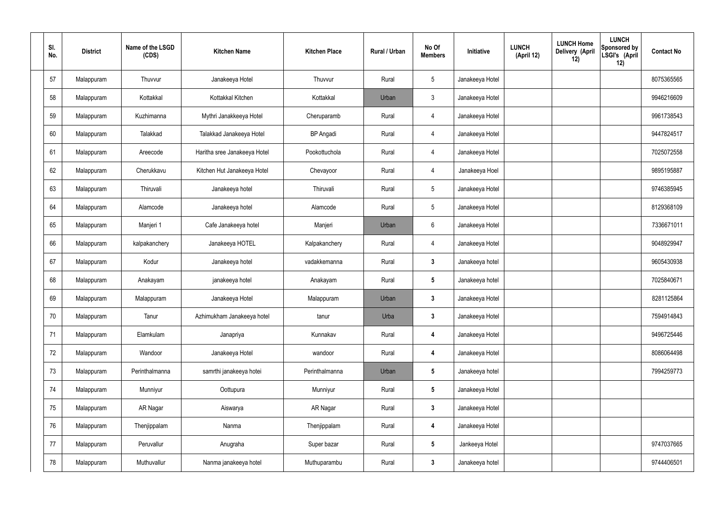| SI.<br>No. | <b>District</b> | Name of the LSGD<br>(CDS) | <b>Kitchen Name</b>          | <b>Kitchen Place</b> | Rural / Urban | No Of<br><b>Members</b> | Initiative      | <b>LUNCH</b><br>(April 12) | <b>LUNCH Home</b><br>Delivery (April<br>12) | <b>LUNCH</b><br>Sponsored by<br>LSGI's (April<br>12) | <b>Contact No</b> |
|------------|-----------------|---------------------------|------------------------------|----------------------|---------------|-------------------------|-----------------|----------------------------|---------------------------------------------|------------------------------------------------------|-------------------|
| 57         | Malappuram      | Thuvvur                   | Janakeeya Hotel              | Thuvvur              | Rural         | 5                       | Janakeeya Hotel |                            |                                             |                                                      | 8075365565        |
| 58         | Malappuram      | Kottakkal                 | Kottakkal Kitchen            | Kottakkal            | Urban         | $\mathbf{3}$            | Janakeeya Hotel |                            |                                             |                                                      | 9946216609        |
| 59         | Malappuram      | Kuzhimanna                | Mythri Janakkeeya Hotel      | Cheruparamb          | Rural         | $\overline{4}$          | Janakeeya Hotel |                            |                                             |                                                      | 9961738543        |
| 60         | Malappuram      | Talakkad                  | Talakkad Janakeeya Hotel     | <b>BP</b> Angadi     | Rural         | $\overline{4}$          | Janakeeya Hotel |                            |                                             |                                                      | 9447824517        |
| 61         | Malappuram      | Areecode                  | Haritha sree Janakeeya Hotel | Pookottuchola        | Rural         | $\overline{4}$          | Janakeeya Hotel |                            |                                             |                                                      | 7025072558        |
| 62         | Malappuram      | Cherukkavu                | Kitchen Hut Janakeeya Hotel  | Chevayoor            | Rural         | $\overline{4}$          | Janakeeya Hoel  |                            |                                             |                                                      | 9895195887        |
| 63         | Malappuram      | Thiruvali                 | Janakeeya hotel              | Thiruvali            | Rural         | 5                       | Janakeeya Hotel |                            |                                             |                                                      | 9746385945        |
| 64         | Malappuram      | Alamcode                  | Janakeeya hotel              | Alamcode             | Rural         | 5                       | Janakeeya Hotel |                            |                                             |                                                      | 8129368109        |
| 65         | Malappuram      | Manjeri 1                 | Cafe Janakeeya hotel         | Manjeri              | Urban         | 6                       | Janakeeya Hotel |                            |                                             |                                                      | 7336671011        |
| 66         | Malappuram      | kalpakanchery             | Janakeeya HOTEL              | Kalpakanchery        | Rural         | $\overline{4}$          | Janakeeya Hotel |                            |                                             |                                                      | 9048929947        |
| 67         | Malappuram      | Kodur                     | Janakeeya hotel              | vadakkemanna         | Rural         | $\mathbf{3}$            | Janakeeya hotel |                            |                                             |                                                      | 9605430938        |
| 68         | Malappuram      | Anakayam                  | janakeeya hotel              | Anakayam             | Rural         | $5\phantom{.0}$         | Janakeeya hotel |                            |                                             |                                                      | 7025840671        |
| 69         | Malappuram      | Malappuram                | Janakeeya Hotel              | Malappuram           | Urban         | 3                       | Janakeeya Hotel |                            |                                             |                                                      | 8281125864        |
| 70         | Malappuram      | Tanur                     | Azhimukham Janakeeya hotel   | tanur                | Urba          | 3                       | Janakeeya Hotel |                            |                                             |                                                      | 7594914843        |
| 71         | Malappuram      | Elamkulam                 | Janapriya                    | Kunnakav             | Rural         | $\overline{4}$          | Janakeeya Hotel |                            |                                             |                                                      | 9496725446        |
| 72         | Malappuram      | Wandoor                   | Janakeeya Hotel              | wandoor              | Rural         | $\overline{4}$          | Janakeeya Hotel |                            |                                             |                                                      | 8086064498        |
| 73         | Malappuram      | Perinthalmanna            | samrthi janakeeya hotei      | Perinthalmanna       | Urban         | $5\phantom{.0}$         | Janakeeya hotel |                            |                                             |                                                      | 7994259773        |
| 74         | Malappuram      | Munniyur                  | Oottupura                    | Munniyur             | Rural         | $5\phantom{.0}$         | Janakeeya Hotel |                            |                                             |                                                      |                   |
| 75         | Malappuram      | AR Nagar                  | Aiswarya                     | AR Nagar             | Rural         | $\mathbf{3}$            | Janakeeya Hotel |                            |                                             |                                                      |                   |
| 76         | Malappuram      | Thenjippalam              | Nanma                        | Thenjippalam         | Rural         | $\overline{4}$          | Janakeeya Hotel |                            |                                             |                                                      |                   |
| 77         | Malappuram      | Peruvallur                | Anugraha                     | Super bazar          | Rural         | $5\phantom{.0}$         | Jankeeya Hotel  |                            |                                             |                                                      | 9747037665        |
| 78         | Malappuram      | Muthuvallur               | Nanma janakeeya hotel        | Muthuparambu         | Rural         | 3                       | Janakeeya hotel |                            |                                             |                                                      | 9744406501        |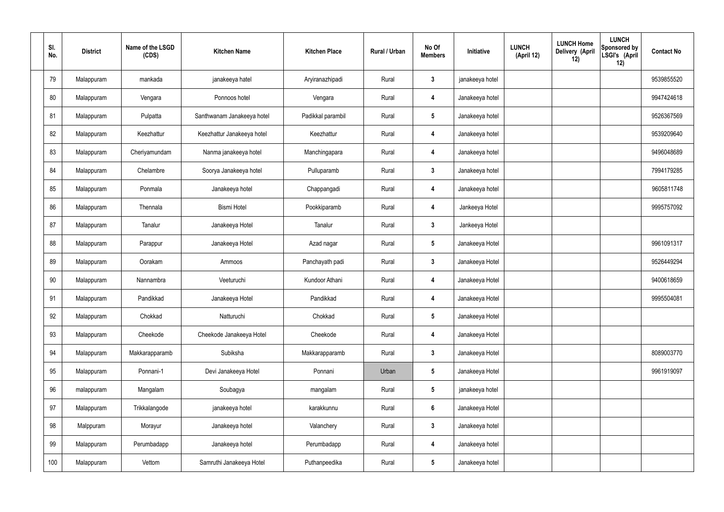| SI.<br>No. | <b>District</b> | Name of the LSGD<br>(CDS) | <b>Kitchen Name</b>        | <b>Kitchen Place</b> | Rural / Urban | No Of<br><b>Members</b> | Initiative      | <b>LUNCH</b><br>(April 12) | <b>LUNCH Home</b><br>Delivery (April<br>12) | <b>LUNCH</b><br><b>Sponsored by</b><br>LSGI's (April<br>12) | <b>Contact No</b> |
|------------|-----------------|---------------------------|----------------------------|----------------------|---------------|-------------------------|-----------------|----------------------------|---------------------------------------------|-------------------------------------------------------------|-------------------|
| 79         | Malappuram      | mankada                   | janakeeya hatel            | Aryiranazhipadi      | Rural         | 3                       | janakeeya hotel |                            |                                             |                                                             | 9539855520        |
| 80         | Malappuram      | Vengara                   | Ponnoos hotel              | Vengara              | Rural         | -4                      | Janakeeya hotel |                            |                                             |                                                             | 9947424618        |
| 81         | Malappuram      | Pulpatta                  | Santhwanam Janakeeya hotel | Padikkal parambil    | Rural         | 5                       | Janakeeya hotel |                            |                                             |                                                             | 9526367569        |
| 82         | Malappuram      | Keezhattur                | Keezhattur Janakeeya hotel | Keezhattur           | Rural         | -4                      | Janakeeya hotel |                            |                                             |                                                             | 9539209640        |
| 83         | Malappuram      | Cheriyamundam             | Nanma janakeeya hotel      | Manchingapara        | Rural         | 4                       | Janakeeya hotel |                            |                                             |                                                             | 9496048689        |
| 84         | Malappuram      | Chelambre                 | Soorya Janakeeya hotel     | Pulluparamb          | Rural         | $\mathbf{3}$            | Janakeeya hotel |                            |                                             |                                                             | 7994179285        |
| 85         | Malappuram      | Ponmala                   | Janakeeya hotel            | Chappangadi          | Rural         | -4                      | Janakeeya hotel |                            |                                             |                                                             | 9605811748        |
| 86         | Malappuram      | Thennala                  | <b>Bismi Hotel</b>         | Pookkiparamb         | Rural         | -4                      | Jankeeya Hotel  |                            |                                             |                                                             | 9995757092        |
| 87         | Malappuram      | Tanalur                   | Janakeeya Hotel            | Tanalur              | Rural         | 3                       | Jankeeya Hotel  |                            |                                             |                                                             |                   |
| 88         | Malappuram      | Parappur                  | Janakeeya Hotel            | Azad nagar           | Rural         | $5\phantom{.0}$         | Janakeeya Hotel |                            |                                             |                                                             | 9961091317        |
| 89         | Malappuram      | Oorakam                   | Ammoos                     | Panchayath padi      | Rural         | $\mathbf{3}$            | Janakeeya Hotel |                            |                                             |                                                             | 9526449294        |
| 90         | Malappuram      | Nannambra                 | Veeturuchi                 | Kundoor Athani       | Rural         | -4                      | Janakeeya Hotel |                            |                                             |                                                             | 9400618659        |
| 91         | Malappuram      | Pandikkad                 | Janakeeya Hotel            | Pandikkad            | Rural         | 4                       | Janakeeya Hotel |                            |                                             |                                                             | 9995504081        |
| 92         | Malappuram      | Chokkad                   | Natturuchi                 | Chokkad              | Rural         | $5\phantom{.0}$         | Janakeeya Hotel |                            |                                             |                                                             |                   |
| 93         | Malappuram      | Cheekode                  | Cheekode Janakeeya Hotel   | Cheekode             | Rural         | $\boldsymbol{4}$        | Janakeeya Hotel |                            |                                             |                                                             |                   |
| 94         | Malappuram      | Makkarapparamb            | Subiksha                   | Makkarapparamb       | Rural         | $\mathbf{3}$            | Janakeeya Hotel |                            |                                             |                                                             | 8089003770        |
| 95         | Malappuram      | Ponnani-1                 | Devi Janakeeya Hotel       | Ponnani              | Urban         | $5\phantom{.0}$         | Janakeeya Hotel |                            |                                             |                                                             | 9961919097        |
| 96         | malappuram      | Mangalam                  | Soubagya                   | mangalam             | Rural         | $5\phantom{.0}$         | janakeeya hotel |                            |                                             |                                                             |                   |
| 97         | Malappuram      | Trikkalangode             | janakeeya hotel            | karakkunnu           | Rural         | $6\phantom{.}6$         | Janakeeya Hotel |                            |                                             |                                                             |                   |
| 98         | Malppuram       | Morayur                   | Janakeeya hotel            | Valanchery           | Rural         | $\mathbf{3}$            | Janakeeya hotel |                            |                                             |                                                             |                   |
| 99         | Malappuram      | Perumbadapp               | Janakeeya hotel            | Perumbadapp          | Rural         | $\overline{4}$          | Janakeeya hotel |                            |                                             |                                                             |                   |
| 100        | Malappuram      | Vettom                    | Samruthi Janakeeya Hotel   | Puthanpeedika        | Rural         | $5\phantom{.0}$         | Janakeeya hotel |                            |                                             |                                                             |                   |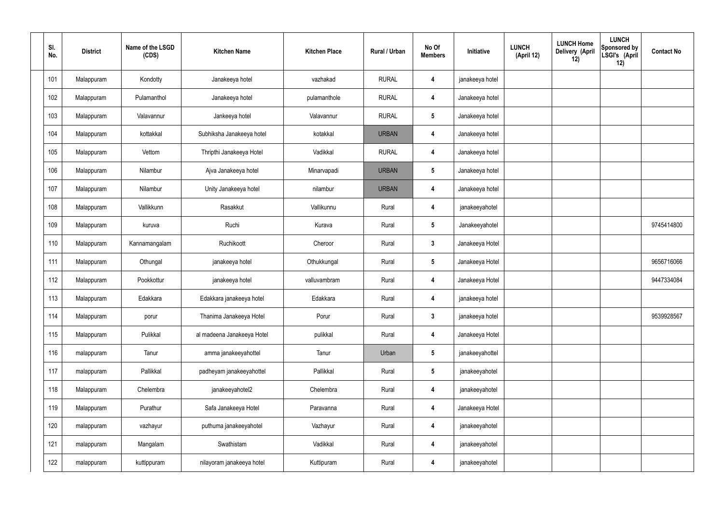| SI.<br>No. | <b>District</b> | Name of the LSGD<br>(CDS) | <b>Kitchen Name</b>        | <b>Kitchen Place</b> | Rural / Urban | No Of<br><b>Members</b> | Initiative      | <b>LUNCH Home</b><br><b>LUNCH</b><br>Delivery (April<br>(April 12)<br>12) | <b>LUNCH</b><br>Sponsored by<br>LSGI's (April<br>12) | <b>Contact No</b> |
|------------|-----------------|---------------------------|----------------------------|----------------------|---------------|-------------------------|-----------------|---------------------------------------------------------------------------|------------------------------------------------------|-------------------|
| 101        | Malappuram      | Kondotty                  | Janakeeya hotel            | vazhakad             | <b>RURAL</b>  | 4                       | janakeeya hotel |                                                                           |                                                      |                   |
| 102        | Malappuram      | Pulamanthol               | Janakeeya hotel            | pulamanthole         | <b>RURAL</b>  | 4                       | Janakeeya hotel |                                                                           |                                                      |                   |
| 103        | Malappuram      | Valavannur                | Jankeeya hotel             | Valavannur           | <b>RURAL</b>  | $5\overline{)}$         | Janakeeya hotel |                                                                           |                                                      |                   |
| 104        | Malappuram      | kottakkal                 | Subhiksha Janakeeya hotel  | kotakkal             | <b>URBAN</b>  | 4                       | Janakeeya hotel |                                                                           |                                                      |                   |
| 105        | Malappuram      | Vettom                    | Thripthi Janakeeya Hotel   | Vadikkal             | <b>RURAL</b>  | 4                       | Janakeeya hotel |                                                                           |                                                      |                   |
| 106        | Malappuram      | Nilambur                  | Ajva Janakeeya hotel       | Minarvapadi          | <b>URBAN</b>  | $5\phantom{.0}$         | Janakeeya hotel |                                                                           |                                                      |                   |
| 107        | Malappuram      | Nilambur                  | Unity Janakeeya hotel      | nilambur             | <b>URBAN</b>  | 4                       | Janakeeya hotel |                                                                           |                                                      |                   |
| 108        | Malappuram      | Vallikkunn                | Rasakkut                   | Vallikunnu           | Rural         | 4                       | janakeeyahotel  |                                                                           |                                                      |                   |
| 109        | Malappuram      | kuruva                    | Ruchi                      | Kurava               | Rural         | $5\phantom{.0}$         | Janakeeyahotel  |                                                                           |                                                      | 9745414800        |
| 110        | Malappuram      | Kannamangalam             | Ruchikoott                 | Cheroor              | Rural         | $\mathbf{3}$            | Janakeeya Hotel |                                                                           |                                                      |                   |
| 111        | Malappuram      | Othungal                  | janakeeya hotel            | Othukkungal          | Rural         | $5\phantom{.0}$         | Janakeeya Hotel |                                                                           |                                                      | 9656716066        |
| 112        | Malappuram      | Pookkottur                | janakeeya hotel            | valluvambram         | Rural         | 4                       | Janakeeya Hotel |                                                                           |                                                      | 9447334084        |
| 113        | Malappuram      | Edakkara                  | Edakkara janakeeya hotel   | Edakkara             | Rural         | 4                       | janakeeya hotel |                                                                           |                                                      |                   |
| 114        | Malappuram      | porur                     | Thanima Janakeeya Hotel    | Porur                | Rural         | $\mathbf{3}$            | janakeeya hotel |                                                                           |                                                      | 9539928567        |
| 115        | Malappuram      | Pulikkal                  | al madeena Janakeeya Hotel | pulikkal             | Rural         | $\overline{\mathbf{4}}$ | Janakeeya Hotel |                                                                           |                                                      |                   |
| 116        | malappuram      | Tanur                     | amma janakeeyahottel       | Tanur                | Urban         | $5\phantom{.0}$         | janakeeyahottel |                                                                           |                                                      |                   |
| 117        | malappuram      | Pallikkal                 | padheyam janakeeyahottel   | Pallikkal            | Rural         | $5\overline{)}$         | janakeeyahotel  |                                                                           |                                                      |                   |
| 118        | Malappuram      | Chelembra                 | janakeeyahotel2            | Chelembra            | Rural         | 4                       | janakeeyahotel  |                                                                           |                                                      |                   |
| 119        | Malappuram      | Purathur                  | Safa Janakeeya Hotel       | Paravanna            | Rural         | 4                       | Janakeeya Hotel |                                                                           |                                                      |                   |
| 120        | malappuram      | vazhayur                  | puthuma janakeeyahotel     | Vazhayur             | Rural         | 4                       | janakeeyahotel  |                                                                           |                                                      |                   |
| 121        | malappuram      | Mangalam                  | Swathistam                 | Vadikkal             | Rural         | 4                       | janakeeyahotel  |                                                                           |                                                      |                   |
| 122        | malappuram      | kuttippuram               | nilayoram janakeeya hotel  | Kuttipuram           | Rural         | 4                       | janakeeyahotel  |                                                                           |                                                      |                   |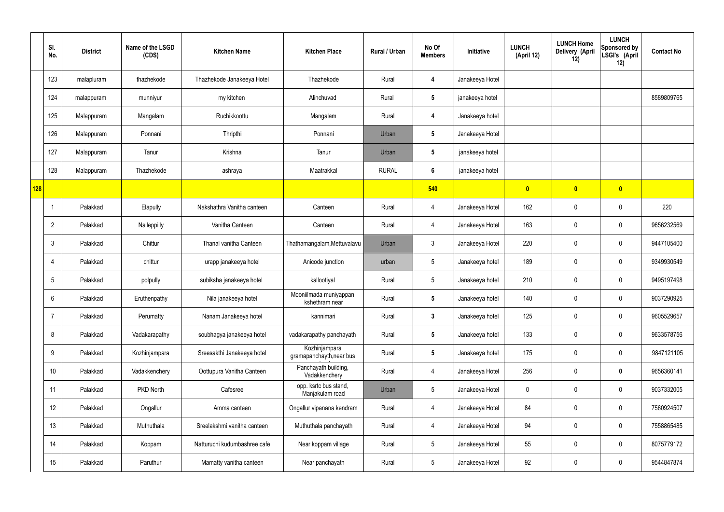|     | SI.<br>No.     | <b>District</b> | Name of the LSGD<br>(CDS) | <b>Kitchen Name</b>          | <b>Kitchen Place</b>                      | Rural / Urban | No Of<br><b>Members</b> | Initiative      | <b>LUNCH</b><br>(April 12) | <b>LUNCH Home</b><br>Delivery (April<br>12) | <b>LUNCH</b><br>Sponsored by<br>LSGI's (April<br>12) | <b>Contact No</b> |
|-----|----------------|-----------------|---------------------------|------------------------------|-------------------------------------------|---------------|-------------------------|-----------------|----------------------------|---------------------------------------------|------------------------------------------------------|-------------------|
|     | 123            | malapluram      | thazhekode                | Thazhekode Janakeeya Hotel   | Thazhekode                                | Rural         | 4                       | Janakeeya Hotel |                            |                                             |                                                      |                   |
|     | 124            | malappuram      | munniyur                  | my kitchen                   | Alinchuvad                                | Rural         | $5\phantom{.0}$         | janakeeya hotel |                            |                                             |                                                      | 8589809765        |
|     | 125            | Malappuram      | Mangalam                  | Ruchikkoottu                 | Mangalam                                  | Rural         | 4                       | Janakeeya hotel |                            |                                             |                                                      |                   |
|     | 126            | Malappuram      | Ponnani                   | Thripthi                     | Ponnani                                   | Urban         | $5\phantom{.0}$         | Janakeeya Hotel |                            |                                             |                                                      |                   |
|     | 127            | Malappuram      | Tanur                     | Krishna                      | Tanur                                     | Urban         | $5\phantom{.0}$         | janakeeya hotel |                            |                                             |                                                      |                   |
|     | 128            | Malappuram      | Thazhekode                | ashraya                      | Maatrakkal                                | <b>RURAL</b>  | $6\phantom{.}6$         | janakeeya hotel |                            |                                             |                                                      |                   |
| 128 |                |                 |                           |                              |                                           |               | 540                     |                 | $\mathbf{0}$               | $\mathbf{0}$                                | $\overline{\mathbf{0}}$                              |                   |
|     | -1             | Palakkad        | Elapully                  | Nakshathra Vanitha canteen   | Canteen                                   | Rural         | 4                       | Janakeeya Hotel | 162                        | 0                                           | $\mathbf 0$                                          | 220               |
|     | $\overline{2}$ | Palakkad        | Nalleppilly               | Vanitha Canteen              | Canteen                                   | Rural         | 4                       | Janakeeya Hotel | 163                        | 0                                           | $\mathbf 0$                                          | 9656232569        |
|     | 3              | Palakkad        | Chittur                   | Thanal vanitha Canteen       | Thathamangalam, Mettuvalavu               | Urban         | $\mathbf{3}$            | Janakeeya Hotel | 220                        | $\mathbf 0$                                 | $\mathbf 0$                                          | 9447105400        |
|     | 4              | Palakkad        | chittur                   | urapp janakeeya hotel        | Anicode junction                          | urban         | $5\phantom{.0}$         | Janakeeya hotel | 189                        | 0                                           | $\mathbf 0$                                          | 9349930549        |
|     | 5              | Palakkad        | polpully                  | subiksha janakeeya hotel     | kallootiyal                               | Rural         | $5\phantom{.0}$         | Janakeeya hotel | 210                        | 0                                           | $\overline{0}$                                       | 9495197498        |
|     | 6              | Palakkad        | Eruthenpathy              | Nila janakeeya hotel         | Mooniilmada muniyappan<br>kshethram near  | Rural         | $5\phantom{.0}$         | Janakeeya hotel | 140                        | $\mathbf 0$                                 | $\mathbf 0$                                          | 9037290925        |
|     | $\overline{7}$ | Palakkad        | Perumatty                 | Nanam Janakeeya hotel        | kannimari                                 | Rural         | $\mathbf{3}$            | Janakeeya hotel | 125                        | 0                                           | $\mathbf 0$                                          | 9605529657        |
|     | 8              | Palakkad        | Vadakarapathy             | soubhagya janakeeya hotel    | vadakarapathy panchayath                  | Rural         | $5\phantom{.0}$         | Janakeeya hotel | 133                        | 0                                           | $\mathbf 0$                                          | 9633578756        |
|     | 9              | Palakkad        | Kozhinjampara             | Sreesakthi Janakeeya hotel   | Kozhinjampara<br>gramapanchayth, near bus | Rural         | $5\phantom{.0}$         | Janakeeya hotel | 175                        | 0                                           | $\mathbf 0$                                          | 9847121105        |
|     | 10             | Palakkad        | Vadakkenchery             | Oottupura Vanitha Canteen    | Panchayath building,<br>Vadakkenchery     | Rural         | $\overline{4}$          | Janakeeya Hotel | 256                        | 0                                           | $\mathbf 0$                                          | 9656360141        |
|     | 11             | Palakkad        | PKD North                 | Cafesree                     | opp. ksrtc bus stand,<br>Manjakulam road  | Urban         | $5\phantom{.0}$         | Janakeeya Hotel | $\mathbf 0$                | 0                                           | $\mathbf 0$                                          | 9037332005        |
|     | 12             | Palakkad        | Ongallur                  | Amma canteen                 | Ongallur vipanana kendram                 | Rural         | $\overline{4}$          | Janakeeya Hotel | 84                         | 0                                           | $\mathbf 0$                                          | 7560924507        |
|     | 13             | Palakkad        | Muthuthala                | Sreelakshmi vanitha canteen  | Muthuthala panchayath                     | Rural         | 4                       | Janakeeya Hotel | 94                         | 0                                           | $\mathbf 0$                                          | 7558865485        |
|     | 14             | Palakkad        | Koppam                    | Natturuchi kudumbashree cafe | Near koppam village                       | Rural         | $5\phantom{.0}$         | Janakeeya Hotel | 55                         | $\pmb{0}$                                   | $\mathbf 0$                                          | 8075779172        |
|     | 15             | Palakkad        | Paruthur                  | Mamatty vanitha canteen      | Near panchayath                           | Rural         | 5 <sub>5</sub>          | Janakeeya Hotel | 92                         | $\pmb{0}$                                   | $\pmb{0}$                                            | 9544847874        |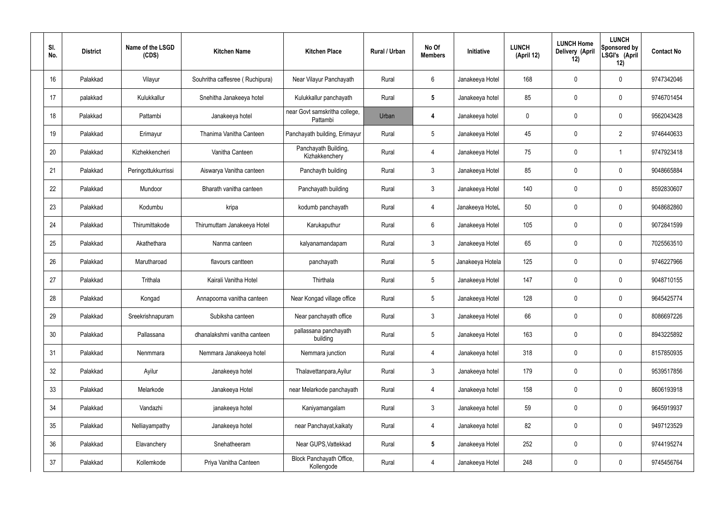| SI.<br>No. | <b>District</b> | Name of the LSGD<br>(CDS) | <b>Kitchen Name</b>             | <b>Kitchen Place</b>                      | Rural / Urban | No Of<br><b>Members</b> | Initiative       | <b>LUNCH</b><br>(April 12) | <b>LUNCH Home</b><br>Delivery (April<br>12) | <b>LUNCH</b><br>Sponsored by<br>LSGI's (April<br>12) | <b>Contact No</b> |
|------------|-----------------|---------------------------|---------------------------------|-------------------------------------------|---------------|-------------------------|------------------|----------------------------|---------------------------------------------|------------------------------------------------------|-------------------|
| 16         | Palakkad        | Vilayur                   | Souhritha caffesree (Ruchipura) | Near Vilayur Panchayath                   | Rural         | $6\phantom{.}6$         | Janakeeya Hotel  | 168                        | 0                                           | $\mathbf 0$                                          | 9747342046        |
| 17         | palakkad        | Kulukkallur               | Snehitha Janakeeya hotel        | Kulukkallur panchayath                    | Rural         | $5\phantom{.0}$         | Janakeeya hotel  | 85                         | 0                                           | $\mathbf 0$                                          | 9746701454        |
| 18         | Palakkad        | Pattambi                  | Janakeeya hotel                 | near Govt samskritha college,<br>Pattambi | Urban         | 4                       | Janakeeya hotel  | $\mathbf 0$                | 0                                           | $\mathbf 0$                                          | 9562043428        |
| 19         | Palakkad        | Erimayur                  | Thanima Vanitha Canteen         | Panchayath building, Erimayur             | Rural         | $5\phantom{.0}$         | Janakeeya Hotel  | 45                         | 0                                           | $\overline{2}$                                       | 9746440633        |
| 20         | Palakkad        | Kizhekkencheri            | Vanitha Canteen                 | Panchayath Building,<br>Kizhakkenchery    | Rural         | $\overline{4}$          | Janakeeya Hotel  | 75                         | 0                                           | $\mathbf 1$                                          | 9747923418        |
| 21         | Palakkad        | Peringottukkurrissi       | Aiswarya Vanitha canteen        | Panchayth building                        | Rural         | $\mathbf{3}$            | Janakeeya Hotel  | 85                         | 0                                           | $\mathbf 0$                                          | 9048665884        |
| 22         | Palakkad        | Mundoor                   | Bharath vanitha canteen         | Panchayath building                       | Rural         | $\mathbf{3}$            | Janakeeya Hotel  | 140                        | 0                                           | $\mathbf 0$                                          | 8592830607        |
| 23         | Palakkad        | Kodumbu                   | kripa                           | kodumb panchayath                         | Rural         | 4                       | Janakeeya HoteL  | 50                         | 0                                           | $\mathbf 0$                                          | 9048682860        |
| 24         | Palakkad        | Thirumittakode            | Thirumuttam Janakeeya Hotel     | Karukaputhur                              | Rural         | $6\phantom{.}6$         | Janakeeya Hotel  | 105                        | 0                                           | $\mathbf 0$                                          | 9072841599        |
| 25         | Palakkad        | Akathethara               | Nanma canteen                   | kalyanamandapam                           | Rural         | $\mathfrak{Z}$          | Janakeeya Hotel  | 65                         | 0                                           | $\mathbf 0$                                          | 7025563510        |
| 26         | Palakkad        | Marutharoad               | flavours cantteen               | panchayath                                | Rural         | $5\phantom{.0}$         | Janakeeya Hotela | 125                        | 0                                           | $\mathbf 0$                                          | 9746227966        |
| 27         | Palakkad        | Trithala                  | Kairali Vanitha Hotel           | Thirthala                                 | Rural         | $5\phantom{.0}$         | Janakeeya Hotel  | 147                        | 0                                           | $\boldsymbol{0}$                                     | 9048710155        |
| 28         | Palakkad        | Kongad                    | Annapoorna vanitha canteen      | Near Kongad village office                | Rural         | $5\phantom{.0}$         | Janakeeya Hotel  | 128                        | 0                                           | 0                                                    | 9645425774        |
| 29         | Palakkad        | Sreekrishnapuram          | Subiksha canteen                | Near panchayath office                    | Rural         | $\mathfrak{Z}$          | Janakeeya Hotel  | 66                         | $\mathbf 0$                                 | $\mathbf 0$                                          | 8086697226        |
| 30         | Palakkad        | Pallassana                | dhanalakshmi vanitha canteen    | pallassana panchayath<br>building         | Rural         | $5\phantom{.0}$         | Janakeeya Hotel  | 163                        | $\mathbf 0$                                 | $\mathbf 0$                                          | 8943225892        |
| 31         | Palakkad        | Nenmmara                  | Nemmara Janakeeya hotel         | Nemmara junction                          | Rural         | 4                       | Janakeeya hotel  | 318                        | $\mathbf 0$                                 | $\mathbf 0$                                          | 8157850935        |
| 32         | Palakkad        | Ayilur                    | Janakeeya hotel                 | Thalavettanpara, Ayilur                   | Rural         | $3\phantom{a}$          | Janakeeya hotel  | 179                        | $\mathbf 0$                                 | $\mathbf 0$                                          | 9539517856        |
| 33         | Palakkad        | Melarkode                 | Janakeeya Hotel                 | near Melarkode panchayath                 | Rural         | 4                       | Janakeeya hotel  | 158                        | 0                                           | $\mathbf 0$                                          | 8606193918        |
| 34         | Palakkad        | Vandazhi                  | janakeeya hotel                 | Kaniyamangalam                            | Rural         | $\mathfrak{Z}$          | Janakeeya hotel  | 59                         | 0                                           | $\mathbf 0$                                          | 9645919937        |
| 35         | Palakkad        | Nelliayampathy            | Janakeeya hotel                 | near Panchayat, kaikaty                   | Rural         | 4                       | Janakeeya hotel  | 82                         | 0                                           | $\mathbf 0$                                          | 9497123529        |
| 36         | Palakkad        | Elavanchery               | Snehatheeram                    | Near GUPS, Vattekkad                      | Rural         | $5\phantom{a}$          | Janakeeya Hotel  | 252                        | 0                                           | $\mathbf 0$                                          | 9744195274        |
| 37         | Palakkad        | Kollemkode                | Priya Vanitha Canteen           | Block Panchayath Office,<br>Kollengode    | Rural         | 4                       | Janakeeya Hotel  | 248                        | 0                                           | $\boldsymbol{0}$                                     | 9745456764        |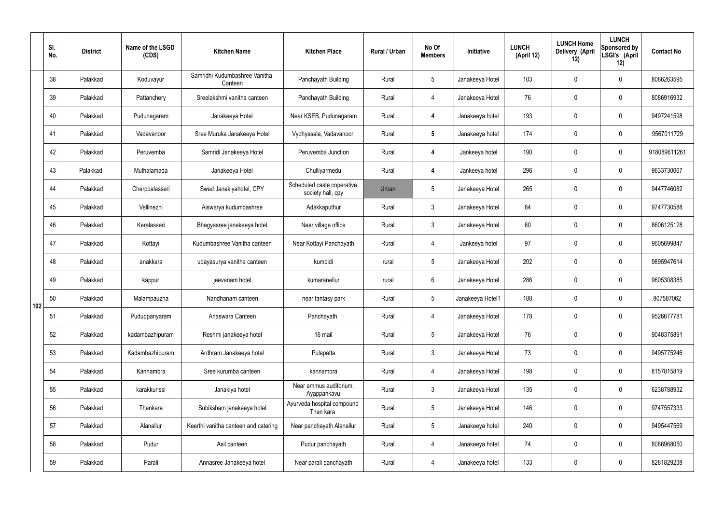|     | SI.<br>No. | <b>District</b> | Name of the LSGD<br>(CDS) | <b>Kitchen Name</b>                      | <b>Kitchen Place</b>                            | Rural / Urban | No Of<br><b>Members</b> | Initiative       | <b>LUNCH</b><br>(April 12) | <b>LUNCH Home</b><br>Delivery (April<br>12) | <b>LUNCH</b><br>Sponsored by<br>LSGI's (April<br>12) | <b>Contact No</b> |
|-----|------------|-----------------|---------------------------|------------------------------------------|-------------------------------------------------|---------------|-------------------------|------------------|----------------------------|---------------------------------------------|------------------------------------------------------|-------------------|
|     | 38         | Palakkad        | Koduvayur                 | Samridhi Kudumbashree Vanitha<br>Canteen | Panchayath Building                             | Rural         | $5\overline{)}$         | Janakeeya Hotel  | 103                        | $\mathbf 0$                                 | $\mathbf 0$                                          | 8086263595        |
|     | 39         | Palakkad        | Pattanchery               | Sreelakshmi vanitha canteen              | Panchayath Building                             | Rural         | 4                       | Janakeeya Hotel  | 76                         | $\mathbf 0$                                 | $\mathbf 0$                                          | 8086916932        |
|     | 40         | Palakkad        | Pudunagaram               | Janakeeya Hotel                          | Near KSEB, Pudunagaram                          | Rural         | 4                       | Janakeeya hotel  | 193                        | $\mathbf 0$                                 | $\mathbf 0$                                          | 9497241598        |
|     | 41         | Palakkad        | Vadavanoor                | Sree Muruka Janakeeya Hotel              | Vydhyasala, Vadavanoor                          | Rural         | $5\phantom{.0}$         | Janakeeya hotel  | 174                        | $\mathbf 0$                                 | $\mathbf 0$                                          | 9567011729        |
|     | 42         | Palakkad        | Peruvemba                 | Samridi Janakeeya Hotel                  | Peruvemba Junction                              | Rural         | $\overline{4}$          | Jankeeya hotel   | 190                        | $\mathbf 0$                                 | $\mathbf 0$                                          | 918089611261      |
|     | 43         | Palakkad        | Muthalamada               | Janakeeya Hotel                          | Chulliyarmedu                                   | Rural         | $\overline{4}$          | Jankeeya hotel   | 296                        | $\mathbf 0$                                 | $\mathbf 0$                                          | 9633730067        |
|     | 44         | Palakkad        | Cherppalasseri            | Swad Janakiyahotel, CPY                  | Scheduled caste coperative<br>society hall, cpy | Urban         | $5\overline{)}$         | Janakeeya Hotel  | 265                        | $\mathbf 0$                                 | $\mathbf 0$                                          | 9447746082        |
|     | 45         | Palakkad        | Vellinezhi                | Aiswarya kudumbashree                    | Adakkaputhur                                    | Rural         | $\mathbf{3}$            | Janakeeya Hotel  | 84                         | $\mathbf 0$                                 | $\mathbf 0$                                          | 9747730588        |
|     | 46         | Palakkad        | Keralasseri               | Bhagyasree janakeeya hotel               | Near village office                             | Rural         | $\mathbf{3}$            | Janakeeya Hotel  | 60                         | $\mathbf 0$                                 | $\mathbf 0$                                          | 8606125128        |
|     | 47         | Palakkad        | Kottayi                   | Kudumbashree Vanitha canteen             | Near Kottayi Panchayath                         | Rural         | $\overline{4}$          | Jankeeya hotel   | 97                         | $\mathbf 0$                                 | $\mathbf 0$                                          | 9605699847        |
|     | 48         | Palakkad        | anakkara                  | udayasurya vanitha canteen               | kumbidi                                         | rural         | $5\phantom{.0}$         | Janakeeya Hotel  | 202                        | $\mathbf 0$                                 | $\mathbf 0$                                          | 9895947614        |
|     | 49         | Palakkad        | kappur                    | jeevanam hotel                           | kumaranellur                                    | rural         | $6\overline{6}$         | Janakeeya Hotel  | 286                        | $\mathbf 0$                                 | $\mathbf 0$                                          | 9605308385        |
| 102 | 50         | Palakkad        | Malampauzha               | Nandhanam canteen                        | near fantasy park                               | Rural         | $5\overline{)}$         | Janakeeya HotelT | 188                        | $\mathbf 0$                                 | $\mathbf 0$                                          | 807587062         |
|     | 51         | Palakkad        | Puduppariyaram            | Anaswara Canteen                         | Panchayath                                      | Rural         | 4                       | Janakeeya Hotel  | 178                        | $\mathbf 0$                                 | $\mathbf 0$                                          | 9526677781        |
|     | 52         | Palakkad        | kadambazhipuram           | Reshmi janakeeya hotel                   | 16 mail                                         | Rural         | $5\overline{)}$         | Janakeeya Hotel  | 76                         | 0                                           | $\mathbf 0$                                          | 9048375891        |
|     | 53         | Palakkad        | Kadambazhipuram           | Ardhram Janakeeya hotel                  | Pulapatta                                       | Rural         | 3                       | Janakeeya Hotel  | 73                         | 0                                           | $\mathbf 0$                                          | 9495775246        |
|     | 54         | Palakkad        | Kannambra                 | Sree kurumba canteen                     | kannambra                                       | Rural         | 4                       | Janakeeya Hotel  | 198                        | 0                                           | $\mathbf 0$                                          | 8157815819        |
|     | 55         | Palakkad        | karakkurissi              | Janakiya hotel                           | Near ammus auditorium,<br>Ayappankavu           | Rural         | $\mathbf{3}$            | Janakeeya Hotel  | 135                        | 0                                           | $\mathbf 0$                                          | 6238788932        |
|     | 56         | Palakkad        | Thenkara                  | Subiksham janakeeya hotel                | Ayurveda hospital compound<br>Then kara         | Rural         | $5\phantom{.0}$         | Janakeeya Hotel  | 146                        | 0                                           | $\boldsymbol{0}$                                     | 9747557333        |
|     | 57         | Palakkad        | Alanallur                 | Keerthi vanitha canteen and catering     | Near panchayath Alanallur                       | Rural         | $5\phantom{.0}$         | Janakeeya hotel  | 240                        | 0                                           | $\mathbf 0$                                          | 9495447569        |
|     | 58         | Palakkad        | Pudur                     | Asil canteen                             | Pudur panchayath                                | Rural         | 4                       | Janakeeya hotel  | 74                         | 0                                           | $\mathbf 0$                                          | 8086968050        |
|     | 59         | Palakkad        | Parali                    | Annasree Janakeeya hotel                 | Near parali panchayath                          | Rural         | 4                       | Janakeeya hotel  | 133                        | $\pmb{0}$                                   | $\overline{0}$                                       | 8281829238        |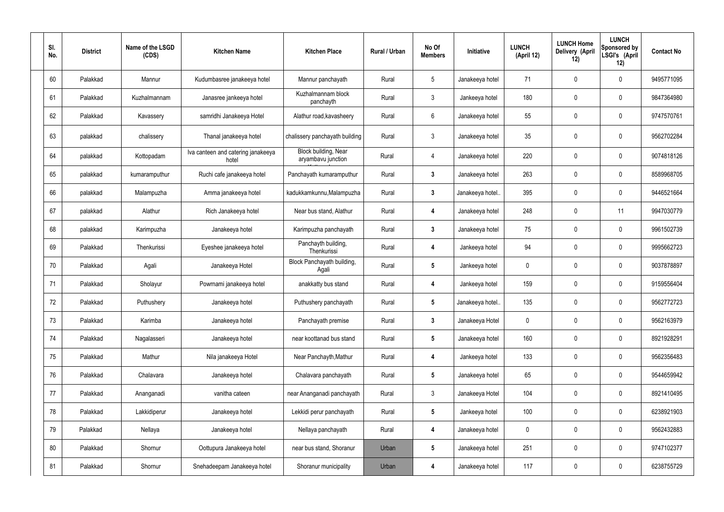| SI.<br>No. | <b>District</b> | Name of the LSGD<br>(CDS) | <b>Kitchen Name</b>                         | <b>Kitchen Place</b>                       | Rural / Urban | No Of<br><b>Members</b> | Initiative       | <b>LUNCH</b><br>(April 12) | <b>LUNCH Home</b><br>Delivery (April<br>12) | <b>LUNCH</b><br>Sponsored by<br>LSGI's (April<br>12) | <b>Contact No</b> |
|------------|-----------------|---------------------------|---------------------------------------------|--------------------------------------------|---------------|-------------------------|------------------|----------------------------|---------------------------------------------|------------------------------------------------------|-------------------|
| 60         | Palakkad        | Mannur                    | Kudumbasree janakeeya hotel                 | Mannur panchayath                          | Rural         | $5\phantom{.0}$         | Janakeeya hotel  | 71                         | 0                                           | $\mathbf 0$                                          | 9495771095        |
| 61         | Palakkad        | Kuzhalmannam              | Janasree jankeeya hotel                     | Kuzhalmannam block<br>panchayth            | Rural         | $\mathbf{3}$            | Jankeeya hotel   | 180                        | 0                                           | $\mathbf 0$                                          | 9847364980        |
| 62         | Palakkad        | Kavassery                 | samridhi Janakeeya Hotel                    | Alathur road, kavasheery                   | Rural         | $6\phantom{.}6$         | Janakeeya hotel  | 55                         | 0                                           | $\mathbf 0$                                          | 9747570761        |
| 63         | palakkad        | chalissery                | Thanal janakeeya hotel                      | chalissery panchayath building             | Rural         | $\mathfrak{Z}$          | Janakeeya hotel  | 35 <sub>2</sub>            | 0                                           | $\mathbf 0$                                          | 9562702284        |
| 64         | palakkad        | Kottopadam                | Iva canteen and catering janakeeya<br>hotel | Block building, Near<br>aryambavu junction | Rural         | 4                       | Janakeeya hotel  | 220                        | 0                                           | $\mathbf 0$                                          | 9074818126        |
| 65         | palakkad        | kumaramputhur             | Ruchi cafe janakeeya hotel                  | Panchayath kumaramputhur                   | Rural         | $\mathbf{3}$            | Janakeeya hotel  | 263                        | 0                                           | $\mathbf 0$                                          | 8589968705        |
| 66         | palakkad        | Malampuzha                | Amma janakeeya hotel                        | kadukkamkunnu, Malampuzha                  | Rural         | $\mathbf{3}$            | Janakeeya hotel  | 395                        | 0                                           | $\mathbf 0$                                          | 9446521664        |
| 67         | palakkad        | Alathur                   | Rich Janakeeya hotel                        | Near bus stand, Alathur                    | Rural         | 4                       | Janakeeya hotel  | 248                        | 0                                           | 11                                                   | 9947030779        |
| 68         | palakkad        | Karimpuzha                | Janakeeya hotel                             | Karimpuzha panchayath                      | Rural         | $\mathbf{3}$            | Janakeeya hotel  | 75                         | 0                                           | $\mathbf 0$                                          | 9961502739        |
| 69         | Palakkad        | Thenkurissi               | Eyeshee janakeeya hotel                     | Panchayth building,<br>Thenkurissi         | Rural         | 4                       | Jankeeya hotel   | 94                         | 0                                           | $\mathbf 0$                                          | 9995662723        |
| 70         | Palakkad        | Agali                     | Janakeeya Hotel                             | Block Panchayath building,<br>Agali        | Rural         | $5\phantom{.0}$         | Jankeeya hotel   | $\mathbf 0$                | $\mathbf 0$                                 | $\mathbf 0$                                          | 9037878897        |
| 71         | Palakkad        | Sholayur                  | Powrnami janakeeya hotel                    | anakkatty bus stand                        | Rural         | 4                       | Jankeeya hotel   | 159                        | 0                                           | $\mathbf 0$                                          | 9159556404        |
| 72         | Palakkad        | Puthushery                | Janakeeya hotel                             | Puthushery panchayath                      | Rural         |                         | Janakeeya hotel. | 135                        | 0                                           | $\mathbf{0}$                                         | 9562772723        |
| 73         | Palakkad        | Karimba                   | Janakeeya hotel                             | Panchayath premise                         | Rural         | $3\phantom{a}$          | Janakeeya Hotel  | $\pmb{0}$                  | 0                                           | $\mathbf 0$                                          | 9562163979        |
| 74         | Palakkad        | Nagalasseri               | Janakeeya hotel                             | near koottanad bus stand                   | Rural         | $5\phantom{.0}$         | Janakeeya hotel  | 160                        | 0                                           | $\mathbf 0$                                          | 8921928291        |
| 75         | Palakkad        | Mathur                    | Nila janakeeya Hotel                        | Near Panchayth, Mathur                     | Rural         | 4                       | Jankeeya hotel   | 133                        | 0                                           | $\mathbf 0$                                          | 9562356483        |
| 76         | Palakkad        | Chalavara                 | Janakeeya hotel                             | Chalavara panchayath                       | Rural         | $5\phantom{.0}$         | Janakeeya hotel  | 65                         | 0                                           | $\mathbf 0$                                          | 9544659942        |
| 77         | Palakkad        | Ananganadi                | vanitha cateen                              | near Ananganadi panchayath                 | Rural         | $\mathfrak{Z}$          | Janakeeya Hotel  | 104                        | 0                                           | $\mathbf 0$                                          | 8921410495        |
| 78         | Palakkad        | Lakkidiperur              | Janakeeya hotel                             | Lekkidi perur panchayath                   | Rural         | $5\phantom{.0}$         | Jankeeya hotel   | 100                        | 0                                           | $\mathbf 0$                                          | 6238921903        |
| 79         | Palakkad        | Nellaya                   | Janakeeya hotel                             | Nellaya panchayath                         | Rural         | 4                       | Janakeeya hotel  | 0                          | 0                                           | $\mathbf 0$                                          | 9562432883        |
| 80         | Palakkad        | Shornur                   | Oottupura Janakeeya hotel                   | near bus stand, Shoranur                   | Urban         | $5\phantom{.0}$         | Janakeeya hotel  | 251                        | 0                                           | $\mathbf 0$                                          | 9747102377        |
| 81         | Palakkad        | Shornur                   | Snehadeepam Janakeeya hotel                 | Shoranur municipality                      | Urban         | 4                       | Janakeeya hotel  | 117                        | 0                                           | $\mathbf 0$                                          | 6238755729        |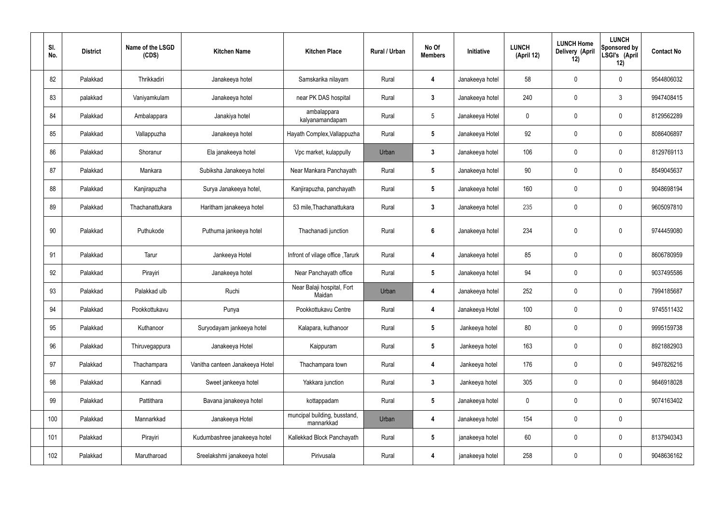| SI.<br>No. | <b>District</b> | Name of the LSGD<br>(CDS) | <b>Kitchen Name</b>             | <b>Kitchen Place</b>                       | <b>Rural / Urban</b> | No Of<br><b>Members</b> | Initiative      | <b>LUNCH</b><br>(April 12) | <b>LUNCH Home</b><br>Delivery (April<br>12) | <b>LUNCH</b><br>Sponsored by<br>LSGI's (April<br>12) | <b>Contact No</b> |
|------------|-----------------|---------------------------|---------------------------------|--------------------------------------------|----------------------|-------------------------|-----------------|----------------------------|---------------------------------------------|------------------------------------------------------|-------------------|
| 82         | Palakkad        | Thrikkadiri               | Janakeeya hotel                 | Samskarika nilayam                         | Rural                | $\overline{\mathbf{4}}$ | Janakeeya hotel | 58                         | 0                                           | $\mathbf 0$                                          | 9544806032        |
| 83         | palakkad        | Vaniyamkulam              | Janakeeya hotel                 | near PK DAS hospital                       | Rural                | $\mathbf{3}$            | Janakeeya hotel | 240                        | $\mathbf 0$                                 | $\mathfrak{Z}$                                       | 9947408415        |
| 84         | Palakkad        | Ambalappara               | Janakiya hotel                  | ambalappara<br>kalyanamandapam             | Rural                | 5                       | Janakeeya Hotel | $\mathbf 0$                | $\mathbf 0$                                 | $\mathbf 0$                                          | 8129562289        |
| 85         | Palakkad        | Vallappuzha               | Janakeeya hotel                 | Hayath Complex, Vallappuzha                | Rural                | $5\phantom{.0}$         | Janakeeya Hotel | 92                         | $\mathbf 0$                                 | $\mathbf 0$                                          | 8086406897        |
| 86         | Palakkad        | Shoranur                  | Ela janakeeya hotel             | Vpc market, kulappully                     | Urban                | $\mathbf{3}$            | Janakeeya hotel | 106                        | $\mathbf 0$                                 | $\mathbf 0$                                          | 8129769113        |
| 87         | Palakkad        | Mankara                   | Subiksha Janakeeya hotel        | Near Mankara Panchayath                    | Rural                | $5\phantom{.0}$         | Janakeeya hotel | 90                         | $\mathbf 0$                                 | $\mathbf 0$                                          | 8549045637        |
| 88         | Palakkad        | Kanjirapuzha              | Surya Janakeeya hotel,          | Kanjirapuzha, panchayath                   | Rural                | $5\phantom{.0}$         | Janakeeya hotel | 160                        | $\mathbf 0$                                 | $\mathbf 0$                                          | 9048698194        |
| 89         | Palakkad        | Thachanattukara           | Haritham janakeeya hotel        | 53 mile, Thachanattukara                   | Rural                | $\mathbf{3}$            | Janakeeya hotel | 235                        | $\mathbf 0$                                 | $\mathbf 0$                                          | 9605097810        |
| 90         | Palakkad        | Puthukode                 | Puthuma jankeeya hotel          | Thachanadi junction                        | Rural                | $6\phantom{a}$          | Janakeeya hotel | 234                        | 0                                           | $\mathbf 0$                                          | 9744459080        |
| 91         | Palakkad        | Tarur                     | Jankeeya Hotel                  | Infront of vilage office, Tarurk           | Rural                | $\boldsymbol{4}$        | Janakeeya hotel | 85                         | $\mathbf 0$                                 | $\mathbf 0$                                          | 8606780959        |
| 92         | Palakkad        | Pirayiri                  | Janakeeya hotel                 | Near Panchayath office                     | Rural                | $5\phantom{.0}$         | Janakeeya hotel | 94                         | $\mathbf 0$                                 | $\mathbf 0$                                          | 9037495586        |
| 93         | Palakkad        | Palakkad ulb              | Ruchi                           | Near Balaji hospital, Fort<br>Maidan       | Urban                | 4                       | Janakeeya hotel | 252                        | $\pmb{0}$                                   | $\mathbf 0$                                          | 7994185687        |
| 94         | Palakkad        | Pookkottukavu             | Punya                           | Pookkottukavu Centre                       | Rural                | 4                       | Janakeeya Hotel | 100                        | $\mathbf 0$                                 | $\mathbf 0$                                          | 9745511432        |
| 95         | Palakkad        | Kuthanoor                 | Suryodayam jankeeya hotel       | Kalapara, kuthanoor                        | Rural                | $5\phantom{.0}$         | Jankeeya hotel  | 80                         | $\pmb{0}$                                   | $\mathbf 0$                                          | 9995159738        |
| 96         | Palakkad        | Thiruvegappura            | Janakeeya Hotel                 | Kaippuram                                  | Rural                | $5\phantom{.0}$         | Jankeeya hotel  | 163                        | $\pmb{0}$                                   | $\mathbf 0$                                          | 8921882903        |
| 97         | Palakkad        | Thachampara               | Vanitha canteen Janakeeya Hotel | Thachampara town                           | Rural                | 4                       | Jankeeya hotel  | 176                        | $\pmb{0}$                                   | $\mathbf 0$                                          | 9497826216        |
| 98         | Palakkad        | Kannadi                   | Sweet jankeeya hotel            | Yakkara junction                           | Rural                | $3\phantom{a}$          | Jankeeya hotel  | 305                        | $\pmb{0}$                                   | $\mathbf 0$                                          | 9846918028        |
| 99         | Palakkad        | Pattithara                | Bavana janakeeya hotel          | kottappadam                                | Rural                | $5\phantom{.0}$         | Janakeeya hotel | $\pmb{0}$                  | $\pmb{0}$                                   | $\mathbf 0$                                          | 9074163402        |
| 100        | Palakkad        | Mannarkkad                | Janakeeya Hotel                 | muncipal building, busstand,<br>mannarkkad | Urban                | 4                       | Janakeeya hotel | 154                        | $\pmb{0}$                                   | $\mathbf 0$                                          |                   |
| 101        | Palakkad        | Pirayiri                  | Kudumbashree janakeeya hotel    | Kallekkad Block Panchayath                 | Rural                | $5\phantom{.0}$         | janakeeya hotel | 60                         | $\mathbf 0$                                 | $\mathbf 0$                                          | 8137940343        |
| 102        | Palakkad        | Marutharoad               | Sreelakshmi janakeeya hotel     | Pirivusala                                 | Rural                | 4                       | janakeeya hotel | 258                        | $\pmb{0}$                                   | $\mathbf 0$                                          | 9048636162        |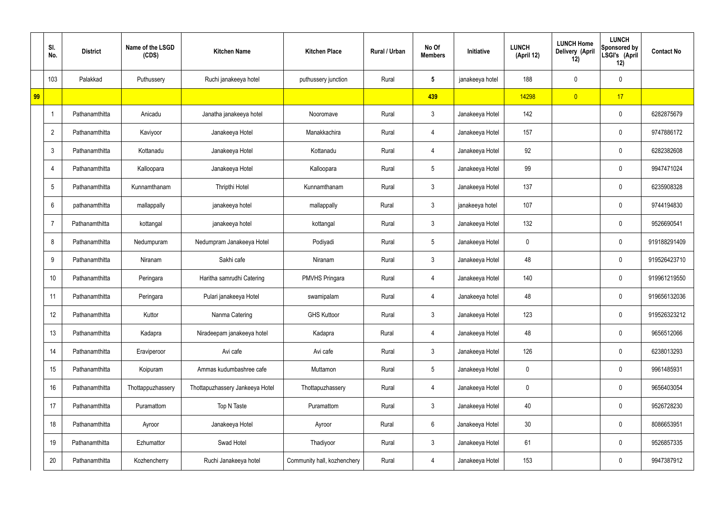|    | SI.<br>No.     | <b>District</b> | Name of the LSGD<br>(CDS) | <b>Kitchen Name</b>             | <b>Kitchen Place</b>        | Rural / Urban | No Of<br><b>Members</b> | Initiative      | <b>LUNCH</b><br>(April 12) | <b>LUNCH Home</b><br>Delivery (April<br>12) | <b>LUNCH</b><br><b>Sponsored by</b><br>LSGI's (April<br>12) | <b>Contact No</b> |
|----|----------------|-----------------|---------------------------|---------------------------------|-----------------------------|---------------|-------------------------|-----------------|----------------------------|---------------------------------------------|-------------------------------------------------------------|-------------------|
|    | 103            | Palakkad        | Puthussery                | Ruchi janakeeya hotel           | puthussery junction         | Rural         | $5\phantom{.0}$         | janakeeya hotel | 188                        | 0                                           | $\mathbf 0$                                                 |                   |
| 99 |                |                 |                           |                                 |                             |               | 439                     |                 | 14298                      | $\overline{0}$                              | 17                                                          |                   |
|    | -1             | Pathanamthitta  | Anicadu                   | Janatha janakeeya hotel         | Nooromave                   | Rural         | $\mathfrak{Z}$          | Janakeeya Hotel | 142                        |                                             | $\pmb{0}$                                                   | 6282875679        |
|    | $\overline{2}$ | Pathanamthitta  | Kaviyoor                  | Janakeeya Hotel                 | Manakkachira                | Rural         | 4                       | Janakeeya Hotel | 157                        |                                             | $\pmb{0}$                                                   | 9747886172        |
|    | $\mathbf{3}$   | Pathanamthitta  | Kottanadu                 | Janakeeya Hotel                 | Kottanadu                   | Rural         | 4                       | Janakeeya Hotel | 92                         |                                             | $\pmb{0}$                                                   | 6282382608        |
|    | 4              | Pathanamthitta  | Kalloopara                | Janakeeya Hotel                 | Kalloopara                  | Rural         | $\sqrt{5}$              | Janakeeya Hotel | 99                         |                                             | $\pmb{0}$                                                   | 9947471024        |
|    | 5              | Pathanamthitta  | Kunnamthanam              | Thripthi Hotel                  | Kunnamthanam                | Rural         | $\mathbf{3}$            | Janakeeya Hotel | 137                        |                                             | $\pmb{0}$                                                   | 6235908328        |
|    | 6              | pathanamthitta  | mallappally               | janakeeya hotel                 | mallappally                 | Rural         | $\mathbf{3}$            | janakeeya hotel | 107                        |                                             | $\pmb{0}$                                                   | 9744194830        |
|    |                | Pathanamthitta  | kottangal                 | janakeeya hotel                 | kottangal                   | Rural         | $\mathbf{3}$            | Janakeeya Hotel | 132                        |                                             | $\pmb{0}$                                                   | 9526690541        |
|    | 8              | Pathanamthitta  | Nedumpuram                | Nedumpram Janakeeya Hotel       | Podiyadi                    | Rural         | $\sqrt{5}$              | Janakeeya Hotel | $\mathbf 0$                |                                             | $\mathbf 0$                                                 | 919188291409      |
|    | 9              | Pathanamthitta  | Niranam                   | Sakhi cafe                      | Niranam                     | Rural         | $\mathbf{3}$            | Janakeeya Hotel | 48                         |                                             | $\mathbf 0$                                                 | 919526423710      |
|    | 10             | Pathanamthitta  | Peringara                 | Haritha samrudhi Catering       | <b>PMVHS Pringara</b>       | Rural         | 4                       | Janakeeya Hotel | 140                        |                                             | $\mathbf 0$                                                 | 919961219550      |
|    | 11             | Pathanamthitta  | Peringara                 | Pulari janakeeya Hotel          | swamipalam                  | Rural         | 4                       | Janakeeya hotel | 48                         |                                             | $\mathbf 0$                                                 | 919656132036      |
|    | 12             | Pathanamthitta  | Kuttor                    | Nanma Catering                  | <b>GHS Kuttoor</b>          | Rural         | $\mathbf{3}$            | Janakeeya Hotel | 123                        |                                             | $\mathbf 0$                                                 | 919526323212      |
|    | 13             | Pathanamthitta  | Kadapra                   | Niradeepam janakeeya hotel      | Kadapra                     | Rural         | $\overline{4}$          | Janakeeya Hotel | 48                         |                                             | $\mathbf 0$                                                 | 9656512066        |
|    | 14             | Pathanamthitta  | Eraviperoor               | Avi cafe                        | Avi cafe                    | Rural         | $\mathbf{3}$            | Janakeeya Hotel | 126                        |                                             | $\mathbf 0$                                                 | 6238013293        |
|    | 15             | Pathanamthitta  | Koipuram                  | Ammas kudumbashree cafe         | Muttamon                    | Rural         | $5\phantom{.0}$         | Janakeeya Hotel | $\mathbf 0$                |                                             | $\mathbf 0$                                                 | 9961485931        |
|    | 16             | Pathanamthitta  | Thottappuzhassery         | Thottapuzhassery Jankeeya Hotel | Thottapuzhassery            | Rural         | $\overline{4}$          | Janakeeya Hotel | 0                          |                                             | $\mathbf 0$                                                 | 9656403054        |
|    | 17             | Pathanamthitta  | Puramattom                | Top N Taste                     | Puramattom                  | Rural         | 3 <sup>1</sup>          | Janakeeya Hotel | 40                         |                                             | $\mathbf 0$                                                 | 9526728230        |
|    | 18             | Pathanamthitta  | Ayroor                    | Janakeeya Hotel                 | Ayroor                      | Rural         | $6\phantom{.}6$         | Janakeeya Hotel | 30 <sub>2</sub>            |                                             | $\mathbf 0$                                                 | 8086653951        |
|    | 19             | Pathanamthitta  | Ezhumattor                | Swad Hotel                      | Thadiyoor                   | Rural         | $\mathbf{3}$            | Janakeeya Hotel | 61                         |                                             | $\mathbf 0$                                                 | 9526857335        |
|    | 20             | Pathanamthitta  | Kozhencherry              | Ruchi Janakeeya hotel           | Community hall, kozhenchery | Rural         | $\overline{4}$          | Janakeeya Hotel | 153                        |                                             | $\mathbf 0$                                                 | 9947387912        |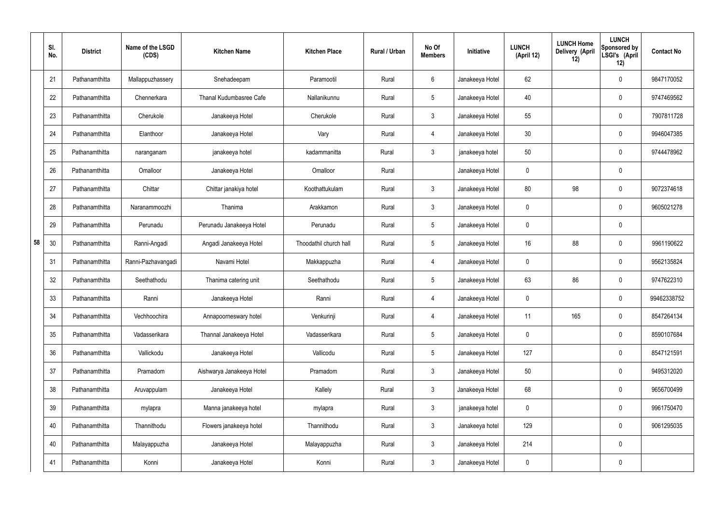|    | SI.<br>No. | <b>District</b> | Name of the LSGD<br>(CDS) | <b>Kitchen Name</b>       | <b>Kitchen Place</b>   | Rural / Urban | No Of<br><b>Members</b> | Initiative      | <b>LUNCH</b><br>(April 12) | <b>LUNCH Home</b><br>Delivery (April<br>12) | <b>LUNCH</b><br>Sponsored by<br>LSGI's (April<br>12) | <b>Contact No</b> |
|----|------------|-----------------|---------------------------|---------------------------|------------------------|---------------|-------------------------|-----------------|----------------------------|---------------------------------------------|------------------------------------------------------|-------------------|
|    | 21         | Pathanamthitta  | Mallappuzhassery          | Snehadeepam               | Paramootil             | Rural         | $6\,$                   | Janakeeya Hotel | 62                         |                                             | $\mathbf 0$                                          | 9847170052        |
|    | 22         | Pathanamthitta  | Chennerkara               | Thanal Kudumbasree Cafe   | Nallanikunnu           | Rural         | $5\phantom{.0}$         | Janakeeya Hotel | 40                         |                                             | $\mathbf 0$                                          | 9747469562        |
|    | 23         | Pathanamthitta  | Cherukole                 | Janakeeya Hotel           | Cherukole              | Rural         | $\mathbf{3}$            | Janakeeya Hotel | 55                         |                                             | $\mathbf 0$                                          | 7907811728        |
|    | 24         | Pathanamthitta  | Elanthoor                 | Janakeeya Hotel           | Vary                   | Rural         | 4                       | Janakeeya Hotel | 30                         |                                             | $\mathbf 0$                                          | 9946047385        |
|    | 25         | Pathanamthitta  | naranganam                | janakeeya hotel           | kadammanitta           | Rural         | $\mathbf{3}$            | janakeeya hotel | 50                         |                                             | $\mathbf 0$                                          | 9744478962        |
|    | 26         | Pathanamthitta  | Omalloor                  | Janakeeya Hotel           | Omalloor               | Rural         |                         | Janakeeya Hotel | $\mathbf 0$                |                                             | $\mathbf 0$                                          |                   |
|    | 27         | Pathanamthitta  | Chittar                   | Chittar janakiya hotel    | Koothattukulam         | Rural         | $\mathbf{3}$            | Janakeeya Hotel | 80                         | 98                                          | $\mathbf 0$                                          | 9072374618        |
|    | 28         | Pathanamthitta  | Naranammoozhi             | Thanima                   | Arakkamon              | Rural         | $\mathbf{3}$            | Janakeeya Hotel | $\mathbf 0$                |                                             | $\mathbf 0$                                          | 9605021278        |
|    | 29         | Pathanamthitta  | Perunadu                  | Perunadu Janakeeya Hotel  | Perunadu               | Rural         | $5\phantom{.0}$         | Janakeeya Hotel | $\mathbf 0$                |                                             | $\mathbf 0$                                          |                   |
| 58 | 30         | Pathanamthitta  | Ranni-Angadi              | Angadi Janakeeya Hotel    | Thoodathil church hall | Rural         | $5\phantom{.0}$         | Janakeeya Hotel | 16                         | 88                                          | $\mathbf 0$                                          | 9961190622        |
|    | 31         | Pathanamthitta  | Ranni-Pazhavangadi        | Navami Hotel              | Makkappuzha            | Rural         | 4                       | Janakeeya Hotel | $\mathbf 0$                |                                             | $\boldsymbol{0}$                                     | 9562135824        |
|    | 32         | Pathanamthitta  | Seethathodu               | Thanima catering unit     | Seethathodu            | Rural         | $5\phantom{.0}$         | Janakeeya Hotel | 63                         | 86                                          | $\mathbf 0$                                          | 9747622310        |
|    | 33         | Pathanamthitta  | Ranni                     | Janakeeya Hotel           | Ranni                  | Rural         | 4                       | Janakeeya Hotel | 0                          |                                             | $\boldsymbol{0}$                                     | 99462338752       |
|    | 34         | Pathanamthitta  | Vechhoochira              | Annapoorneswary hotel     | Venkurinji             | Rural         | $\overline{4}$          | Janakeeya Hotel | 11                         | 165                                         | $\mathbf 0$                                          | 8547264134        |
|    | 35         | Pathanamthitta  | Vadasserikara             | Thannal Janakeeya Hotel   | Vadasserikara          | Rural         | $5\phantom{.0}$         | Janakeeya Hotel | $\mathbf 0$                |                                             | $\mathbf 0$                                          | 8590107684        |
|    | 36         | Pathanamthitta  | Vallickodu                | Janakeeya Hotel           | Vallicodu              | Rural         | $5\phantom{.0}$         | Janakeeya Hotel | 127                        |                                             | $\mathbf 0$                                          | 8547121591        |
|    | 37         | Pathanamthitta  | Pramadom                  | Aishwarya Janakeeya Hotel | Pramadom               | Rural         | $\mathfrak{Z}$          | Janakeeya Hotel | 50                         |                                             | $\mathbf 0$                                          | 9495312020        |
|    | 38         | Pathanamthitta  | Aruvappulam               | Janakeeya Hotel           | Kallely                | Rural         | $\mathfrak{Z}$          | Janakeeya Hotel | 68                         |                                             | $\mathbf 0$                                          | 9656700499        |
|    | 39         | Pathanamthitta  | mylapra                   | Manna janakeeya hotel     | mylapra                | Rural         | $\mathfrak{Z}$          | janakeeya hotel | $\mathbf 0$                |                                             | $\mathbf 0$                                          | 9961750470        |
|    | 40         | Pathanamthitta  | Thannithodu               | Flowers janakeeya hotel   | Thannithodu            | Rural         | $\mathfrak{Z}$          | Janakeeya hotel | 129                        |                                             | $\mathbf 0$                                          | 9061295035        |
|    | 40         | Pathanamthitta  | Malayappuzha              | Janakeeya Hotel           | Malayappuzha           | Rural         | $\mathfrak{Z}$          | Janakeeya Hotel | 214                        |                                             | $\mathbf 0$                                          |                   |
|    | 41         | Pathanamthitta  | Konni                     | Janakeeya Hotel           | Konni                  | Rural         | $\mathfrak{Z}$          | Janakeeya Hotel | 0                          |                                             | $\pmb{0}$                                            |                   |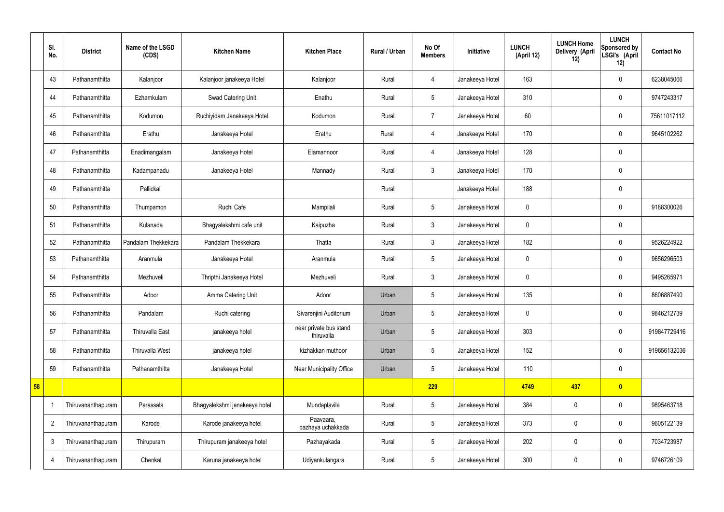|    | SI.<br>No.     | <b>District</b>    | Name of the LSGD<br>(CDS) | <b>Kitchen Name</b>           | <b>Kitchen Place</b>                 | Rural / Urban | No Of<br><b>Members</b> | Initiative      | <b>LUNCH</b><br>(April 12) | <b>LUNCH Home</b><br><b>Delivery (April</b><br>12) | <b>LUNCH</b><br>Sponsored by<br>LSGI's (April<br>12) | <b>Contact No</b> |
|----|----------------|--------------------|---------------------------|-------------------------------|--------------------------------------|---------------|-------------------------|-----------------|----------------------------|----------------------------------------------------|------------------------------------------------------|-------------------|
|    | 43             | Pathanamthitta     | Kalanjoor                 | Kalanjoor janakeeya Hotel     | Kalanjoor                            | Rural         | 4                       | Janakeeya Hotel | 163                        |                                                    | $\mathbf 0$                                          | 6238045066        |
|    | 44             | Pathanamthitta     | Ezhamkulam                | Swad Catering Unit            | Enathu                               | Rural         | $5\overline{)}$         | Janakeeya Hotel | 310                        |                                                    | $\mathbf 0$                                          | 9747243317        |
|    | 45             | Pathanamthitta     | Kodumon                   | Ruchiyidam Janakeeya Hotel    | Kodumon                              | Rural         | $\overline{7}$          | Janakeeya Hotel | 60                         |                                                    | $\mathbf 0$                                          | 75611017112       |
|    | 46             | Pathanamthitta     | Erathu                    | Janakeeya Hotel               | Erathu                               | Rural         | $\overline{4}$          | Janakeeya Hotel | 170                        |                                                    | $\mathbf 0$                                          | 9645102262        |
|    | 47             | Pathanamthitta     | Enadimangalam             | Janakeeya Hotel               | Elamannoor                           | Rural         | $\overline{4}$          | Janakeeya Hotel | 128                        |                                                    | $\mathbf 0$                                          |                   |
|    | 48             | Pathanamthitta     | Kadampanadu               | Janakeeya Hotel               | Mannady                              | Rural         | $\mathbf{3}$            | Janakeeya Hotel | 170                        |                                                    | $\mathbf 0$                                          |                   |
|    | 49             | Pathanamthitta     | Pallickal                 |                               |                                      | Rural         |                         | Janakeeya Hotel | 188                        |                                                    | $\mathbf 0$                                          |                   |
|    | 50             | Pathanamthitta     | Thumpamon                 | Ruchi Cafe                    | Mampilali                            | Rural         | $5\phantom{.0}$         | Janakeeya Hotel | $\mathbf 0$                |                                                    | $\mathbf 0$                                          | 9188300026        |
|    | 51             | Pathanamthitta     | Kulanada                  | Bhagyalekshmi cafe unit       | Kaipuzha                             | Rural         | $\mathbf{3}$            | Janakeeya Hotel | $\mathbf 0$                |                                                    | $\mathbf 0$                                          |                   |
|    | 52             | Pathanamthitta     | Pandalam Thekkekara       | Pandalam Thekkekara           | Thatta                               | Rural         | $\mathbf{3}$            | Janakeeya Hotel | 182                        |                                                    | $\mathbf 0$                                          | 9526224922        |
|    | 53             | Pathanamthitta     | Aranmula                  | Janakeeya Hotel               | Aranmula                             | Rural         | $5\overline{)}$         | Janakeeya Hotel | $\mathbf 0$                |                                                    | $\overline{0}$                                       | 9656296503        |
|    | 54             | Pathanamthitta     | Mezhuveli                 | Thripthi Janakeeya Hotel      | Mezhuveli                            | Rural         | $\mathbf{3}$            | Janakeeya Hotel | $\mathbf 0$                |                                                    | $\mathbf 0$                                          | 9495265971        |
|    | 55             | Pathanamthitta     | Adoor                     | Amma Catering Unit            | Adoor                                | Urban         | $5\overline{)}$         | Janakeeya Hotel | 135                        |                                                    | $\mathbf 0$                                          | 8606887490        |
|    | 56             | Pathanamthitta     | Pandalam                  | Ruchi catering                | Sivarenjini Auditorium               | Urban         | $5\phantom{.0}$         | Janakeeya Hotel | $\mathbf 0$                |                                                    | $\mathbf 0$                                          | 9846212739        |
|    | 57             | Pathanamthitta     | Thiruvalla East           | janakeeya hotel               | near private bus stand<br>thiruvalla | Urban         | $5\phantom{.0}$         | Janakeeya Hotel | 303                        |                                                    | $\mathbf 0$                                          | 919847729416      |
|    | 58             | Pathanamthitta     | <b>Thiruvalla West</b>    | janakeeya hotel               | kizhakkan muthoor                    | Urban         | $5\phantom{.0}$         | Janakeeya Hotel | 152                        |                                                    | $\mathbf 0$                                          | 919656132036      |
|    | 59             | Pathanamthitta     | Pathanamthitta            | Janakeeya Hotel               | Near Municipality Office             | Urban         | $5\overline{)}$         | Janakeeya Hotel | 110                        |                                                    | $\mathbf 0$                                          |                   |
| 58 |                |                    |                           |                               |                                      |               | 229                     |                 | 4749                       | 437                                                | $\bullet$                                            |                   |
|    |                | Thiruvananthapuram | Parassala                 | Bhagyalekshmi janakeeya hotel | Mundaplavila                         | Rural         | $5\overline{)}$         | Janakeeya Hotel | 384                        | $\pmb{0}$                                          | $\mathbf 0$                                          | 9895463718        |
|    | $\overline{2}$ | Thiruvananthapuram | Karode                    | Karode janakeeya hotel        | Paavaara,<br>pazhaya uchakkada       | Rural         | $5\phantom{.0}$         | Janakeeya Hotel | 373                        | $\pmb{0}$                                          | $\mathbf 0$                                          | 9605122139        |
|    | $\mathbf{3}$   | Thiruvananthapuram | Thirupuram                | Thirupuram janakeeya hotel    | Pazhayakada                          | Rural         | $5\phantom{.0}$         | Janakeeya Hotel | 202                        | $\pmb{0}$                                          | $\mathbf 0$                                          | 7034723987        |
|    | 4              | Thiruvananthapuram | Chenkal                   | Karuna janakeeya hotel        | Udiyankulangara                      | Rural         | $5\phantom{.0}$         | Janakeeya Hotel | 300                        | $\pmb{0}$                                          | $\mathbf 0$                                          | 9746726109        |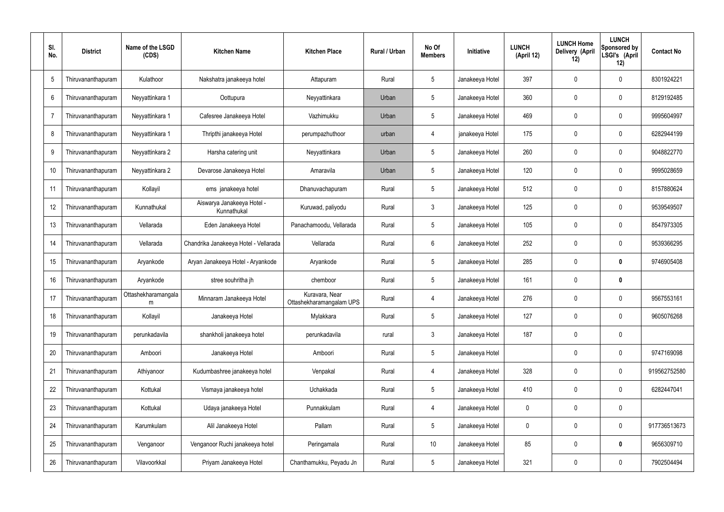| SI.<br>No. | <b>District</b>    | Name of the LSGD<br>(CDS) | <b>Kitchen Name</b>                       | <b>Kitchen Place</b>                       | Rural / Urban | No Of<br><b>Members</b> | Initiative      | <b>LUNCH</b><br>(April 12) | <b>LUNCH Home</b><br>Delivery (April<br>12) | <b>LUNCH</b><br>Sponsored by<br>LSGI's (April<br>12) | <b>Contact No</b> |
|------------|--------------------|---------------------------|-------------------------------------------|--------------------------------------------|---------------|-------------------------|-----------------|----------------------------|---------------------------------------------|------------------------------------------------------|-------------------|
| 5          | Thiruvananthapuram | Kulathoor                 | Nakshatra janakeeya hotel                 | Attapuram                                  | Rural         | $5\phantom{.0}$         | Janakeeya Hotel | 397                        | 0                                           | 0                                                    | 8301924221        |
| 6          | Thiruvananthapuram | Neyyattinkara 1           | Oottupura                                 | Neyyattinkara                              | Urban         | $5\phantom{.0}$         | Janakeeya Hotel | 360                        | $\mathbf 0$                                 | 0                                                    | 8129192485        |
|            | Thiruvananthapuram | Neyyattinkara 1           | Cafesree Janakeeya Hotel                  | Vazhimukku                                 | Urban         | $5\phantom{.0}$         | Janakeeya Hotel | 469                        | 0                                           | $\pmb{0}$                                            | 9995604997        |
| 8          | Thiruvananthapuram | Neyyattinkara 1           | Thripthi janakeeya Hotel                  | perumpazhuthoor                            | urban         | $\overline{4}$          | janakeeya Hotel | 175                        | $\mathbf 0$                                 | 0                                                    | 6282944199        |
| 9          | Thiruvananthapuram | Neyyattinkara 2           | Harsha catering unit                      | Neyyattinkara                              | Urban         | $5\phantom{.0}$         | Janakeeya Hotel | 260                        | 0                                           | 0                                                    | 9048822770        |
| 10         | Thiruvananthapuram | Neyyattinkara 2           | Devarose Janakeeya Hotel                  | Amaravila                                  | Urban         | $5\phantom{.0}$         | Janakeeya Hotel | 120                        | $\mathbf 0$                                 | 0                                                    | 9995028659        |
| 11         | Thiruvananthapuram | Kollayil                  | ems janakeeya hotel                       | Dhanuvachapuram                            | Rural         | $5\phantom{.0}$         | Janakeeya Hotel | 512                        | 0                                           | 0                                                    | 8157880624        |
| 12         | Thiruvananthapuram | Kunnathukal               | Aiswarya Janakeeya Hotel -<br>Kunnathukal | Kuruwad, paliyodu                          | Rural         | $\mathbf{3}$            | Janakeeya Hotel | 125                        | $\mathbf 0$                                 | $\pmb{0}$                                            | 9539549507        |
| 13         | Thiruvananthapuram | Vellarada                 | Eden Janakeeya Hotel                      | Panachamoodu, Vellarada                    | Rural         | $5\phantom{.0}$         | Janakeeya Hotel | 105                        | 0                                           | $\pmb{0}$                                            | 8547973305        |
| 14         | Thiruvananthapuram | Vellarada                 | Chandrika Janakeeya Hotel - Vellarada     | Vellarada                                  | Rural         | $6\overline{6}$         | Janakeeya Hotel | 252                        | 0                                           | 0                                                    | 9539366295        |
| 15         | Thiruvananthapuram | Aryankode                 | Aryan Janakeeya Hotel - Aryankode         | Aryankode                                  | Rural         | $5\phantom{.0}$         | Janakeeya Hotel | 285                        | 0                                           | $\bm{0}$                                             | 9746905408        |
| 16         | Thiruvananthapuram | Aryankode                 | stree souhritha jh                        | chemboor                                   | Rural         | $5\phantom{.0}$         | Janakeeya Hotel | 161                        | 0                                           | $\bm{0}$                                             |                   |
| 17         | Thiruvananthapuram | Ottashekharamangala<br>m  | Minnaram Janakeeya Hotel                  | Kuravara, Near<br>Ottashekharamangalam UPS | Rural         | 4                       | Janakeeya Hotel | 276                        | 0                                           | $\mathbf 0$                                          | 9567553161        |
| 18         | Thiruvananthapuram | Kollayil                  | Janakeeya Hotel                           | Mylakkara                                  | Rural         | $5\phantom{.0}$         | Janakeeya Hotel | 127                        | $\mathbf 0$                                 | $\pmb{0}$                                            | 9605076268        |
| 19         | Thiruvananthapuram | perunkadavila             | shankholi janakeeya hotel                 | perunkadavila                              | rural         | $\mathbf{3}$            | Janakeeya Hotel | 187                        | $\pmb{0}$                                   | $\pmb{0}$                                            |                   |
| 20         | Thiruvananthapuram | Amboori                   | Janakeeya Hotel                           | Amboori                                    | Rural         | $5\phantom{.0}$         | Janakeeya Hotel |                            | $\mathbf 0$                                 | $\pmb{0}$                                            | 9747169098        |
| 21         | Thiruvananthapuram | Athiyanoor                | Kudumbashree janakeeya hotel              | Venpakal                                   | Rural         | $\overline{4}$          | Janakeeya Hotel | 328                        | $\overline{0}$                              | $\mathsf{0}$                                         | 919562752580      |
| 22         | Thiruvananthapuram | Kottukal                  | Vismaya janakeeya hotel                   | Uchakkada                                  | Rural         | $5\phantom{.0}$         | Janakeeya Hotel | 410                        | $\mathbf 0$                                 | $\pmb{0}$                                            | 6282447041        |
| 23         | Thiruvananthapuram | Kottukal                  | Udaya janakeeya Hotel                     | Punnakkulam                                | Rural         | $\overline{4}$          | Janakeeya Hotel | $\mathbf 0$                | $\mathbf 0$                                 | $\pmb{0}$                                            |                   |
| 24         | Thiruvananthapuram | Karumkulam                | Alil Janakeeya Hotel                      | Pallam                                     | Rural         | $5\phantom{.0}$         | Janakeeya Hotel | $\mathbf 0$                | $\pmb{0}$                                   | $\pmb{0}$                                            | 917736513673      |
| 25         | Thiruvananthapuram | Venganoor                 | Venganoor Ruchi janakeeya hotel           | Peringamala                                | Rural         | 10 <sup>°</sup>         | Janakeeya Hotel | 85                         | $\pmb{0}$                                   | $\pmb{0}$                                            | 9656309710        |
| 26         | Thiruvananthapuram | Vilavoorkkal              | Priyam Janakeeya Hotel                    | Chanthamukku, Peyadu Jn                    | Rural         | $5\phantom{.0}$         | Janakeeya Hotel | 321                        | $\pmb{0}$                                   | $\pmb{0}$                                            | 7902504494        |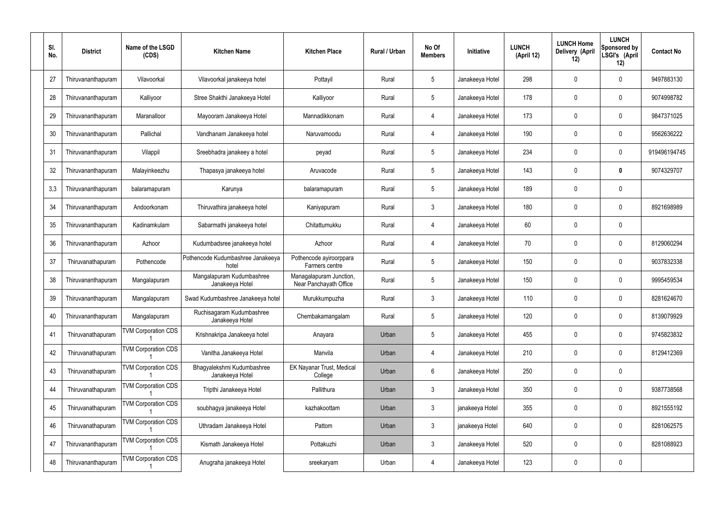| SI.<br>No. | <b>District</b>    | Name of the LSGD<br>(CDS)  | <b>Kitchen Name</b>                           | <b>Kitchen Place</b>                              | <b>Rural / Urban</b> | No Of<br><b>Members</b> | <b>Initiative</b> | <b>LUNCH</b><br>(April 12) | <b>LUNCH Home</b><br>Delivery (April<br>12) | <b>LUNCH</b><br><b>Sponsored by</b><br>LSGI's (April<br>12) | <b>Contact No</b> |
|------------|--------------------|----------------------------|-----------------------------------------------|---------------------------------------------------|----------------------|-------------------------|-------------------|----------------------------|---------------------------------------------|-------------------------------------------------------------|-------------------|
| 27         | Thiruvananthapuram | Vilavoorkal                | Vilavoorkal janakeeya hotel                   | Pottayil                                          | Rural                | 5                       | Janakeeya Hotel   | 298                        | 0                                           | 0                                                           | 9497883130        |
| 28         | Thiruvananthapuram | Kalliyoor                  | Stree Shakthi Janakeeya Hotel                 | Kalliyoor                                         | Rural                | $5\phantom{.0}$         | Janakeeya Hotel   | 178                        | $\mathbf 0$                                 | 0                                                           | 9074998782        |
| 29         | Thiruvananthapuram | Maranalloor                | Mayooram Janakeeya Hotel                      | Mannadikkonam                                     | Rural                | 4                       | Janakeeya Hotel   | 173                        | 0                                           | 0                                                           | 9847371025        |
| 30         | Thiruvananthapuram | Pallichal                  | Vandhanam Janakeeya hotel                     | Naruvamoodu                                       | Rural                | 4                       | Janakeeya Hotel   | 190                        | 0                                           | 0                                                           | 9562636222        |
| 31         | Thiruvananthapuram | Vilappil                   | Sreebhadra janakeey a hotel                   | peyad                                             | Rural                | $5\phantom{.0}$         | Janakeeya Hotel   | 234                        | 0                                           | 0                                                           | 919496194745      |
| 32         | Thiruvananthapuram | Malayinkeezhu              | Thapasya janakeeya hotel                      | Aruvacode                                         | Rural                | $5\phantom{.0}$         | Janakeeya Hotel   | 143                        | $\mathbf 0$                                 | 0                                                           | 9074329707        |
| 3,3        | Thiruvananthapuram | balaramapuram              | Karunya                                       | balaramapuram                                     | Rural                | $5\phantom{.0}$         | Janakeeya Hotel   | 189                        | 0                                           | 0                                                           |                   |
| 34         | Thiruvananthapuram | Andoorkonam                | Thiruvathira janakeeya hotel                  | Kaniyapuram                                       | Rural                | $\mathbf{3}$            | Janakeeya Hotel   | 180                        | 0                                           | 0                                                           | 8921698989        |
| 35         | Thiruvananthapuram | Kadinamkulam               | Sabarmathi janakeeya hotel                    | Chitattumukku                                     | Rural                | 4                       | Janakeeya Hotel   | 60                         | 0                                           | 0                                                           |                   |
| 36         | Thiruvananthapuram | Azhoor                     | Kudumbadsree janakeeya hotel                  | Azhoor                                            | Rural                | $\overline{4}$          | Janakeeya Hotel   | 70                         | 0                                           | 0                                                           | 8129060294        |
| 37         | Thiruvanathapuram  | Pothencode                 | Pothencode Kudumbashree Janakeeya<br>hotel    | Pothencode ayiroorppara<br>Farmers centre         | Rural                | 5                       | Janakeeya Hotel   | 150                        | 0                                           | 0                                                           | 9037832338        |
| 38         | Thiruvananthapuram | Mangalapuram               | Mangalapuram Kudumbashree<br>Janakeeya Hotel  | Managalapuram Junction,<br>Near Panchayath Office | Rural                | -5                      | Janakeeya Hotel   | 150                        | 0                                           | 0                                                           | 9995459534        |
| 39         | Thiruvananthapuram | Mangalapuram               | Swad Kudumbashree Janakeeya hotel             | Murukkumpuzha                                     | Rural                | $\mathbf{3}$            | Janakeeya Hotel   | 110                        | 0                                           | 0                                                           | 8281624670        |
| 40         | Thiruvananthapuram | Mangalapuram               | Ruchisagaram Kudumbashree<br>Janakeeya Hotel  | Chembakamangalam                                  | Rural                | $5\phantom{.0}$         | Janakeeya Hotel   | 120                        | $\mathbf 0$                                 | 0                                                           | 8139079929        |
| 41         | Thiruvanathapuram  | <b>TVM Corporation CDS</b> | Krishnakripa Janakeeya hotel                  | Anayara                                           | Urban                | $5\phantom{.0}$         | Janakeeya Hotel   | 455                        | $\mathbf 0$                                 | 0                                                           | 9745823832        |
| 42         | Thiruvanathapuram  | <b>TVM Corporation CDS</b> | Vanitha Janakeeya Hotel                       | Manvila                                           | Urban                | $\overline{4}$          | Janakeeya Hotel   | 210                        | $\mathbf 0$                                 | 0                                                           | 8129412369        |
| 43         | Thiruvanathapuram  | <b>TVM Corporation CDS</b> | Bhagyalekshmi Kudumbashree<br>Janakeeya Hotel | <b>EK Nayanar Trust, Medical</b><br>College       | Urban                | $6\overline{6}$         | Janakeeya Hotel   | 250                        | $\mathbf 0$                                 | 0                                                           |                   |
| 44         | Thiruvanathapuram  | <b>TVM Corporation CDS</b> | Tripthi Janakeeya Hotel                       | Pallithura                                        | Urban                | $\mathbf{3}$            | Janakeeya Hotel   | 350                        | $\mathbf 0$                                 | 0                                                           | 9387738568        |
| 45         | Thiruvanathapuram  | <b>TVM Corporation CDS</b> | soubhagya janakeeya Hotel                     | kazhakoottam                                      | Urban                | $\mathbf{3}$            | janakeeya Hotel   | 355                        | $\mathbf 0$                                 | 0                                                           | 8921555192        |
| 46         | Thiruvanathapuram  | <b>TVM Corporation CDS</b> | Uthradam Janakeeya Hotel                      | Pattom                                            | Urban                | $\mathbf{3}$            | janakeeya Hotel   | 640                        | $\mathbf 0$                                 | 0                                                           | 8281062575        |
| 47         | Thiruvananthapuram | <b>TVM Corporation CDS</b> | Kismath Janakeeya Hotel                       | Pottakuzhi                                        | Urban                | $\mathbf{3}$            | Janakeeya Hotel   | 520                        | $\mathbf 0$                                 | 0                                                           | 8281088923        |
| 48         | Thiruvananthapuram | <b>TVM Corporation CDS</b> | Anugraha janakeeya Hotel                      | sreekaryam                                        | Urban                | 4                       | Janakeeya Hotel   | 123                        | $\boldsymbol{0}$                            | 0                                                           |                   |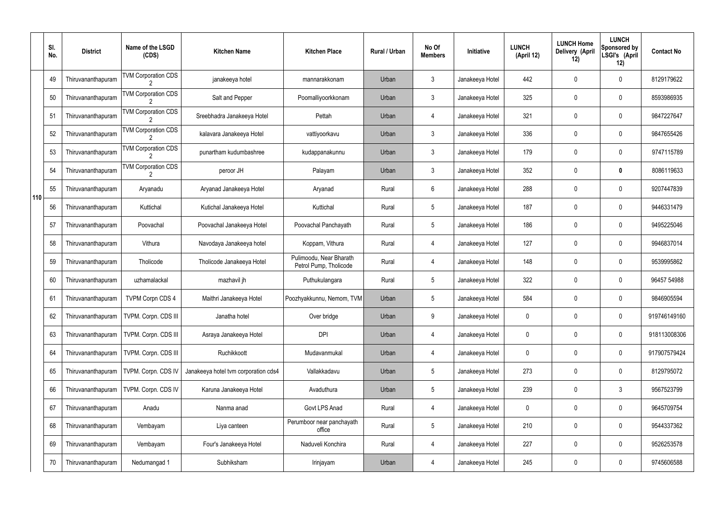|     | SI.<br>No. | <b>District</b>    | Name of the LSGD<br>(CDS)  | <b>Kitchen Name</b>                  | <b>Kitchen Place</b>                              | Rural / Urban | No Of<br><b>Members</b> | Initiative      | <b>LUNCH</b><br>(April 12) | <b>LUNCH Home</b><br>Delivery (April<br>12) | <b>LUNCH</b><br>Sponsored by<br>LSGI's (April<br>12) | <b>Contact No</b> |
|-----|------------|--------------------|----------------------------|--------------------------------------|---------------------------------------------------|---------------|-------------------------|-----------------|----------------------------|---------------------------------------------|------------------------------------------------------|-------------------|
|     | 49         | Thiruvananthapuram | <b>TVM Corporation CDS</b> | janakeeya hotel                      | mannarakkonam                                     | Urban         | $\mathfrak{Z}$          | Janakeeya Hotel | 442                        | 0                                           | $\pmb{0}$                                            | 8129179622        |
|     | 50         | Thiruvananthapuram | <b>TVM Corporation CDS</b> | Salt and Pepper                      | Poomalliyoorkkonam                                | Urban         | $\mathbf{3}$            | Janakeeya Hotel | 325                        | 0                                           | $\pmb{0}$                                            | 8593986935        |
|     | 51         | Thiruvananthapuram | <b>TVM Corporation CDS</b> | Sreebhadra Janakeeya Hotel           | Pettah                                            | Urban         | 4                       | Janakeeya Hotel | 321                        | 0                                           | $\pmb{0}$                                            | 9847227647        |
|     | 52         | Thiruvananthapuram | <b>TVM Corporation CDS</b> | kalavara Janakeeya Hotel             | vattiyoorkavu                                     | Urban         | $\mathbf{3}$            | Janakeeya Hotel | 336                        | 0                                           | $\pmb{0}$                                            | 9847655426        |
|     | 53         | Thiruvananthapuram | <b>TVM Corporation CDS</b> | punartham kudumbashree               | kudappanakunnu                                    | Urban         | $\mathbf{3}$            | Janakeeya Hotel | 179                        | 0                                           | $\pmb{0}$                                            | 9747115789        |
|     | 54         | Thiruvananthapuram | <b>TVM Corporation CDS</b> | peroor JH                            | Palayam                                           | Urban         | $\mathbf{3}$            | Janakeeya Hotel | 352                        | 0                                           | $\bm{0}$                                             | 8086119633        |
| 110 | 55         | Thiruvananthapuram | Aryanadu                   | Aryanad Janakeeya Hotel              | Aryanad                                           | Rural         | 6                       | Janakeeya Hotel | 288                        | 0                                           | $\pmb{0}$                                            | 9207447839        |
|     | 56         | Thiruvananthapuram | Kuttichal                  | Kutichal Janakeeya Hotel             | Kuttichal                                         | Rural         | $\sqrt{5}$              | Janakeeya Hotel | 187                        | 0                                           | $\pmb{0}$                                            | 9446331479        |
|     | 57         | Thiruvananthapuram | Poovachal                  | Poovachal Janakeeya Hotel            | Poovachal Panchayath                              | Rural         | $5\phantom{.0}$         | Janakeeya Hotel | 186                        | 0                                           | $\mathbf 0$                                          | 9495225046        |
|     | 58         | Thiruvananthapuram | Vithura                    | Navodaya Janakeeya hotel             | Koppam, Vithura                                   | Rural         | 4                       | Janakeeya Hotel | 127                        | 0                                           | $\mathbf 0$                                          | 9946837014        |
|     | 59         | Thiruvananthapuram | Tholicode                  | Tholicode Janakeeya Hotel            | Pulimoodu, Near Bharath<br>Petrol Pump, Tholicode | Rural         | 4                       | Janakeeya Hotel | 148                        | 0                                           | $\mathbf 0$                                          | 9539995862        |
|     | 60         | Thiruvananthapuram | uzhamalackal               | mazhavil jh                          | Puthukulangara                                    | Rural         | 5                       | Janakeeya Hotel | 322                        | 0                                           | $\boldsymbol{0}$                                     | 96457 54988       |
|     | 61         | Thiruvananthapuram | TVPM Corpn CDS 4           | Maithri Janakeeya Hotel              | Poozhyakkunnu, Nemom, TVM                         | Urban         | 5                       | Janakeeya Hotel | 584                        | 0                                           | 0                                                    | 9846905594        |
|     | 62         | Thiruvananthapuram | TVPM. Corpn. CDS III       | Janatha hotel                        | Over bridge                                       | Urban         | 9                       | Janakeeya Hotel | 0                          | 0                                           | $\pmb{0}$                                            | 919746149160      |
|     | 63         | Thiruvananthapuram | TVPM. Corpn. CDS III       | Asraya Janakeeya Hotel               | <b>DPI</b>                                        | Urban         | 4                       | Janakeeya Hotel | 0                          | 0                                           | $\pmb{0}$                                            | 918113008306      |
|     | 64         | Thiruvananthapuram | TVPM. Corpn. CDS III       | Ruchikkoott                          | Mudavanmukal                                      | Urban         | 4                       | Janakeeya Hotel | 0                          | 0                                           | $\pmb{0}$                                            | 917907579424      |
|     | 65         | Thiruvananthapuram | TVPM. Corpn. CDS IV        | Janakeeya hotel tvm corporation cds4 | Vallakkadavu                                      | Urban         | 5                       | Janakeeya Hotel | 273                        | 0                                           | $\pmb{0}$                                            | 8129795072        |
|     | 66         | Thiruvananthapuram | TVPM. Corpn. CDS IV        | Karuna Janakeeya Hotel               | Avaduthura                                        | Urban         | 5                       | Janakeeya Hotel | 239                        | 0                                           | $3\phantom{.0}$                                      | 9567523799        |
|     | 67         | Thiruvananthapuram | Anadu                      | Nanma anad                           | Govt LPS Anad                                     | Rural         | 4                       | Janakeeya Hotel | 0                          | 0                                           | $\pmb{0}$                                            | 9645709754        |
|     | 68         | Thiruvananthapuram | Vembayam                   | Liya canteen                         | Perumboor near panchayath<br>office               | Rural         | 5                       | Janakeeya Hotel | 210                        | 0                                           | $\pmb{0}$                                            | 9544337362        |
|     | 69         | Thiruvananthapuram | Vembayam                   | Four's Janakeeya Hotel               | Naduveli Konchira                                 | Rural         | 4                       | Janakeeya Hotel | 227                        | 0                                           | $\pmb{0}$                                            | 9526253578        |
|     | 70         | Thiruvananthapuram | Nedumangad 1               | Subhiksham                           | Irinjayam                                         | Urban         | 4                       | Janakeeya Hotel | 245                        | 0                                           | $\pmb{0}$                                            | 9745606588        |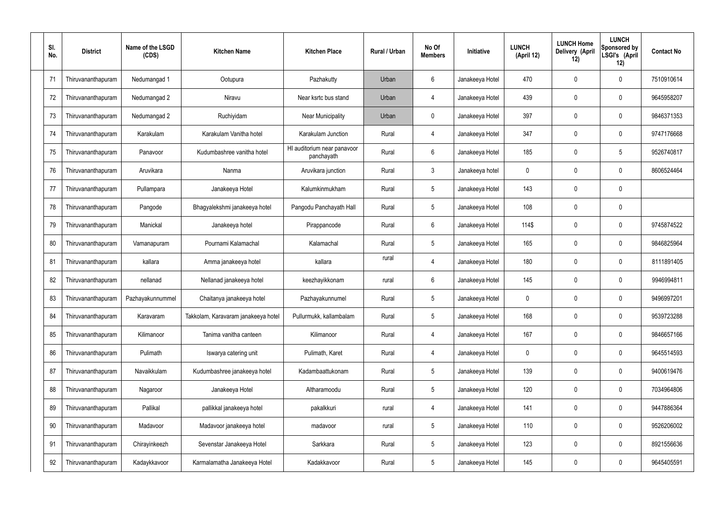| SI.<br>No. | <b>District</b>    | Name of the LSGD<br>(CDS) | <b>Kitchen Name</b>                 | <b>Kitchen Place</b>                      | Rural / Urban | No Of<br><b>Members</b> | Initiative      | <b>LUNCH</b><br>(April 12) | <b>LUNCH Home</b><br>Delivery (April<br>12) | <b>LUNCH</b><br>Sponsored by<br>LSGI's (April<br>12) | <b>Contact No</b> |
|------------|--------------------|---------------------------|-------------------------------------|-------------------------------------------|---------------|-------------------------|-----------------|----------------------------|---------------------------------------------|------------------------------------------------------|-------------------|
| 71         | Thiruvananthapuram | Nedumangad 1              | Ootupura                            | Pazhakutty                                | Urban         | 6                       | Janakeeya Hotel | 470                        | 0                                           | 0                                                    | 7510910614        |
| 72         | Thiruvananthapuram | Nedumangad 2              | Niravu                              | Near ksrtc bus stand                      | Urban         | $\overline{4}$          | Janakeeya Hotel | 439                        | 0                                           | $\mathbf 0$                                          | 9645958207        |
| 73         | Thiruvananthapuram | Nedumangad 2              | Ruchiyidam                          | Near Municipality                         | Urban         | $\mathbf 0$             | Janakeeya Hotel | 397                        | 0                                           | $\mathbf 0$                                          | 9846371353        |
| 74         | Thiruvananthapuram | Karakulam                 | Karakulam Vanitha hotel             | Karakulam Junction                        | Rural         | $\overline{4}$          | Janakeeya Hotel | 347                        | 0                                           | $\mathbf 0$                                          | 9747176668        |
| 75         | Thiruvananthapuram | Panavoor                  | Kudumbashree vanitha hotel          | HI auditorium near panavoor<br>panchayath | Rural         | $6\phantom{.}$          | Janakeeya Hotel | 185                        | 0                                           | $5\phantom{.0}$                                      | 9526740817        |
| 76         | Thiruvananthapuram | Aruvikara                 | Nanma                               | Aruvikara junction                        | Rural         | $\mathfrak{Z}$          | Janakeeya hotel | $\mathbf 0$                | 0                                           | $\mathbf 0$                                          | 8606524464        |
| 77         | Thiruvananthapuram | Pullampara                | Janakeeya Hotel                     | Kalumkinmukham                            | Rural         | $5\phantom{.0}$         | Janakeeya Hotel | 143                        | 0                                           | $\mathbf 0$                                          |                   |
| 78         | Thiruvananthapuram | Pangode                   | Bhagyalekshmi janakeeya hotel       | Pangodu Panchayath Hall                   | Rural         | $5\phantom{.0}$         | Janakeeya Hotel | 108                        | 0                                           | $\mathbf 0$                                          |                   |
| 79         | Thiruvananthapuram | Manickal                  | Janakeeya hotel                     | Pirappancode                              | Rural         | $6\phantom{.}$          | Janakeeya Hotel | 114\$                      | 0                                           | $\mathbf 0$                                          | 9745874522        |
| 80         | Thiruvananthapuram | Vamanapuram               | Pournami Kalamachal                 | Kalamachal                                | Rural         | $5\phantom{.0}$         | Janakeeya Hotel | 165                        | 0                                           | $\boldsymbol{0}$                                     | 9846825964        |
| 81         | Thiruvananthapuram | kallara                   | Amma janakeeya hotel                | kallara                                   | rural         | $\overline{4}$          | Janakeeya Hotel | 180                        | 0                                           | $\boldsymbol{0}$                                     | 8111891405        |
| 82         | Thiruvananthapuram | nellanad                  | Nellanad janakeeya hotel            | keezhayikkonam                            | rural         | 6                       | Janakeeya Hotel | 145                        | 0                                           | $\boldsymbol{0}$                                     | 9946994811        |
| 83         | Thiruvananthapuram | Pazhayakunnummel          | Chaitanya janakeeya hotel           | Pazhayakunnumel                           | Rural         | $5\phantom{.0}$         | Janakeeya Hotel | 0                          | 0                                           | 0                                                    | 9496997201        |
| 84         | Thiruvananthapuram | Karavaram                 | Takkolam, Karavaram janakeeya hotel | Pullurmukk, kallambalam                   | Rural         | $5\phantom{.0}$         | Janakeeya Hotel | 168                        | 0                                           | $\mathbf 0$                                          | 9539723288        |
| 85         | Thiruvananthapuram | Kilimanoor                | Tanima vanitha canteen              | Kilimanoor                                | Rural         | 4                       | Janakeeya Hotel | 167                        | $\mathbf 0$                                 | $\mathbf 0$                                          | 9846657166        |
| 86         | Thiruvananthapuram | Pulimath                  | Iswarya catering unit               | Pulimath, Karet                           | Rural         | 4                       | Janakeeya Hotel | $\mathbf 0$                | 0                                           | $\boldsymbol{0}$                                     | 9645514593        |
| 87         | Thiruvananthapuram | Navaikkulam               | Kudumbashree janakeeya hotel        | Kadambaattukonam                          | Rural         | $5\phantom{.0}$         | Janakeeya Hotel | 139                        | 0                                           | $\mathbf 0$                                          | 9400619476        |
| 88         | Thiruvananthapuram | Nagaroor                  | Janakeeya Hotel                     | Altharamoodu                              | Rural         | $5\phantom{.0}$         | Janakeeya Hotel | 120                        | 0                                           | $\boldsymbol{0}$                                     | 7034964806        |
| 89         | Thiruvananthapuram | Pallikal                  | pallikkal janakeeya hotel           | pakalkkuri                                | rural         | 4                       | Janakeeya Hotel | 141                        | 0                                           | $\mathbf 0$                                          | 9447886364        |
| 90         | Thiruvananthapuram | Madavoor                  | Madavoor janakeeya hotel            | madavoor                                  | rural         | $5\phantom{.0}$         | Janakeeya Hotel | 110                        | 0                                           | $\boldsymbol{0}$                                     | 9526206002        |
| 91         | Thiruvananthapuram | Chirayinkeezh             | Sevenstar Janakeeya Hotel           | Sarkkara                                  | Rural         | $5\phantom{.0}$         | Janakeeya Hotel | 123                        | $\boldsymbol{0}$                            | $\pmb{0}$                                            | 8921556636        |
| 92         | Thiruvananthapuram | Kadaykkavoor              | Karmalamatha Janakeeya Hotel        | Kadakkavoor                               | Rural         | $5\,$                   | Janakeeya Hotel | 145                        | 0                                           | $\boldsymbol{0}$                                     | 9645405591        |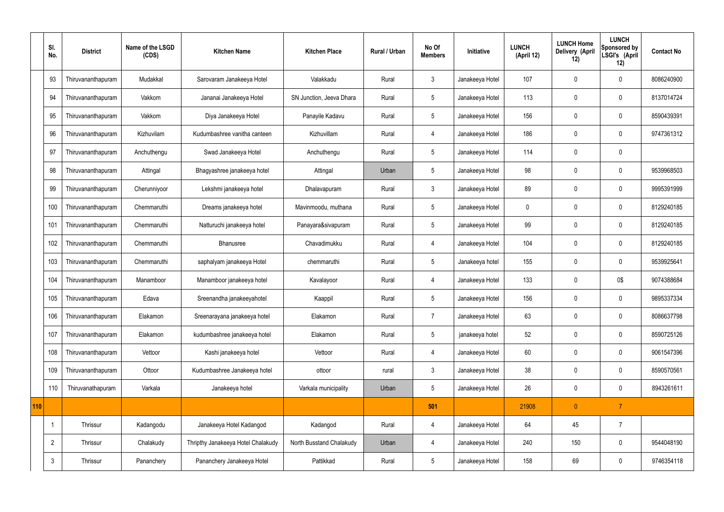|     | SI.<br>No.     | <b>District</b>    | Name of the LSGD<br>(CDS) | <b>Kitchen Name</b>                | <b>Kitchen Place</b>     | <b>Rural / Urban</b> | No Of<br><b>Members</b> | Initiative      | <b>LUNCH</b><br>(April 12) | <b>LUNCH Home</b><br>Delivery (April<br>12) | <b>LUNCH</b><br>Sponsored by<br>LSGI's (April<br>12) | <b>Contact No</b> |
|-----|----------------|--------------------|---------------------------|------------------------------------|--------------------------|----------------------|-------------------------|-----------------|----------------------------|---------------------------------------------|------------------------------------------------------|-------------------|
|     | 93             | Thiruvananthapuram | Mudakkal                  | Sarovaram Janakeeya Hotel          | Valakkadu                | Rural                | $\mathfrak{Z}$          | Janakeeya Hotel | 107                        | $\mathbf 0$                                 | $\mathbf 0$                                          | 8086240900        |
|     | 94             | Thiruvananthapuram | Vakkom                    | Jananai Janakeeya Hotel            | SN Junction, Jeeva Dhara | Rural                | $5\overline{)}$         | Janakeeya Hotel | 113                        | $\mathbf 0$                                 | $\mathbf 0$                                          | 8137014724        |
|     | 95             | Thiruvananthapuram | Vakkom                    | Diya Janakeeya Hotel               | Panayile Kadavu          | Rural                | $5\phantom{.0}$         | Janakeeya Hotel | 156                        | $\mathbf 0$                                 | $\mathbf 0$                                          | 8590439391        |
|     | 96             | Thiruvananthapuram | Kizhuvilam                | Kudumbashree vanitha canteen       | Kizhuvillam              | Rural                | $\overline{4}$          | Janakeeya Hotel | 186                        | $\mathbf 0$                                 | $\mathbf 0$                                          | 9747361312        |
|     | 97             | Thiruvananthapuram | Anchuthengu               | Swad Janakeeya Hotel               | Anchuthengu              | Rural                | $5\overline{)}$         | Janakeeya Hotel | 114                        | $\mathbf 0$                                 | $\mathbf 0$                                          |                   |
|     | 98             | Thiruvananthapuram | Attingal                  | Bhagyashree janakeeya hotel        | Attingal                 | Urban                | 5                       | Janakeeya Hotel | 98                         | $\mathbf 0$                                 | $\mathbf 0$                                          | 9539968503        |
|     | 99             | Thiruvananthapuram | Cherunniyoor              | Lekshmi janakeeya hotel            | Dhalavapuram             | Rural                | $\mathbf{3}$            | Janakeeya Hotel | 89                         | $\mathbf 0$                                 | $\mathbf 0$                                          | 9995391999        |
|     | 100            | Thiruvananthapuram | Chemmaruthi               | Dreams janakeeya hotel             | Mavinmoodu, muthana      | Rural                | $5\overline{)}$         | Janakeeya Hotel | $\mathbf 0$                | $\mathbf 0$                                 | $\mathbf 0$                                          | 8129240185        |
|     | 101            | Thiruvananthapuram | Chemmaruthi               | Natturuchi janakeeya hotel         | Panayara&sivapuram       | Rural                | $5\phantom{.0}$         | Janakeeya Hotel | 99                         | $\mathbf 0$                                 | $\mathbf 0$                                          | 8129240185        |
|     | 102            | Thiruvananthapuram | Chemmaruthi               | Bhanusree                          | Chavadimukku             | Rural                | $\overline{4}$          | Janakeeya Hotel | 104                        | $\mathbf 0$                                 | $\mathbf 0$                                          | 8129240185        |
|     | 103            | Thiruvananthapuram | Chemmaruthi               | saphalyam janakeeya Hotel          | chemmaruthi              | Rural                | $5\phantom{.0}$         | Janakeeya hotel | 155                        | $\mathbf 0$                                 | $\mathbf 0$                                          | 9539925641        |
|     | 104            | Thiruvananthapuram | Manamboor                 | Manamboor janakeeya hotel          | Kavalayoor               | Rural                | $\overline{4}$          | Janakeeya Hotel | 133                        | $\mathbf 0$                                 | 0\$                                                  | 9074388684        |
|     | 105            | Thiruvananthapuram | Edava                     | Sreenandha janakeeyahotel          | Kaappil                  | Rural                | $5\overline{)}$         | Janakeeya Hotel | 156                        | 0                                           | $\mathbf 0$                                          | 9895337334        |
|     | 106            | Thiruvananthapuram | Elakamon                  | Sreenarayana janakeeya hotel       | Elakamon                 | Rural                | $\overline{7}$          | Janakeeya Hotel | 63                         | $\mathbf 0$                                 | $\mathbf 0$                                          | 8086637798        |
|     | 107            | Thiruvananthapuram | Elakamon                  | kudumbashree janakeeya hotel       | Elakamon                 | Rural                | $5\phantom{.0}$         | janakeeya hotel | 52                         | $\mathbf 0$                                 | $\mathbf 0$                                          | 8590725126        |
|     | 108            | Thiruvananthapuram | Vettoor                   | Kashi janakeeya hotel              | Vettoor                  | Rural                | $\overline{4}$          | Janakeeya Hotel | 60                         | $\mathbf 0$                                 | $\mathbf 0$                                          | 9061547396        |
|     | 109            | Thiruvananthapuram | Ottoor                    | Kudumbashree Janakeeya hotel       | ottoor                   | rural                | $\mathbf{3}$            | Janakeeya Hotel | 38                         | $\pmb{0}$                                   | $\mathbf 0$                                          | 8590570561        |
|     | 110            | Thiruvanathapuram  | Varkala                   | Janakeeya hotel                    | Varkala municipality     | Urban                | $5\phantom{.0}$         | Janakeeya Hotel | 26                         | $\pmb{0}$                                   | $\mathbf 0$                                          | 8943261611        |
| 110 |                |                    |                           |                                    |                          |                      | 501                     |                 | 21908                      | $\pmb{0}$                                   | $\overline{7}$                                       |                   |
|     |                | Thrissur           | Kadangodu                 | Janakeeya Hotel Kadangod           | Kadangod                 | Rural                | 4                       | Janakeeya Hotel | 64                         | 45                                          | $\overline{7}$                                       |                   |
|     | $\overline{2}$ | Thrissur           | Chalakudy                 | Thripthy Janakeeya Hotel Chalakudy | North Busstand Chalakudy | Urban                | 4                       | Janakeeya Hotel | 240                        | 150                                         | $\mathbf 0$                                          | 9544048190        |
|     | $\mathbf{3}$   | Thrissur           | Pananchery                | Pananchery Janakeeya Hotel         | Pattikkad                | Rural                | $5\phantom{.0}$         | Janakeeya Hotel | 158                        | 69                                          | $\mathbf 0$                                          | 9746354118        |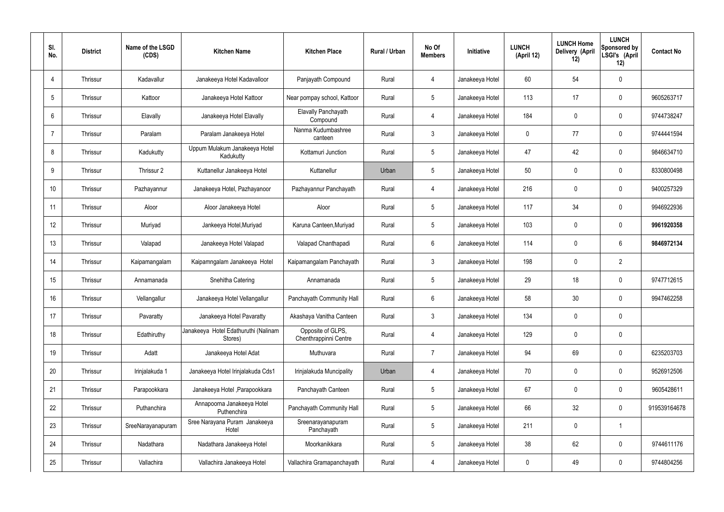| SI.<br>No.     | <b>District</b> | Name of the LSGD<br>(CDS) | <b>Kitchen Name</b>                             | <b>Kitchen Place</b>                       | <b>Rural / Urban</b> | No Of<br><b>Members</b> | Initiative      | <b>LUNCH</b><br>(April 12) | <b>LUNCH Home</b><br>Delivery (April<br>12) | <b>LUNCH</b><br>Sponsored by<br>LSGI's (April<br>12) | <b>Contact No</b> |
|----------------|-----------------|---------------------------|-------------------------------------------------|--------------------------------------------|----------------------|-------------------------|-----------------|----------------------------|---------------------------------------------|------------------------------------------------------|-------------------|
| 4              | Thrissur        | Kadavallur                | Janakeeya Hotel Kadavalloor                     | Panjayath Compound                         | Rural                | 4                       | Janakeeya Hotel | $60\,$                     | 54                                          | $\mathbf 0$                                          |                   |
| 5              | Thrissur        | Kattoor                   | Janakeeya Hotel Kattoor                         | Near pompay school, Kattoor                | Rural                | $5\phantom{.0}$         | Janakeeya Hotel | 113                        | 17                                          | $\mathbf 0$                                          | 9605263717        |
| 6              | Thrissur        | Elavally                  | Janakeeya Hotel Elavally                        | Elavally Panchayath<br>Compound            | Rural                | $\overline{4}$          | Janakeeya Hotel | 184                        | $\mathbf 0$                                 | $\mathbf 0$                                          | 9744738247        |
| $\overline{7}$ | Thrissur        | Paralam                   | Paralam Janakeeya Hotel                         | Nanma Kudumbashree<br>canteen              | Rural                | $\mathbf{3}$            | Janakeeya Hotel | 0                          | 77                                          | $\mathbf 0$                                          | 9744441594        |
| 8              | Thrissur        | Kadukutty                 | Uppum Mulakum Janakeeya Hotel<br>Kadukutty      | Kottamuri Junction                         | Rural                | $5\overline{)}$         | Janakeeya Hotel | 47                         | 42                                          | $\mathbf 0$                                          | 9846634710        |
| 9              | Thrissur        | Thrissur 2                | Kuttanellur Janakeeya Hotel                     | Kuttanellur                                | Urban                | $5\phantom{.0}$         | Janakeeya Hotel | 50                         | $\mathbf 0$                                 | $\mathbf 0$                                          | 8330800498        |
| 10             | Thrissur        | Pazhayannur               | Janakeeya Hotel, Pazhayanoor                    | Pazhayannur Panchayath                     | Rural                | $\overline{4}$          | Janakeeya Hotel | 216                        | $\mathbf 0$                                 | $\mathbf 0$                                          | 9400257329        |
| 11             | Thrissur        | Aloor                     | Aloor Janakeeya Hotel                           | Aloor                                      | Rural                | $5\phantom{.0}$         | Janakeeya Hotel | 117                        | 34                                          | $\mathbf 0$                                          | 9946922936        |
| 12             | Thrissur        | Muriyad                   | Jankeeya Hotel, Muriyad                         | Karuna Canteen, Muriyad                    | Rural                | $5\overline{)}$         | Janakeeya Hotel | 103                        | $\mathbf 0$                                 | $\mathbf 0$                                          | 9961920358        |
| 13             | Thrissur        | Valapad                   | Janakeeya Hotel Valapad                         | Valapad Chanthapadi                        | Rural                | $6\overline{6}$         | Janakeeya Hotel | 114                        | 0                                           | 6                                                    | 9846972134        |
| 14             | Thrissur        | Kaipamangalam             | Kaipamngalam Janakeeya Hotel                    | Kaipamangalam Panchayath                   | Rural                | $\mathbf{3}$            | Janakeeya Hotel | 198                        | 0                                           | $\overline{2}$                                       |                   |
| 15             | Thrissur        | Annamanada                | Snehitha Catering                               | Annamanada                                 | Rural                | $5\phantom{.0}$         | Janakeeya Hotel | 29                         | 18                                          | $\mathbf 0$                                          | 9747712615        |
| 16             | Thrissur        | Vellangallur              | Janakeeya Hotel Vellangallur                    | Panchayath Community Hall                  | Rural                | 6                       | Janakeeya Hotel | 58                         | 30                                          | 0                                                    | 9947462258        |
| 17             | Thrissur        | Pavaratty                 | Janakeeya Hotel Pavaratty                       | Akashaya Vanitha Canteen                   | Rural                | $\mathbf{3}$            | Janakeeya Hotel | 134                        | $\mathbf 0$                                 | $\mathbf 0$                                          |                   |
| 18             | Thrissur        | Edathiruthy               | Janakeeya Hotel Edathuruthi (Nalinam<br>Stores) | Opposite of GLPS,<br>Chenthrappinni Centre | Rural                | $\overline{4}$          | Janakeeya Hotel | 129                        | $\mathbf 0$                                 | $\mathbf 0$                                          |                   |
| 19             | Thrissur        | Adatt                     | Janakeeya Hotel Adat                            | Muthuvara                                  | Rural                | $\overline{7}$          | Janakeeya Hotel | 94                         | 69                                          | $\mathbf 0$                                          | 6235203703        |
| 20             | Thrissur        | Irinjalakuda 1            | Janakeeya Hotel Irinjalakuda Cds1               | Irinjalakuda Muncipality                   | Urban                | 4                       | Janakeeya Hotel | 70                         | $\mathbf 0$                                 | $\mathbf 0$                                          | 9526912506        |
| 21             | Thrissur        | Parapookkara              | Janakeeya Hotel , Parapookkara                  | Panchayath Canteen                         | Rural                | $5\overline{)}$         | Janakeeya Hotel | 67                         | $\mathbf 0$                                 | $\mathbf 0$                                          | 9605428611        |
| 22             | Thrissur        | Puthanchira               | Annapoorna Janakeeya Hotel<br>Puthenchira       | Panchayath Community Hall                  | Rural                | $5\phantom{.0}$         | Janakeeya Hotel | 66                         | 32                                          | $\mathbf 0$                                          | 919539164678      |
| 23             | Thrissur        | SreeNarayanapuram         | Sree Narayana Puram Janakeeya<br>Hotel          | Sreenarayanapuram<br>Panchayath            | Rural                | $5\overline{)}$         | Janakeeya Hotel | 211                        | 0                                           | $\overline{\mathbf{1}}$                              |                   |
| 24             | Thrissur        | Nadathara                 | Nadathara Janakeeya Hotel                       | Moorkanikkara                              | Rural                | $5\phantom{.0}$         | Janakeeya Hotel | 38                         | 62                                          | $\mathbf 0$                                          | 9744611176        |
| 25             | Thrissur        | Vallachira                | Vallachira Janakeeya Hotel                      | Vallachira Gramapanchayath                 | Rural                | 4                       | Janakeeya Hotel | 0                          | 49                                          | $\overline{0}$                                       | 9744804256        |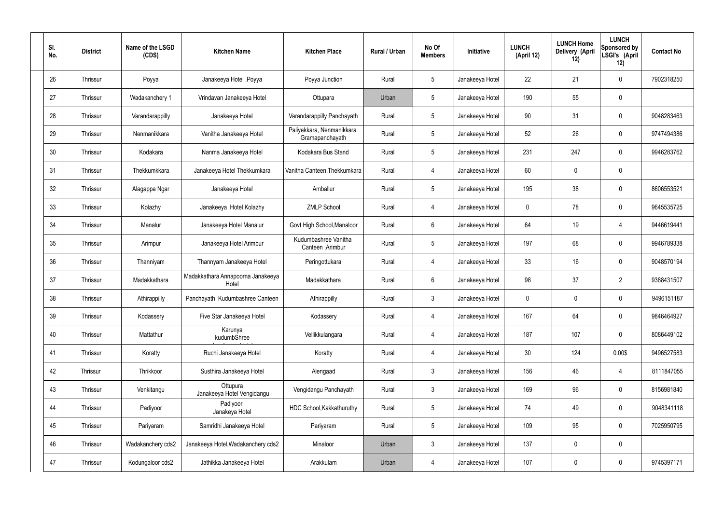| SI.<br>No. | <b>District</b> | Name of the LSGD<br>(CDS) | <b>Kitchen Name</b>                        | <b>Kitchen Place</b>                         | Rural / Urban | No Of<br><b>Members</b> | Initiative      | <b>LUNCH</b><br>(April 12) | <b>LUNCH Home</b><br>Delivery (April<br>12) | <b>LUNCH</b><br><b>Sponsored by</b><br>LSGI's (April<br>12) | <b>Contact No</b> |
|------------|-----------------|---------------------------|--------------------------------------------|----------------------------------------------|---------------|-------------------------|-----------------|----------------------------|---------------------------------------------|-------------------------------------------------------------|-------------------|
| 26         | Thrissur        | Poyya                     | Janakeeya Hotel , Poyya                    | Poyya Junction                               | Rural         | $5\phantom{.0}$         | Janakeeya Hotel | 22                         | 21                                          | 0                                                           | 7902318250        |
| 27         | Thrissur        | Wadakanchery 1            | Vrindavan Janakeeya Hotel                  | Ottupara                                     | Urban         | $5\phantom{.0}$         | Janakeeya Hotel | 190                        | 55                                          | 0                                                           |                   |
| 28         | Thrissur        | Varandarappilly           | Janakeeya Hotel                            | Varandarappilly Panchayath                   | Rural         | $5\phantom{.0}$         | Janakeeya Hotel | 90                         | 31                                          | 0                                                           | 9048283463        |
| 29         | Thrissur        | Nenmanikkara              | Vanitha Janakeeya Hotel                    | Paliyekkara, Nenmanikkara<br>Gramapanchayath | Rural         | $5\phantom{.0}$         | Janakeeya Hotel | 52                         | 26                                          | 0                                                           | 9747494386        |
| 30         | Thrissur        | Kodakara                  | Nanma Janakeeya Hotel                      | Kodakara Bus Stand                           | Rural         | $5\phantom{.0}$         | Janakeeya Hotel | 231                        | 247                                         | 0                                                           | 9946283762        |
| 31         | Thrissur        | Thekkumkkara              | Janakeeya Hotel Thekkumkara                | Vanitha Canteen, Thekkumkara                 | Rural         | $\overline{4}$          | Janakeeya Hotel | 60                         | $\mathbf 0$                                 | 0                                                           |                   |
| 32         | Thrissur        | Alagappa Ngar             | Janakeeya Hotel                            | Amballur                                     | Rural         | $5\phantom{.0}$         | Janakeeya Hotel | 195                        | 38                                          | 0                                                           | 8606553521        |
| 33         | Thrissur        | Kolazhy                   | Janakeeya Hotel Kolazhy                    | <b>ZMLP School</b>                           | Rural         | $\overline{4}$          | Janakeeya Hotel | $\mathbf 0$                | 78                                          | 0                                                           | 9645535725        |
| 34         | Thrissur        | Manalur                   | Janakeeya Hotel Manalur                    | Govt High School, Manaloor                   | Rural         | 6                       | Janakeeya Hotel | 64                         | 19                                          | 4                                                           | 9446619441        |
| 35         | Thrissur        | Arimpur                   | Janakeeya Hotel Arimbur                    | Kudumbashree Vanitha<br>Canteen, Arimbur     | Rural         | $5\phantom{.0}$         | Janakeeya Hotel | 197                        | 68                                          | 0                                                           | 9946789338        |
| 36         | Thrissur        | Thanniyam                 | Thannyam Janakeeya Hotel                   | Peringottukara                               | Rural         | $\overline{4}$          | Janakeeya Hotel | 33                         | 16                                          | 0                                                           | 9048570194        |
| 37         | Thrissur        | Madakkathara              | Madakkathara Annapoorna Janakeeya<br>Hotel | Madakkathara                                 | Rural         | 6                       | Janakeeya Hotel | 98                         | 37                                          | $\overline{2}$                                              | 9388431507        |
| 38         | Thrissur        | Athirappilly              | Panchayath Kudumbashree Canteen            | Athirappilly                                 | Rural         | $\mathbf{3}$            | Janakeeya Hotel | 0                          | 0                                           | 0                                                           | 9496151187        |
| 39         | Thrissur        | Kodassery                 | Five Star Janakeeya Hotel                  | Kodassery                                    | Rural         | $\overline{4}$          | Janakeeya Hotel | 167                        | 64                                          | 0                                                           | 9846464927        |
| 40         | Thrissur        | Mattathur                 | Karunya<br>kudumbShree                     | Vellikkulangara                              | Rural         | $\overline{4}$          | Janakeeya Hotel | 187                        | 107                                         | 0                                                           | 8086449102        |
| 41         | Thrissur        | Koratty                   | Ruchi Janakeeya Hotel                      | Koratty                                      | Rural         | $\overline{4}$          | Janakeeya Hotel | 30 <sub>2</sub>            | 124                                         | 0.00\$                                                      | 9496527583        |
| 42         | Thrissur        | Thrikkoor                 | Susthira Janakeeya Hotel                   | Alengaad                                     | Rural         | $\mathbf{3}$            | Janakeeya Hotel | 156                        | 46                                          | 4                                                           | 8111847055        |
| 43         | Thrissur        | Venkitangu                | Ottupura<br>Janakeeya Hotel Vengidangu     | Vengidangu Panchayath                        | Rural         | $\mathbf{3}$            | Janakeeya Hotel | 169                        | 96                                          | 0                                                           | 8156981840        |
| 44         | Thrissur        | Padiyoor                  | Padiyoor<br>Janakeya Hotel                 | HDC School, Kakkathuruthy                    | Rural         | $5\phantom{.0}$         | Janakeeya Hotel | 74                         | 49                                          | 0                                                           | 9048341118        |
| 45         | Thrissur        | Pariyaram                 | Samridhi Janakeeya Hotel                   | Pariyaram                                    | Rural         | $5\phantom{.0}$         | Janakeeya Hotel | 109                        | 95                                          | 0                                                           | 7025950795        |
| 46         | Thrissur        | Wadakanchery cds2         | Janakeeya Hotel, Wadakanchery cds2         | Minaloor                                     | Urban         | $\mathbf{3}$            | Janakeeya Hotel | 137                        | $\mathbf 0$                                 | 0                                                           |                   |
| 47         | Thrissur        | Kodungaloor cds2          | Jathikka Janakeeya Hotel                   | Arakkulam                                    | Urban         | $\overline{4}$          | Janakeeya Hotel | 107                        | $\pmb{0}$                                   | 0                                                           | 9745397171        |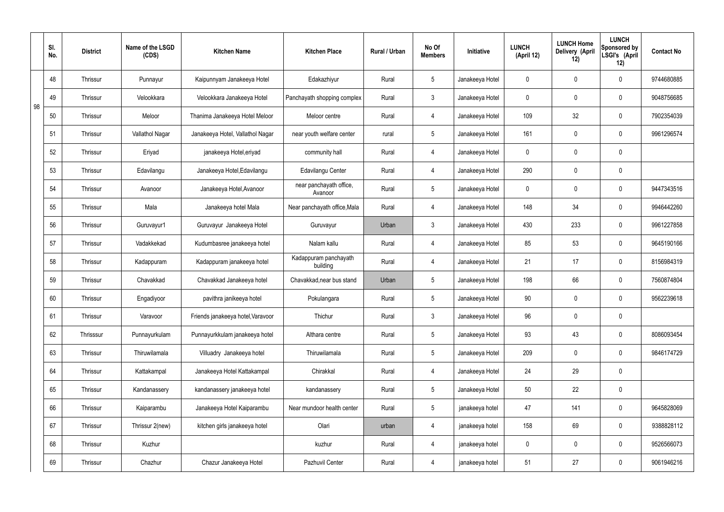|    | SI.<br>No. | <b>District</b> | Name of the LSGD<br>(CDS) | <b>Kitchen Name</b>               | <b>Kitchen Place</b>               | Rural / Urban | No Of<br><b>Members</b> | Initiative      | <b>LUNCH</b><br>(April 12) | <b>LUNCH Home</b><br>Delivery (April<br>12) | <b>LUNCH</b><br>Sponsored by<br>LSGI's (April<br>12) | <b>Contact No</b> |
|----|------------|-----------------|---------------------------|-----------------------------------|------------------------------------|---------------|-------------------------|-----------------|----------------------------|---------------------------------------------|------------------------------------------------------|-------------------|
|    | 48         | <b>Thrissur</b> | Punnayur                  | Kaipunnyam Janakeeya Hotel        | Edakazhiyur                        | Rural         | $5\phantom{.0}$         | Janakeeya Hotel | $\mathbf 0$                | $\mathbf 0$                                 | $\mathbf 0$                                          | 9744680885        |
| 98 | 49         | Thrissur        | Velookkara                | Velookkara Janakeeya Hotel        | Panchayath shopping complex        | Rural         | $\mathbf{3}$            | Janakeeya Hotel | $\mathbf 0$                | $\mathbf 0$                                 | $\mathbf 0$                                          | 9048756685        |
|    | 50         | <b>Thrissur</b> | Meloor                    | Thanima Janakeeya Hotel Meloor    | Meloor centre                      | Rural         | $\overline{4}$          | Janakeeya Hotel | 109                        | 32                                          | $\mathbf 0$                                          | 7902354039        |
|    | 51         | <b>Thrissur</b> | Vallathol Nagar           | Janakeeya Hotel, Vallathol Nagar  | near youth welfare center          | rural         | $5\overline{)}$         | Janakeeya Hotel | 161                        | $\mathbf 0$                                 | $\mathbf 0$                                          | 9961296574        |
|    | 52         | <b>Thrissur</b> | Eriyad                    | janakeeya Hotel, eriyad           | community hall                     | Rural         | 4                       | Janakeeya Hotel | $\mathbf 0$                | $\mathbf 0$                                 | $\mathbf 0$                                          |                   |
|    | 53         | <b>Thrissur</b> | Edavilangu                | Janakeeya Hotel, Edavilangu       | Edavilangu Center                  | Rural         | 4                       | Janakeeya Hotel | 290                        | $\mathbf 0$                                 | $\mathbf 0$                                          |                   |
|    | 54         | <b>Thrissur</b> | Avanoor                   | Janakeeya Hotel, Avanoor          | near panchayath office,<br>Avanoor | Rural         | $5\overline{)}$         | Janakeeya Hotel | $\mathbf 0$                | $\mathbf 0$                                 | $\mathbf 0$                                          | 9447343516        |
|    | 55         | <b>Thrissur</b> | Mala                      | Janakeeya hotel Mala              | Near panchayath office, Mala       | Rural         | 4                       | Janakeeya Hotel | 148                        | 34                                          | $\mathbf 0$                                          | 9946442260        |
|    | 56         | <b>Thrissur</b> | Guruvayur1                | Guruvayur Janakeeya Hotel         | Guruvayur                          | Urban         | $\mathbf{3}$            | Janakeeya Hotel | 430                        | 233                                         | $\mathbf 0$                                          | 9961227858        |
|    | 57         | Thrissur        | Vadakkekad                | Kudumbasree janakeeya hotel       | Nalam kallu                        | Rural         | 4                       | Janakeeya Hotel | 85                         | 53                                          | $\mathbf 0$                                          | 9645190166        |
|    | 58         | <b>Thrissur</b> | Kadappuram                | Kadappuram janakeeya hotel        | Kadappuram panchayath<br>building  | Rural         | $\overline{4}$          | Janakeeya Hotel | 21                         | 17                                          | $\mathbf 0$                                          | 8156984319        |
|    | 59         | Thrissur        | Chavakkad                 | Chavakkad Janakeeya hotel         | Chavakkad, near bus stand          | Urban         | $5\overline{)}$         | Janakeeya Hotel | 198                        | 66                                          | $\mathbf 0$                                          | 7560874804        |
|    | 60         | <b>Thrissur</b> | Engadiyoor                | pavithra janikeeya hotel          | Pokulangara                        | Rural         | $5\overline{)}$         | Janakeeya Hotel | 90                         | $\mathbf 0$                                 | $\mathbf 0$                                          | 9562239618        |
|    | 61         | Thrissur        | Varavoor                  | Friends janakeeya hotel, Varavoor | Thichur                            | Rural         | $\mathbf{3}$            | Janakeeya Hotel | 96                         | $\pmb{0}$                                   | $\mathbf 0$                                          |                   |
|    | 62         | Thrisssur       | Punnayurkulam             | Punnayurkkulam janakeeya hotel    | Althara centre                     | Rural         | $5\overline{)}$         | Janakeeya Hotel | 93                         | 43                                          | $\mathbf 0$                                          | 8086093454        |
|    | 63         | Thrissur        | Thiruwilamala             | Villuadry Janakeeya hotel         | Thiruwilamala                      | Rural         | $5\overline{)}$         | Janakeeya Hotel | 209                        | $\pmb{0}$                                   | $\mathbf 0$                                          | 9846174729        |
|    | 64         | Thrissur        | Kattakampal               | Janakeeya Hotel Kattakampal       | Chirakkal                          | Rural         | $\overline{4}$          | Janakeeya Hotel | 24                         | 29                                          | $\mathbf 0$                                          |                   |
|    | 65         | Thrissur        | Kandanassery              | kandanassery janakeeya hotel      | kandanassery                       | Rural         | $5\overline{)}$         | Janakeeya Hotel | 50                         | 22                                          | $\mathbf 0$                                          |                   |
|    | 66         | Thrissur        | Kaiparambu                | Janakeeya Hotel Kaiparambu        | Near mundoor health center         | Rural         | $5\overline{)}$         | janakeeya hotel | 47                         | 141                                         | $\mathbf 0$                                          | 9645828069        |
|    | 67         | Thrissur        | Thrissur 2(new)           | kitchen girls janakeeya hotel     | Olari                              | urban         | 4                       | janakeeya hotel | 158                        | 69                                          | $\mathbf 0$                                          | 9388828112        |
|    | 68         | Thrissur        | Kuzhur                    |                                   | kuzhur                             | Rural         | $\overline{4}$          | janakeeya hotel | $\mathbf 0$                | 0                                           | $\mathbf 0$                                          | 9526566073        |
|    | 69         | Thrissur        | Chazhur                   | Chazur Janakeeya Hotel            | Pazhuvil Center                    | Rural         | $\overline{4}$          | janakeeya hotel | 51                         | 27                                          | $\boldsymbol{0}$                                     | 9061946216        |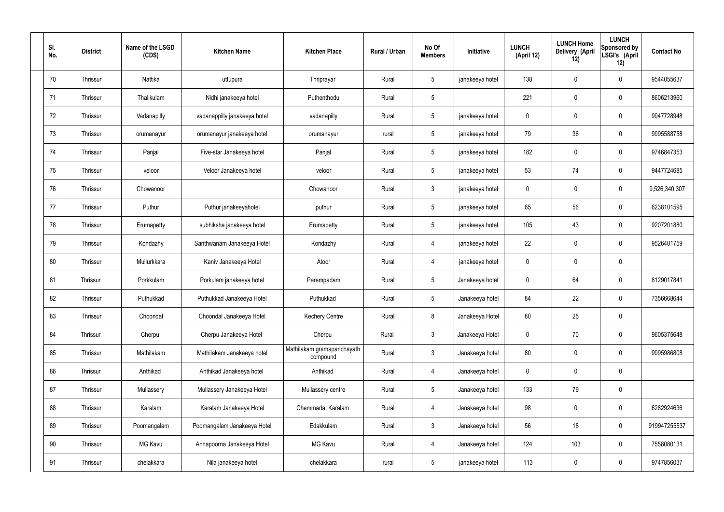| SI.<br>No. | <b>District</b> | Name of the LSGD<br>(CDS) | <b>Kitchen Name</b>          | <b>Kitchen Place</b>                   | Rural / Urban | No Of<br><b>Members</b> | Initiative      | <b>LUNCH</b><br>(April 12) | <b>LUNCH Home</b><br>Delivery (April<br>12) | <b>LUNCH</b><br>Sponsored by<br>LSGI's (April<br>12) | <b>Contact No</b> |
|------------|-----------------|---------------------------|------------------------------|----------------------------------------|---------------|-------------------------|-----------------|----------------------------|---------------------------------------------|------------------------------------------------------|-------------------|
| 70         | Thrissur        | Nattika                   | uttupura                     | Thriprayar                             | Rural         | $5\phantom{.0}$         | janakeeya hotel | 138                        | $\mathbf 0$                                 | $\pmb{0}$                                            | 9544055637        |
| 71         | Thrissur        | Thalikulam                | Nidhi janakeeya hotel        | Puthenthodu                            | Rural         | 5                       |                 | 221                        | $\mathbf 0$                                 | $\pmb{0}$                                            | 8606213960        |
| 72         | Thrissur        | Vadanapilly               | vadanappilly janakeeya hotel | vadanapilly                            | Rural         | $5\phantom{.0}$         | janakeeya hotel | 0                          | $\mathbf 0$                                 | $\pmb{0}$                                            | 9947728948        |
| 73         | Thrissur        | orumanayur                | orumanayur janakeeya hotel   | orumanayur                             | rural         | $5\phantom{.0}$         | janakeeya hotel | 79                         | 36                                          | $\mathbf 0$                                          | 9995588758        |
| 74         | Thrissur        | Panjal                    | Five-star Janakeeya hotel    | Panjal                                 | Rural         | $5\phantom{.0}$         | janakeeya hotel | 182                        | $\mathbf 0$                                 | $\pmb{0}$                                            | 9746847353        |
| 75         | Thrissur        | veloor                    | Veloor Janakeeya hotel       | veloor                                 | Rural         | $5\phantom{.0}$         | janakeeya hotel | 53                         | 74                                          | $\mathbf 0$                                          | 9447724685        |
| 76         | Thrissur        | Chowanoor                 |                              | Chowanoor                              | Rural         | $\mathbf{3}$            | janakeeya hotel | 0                          | $\mathbf 0$                                 | $\pmb{0}$                                            | 9,526,340,307     |
| 77         | Thrissur        | Puthur                    | Puthur janakeeyahotel        | puthur                                 | Rural         | $5\phantom{.0}$         | janakeeya hotel | 65                         | 56                                          | $\mathbf 0$                                          | 6238101595        |
| 78         | Thrissur        | Erumapetty                | subhiksha janakeeya hotel    | Erumapetty                             | Rural         | $5\phantom{.0}$         | janakeeya hotel | 105                        | 43                                          | $\pmb{0}$                                            | 9207201880        |
| 79         | Thrissur        | Kondazhy                  | Santhwanam Janakeeya Hotel   | Kondazhy                               | Rural         | $\overline{4}$          | janakeeya hotel | 22                         | $\pmb{0}$                                   | $\mathbf 0$                                          | 9526401759        |
| 80         | Thrissur        | Mullurkkara               | Kaniv Janakeeya Hotel        | Atoor                                  | Rural         | $\overline{4}$          | janakeeya hotel | 0                          | $\pmb{0}$                                   | $\pmb{0}$                                            |                   |
| 81         | Thrissur        | Porkkulam                 | Porkulam janakeeya hotel     | Parempadam                             | Rural         | $5\phantom{.0}$         | Janakeeya hotel | 0                          | 64                                          | $\pmb{0}$                                            | 8129017841        |
| 82         | Thrissur        | Puthukkad                 | Puthukkad Janakeeya Hotel    | Puthukkad                              | Rural         | $5\phantom{.0}$         | Janakeeya hotel | 84                         | 22                                          | $\mathbf 0$                                          | 7356668644        |
| 83         | Thrissur        | Choondal                  | Choondal Janakeeya Hotel     | <b>Kechery Centre</b>                  | Rural         | 8                       | Janakeeya Hotel | 80                         | 25                                          | $\pmb{0}$                                            |                   |
| 84         | Thrissur        | Cherpu                    | Cherpu Janakeeya Hotel       | Cherpu                                 | Rural         | $\mathbf{3}$            | Janakeeya Hotel | $\mathbf 0$                | 70                                          | $\pmb{0}$                                            | 9605375648        |
| 85         | Thrissur        | Mathilakam                | Mathilakam Janakeeya hotel   | Mathilakam gramapanchayath<br>compound | Rural         | $\mathbf{3}$            | Janakeeya hotel | 80                         | $\mathbf 0$                                 | $\mathbf 0$                                          | 9995986808        |
| 86         | Thrissur        | Anthikad                  | Anthikad Janakeeya hotel     | Anthikad                               | Rural         | $\overline{4}$          | Janakeeya hotel | $\mathbf 0$                | $\mathbf 0$                                 | $\mathbf 0$                                          |                   |
| 87         | Thrissur        | Mullassery                | Mullassery Janakeeya Hotel   | Mullassery centre                      | Rural         | $5\overline{)}$         | Janakeeya hotel | 133                        | 79                                          | $\mathbf 0$                                          |                   |
| 88         | Thrissur        | Karalam                   | Karalam Janakeeya Hotel      | Chemmada, Karalam                      | Rural         | $\overline{4}$          | Janakeeya hotel | 98                         | $\overline{0}$                              | $\pmb{0}$                                            | 6282924636        |
| 89         | Thrissur        | Poomangalam               | Poomangalam Janakeeya Hotel  | Edakkulam                              | Rural         | $\mathbf{3}$            | Janakeeya hotel | 56                         | 18                                          | $\pmb{0}$                                            | 919947255537      |
| 90         | Thrissur        | MG Kavu                   | Annapoorna Janakeeya Hotel   | MG Kavu                                | Rural         | $\overline{4}$          | Janakeeya hotel | 124                        | 103                                         | $\mathbf 0$                                          | 7558080131        |
| 91         | Thrissur        | chelakkara                | Nila janakeeya hotel         | chelakkara                             | rural         | $5\phantom{.0}$         | janakeeya hotel | 113                        | $\mathbf 0$                                 | $\bf{0}$                                             | 9747856037        |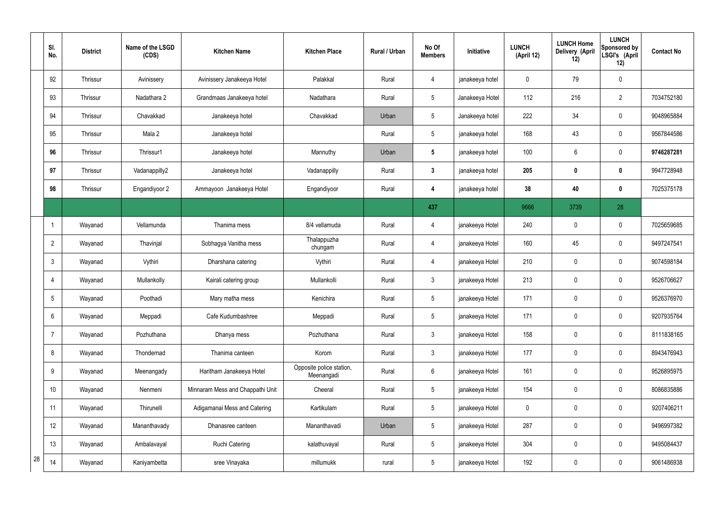|    | SI.<br>No.      | <b>District</b> | Name of the LSGD<br>(CDS) | <b>Kitchen Name</b>              | <b>Kitchen Place</b>                   | Rural / Urban | No Of<br><b>Members</b> | Initiative      | <b>LUNCH</b><br>(April 12) | <b>LUNCH Home</b><br>Delivery (April<br>12) | <b>LUNCH</b><br><b>Sponsored by</b><br>LSGI's (April<br>12) | <b>Contact No</b> |
|----|-----------------|-----------------|---------------------------|----------------------------------|----------------------------------------|---------------|-------------------------|-----------------|----------------------------|---------------------------------------------|-------------------------------------------------------------|-------------------|
|    | 92              | Thrissur        | Avinissery                | Avinissery Janakeeya Hotel       | Palakkal                               | Rural         | 4                       | janakeeya hotel | 0                          | 79                                          | $\pmb{0}$                                                   |                   |
|    | 93              | Thrissur        | Nadathara 2               | Grandmaas Janakeeya hotel        | Nadathara                              | Rural         | $5\phantom{.0}$         | Janakeeya Hotel | 112                        | 216                                         | $\overline{2}$                                              | 7034752180        |
|    | 94              | Thrissur        | Chavakkad                 | Janakeeya hotel                  | Chavakkad                              | Urban         | $5\phantom{.0}$         | Janakeeya hotel | 222                        | 34                                          | $\pmb{0}$                                                   | 9048965884        |
|    | 95              | Thrissur        | Mala 2                    | Janakeeya hotel                  |                                        | Rural         | $5\phantom{.0}$         | janakeeya hotel | 168                        | 43                                          | $\mathbf 0$                                                 | 9567844586        |
|    | 96              | Thrissur        | Thrissur1                 | Janakeeya hotel                  | Mannuthy                               | Urban         | $5\phantom{.0}$         | janakeeya hotel | 100                        | 6                                           | $\pmb{0}$                                                   | 9746287281        |
|    | 97              | Thrissur        | Vadanappilly2             | Janakeeya hotel                  | Vadanappilly                           | Rural         | $\mathbf{3}$            | janakeeya hotel | 205                        | 0                                           | $\mathbf 0$                                                 | 9947728948        |
|    | 98              | Thrissur        | Engandiyoor 2             | Ammayoon Janakeeya Hotel         | Engandiyoor                            | Rural         | 4                       | janakeeya hotel | 38                         | 40                                          | $\bf{0}$                                                    | 7025375178        |
|    |                 |                 |                           |                                  |                                        |               | 437                     |                 | 9666                       | 3739                                        | 28                                                          |                   |
|    |                 | Wayanad         | Vellamunda                | Thanima mess                     | 8/4 vellamuda                          | Rural         | 4                       | janakeeya Hotel | 240                        | 0                                           | $\boldsymbol{0}$                                            | 7025659685        |
|    | $\overline{2}$  | Wayanad         | Thavinjal                 | Sobhagya Vanitha mess            | Thalappuzha<br>chungam                 | Rural         | 4                       | janakeeya Hotel | 160                        | 45                                          | $\mathbf 0$                                                 | 9497247541        |
|    | $\mathbf{3}$    | Wayanad         | Vythiri                   | Dharshana catering               | Vythiri                                | Rural         | 4                       | janakeeya Hotel | 210                        | 0                                           | $\boldsymbol{0}$                                            | 9074598184        |
|    | $\overline{4}$  | Wayanad         | Mullankolly               | Kairali catering group           | Mullankolli                            | Rural         | $\mathbf{3}$            | janakeeya Hotel | 213                        | 0                                           | $\mathbf 0$                                                 | 9526706627        |
|    | $5\phantom{.0}$ | Wayanad         | Poothadi                  | Mary matha mess                  | Kenichira                              | Rural         | 5                       | janakeeya Hotel | 171                        | 0                                           | $\mathbf 0$                                                 | 9526376970        |
|    | $6\phantom{.}6$ | Wayanad         | Meppadi                   | Cafe Kudumbashree                | Meppadi                                | Rural         | $5\phantom{.0}$         | janakeeya Hotel | 171                        | 0                                           | $\mathbf 0$                                                 | 9207935764        |
|    | $\overline{7}$  | Wayanad         | Pozhuthana                | Dhanya mess                      | Pozhuthana                             | Rural         | $\mathbf{3}$            | janakeeya Hotel | 158                        | 0                                           | $\pmb{0}$                                                   | 8111838165        |
|    | 8               | Wayanad         | Thondernad                | Thanima canteen                  | Korom                                  | Rural         | $\mathbf{3}$            | janakeeya Hotel | 177                        | 0                                           | $\mathbf 0$                                                 | 8943476943        |
|    | 9               | Wayanad         | Meenangady                | Haritham Janakeeya Hotel         | Opposite police station,<br>Meenangadi | Rural         | $6\phantom{.}6$         | janakeeya Hotel | 161                        | 0                                           | $\pmb{0}$                                                   | 9526895975        |
|    | 10              | Wayanad         | Nenmeni                   | Minnaram Mess and Chappathi Unit | Cheeral                                | Rural         | $5\phantom{.0}$         | janakeeya Hotel | 154                        | 0                                           | $\mathbf 0$                                                 | 8086835886        |
|    | 11              | Wayanad         | Thirunelli                | Adigamanai Mess and Catering     | Kartikulam                             | Rural         | $5\phantom{.0}$         | janakeeya Hotel | 0                          | 0                                           | $\mathbf 0$                                                 | 9207406211        |
|    | 12              | Wayanad         | Mananthavady              | Dhanasree canteen                | Mananthavadi                           | Urban         | $5\phantom{.0}$         | janakeeya Hotel | 287                        | 0                                           | $\mathbf 0$                                                 | 9496997382        |
|    | 13              | Wayanad         | Ambalavayal               | <b>Ruchi Catering</b>            | kalathuvayal                           | Rural         | $5\phantom{.0}$         | janakeeya Hotel | 304                        | 0                                           | $\pmb{0}$                                                   | 9495084437        |
| 28 | 14              | Wayanad         | Kaniyambetta              | sree Vinayaka                    | millumukk                              | rural         | $5\phantom{.0}$         | janakeeya Hotel | 192                        | 0                                           | $\pmb{0}$                                                   | 9061486938        |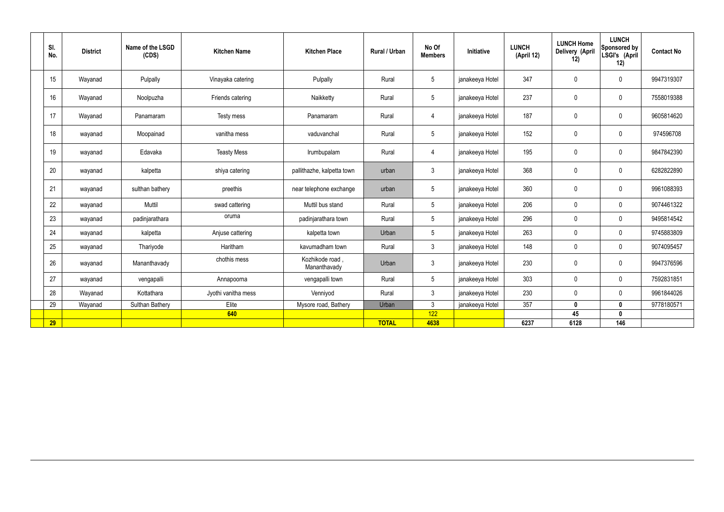| SI.<br>No. | <b>District</b> | Name of the LSGD<br>(CDS) | <b>Kitchen Name</b> | <b>Kitchen Place</b>            | Rural / Urban | No Of<br><b>Members</b> | Initiative      | <b>LUNCH</b><br>(April 12) | <b>LUNCH Home</b><br>Delivery (April<br>12) | <b>LUNCH</b><br>Sponsored by<br>LSGI's (April<br>12) | <b>Contact No</b> |
|------------|-----------------|---------------------------|---------------------|---------------------------------|---------------|-------------------------|-----------------|----------------------------|---------------------------------------------|------------------------------------------------------|-------------------|
| 15         | Wayanad         | Pulpally                  | Vinayaka catering   | Pulpally                        | Rural         | $5\phantom{.0}$         | janakeeya Hotel | 347                        | $\mathbf 0$                                 | $\mathbf 0$                                          | 9947319307        |
| 16         | Wayanad         | Noolpuzha                 | Friends catering    | Naikketty                       | Rural         | $5\overline{)}$         | janakeeya Hotel | 237                        | $\mathbf 0$                                 | $\mathbf 0$                                          | 7558019388        |
| 17         | Wayanad         | Panamaram                 | Testy mess          | Panamaram                       | Rural         | $\overline{4}$          | janakeeya Hotel | 187                        | $\mathbf 0$                                 | $\mathbf 0$                                          | 9605814620        |
| 18         | wayanad         | Moopainad                 | vanitha mess        | vaduvanchal                     | Rural         | $5\phantom{.0}$         | janakeeya Hotel | 152                        | $\pmb{0}$                                   | $\mathbf 0$                                          | 974596708         |
| 19         | wayanad         | Edavaka                   | <b>Teasty Mess</b>  | Irumbupalam                     | Rural         | $\overline{4}$          | janakeeya Hotel | 195                        | $\pmb{0}$                                   | $\mathbf 0$                                          | 9847842390        |
| 20         | wayanad         | kalpetta                  | shiya catering      | pallithazhe, kalpetta town      | urban         | $\mathbf{3}$            | janakeeya Hotel | 368                        | $\pmb{0}$                                   | $\mathbf 0$                                          | 6282822890        |
| 21         | wayanad         | sulthan bathery           | preethis            | near telephone exchange         | urban         | $5\overline{)}$         | janakeeya Hotel | 360                        | $\mathbf 0$                                 | $\mathbf 0$                                          | 9961088393        |
| 22         | wayanad         | Muttil                    | swad cattering      | Muttil bus stand                | Rural         | 5 <sup>5</sup>          | janakeeya Hotel | 206                        | $\mathbf 0$                                 | $\mathbf 0$                                          | 9074461322        |
| 23         | wayanad         | padinjarathara            | oruma               | padinjarathara town             | Rural         | $5\phantom{.0}$         | janakeeya Hotel | 296                        | $\mathbf 0$                                 | $\mathbf 0$                                          | 9495814542        |
| 24         | wayanad         | kalpetta                  | Anjuse cattering    | kalpetta town                   | Urban         | 5 <sup>5</sup>          | janakeeya Hotel | 263                        | $\mathbf 0$                                 | $\mathbf 0$                                          | 9745883809        |
| 25         | wayanad         | Thariyode                 | Haritham            | kavumadham town                 | Rural         | $\mathbf{3}$            | janakeeya Hotel | 148                        | $\mathbf 0$                                 | $\mathbf 0$                                          | 9074095457        |
| 26         | wayanad         | Mananthavady              | chothis mess        | Kozhikode road,<br>Mananthavady | Urban         | $\mathbf{3}$            | janakeeya Hotel | 230                        | $\pmb{0}$                                   | $\mathbf 0$                                          | 9947376596        |
| 27         | wayanad         | vengapalli                | Annapoorna          | vengapalli town                 | Rural         | $5\phantom{.0}$         | janakeeya Hotel | 303                        | $\mathbf 0$                                 | $\mathbf 0$                                          | 7592831851        |
| 28         | Wayanad         | Kottathara                | Jyothi vanitha mess | Venniyod                        | Rural         | $\mathbf{3}$            | janakeeya Hotel | 230                        | $\pmb{0}$                                   | $\mathbf 0$                                          | 9961844026        |
| 29         | Wayanad         | Sulthan Bathery           | Elite               | Mysore road, Bathery            | Urban         | $\mathbf{3}$            | janakeeya Hotel | 357                        | $\mathbf 0$                                 | $\mathbf 0$                                          | 9778180571        |
|            |                 |                           | 640                 |                                 |               | 122                     |                 |                            | 45                                          | $\mathbf{0}$                                         |                   |
| 29         |                 |                           |                     |                                 | <b>TOTAL</b>  | 4638                    |                 | 6237                       | 6128                                        | 146                                                  |                   |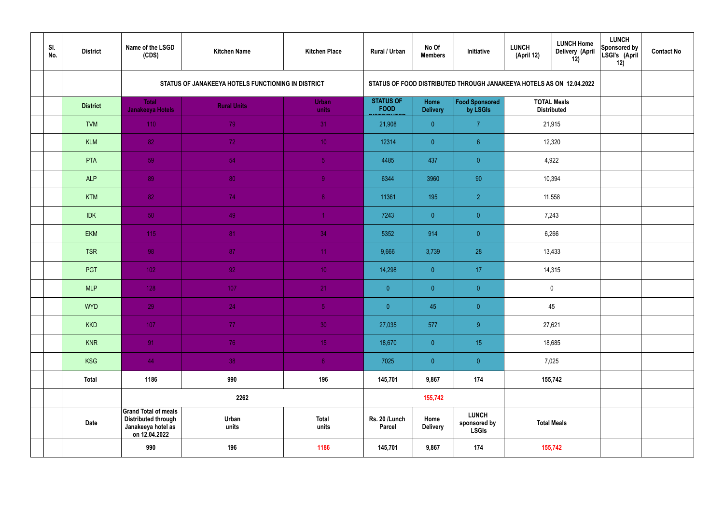| SI.<br>No. | <b>District</b> | Name of the LSGD<br>(CDS)                                                                        | <b>Kitchen Name</b>                                | <b>Kitchen Place</b>  | Rural / Urban                   | No Of<br><b>Members</b>        | Initiative                                                           | <b>LUNCH</b><br>(April 12) | <b>LUNCH Home</b><br>Delivery (April<br>12) | <b>LUNCH</b><br>Sponsored by<br>LSGI's (April<br>12) | <b>Contact No</b> |
|------------|-----------------|--------------------------------------------------------------------------------------------------|----------------------------------------------------|-----------------------|---------------------------------|--------------------------------|----------------------------------------------------------------------|----------------------------|---------------------------------------------|------------------------------------------------------|-------------------|
|            |                 |                                                                                                  | STATUS OF JANAKEEYA HOTELS FUNCTIONING IN DISTRICT |                       |                                 |                                | STATUS OF FOOD DISTRIBUTED THROUGH JANAKEEYA HOTELS AS ON 12.04.2022 |                            |                                             |                                                      |                   |
|            | <b>District</b> | <b>Total</b><br>Janakeeya Hotels                                                                 | <b>Rural Units</b>                                 | <b>Urban</b><br>units | <b>STATUS OF</b><br><b>FOOD</b> | <b>Home</b><br><b>Delivery</b> | Food Sponsored<br>by LSGIs                                           |                            | <b>TOTAL Meals</b><br><b>Distributed</b>    |                                                      |                   |
|            | <b>TVM</b>      | 110                                                                                              | 79                                                 | 31                    | 21,908                          | $\overline{0}$                 | $\overline{7}$                                                       | 21,915                     |                                             |                                                      |                   |
|            | <b>KLM</b>      | 82                                                                                               | 72 <sub>1</sub>                                    | 10 <sup>°</sup>       | 12314                           | $\overline{0}$                 | $6^{\circ}$                                                          | 12,320                     |                                             |                                                      |                   |
|            | PTA             | 59                                                                                               | 54                                                 | $\sqrt{5}$            | 4485                            | 437                            | $\overline{0}$                                                       | 4,922                      |                                             |                                                      |                   |
|            | <b>ALP</b>      | 89                                                                                               | 80                                                 | $\overline{9}$        | 6344                            | 3960                           | 90                                                                   | 10,394                     |                                             |                                                      |                   |
|            | <b>KTM</b>      | 82                                                                                               | 74                                                 | 8 <sup>°</sup>        | 11361                           | 195                            | $\overline{2}$                                                       |                            | 11,558                                      |                                                      |                   |
|            | <b>IDK</b>      | 50                                                                                               | 49                                                 | $\blacktriangleleft$  | 7243                            | $\overline{0}$                 | $\overline{0}$                                                       |                            | 7,243                                       |                                                      |                   |
|            | <b>EKM</b>      | 115                                                                                              | 81                                                 | 34                    | 5352                            | 914                            | $\overline{0}$                                                       |                            | 6,266                                       |                                                      |                   |
|            | <b>TSR</b>      | 98                                                                                               | 87                                                 | 11                    | 9,666                           | 3,739                          | 28                                                                   |                            | 13,433                                      |                                                      |                   |
|            | PGT             | $102$                                                                                            | 92                                                 | 10 <sup>°</sup>       | 14,298                          | $\overline{0}$                 | 17                                                                   |                            | 14,315                                      |                                                      |                   |
|            | <b>MLP</b>      | 128                                                                                              | 107                                                | 21                    | $\overline{0}$                  | $\overline{0}$                 | $\overline{0}$                                                       |                            | $\mathbf 0$                                 |                                                      |                   |
|            | <b>WYD</b>      | 29                                                                                               | 24                                                 | 5 <sub>1</sub>        | $\pmb{0}^-$                     | 45                             | $\overline{0}$                                                       |                            | 45                                          |                                                      |                   |
|            | <b>KKD</b>      | 107                                                                                              | 77 <sub>1</sub>                                    | 30 <sup>°</sup>       | 27,035                          | 577                            | 9                                                                    |                            | 27,621                                      |                                                      |                   |
|            | <b>KNR</b>      | 91                                                                                               | 76                                                 | 15 <sub>1</sub>       | 18,670                          | $\overline{0}$                 | 15 <sub>15</sub>                                                     |                            | 18,685                                      |                                                      |                   |
|            | <b>KSG</b>      | 44                                                                                               | 38                                                 | 6 <sup>1</sup>        | 7025                            | $\overline{0}$                 | $\pmb{0}$                                                            | 7,025                      |                                             |                                                      |                   |
|            | <b>Total</b>    | 1186                                                                                             | 990                                                | 196                   | 145,701                         | 9,867                          | 174                                                                  | 155,742                    |                                             |                                                      |                   |
|            |                 |                                                                                                  | 2262                                               |                       |                                 | 155,742                        |                                                                      |                            |                                             |                                                      |                   |
|            | <b>Date</b>     | <b>Grand Total of meals</b><br><b>Distributed through</b><br>Janakeeya hotel as<br>on 12.04.2022 | Urban<br>units                                     | <b>Total</b><br>units | Rs. 20 /Lunch<br><b>Parcel</b>  | Home<br><b>Delivery</b>        | <b>LUNCH</b><br>sponsored by<br><b>LSGIs</b>                         | <b>Total Meals</b>         |                                             |                                                      |                   |
|            |                 | 990                                                                                              | 196                                                | 1186                  | 145,701                         | 9,867                          | 174                                                                  |                            | 155,742                                     |                                                      |                   |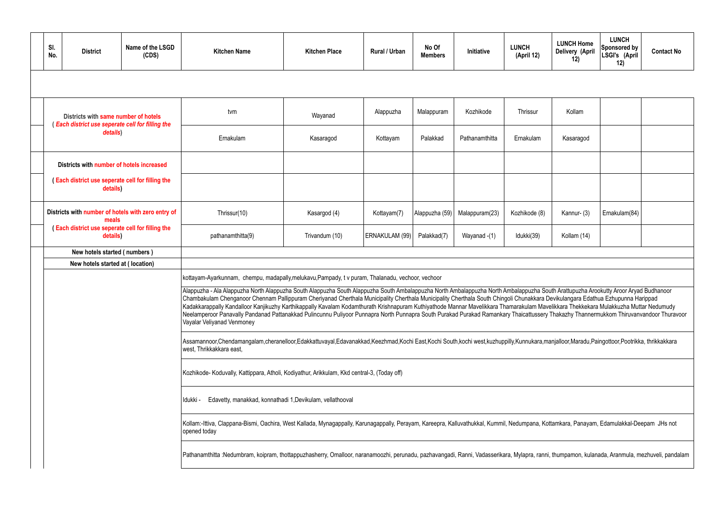| SI.<br>No.                                                   | <b>District</b>                                                                          | Name of the LSGD<br>(CDS) | <b>Kitchen Name</b>                                                                                                                                                                                                                                                                                                                                                                                                                                                                                                                                                                                | <b>Kitchen Place</b> | Rural / Urban  | No Of<br><b>Members</b> | Initiative     | <b>LUNCH</b><br>(April 12) | <b>LUNCH Home</b><br><b>Delivery (April</b><br>12) | <b>LUNCH</b><br>Sponsored by<br>LSGI's (April<br>12) | <b>Contact No</b> |  |  |  |  |
|--------------------------------------------------------------|------------------------------------------------------------------------------------------|---------------------------|----------------------------------------------------------------------------------------------------------------------------------------------------------------------------------------------------------------------------------------------------------------------------------------------------------------------------------------------------------------------------------------------------------------------------------------------------------------------------------------------------------------------------------------------------------------------------------------------------|----------------------|----------------|-------------------------|----------------|----------------------------|----------------------------------------------------|------------------------------------------------------|-------------------|--|--|--|--|
|                                                              |                                                                                          |                           |                                                                                                                                                                                                                                                                                                                                                                                                                                                                                                                                                                                                    |                      |                |                         |                |                            |                                                    |                                                      |                   |  |  |  |  |
|                                                              | Districts with same number of hotels<br>(Each district use seperate cell for filling the |                           | tvm                                                                                                                                                                                                                                                                                                                                                                                                                                                                                                                                                                                                | Wayanad              | Alappuzha      | Malappuram              | Kozhikode      | Thrissur                   | Kollam                                             |                                                      |                   |  |  |  |  |
|                                                              | details)                                                                                 |                           | Ernakulam                                                                                                                                                                                                                                                                                                                                                                                                                                                                                                                                                                                          | Kasaragod            | Kottayam       | Palakkad                | Pathanamthitta | Ernakulam                  | Kasaragod                                          |                                                      |                   |  |  |  |  |
|                                                              | Districts with number of hotels increased                                                |                           |                                                                                                                                                                                                                                                                                                                                                                                                                                                                                                                                                                                                    |                      |                |                         |                |                            |                                                    |                                                      |                   |  |  |  |  |
| (Each district use seperate cell for filling the<br>details) |                                                                                          |                           |                                                                                                                                                                                                                                                                                                                                                                                                                                                                                                                                                                                                    |                      |                |                         |                |                            |                                                    |                                                      |                   |  |  |  |  |
| Districts with number of hotels with zero entry of<br>meals  |                                                                                          | Thrissur(10)              | Kasargod (4)                                                                                                                                                                                                                                                                                                                                                                                                                                                                                                                                                                                       | Kottayam(7)          | Alappuzha (59) | Malappuram(23)          | Kozhikode (8)  | Kannur- (3)                | Ernakulam(84)                                      |                                                      |                   |  |  |  |  |
| (Each district use seperate cell for filling the<br>details) |                                                                                          |                           | pathanamthitta(9)                                                                                                                                                                                                                                                                                                                                                                                                                                                                                                                                                                                  | Trivandum (10)       | ERNAKULAM (99) | Palakkad(7)             | Wayanad -(1)   | Idukki(39)                 | Kollam (14)                                        |                                                      |                   |  |  |  |  |
|                                                              | New hotels started (numbers)                                                             |                           |                                                                                                                                                                                                                                                                                                                                                                                                                                                                                                                                                                                                    |                      |                |                         |                |                            |                                                    |                                                      |                   |  |  |  |  |
|                                                              | New hotels started at (location)                                                         |                           |                                                                                                                                                                                                                                                                                                                                                                                                                                                                                                                                                                                                    |                      |                |                         |                |                            |                                                    |                                                      |                   |  |  |  |  |
|                                                              |                                                                                          |                           | kottayam-Ayarkunnam, chempu, madapally,melukavu, Pampady, t v puram, Thalanadu, vechoor, vechoor<br>Alappuzha - Ala Alappuzha North Alappuzha South Alappuzha South Alappuzha South Ambalappuzha North Ambalappuzha South Arattupuzha Arookutty Aroor Aryad Budhanoor                                                                                                                                                                                                                                                                                                                              |                      |                |                         |                |                            |                                                    |                                                      |                   |  |  |  |  |
|                                                              |                                                                                          |                           | Chambakulam Chenganoor Chennam Pallippuram Cheriyanad Cherthala Municipality Cherthala Municipality Cherthala South Chingoli Chunakkara Devikulangara Edathua Ezhupunna Harippad<br>Kadakkarappally Kandalloor Kanjikuzhy Karthikappally Kavalam Kodamthurath Krishnapuram Kuthiyathode Mannar Mavelikkara Thamarakulam Mavelikkara Thekkekara Mulakkuzha Muttar Nedumudy<br>Neelamperoor Panavally Pandanad Pattanakkad Pulincunnu Puliyoor Punnapra North Punnapra South Purakad Purakad Ramankary Thaicattussery Thakazhy Thannermukkom Thiruvanvandoor Thuravoor<br>Vayalar Veliyanad Venmoney |                      |                |                         |                |                            |                                                    |                                                      |                   |  |  |  |  |
|                                                              |                                                                                          |                           | Assamannoor,Chendamangalam,cheranelloor,Edakkattuvayal,Edavanakkad,Keezhmad,Kochi East,Kochi South,kochi west,kuzhuppilly,Kunnukara,manjalloor,Maradu,Paingottoor,Pootrikka, thrikkakkara<br>west, Thrikkakkara east,                                                                                                                                                                                                                                                                                                                                                                              |                      |                |                         |                |                            |                                                    |                                                      |                   |  |  |  |  |
|                                                              |                                                                                          |                           | Kozhikode- Koduvally, Kattippara, Atholi, Kodiyathur, Arikkulam, Kkd central-3, (Today off)                                                                                                                                                                                                                                                                                                                                                                                                                                                                                                        |                      |                |                         |                |                            |                                                    |                                                      |                   |  |  |  |  |
|                                                              |                                                                                          |                           | Edavetty, manakkad, konnathadi 1, Devikulam, vellathooval<br>Idukki -                                                                                                                                                                                                                                                                                                                                                                                                                                                                                                                              |                      |                |                         |                |                            |                                                    |                                                      |                   |  |  |  |  |
|                                                              |                                                                                          |                           | Kollam:-Ittiva, Clappana-Bismi, Oachira, West Kallada, Mynagappally, Karunagappally, Perayam, Kareepra, Kalluvathukkal, Kummil, Nedumpana, Kottamkara, Panayam, Edamulakkal-Deepam JHs not<br>opened today                                                                                                                                                                                                                                                                                                                                                                                         |                      |                |                         |                |                            |                                                    |                                                      |                   |  |  |  |  |
|                                                              |                                                                                          |                           | Pathanamthitta :Nedumbram, koipram, thottappuzhasherry, Omalloor, naranamoozhi, perunadu, pazhavangadi, Ranni, Vadasserikara, Mylapra, ranni, thumpamon, kulanada, Aranmula, mezhuveli, pandalam                                                                                                                                                                                                                                                                                                                                                                                                   |                      |                |                         |                |                            |                                                    |                                                      |                   |  |  |  |  |